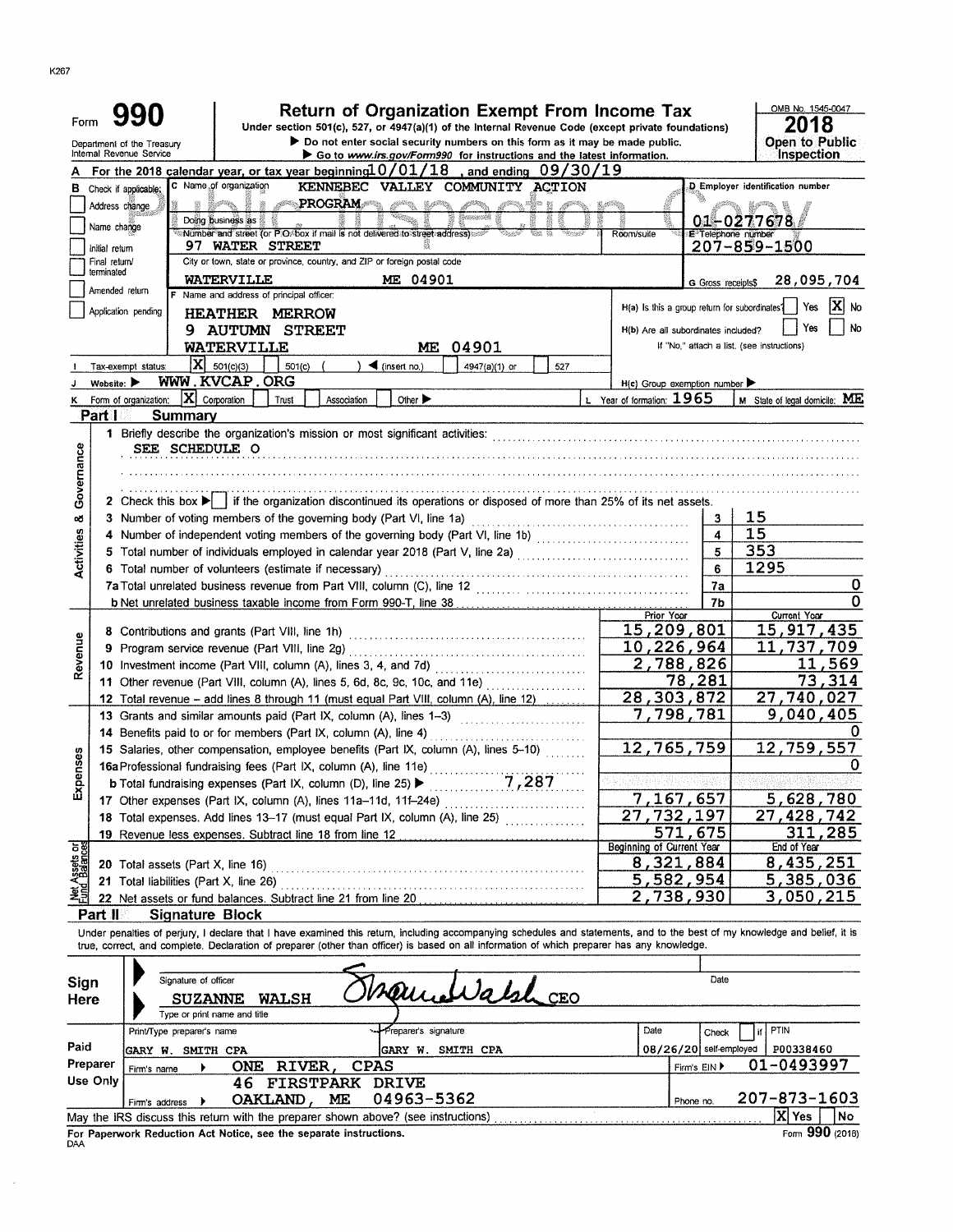| Internal Revenue Service<br>Inspection<br>Go to www.irs.gov/Form990 for instructions and the latest information.<br>For the 2018 calendar year, or tax year beginning $0/01/18$<br>, and ending $09/30/19$<br>C Name of organization<br>KENNEBEC VALLEY COMMUNITY ACTION<br>D Employer identification number<br><b>B</b> Check if applicable;<br><b>PROGRAM</b><br><b>BARBOOK</b><br>¤∰æ m<br>Address change<br>Doing business as &<br>01-0277678<br>Name change<br>Number and street (or P.O. box if mail is not delivered to street address)<br>Room/suite<br>E Telephone number<br>97 WATER STREET<br>$207 - 859 - 1500$<br>Initial return<br>City or town, state or province, country, and ZIP or foreign postal code<br>Final return/<br>terminated<br><b>WATERVILLE</b><br>ME 04901<br>28,095,704<br>G Gross receipts\$<br>Amended return<br>F Name and address of principal officer:<br>IXI no<br>H(a) Is this a group return for subordinates?<br>Yes<br>Application pending<br><b>HEATHER MERROW</b><br>No<br>Yes<br><b>9 AUTUMN STREET</b><br>H(b) Are all subordinates included?<br>WATERVILLE<br>04901<br>If "No," attach a list, (see instructions)<br>MЕ<br>$ {\bf x} $<br>501(c)(3)<br>$\blacktriangleleft$ (insert no.)<br>501(c)<br>4947(a)(1) or<br>527<br>Tax-exempt status:<br>WWW.KVCAP.ORG<br>Website:<br>$H(c)$ Group exemption number<br>$ \mathbf{X} $ Corporation<br>L Year of formation: $1965$<br>M State of legal domicile: ME<br>Form of organization:<br>Trust<br>Other ><br>Association<br>ĸ<br>Part I<br>Summary<br>1 Briefly describe the organization's mission or most significant activities:<br>Governance<br>SEE SCHEDULE O<br>2 Check this box $\blacktriangleright$ if the organization discontinued its operations or disposed of more than 25% of its net assets.<br>15<br>œ<br><b>Activities</b><br>15<br>4<br>353<br>5<br>1295<br>6<br>6 Total number of volunteers (estimate if necessary)<br>0<br>7a<br>0<br>b Net unrelated business taxable income from Form 990-T, line 38<br>7b<br>Prior Year<br>Current Year<br>15,209,801<br>15,917,435<br>8 Contributions and grants (Part VIII, line 1h)<br>Revenue<br>10,226,964<br>11,737,709<br>2,788,826<br>11,569<br>73,314<br>78,281<br>11 Other revenue (Part VIII, column (A), lines 5, 6d, 8c, 9c, 10c, and 11e)<br>28, 303, 872<br>27,740,027<br>12 Total revenue - add lines 8 through 11 (must equal Part VIII, column (A), line 12)<br>7,798,781<br>9,040,405<br>13 Grants and similar amounts paid (Part IX, column (A), lines 1-3)<br>14 Benefits paid to or for members (Part IX, column (A), line 4)<br>12,765,759<br>12,759,557<br>15 Salaries, other compensation, employee benefits (Part IX, column (A), lines 5-10)<br>enses<br>16a Professional fundraising fees (Part IX, column (A), line 11e)<br>7,287<br><b>b</b> Total fundraising expenses (Part IX, column (D), line 25) $\blacktriangleright$<br>ē,<br>ú,<br>7,167,657<br>5,628,780<br>17 Other expenses (Part IX, column (A), lines 11a-11d, 11f-24e)<br>27<br>732,197<br>27,428,742<br>18 Total expenses. Add lines 13-17 (must equal Part IX, column (A), line 25)<br>571,675<br>311,285<br>19 Revenue less expenses. Subtract line 18 from line 12<br>Met Assets or<br>Beginning of Current Year<br>End of Year<br>8,435,251<br>8,321,884<br>20 Total assets (Part X, line 16)<br>5,385,036<br><u>5,582,954</u><br>21 Total liabilities (Part X, line 26)<br>2,738,930<br>3,050,215<br>22 Net assets or fund balances. Subtract line 21 from line 20<br>Part II<br><b>Signature Block</b><br>Under penalties of perjury, I declare that I have examined this return, including accompanying schedules and statements, and to the best of my knowledge and belief, it is<br>true, correct, and complete. Declaration of preparer (other than officer) is based on all information of which preparer has any knowledge.<br>Signature of officer<br>Date<br>Sign<br>CEO<br><b>WALSH</b><br>Here<br><b>SUZANNE</b><br>Type or print name and title<br>Date<br>PTIN<br>Preparer's signature<br>Print/Type preparer's name<br>Check<br>Paid<br>P00338460<br>08/26/20 self-employed<br><b>GARY W. SMITH CPA</b><br><b>GARY W. SMITH CPA</b><br>01-0493997<br>Preparer<br><b>CPAS</b><br>RIVER,<br>ONE<br>Firm's EIN ▶<br>Firm's name<br>Use Only<br><b>46 FIRSTPARK</b><br><b>DRIVE</b><br>207-873-1603<br>04963-5362<br>OAKLAND,<br>ME<br>Phone no.<br>Firm's address<br>X Yes<br>May the IRS discuss this return with the preparer shown above? (see instructions)<br>No<br>Form 990 (2018)<br>For Paperwork Reduction Act Notice, see the separate instructions. | Form | Department of the Treasury |  | <b>Return of Organization Exempt From Income Tax</b><br>Under section 501(c), 527, or 4947(a)(1) of the Internal Revenue Code (except private foundations)<br>Do not enter social security numbers on this form as it may be made public. |  | OMB No. 1545-0047<br>2018<br><b>Open to Public</b> |
|----------------------------------------------------------------------------------------------------------------------------------------------------------------------------------------------------------------------------------------------------------------------------------------------------------------------------------------------------------------------------------------------------------------------------------------------------------------------------------------------------------------------------------------------------------------------------------------------------------------------------------------------------------------------------------------------------------------------------------------------------------------------------------------------------------------------------------------------------------------------------------------------------------------------------------------------------------------------------------------------------------------------------------------------------------------------------------------------------------------------------------------------------------------------------------------------------------------------------------------------------------------------------------------------------------------------------------------------------------------------------------------------------------------------------------------------------------------------------------------------------------------------------------------------------------------------------------------------------------------------------------------------------------------------------------------------------------------------------------------------------------------------------------------------------------------------------------------------------------------------------------------------------------------------------------------------------------------------------------------------------------------------------------------------------------------------------------------------------------------------------------------------------------------------------------------------------------------------------------------------------------------------------------------------------------------------------------------------------------------------------------------------------------------------------------------------------------------------------------------------------------------------------------------------------------------------------------------------------------------------------------------------------------------------------------------------------------------------------------------------------------------------------------------------------------------------------------------------------------------------------------------------------------------------------------------------------------------------------------------------------------------------------------------------------------------------------------------------------------------------------------------------------------------------------------------------------------------------------------------------------------------------------------------------------------------------------------------------------------------------------------------------------------------------------------------------------------------------------------------------------------------------------------------------------------------------------------------------------------------------------------------------------------------------------------------------------------------------------------------------------------------------------------------------------------------------------------------------------------------------------------------------------------------------------------------------------------------------------------------------------------------------------------------------------------------------------------------------------------------------------------------------------------------------------------------------------------------------------------------------------------------------------------------------------------------------------------------------------------------------------------------------------------------------------------------------------------------------------------------------------------------------------------------------------------------------------------------------------------------------------------------|------|----------------------------|--|-------------------------------------------------------------------------------------------------------------------------------------------------------------------------------------------------------------------------------------------|--|----------------------------------------------------|
|                                                                                                                                                                                                                                                                                                                                                                                                                                                                                                                                                                                                                                                                                                                                                                                                                                                                                                                                                                                                                                                                                                                                                                                                                                                                                                                                                                                                                                                                                                                                                                                                                                                                                                                                                                                                                                                                                                                                                                                                                                                                                                                                                                                                                                                                                                                                                                                                                                                                                                                                                                                                                                                                                                                                                                                                                                                                                                                                                                                                                                                                                                                                                                                                                                                                                                                                                                                                                                                                                                                                                                                                                                                                                                                                                                                                                                                                                                                                                                                                                                                                                                                                                                                                                                                                                                                                                                                                                                                                                                                                                                                                                                        |      |                            |  |                                                                                                                                                                                                                                           |  |                                                    |
|                                                                                                                                                                                                                                                                                                                                                                                                                                                                                                                                                                                                                                                                                                                                                                                                                                                                                                                                                                                                                                                                                                                                                                                                                                                                                                                                                                                                                                                                                                                                                                                                                                                                                                                                                                                                                                                                                                                                                                                                                                                                                                                                                                                                                                                                                                                                                                                                                                                                                                                                                                                                                                                                                                                                                                                                                                                                                                                                                                                                                                                                                                                                                                                                                                                                                                                                                                                                                                                                                                                                                                                                                                                                                                                                                                                                                                                                                                                                                                                                                                                                                                                                                                                                                                                                                                                                                                                                                                                                                                                                                                                                                                        |      |                            |  |                                                                                                                                                                                                                                           |  |                                                    |
|                                                                                                                                                                                                                                                                                                                                                                                                                                                                                                                                                                                                                                                                                                                                                                                                                                                                                                                                                                                                                                                                                                                                                                                                                                                                                                                                                                                                                                                                                                                                                                                                                                                                                                                                                                                                                                                                                                                                                                                                                                                                                                                                                                                                                                                                                                                                                                                                                                                                                                                                                                                                                                                                                                                                                                                                                                                                                                                                                                                                                                                                                                                                                                                                                                                                                                                                                                                                                                                                                                                                                                                                                                                                                                                                                                                                                                                                                                                                                                                                                                                                                                                                                                                                                                                                                                                                                                                                                                                                                                                                                                                                                                        |      |                            |  |                                                                                                                                                                                                                                           |  |                                                    |
|                                                                                                                                                                                                                                                                                                                                                                                                                                                                                                                                                                                                                                                                                                                                                                                                                                                                                                                                                                                                                                                                                                                                                                                                                                                                                                                                                                                                                                                                                                                                                                                                                                                                                                                                                                                                                                                                                                                                                                                                                                                                                                                                                                                                                                                                                                                                                                                                                                                                                                                                                                                                                                                                                                                                                                                                                                                                                                                                                                                                                                                                                                                                                                                                                                                                                                                                                                                                                                                                                                                                                                                                                                                                                                                                                                                                                                                                                                                                                                                                                                                                                                                                                                                                                                                                                                                                                                                                                                                                                                                                                                                                                                        |      |                            |  |                                                                                                                                                                                                                                           |  |                                                    |
|                                                                                                                                                                                                                                                                                                                                                                                                                                                                                                                                                                                                                                                                                                                                                                                                                                                                                                                                                                                                                                                                                                                                                                                                                                                                                                                                                                                                                                                                                                                                                                                                                                                                                                                                                                                                                                                                                                                                                                                                                                                                                                                                                                                                                                                                                                                                                                                                                                                                                                                                                                                                                                                                                                                                                                                                                                                                                                                                                                                                                                                                                                                                                                                                                                                                                                                                                                                                                                                                                                                                                                                                                                                                                                                                                                                                                                                                                                                                                                                                                                                                                                                                                                                                                                                                                                                                                                                                                                                                                                                                                                                                                                        |      |                            |  |                                                                                                                                                                                                                                           |  |                                                    |
|                                                                                                                                                                                                                                                                                                                                                                                                                                                                                                                                                                                                                                                                                                                                                                                                                                                                                                                                                                                                                                                                                                                                                                                                                                                                                                                                                                                                                                                                                                                                                                                                                                                                                                                                                                                                                                                                                                                                                                                                                                                                                                                                                                                                                                                                                                                                                                                                                                                                                                                                                                                                                                                                                                                                                                                                                                                                                                                                                                                                                                                                                                                                                                                                                                                                                                                                                                                                                                                                                                                                                                                                                                                                                                                                                                                                                                                                                                                                                                                                                                                                                                                                                                                                                                                                                                                                                                                                                                                                                                                                                                                                                                        |      |                            |  |                                                                                                                                                                                                                                           |  |                                                    |
|                                                                                                                                                                                                                                                                                                                                                                                                                                                                                                                                                                                                                                                                                                                                                                                                                                                                                                                                                                                                                                                                                                                                                                                                                                                                                                                                                                                                                                                                                                                                                                                                                                                                                                                                                                                                                                                                                                                                                                                                                                                                                                                                                                                                                                                                                                                                                                                                                                                                                                                                                                                                                                                                                                                                                                                                                                                                                                                                                                                                                                                                                                                                                                                                                                                                                                                                                                                                                                                                                                                                                                                                                                                                                                                                                                                                                                                                                                                                                                                                                                                                                                                                                                                                                                                                                                                                                                                                                                                                                                                                                                                                                                        |      |                            |  |                                                                                                                                                                                                                                           |  |                                                    |
|                                                                                                                                                                                                                                                                                                                                                                                                                                                                                                                                                                                                                                                                                                                                                                                                                                                                                                                                                                                                                                                                                                                                                                                                                                                                                                                                                                                                                                                                                                                                                                                                                                                                                                                                                                                                                                                                                                                                                                                                                                                                                                                                                                                                                                                                                                                                                                                                                                                                                                                                                                                                                                                                                                                                                                                                                                                                                                                                                                                                                                                                                                                                                                                                                                                                                                                                                                                                                                                                                                                                                                                                                                                                                                                                                                                                                                                                                                                                                                                                                                                                                                                                                                                                                                                                                                                                                                                                                                                                                                                                                                                                                                        |      |                            |  |                                                                                                                                                                                                                                           |  |                                                    |
|                                                                                                                                                                                                                                                                                                                                                                                                                                                                                                                                                                                                                                                                                                                                                                                                                                                                                                                                                                                                                                                                                                                                                                                                                                                                                                                                                                                                                                                                                                                                                                                                                                                                                                                                                                                                                                                                                                                                                                                                                                                                                                                                                                                                                                                                                                                                                                                                                                                                                                                                                                                                                                                                                                                                                                                                                                                                                                                                                                                                                                                                                                                                                                                                                                                                                                                                                                                                                                                                                                                                                                                                                                                                                                                                                                                                                                                                                                                                                                                                                                                                                                                                                                                                                                                                                                                                                                                                                                                                                                                                                                                                                                        |      |                            |  |                                                                                                                                                                                                                                           |  |                                                    |
|                                                                                                                                                                                                                                                                                                                                                                                                                                                                                                                                                                                                                                                                                                                                                                                                                                                                                                                                                                                                                                                                                                                                                                                                                                                                                                                                                                                                                                                                                                                                                                                                                                                                                                                                                                                                                                                                                                                                                                                                                                                                                                                                                                                                                                                                                                                                                                                                                                                                                                                                                                                                                                                                                                                                                                                                                                                                                                                                                                                                                                                                                                                                                                                                                                                                                                                                                                                                                                                                                                                                                                                                                                                                                                                                                                                                                                                                                                                                                                                                                                                                                                                                                                                                                                                                                                                                                                                                                                                                                                                                                                                                                                        |      |                            |  |                                                                                                                                                                                                                                           |  |                                                    |
|                                                                                                                                                                                                                                                                                                                                                                                                                                                                                                                                                                                                                                                                                                                                                                                                                                                                                                                                                                                                                                                                                                                                                                                                                                                                                                                                                                                                                                                                                                                                                                                                                                                                                                                                                                                                                                                                                                                                                                                                                                                                                                                                                                                                                                                                                                                                                                                                                                                                                                                                                                                                                                                                                                                                                                                                                                                                                                                                                                                                                                                                                                                                                                                                                                                                                                                                                                                                                                                                                                                                                                                                                                                                                                                                                                                                                                                                                                                                                                                                                                                                                                                                                                                                                                                                                                                                                                                                                                                                                                                                                                                                                                        |      |                            |  |                                                                                                                                                                                                                                           |  |                                                    |
|                                                                                                                                                                                                                                                                                                                                                                                                                                                                                                                                                                                                                                                                                                                                                                                                                                                                                                                                                                                                                                                                                                                                                                                                                                                                                                                                                                                                                                                                                                                                                                                                                                                                                                                                                                                                                                                                                                                                                                                                                                                                                                                                                                                                                                                                                                                                                                                                                                                                                                                                                                                                                                                                                                                                                                                                                                                                                                                                                                                                                                                                                                                                                                                                                                                                                                                                                                                                                                                                                                                                                                                                                                                                                                                                                                                                                                                                                                                                                                                                                                                                                                                                                                                                                                                                                                                                                                                                                                                                                                                                                                                                                                        |      |                            |  |                                                                                                                                                                                                                                           |  |                                                    |
|                                                                                                                                                                                                                                                                                                                                                                                                                                                                                                                                                                                                                                                                                                                                                                                                                                                                                                                                                                                                                                                                                                                                                                                                                                                                                                                                                                                                                                                                                                                                                                                                                                                                                                                                                                                                                                                                                                                                                                                                                                                                                                                                                                                                                                                                                                                                                                                                                                                                                                                                                                                                                                                                                                                                                                                                                                                                                                                                                                                                                                                                                                                                                                                                                                                                                                                                                                                                                                                                                                                                                                                                                                                                                                                                                                                                                                                                                                                                                                                                                                                                                                                                                                                                                                                                                                                                                                                                                                                                                                                                                                                                                                        |      |                            |  |                                                                                                                                                                                                                                           |  |                                                    |
|                                                                                                                                                                                                                                                                                                                                                                                                                                                                                                                                                                                                                                                                                                                                                                                                                                                                                                                                                                                                                                                                                                                                                                                                                                                                                                                                                                                                                                                                                                                                                                                                                                                                                                                                                                                                                                                                                                                                                                                                                                                                                                                                                                                                                                                                                                                                                                                                                                                                                                                                                                                                                                                                                                                                                                                                                                                                                                                                                                                                                                                                                                                                                                                                                                                                                                                                                                                                                                                                                                                                                                                                                                                                                                                                                                                                                                                                                                                                                                                                                                                                                                                                                                                                                                                                                                                                                                                                                                                                                                                                                                                                                                        |      |                            |  |                                                                                                                                                                                                                                           |  |                                                    |
|                                                                                                                                                                                                                                                                                                                                                                                                                                                                                                                                                                                                                                                                                                                                                                                                                                                                                                                                                                                                                                                                                                                                                                                                                                                                                                                                                                                                                                                                                                                                                                                                                                                                                                                                                                                                                                                                                                                                                                                                                                                                                                                                                                                                                                                                                                                                                                                                                                                                                                                                                                                                                                                                                                                                                                                                                                                                                                                                                                                                                                                                                                                                                                                                                                                                                                                                                                                                                                                                                                                                                                                                                                                                                                                                                                                                                                                                                                                                                                                                                                                                                                                                                                                                                                                                                                                                                                                                                                                                                                                                                                                                                                        |      |                            |  |                                                                                                                                                                                                                                           |  |                                                    |
|                                                                                                                                                                                                                                                                                                                                                                                                                                                                                                                                                                                                                                                                                                                                                                                                                                                                                                                                                                                                                                                                                                                                                                                                                                                                                                                                                                                                                                                                                                                                                                                                                                                                                                                                                                                                                                                                                                                                                                                                                                                                                                                                                                                                                                                                                                                                                                                                                                                                                                                                                                                                                                                                                                                                                                                                                                                                                                                                                                                                                                                                                                                                                                                                                                                                                                                                                                                                                                                                                                                                                                                                                                                                                                                                                                                                                                                                                                                                                                                                                                                                                                                                                                                                                                                                                                                                                                                                                                                                                                                                                                                                                                        |      |                            |  |                                                                                                                                                                                                                                           |  |                                                    |
|                                                                                                                                                                                                                                                                                                                                                                                                                                                                                                                                                                                                                                                                                                                                                                                                                                                                                                                                                                                                                                                                                                                                                                                                                                                                                                                                                                                                                                                                                                                                                                                                                                                                                                                                                                                                                                                                                                                                                                                                                                                                                                                                                                                                                                                                                                                                                                                                                                                                                                                                                                                                                                                                                                                                                                                                                                                                                                                                                                                                                                                                                                                                                                                                                                                                                                                                                                                                                                                                                                                                                                                                                                                                                                                                                                                                                                                                                                                                                                                                                                                                                                                                                                                                                                                                                                                                                                                                                                                                                                                                                                                                                                        |      |                            |  |                                                                                                                                                                                                                                           |  |                                                    |
|                                                                                                                                                                                                                                                                                                                                                                                                                                                                                                                                                                                                                                                                                                                                                                                                                                                                                                                                                                                                                                                                                                                                                                                                                                                                                                                                                                                                                                                                                                                                                                                                                                                                                                                                                                                                                                                                                                                                                                                                                                                                                                                                                                                                                                                                                                                                                                                                                                                                                                                                                                                                                                                                                                                                                                                                                                                                                                                                                                                                                                                                                                                                                                                                                                                                                                                                                                                                                                                                                                                                                                                                                                                                                                                                                                                                                                                                                                                                                                                                                                                                                                                                                                                                                                                                                                                                                                                                                                                                                                                                                                                                                                        |      |                            |  |                                                                                                                                                                                                                                           |  |                                                    |
|                                                                                                                                                                                                                                                                                                                                                                                                                                                                                                                                                                                                                                                                                                                                                                                                                                                                                                                                                                                                                                                                                                                                                                                                                                                                                                                                                                                                                                                                                                                                                                                                                                                                                                                                                                                                                                                                                                                                                                                                                                                                                                                                                                                                                                                                                                                                                                                                                                                                                                                                                                                                                                                                                                                                                                                                                                                                                                                                                                                                                                                                                                                                                                                                                                                                                                                                                                                                                                                                                                                                                                                                                                                                                                                                                                                                                                                                                                                                                                                                                                                                                                                                                                                                                                                                                                                                                                                                                                                                                                                                                                                                                                        |      |                            |  |                                                                                                                                                                                                                                           |  |                                                    |
|                                                                                                                                                                                                                                                                                                                                                                                                                                                                                                                                                                                                                                                                                                                                                                                                                                                                                                                                                                                                                                                                                                                                                                                                                                                                                                                                                                                                                                                                                                                                                                                                                                                                                                                                                                                                                                                                                                                                                                                                                                                                                                                                                                                                                                                                                                                                                                                                                                                                                                                                                                                                                                                                                                                                                                                                                                                                                                                                                                                                                                                                                                                                                                                                                                                                                                                                                                                                                                                                                                                                                                                                                                                                                                                                                                                                                                                                                                                                                                                                                                                                                                                                                                                                                                                                                                                                                                                                                                                                                                                                                                                                                                        |      |                            |  |                                                                                                                                                                                                                                           |  |                                                    |
|                                                                                                                                                                                                                                                                                                                                                                                                                                                                                                                                                                                                                                                                                                                                                                                                                                                                                                                                                                                                                                                                                                                                                                                                                                                                                                                                                                                                                                                                                                                                                                                                                                                                                                                                                                                                                                                                                                                                                                                                                                                                                                                                                                                                                                                                                                                                                                                                                                                                                                                                                                                                                                                                                                                                                                                                                                                                                                                                                                                                                                                                                                                                                                                                                                                                                                                                                                                                                                                                                                                                                                                                                                                                                                                                                                                                                                                                                                                                                                                                                                                                                                                                                                                                                                                                                                                                                                                                                                                                                                                                                                                                                                        |      |                            |  |                                                                                                                                                                                                                                           |  |                                                    |
|                                                                                                                                                                                                                                                                                                                                                                                                                                                                                                                                                                                                                                                                                                                                                                                                                                                                                                                                                                                                                                                                                                                                                                                                                                                                                                                                                                                                                                                                                                                                                                                                                                                                                                                                                                                                                                                                                                                                                                                                                                                                                                                                                                                                                                                                                                                                                                                                                                                                                                                                                                                                                                                                                                                                                                                                                                                                                                                                                                                                                                                                                                                                                                                                                                                                                                                                                                                                                                                                                                                                                                                                                                                                                                                                                                                                                                                                                                                                                                                                                                                                                                                                                                                                                                                                                                                                                                                                                                                                                                                                                                                                                                        |      |                            |  |                                                                                                                                                                                                                                           |  |                                                    |
|                                                                                                                                                                                                                                                                                                                                                                                                                                                                                                                                                                                                                                                                                                                                                                                                                                                                                                                                                                                                                                                                                                                                                                                                                                                                                                                                                                                                                                                                                                                                                                                                                                                                                                                                                                                                                                                                                                                                                                                                                                                                                                                                                                                                                                                                                                                                                                                                                                                                                                                                                                                                                                                                                                                                                                                                                                                                                                                                                                                                                                                                                                                                                                                                                                                                                                                                                                                                                                                                                                                                                                                                                                                                                                                                                                                                                                                                                                                                                                                                                                                                                                                                                                                                                                                                                                                                                                                                                                                                                                                                                                                                                                        |      |                            |  |                                                                                                                                                                                                                                           |  |                                                    |
|                                                                                                                                                                                                                                                                                                                                                                                                                                                                                                                                                                                                                                                                                                                                                                                                                                                                                                                                                                                                                                                                                                                                                                                                                                                                                                                                                                                                                                                                                                                                                                                                                                                                                                                                                                                                                                                                                                                                                                                                                                                                                                                                                                                                                                                                                                                                                                                                                                                                                                                                                                                                                                                                                                                                                                                                                                                                                                                                                                                                                                                                                                                                                                                                                                                                                                                                                                                                                                                                                                                                                                                                                                                                                                                                                                                                                                                                                                                                                                                                                                                                                                                                                                                                                                                                                                                                                                                                                                                                                                                                                                                                                                        |      |                            |  |                                                                                                                                                                                                                                           |  |                                                    |
|                                                                                                                                                                                                                                                                                                                                                                                                                                                                                                                                                                                                                                                                                                                                                                                                                                                                                                                                                                                                                                                                                                                                                                                                                                                                                                                                                                                                                                                                                                                                                                                                                                                                                                                                                                                                                                                                                                                                                                                                                                                                                                                                                                                                                                                                                                                                                                                                                                                                                                                                                                                                                                                                                                                                                                                                                                                                                                                                                                                                                                                                                                                                                                                                                                                                                                                                                                                                                                                                                                                                                                                                                                                                                                                                                                                                                                                                                                                                                                                                                                                                                                                                                                                                                                                                                                                                                                                                                                                                                                                                                                                                                                        |      |                            |  |                                                                                                                                                                                                                                           |  |                                                    |
|                                                                                                                                                                                                                                                                                                                                                                                                                                                                                                                                                                                                                                                                                                                                                                                                                                                                                                                                                                                                                                                                                                                                                                                                                                                                                                                                                                                                                                                                                                                                                                                                                                                                                                                                                                                                                                                                                                                                                                                                                                                                                                                                                                                                                                                                                                                                                                                                                                                                                                                                                                                                                                                                                                                                                                                                                                                                                                                                                                                                                                                                                                                                                                                                                                                                                                                                                                                                                                                                                                                                                                                                                                                                                                                                                                                                                                                                                                                                                                                                                                                                                                                                                                                                                                                                                                                                                                                                                                                                                                                                                                                                                                        |      |                            |  |                                                                                                                                                                                                                                           |  |                                                    |
|                                                                                                                                                                                                                                                                                                                                                                                                                                                                                                                                                                                                                                                                                                                                                                                                                                                                                                                                                                                                                                                                                                                                                                                                                                                                                                                                                                                                                                                                                                                                                                                                                                                                                                                                                                                                                                                                                                                                                                                                                                                                                                                                                                                                                                                                                                                                                                                                                                                                                                                                                                                                                                                                                                                                                                                                                                                                                                                                                                                                                                                                                                                                                                                                                                                                                                                                                                                                                                                                                                                                                                                                                                                                                                                                                                                                                                                                                                                                                                                                                                                                                                                                                                                                                                                                                                                                                                                                                                                                                                                                                                                                                                        |      |                            |  |                                                                                                                                                                                                                                           |  |                                                    |
|                                                                                                                                                                                                                                                                                                                                                                                                                                                                                                                                                                                                                                                                                                                                                                                                                                                                                                                                                                                                                                                                                                                                                                                                                                                                                                                                                                                                                                                                                                                                                                                                                                                                                                                                                                                                                                                                                                                                                                                                                                                                                                                                                                                                                                                                                                                                                                                                                                                                                                                                                                                                                                                                                                                                                                                                                                                                                                                                                                                                                                                                                                                                                                                                                                                                                                                                                                                                                                                                                                                                                                                                                                                                                                                                                                                                                                                                                                                                                                                                                                                                                                                                                                                                                                                                                                                                                                                                                                                                                                                                                                                                                                        |      |                            |  |                                                                                                                                                                                                                                           |  |                                                    |
|                                                                                                                                                                                                                                                                                                                                                                                                                                                                                                                                                                                                                                                                                                                                                                                                                                                                                                                                                                                                                                                                                                                                                                                                                                                                                                                                                                                                                                                                                                                                                                                                                                                                                                                                                                                                                                                                                                                                                                                                                                                                                                                                                                                                                                                                                                                                                                                                                                                                                                                                                                                                                                                                                                                                                                                                                                                                                                                                                                                                                                                                                                                                                                                                                                                                                                                                                                                                                                                                                                                                                                                                                                                                                                                                                                                                                                                                                                                                                                                                                                                                                                                                                                                                                                                                                                                                                                                                                                                                                                                                                                                                                                        |      |                            |  |                                                                                                                                                                                                                                           |  |                                                    |
|                                                                                                                                                                                                                                                                                                                                                                                                                                                                                                                                                                                                                                                                                                                                                                                                                                                                                                                                                                                                                                                                                                                                                                                                                                                                                                                                                                                                                                                                                                                                                                                                                                                                                                                                                                                                                                                                                                                                                                                                                                                                                                                                                                                                                                                                                                                                                                                                                                                                                                                                                                                                                                                                                                                                                                                                                                                                                                                                                                                                                                                                                                                                                                                                                                                                                                                                                                                                                                                                                                                                                                                                                                                                                                                                                                                                                                                                                                                                                                                                                                                                                                                                                                                                                                                                                                                                                                                                                                                                                                                                                                                                                                        |      |                            |  |                                                                                                                                                                                                                                           |  |                                                    |
|                                                                                                                                                                                                                                                                                                                                                                                                                                                                                                                                                                                                                                                                                                                                                                                                                                                                                                                                                                                                                                                                                                                                                                                                                                                                                                                                                                                                                                                                                                                                                                                                                                                                                                                                                                                                                                                                                                                                                                                                                                                                                                                                                                                                                                                                                                                                                                                                                                                                                                                                                                                                                                                                                                                                                                                                                                                                                                                                                                                                                                                                                                                                                                                                                                                                                                                                                                                                                                                                                                                                                                                                                                                                                                                                                                                                                                                                                                                                                                                                                                                                                                                                                                                                                                                                                                                                                                                                                                                                                                                                                                                                                                        |      |                            |  |                                                                                                                                                                                                                                           |  |                                                    |
|                                                                                                                                                                                                                                                                                                                                                                                                                                                                                                                                                                                                                                                                                                                                                                                                                                                                                                                                                                                                                                                                                                                                                                                                                                                                                                                                                                                                                                                                                                                                                                                                                                                                                                                                                                                                                                                                                                                                                                                                                                                                                                                                                                                                                                                                                                                                                                                                                                                                                                                                                                                                                                                                                                                                                                                                                                                                                                                                                                                                                                                                                                                                                                                                                                                                                                                                                                                                                                                                                                                                                                                                                                                                                                                                                                                                                                                                                                                                                                                                                                                                                                                                                                                                                                                                                                                                                                                                                                                                                                                                                                                                                                        |      |                            |  |                                                                                                                                                                                                                                           |  |                                                    |
|                                                                                                                                                                                                                                                                                                                                                                                                                                                                                                                                                                                                                                                                                                                                                                                                                                                                                                                                                                                                                                                                                                                                                                                                                                                                                                                                                                                                                                                                                                                                                                                                                                                                                                                                                                                                                                                                                                                                                                                                                                                                                                                                                                                                                                                                                                                                                                                                                                                                                                                                                                                                                                                                                                                                                                                                                                                                                                                                                                                                                                                                                                                                                                                                                                                                                                                                                                                                                                                                                                                                                                                                                                                                                                                                                                                                                                                                                                                                                                                                                                                                                                                                                                                                                                                                                                                                                                                                                                                                                                                                                                                                                                        |      |                            |  |                                                                                                                                                                                                                                           |  |                                                    |
|                                                                                                                                                                                                                                                                                                                                                                                                                                                                                                                                                                                                                                                                                                                                                                                                                                                                                                                                                                                                                                                                                                                                                                                                                                                                                                                                                                                                                                                                                                                                                                                                                                                                                                                                                                                                                                                                                                                                                                                                                                                                                                                                                                                                                                                                                                                                                                                                                                                                                                                                                                                                                                                                                                                                                                                                                                                                                                                                                                                                                                                                                                                                                                                                                                                                                                                                                                                                                                                                                                                                                                                                                                                                                                                                                                                                                                                                                                                                                                                                                                                                                                                                                                                                                                                                                                                                                                                                                                                                                                                                                                                                                                        |      |                            |  |                                                                                                                                                                                                                                           |  |                                                    |
|                                                                                                                                                                                                                                                                                                                                                                                                                                                                                                                                                                                                                                                                                                                                                                                                                                                                                                                                                                                                                                                                                                                                                                                                                                                                                                                                                                                                                                                                                                                                                                                                                                                                                                                                                                                                                                                                                                                                                                                                                                                                                                                                                                                                                                                                                                                                                                                                                                                                                                                                                                                                                                                                                                                                                                                                                                                                                                                                                                                                                                                                                                                                                                                                                                                                                                                                                                                                                                                                                                                                                                                                                                                                                                                                                                                                                                                                                                                                                                                                                                                                                                                                                                                                                                                                                                                                                                                                                                                                                                                                                                                                                                        |      |                            |  |                                                                                                                                                                                                                                           |  |                                                    |
|                                                                                                                                                                                                                                                                                                                                                                                                                                                                                                                                                                                                                                                                                                                                                                                                                                                                                                                                                                                                                                                                                                                                                                                                                                                                                                                                                                                                                                                                                                                                                                                                                                                                                                                                                                                                                                                                                                                                                                                                                                                                                                                                                                                                                                                                                                                                                                                                                                                                                                                                                                                                                                                                                                                                                                                                                                                                                                                                                                                                                                                                                                                                                                                                                                                                                                                                                                                                                                                                                                                                                                                                                                                                                                                                                                                                                                                                                                                                                                                                                                                                                                                                                                                                                                                                                                                                                                                                                                                                                                                                                                                                                                        |      |                            |  |                                                                                                                                                                                                                                           |  |                                                    |
|                                                                                                                                                                                                                                                                                                                                                                                                                                                                                                                                                                                                                                                                                                                                                                                                                                                                                                                                                                                                                                                                                                                                                                                                                                                                                                                                                                                                                                                                                                                                                                                                                                                                                                                                                                                                                                                                                                                                                                                                                                                                                                                                                                                                                                                                                                                                                                                                                                                                                                                                                                                                                                                                                                                                                                                                                                                                                                                                                                                                                                                                                                                                                                                                                                                                                                                                                                                                                                                                                                                                                                                                                                                                                                                                                                                                                                                                                                                                                                                                                                                                                                                                                                                                                                                                                                                                                                                                                                                                                                                                                                                                                                        |      |                            |  |                                                                                                                                                                                                                                           |  |                                                    |
|                                                                                                                                                                                                                                                                                                                                                                                                                                                                                                                                                                                                                                                                                                                                                                                                                                                                                                                                                                                                                                                                                                                                                                                                                                                                                                                                                                                                                                                                                                                                                                                                                                                                                                                                                                                                                                                                                                                                                                                                                                                                                                                                                                                                                                                                                                                                                                                                                                                                                                                                                                                                                                                                                                                                                                                                                                                                                                                                                                                                                                                                                                                                                                                                                                                                                                                                                                                                                                                                                                                                                                                                                                                                                                                                                                                                                                                                                                                                                                                                                                                                                                                                                                                                                                                                                                                                                                                                                                                                                                                                                                                                                                        |      |                            |  |                                                                                                                                                                                                                                           |  |                                                    |
|                                                                                                                                                                                                                                                                                                                                                                                                                                                                                                                                                                                                                                                                                                                                                                                                                                                                                                                                                                                                                                                                                                                                                                                                                                                                                                                                                                                                                                                                                                                                                                                                                                                                                                                                                                                                                                                                                                                                                                                                                                                                                                                                                                                                                                                                                                                                                                                                                                                                                                                                                                                                                                                                                                                                                                                                                                                                                                                                                                                                                                                                                                                                                                                                                                                                                                                                                                                                                                                                                                                                                                                                                                                                                                                                                                                                                                                                                                                                                                                                                                                                                                                                                                                                                                                                                                                                                                                                                                                                                                                                                                                                                                        |      |                            |  |                                                                                                                                                                                                                                           |  |                                                    |
|                                                                                                                                                                                                                                                                                                                                                                                                                                                                                                                                                                                                                                                                                                                                                                                                                                                                                                                                                                                                                                                                                                                                                                                                                                                                                                                                                                                                                                                                                                                                                                                                                                                                                                                                                                                                                                                                                                                                                                                                                                                                                                                                                                                                                                                                                                                                                                                                                                                                                                                                                                                                                                                                                                                                                                                                                                                                                                                                                                                                                                                                                                                                                                                                                                                                                                                                                                                                                                                                                                                                                                                                                                                                                                                                                                                                                                                                                                                                                                                                                                                                                                                                                                                                                                                                                                                                                                                                                                                                                                                                                                                                                                        |      |                            |  |                                                                                                                                                                                                                                           |  |                                                    |
|                                                                                                                                                                                                                                                                                                                                                                                                                                                                                                                                                                                                                                                                                                                                                                                                                                                                                                                                                                                                                                                                                                                                                                                                                                                                                                                                                                                                                                                                                                                                                                                                                                                                                                                                                                                                                                                                                                                                                                                                                                                                                                                                                                                                                                                                                                                                                                                                                                                                                                                                                                                                                                                                                                                                                                                                                                                                                                                                                                                                                                                                                                                                                                                                                                                                                                                                                                                                                                                                                                                                                                                                                                                                                                                                                                                                                                                                                                                                                                                                                                                                                                                                                                                                                                                                                                                                                                                                                                                                                                                                                                                                                                        |      |                            |  |                                                                                                                                                                                                                                           |  |                                                    |
|                                                                                                                                                                                                                                                                                                                                                                                                                                                                                                                                                                                                                                                                                                                                                                                                                                                                                                                                                                                                                                                                                                                                                                                                                                                                                                                                                                                                                                                                                                                                                                                                                                                                                                                                                                                                                                                                                                                                                                                                                                                                                                                                                                                                                                                                                                                                                                                                                                                                                                                                                                                                                                                                                                                                                                                                                                                                                                                                                                                                                                                                                                                                                                                                                                                                                                                                                                                                                                                                                                                                                                                                                                                                                                                                                                                                                                                                                                                                                                                                                                                                                                                                                                                                                                                                                                                                                                                                                                                                                                                                                                                                                                        |      |                            |  |                                                                                                                                                                                                                                           |  |                                                    |
|                                                                                                                                                                                                                                                                                                                                                                                                                                                                                                                                                                                                                                                                                                                                                                                                                                                                                                                                                                                                                                                                                                                                                                                                                                                                                                                                                                                                                                                                                                                                                                                                                                                                                                                                                                                                                                                                                                                                                                                                                                                                                                                                                                                                                                                                                                                                                                                                                                                                                                                                                                                                                                                                                                                                                                                                                                                                                                                                                                                                                                                                                                                                                                                                                                                                                                                                                                                                                                                                                                                                                                                                                                                                                                                                                                                                                                                                                                                                                                                                                                                                                                                                                                                                                                                                                                                                                                                                                                                                                                                                                                                                                                        |      |                            |  |                                                                                                                                                                                                                                           |  |                                                    |
|                                                                                                                                                                                                                                                                                                                                                                                                                                                                                                                                                                                                                                                                                                                                                                                                                                                                                                                                                                                                                                                                                                                                                                                                                                                                                                                                                                                                                                                                                                                                                                                                                                                                                                                                                                                                                                                                                                                                                                                                                                                                                                                                                                                                                                                                                                                                                                                                                                                                                                                                                                                                                                                                                                                                                                                                                                                                                                                                                                                                                                                                                                                                                                                                                                                                                                                                                                                                                                                                                                                                                                                                                                                                                                                                                                                                                                                                                                                                                                                                                                                                                                                                                                                                                                                                                                                                                                                                                                                                                                                                                                                                                                        |      |                            |  |                                                                                                                                                                                                                                           |  |                                                    |
|                                                                                                                                                                                                                                                                                                                                                                                                                                                                                                                                                                                                                                                                                                                                                                                                                                                                                                                                                                                                                                                                                                                                                                                                                                                                                                                                                                                                                                                                                                                                                                                                                                                                                                                                                                                                                                                                                                                                                                                                                                                                                                                                                                                                                                                                                                                                                                                                                                                                                                                                                                                                                                                                                                                                                                                                                                                                                                                                                                                                                                                                                                                                                                                                                                                                                                                                                                                                                                                                                                                                                                                                                                                                                                                                                                                                                                                                                                                                                                                                                                                                                                                                                                                                                                                                                                                                                                                                                                                                                                                                                                                                                                        |      |                            |  |                                                                                                                                                                                                                                           |  |                                                    |
|                                                                                                                                                                                                                                                                                                                                                                                                                                                                                                                                                                                                                                                                                                                                                                                                                                                                                                                                                                                                                                                                                                                                                                                                                                                                                                                                                                                                                                                                                                                                                                                                                                                                                                                                                                                                                                                                                                                                                                                                                                                                                                                                                                                                                                                                                                                                                                                                                                                                                                                                                                                                                                                                                                                                                                                                                                                                                                                                                                                                                                                                                                                                                                                                                                                                                                                                                                                                                                                                                                                                                                                                                                                                                                                                                                                                                                                                                                                                                                                                                                                                                                                                                                                                                                                                                                                                                                                                                                                                                                                                                                                                                                        |      |                            |  |                                                                                                                                                                                                                                           |  |                                                    |
|                                                                                                                                                                                                                                                                                                                                                                                                                                                                                                                                                                                                                                                                                                                                                                                                                                                                                                                                                                                                                                                                                                                                                                                                                                                                                                                                                                                                                                                                                                                                                                                                                                                                                                                                                                                                                                                                                                                                                                                                                                                                                                                                                                                                                                                                                                                                                                                                                                                                                                                                                                                                                                                                                                                                                                                                                                                                                                                                                                                                                                                                                                                                                                                                                                                                                                                                                                                                                                                                                                                                                                                                                                                                                                                                                                                                                                                                                                                                                                                                                                                                                                                                                                                                                                                                                                                                                                                                                                                                                                                                                                                                                                        |      |                            |  |                                                                                                                                                                                                                                           |  |                                                    |
|                                                                                                                                                                                                                                                                                                                                                                                                                                                                                                                                                                                                                                                                                                                                                                                                                                                                                                                                                                                                                                                                                                                                                                                                                                                                                                                                                                                                                                                                                                                                                                                                                                                                                                                                                                                                                                                                                                                                                                                                                                                                                                                                                                                                                                                                                                                                                                                                                                                                                                                                                                                                                                                                                                                                                                                                                                                                                                                                                                                                                                                                                                                                                                                                                                                                                                                                                                                                                                                                                                                                                                                                                                                                                                                                                                                                                                                                                                                                                                                                                                                                                                                                                                                                                                                                                                                                                                                                                                                                                                                                                                                                                                        |      |                            |  |                                                                                                                                                                                                                                           |  |                                                    |
|                                                                                                                                                                                                                                                                                                                                                                                                                                                                                                                                                                                                                                                                                                                                                                                                                                                                                                                                                                                                                                                                                                                                                                                                                                                                                                                                                                                                                                                                                                                                                                                                                                                                                                                                                                                                                                                                                                                                                                                                                                                                                                                                                                                                                                                                                                                                                                                                                                                                                                                                                                                                                                                                                                                                                                                                                                                                                                                                                                                                                                                                                                                                                                                                                                                                                                                                                                                                                                                                                                                                                                                                                                                                                                                                                                                                                                                                                                                                                                                                                                                                                                                                                                                                                                                                                                                                                                                                                                                                                                                                                                                                                                        |      |                            |  |                                                                                                                                                                                                                                           |  |                                                    |
|                                                                                                                                                                                                                                                                                                                                                                                                                                                                                                                                                                                                                                                                                                                                                                                                                                                                                                                                                                                                                                                                                                                                                                                                                                                                                                                                                                                                                                                                                                                                                                                                                                                                                                                                                                                                                                                                                                                                                                                                                                                                                                                                                                                                                                                                                                                                                                                                                                                                                                                                                                                                                                                                                                                                                                                                                                                                                                                                                                                                                                                                                                                                                                                                                                                                                                                                                                                                                                                                                                                                                                                                                                                                                                                                                                                                                                                                                                                                                                                                                                                                                                                                                                                                                                                                                                                                                                                                                                                                                                                                                                                                                                        |      |                            |  |                                                                                                                                                                                                                                           |  |                                                    |
|                                                                                                                                                                                                                                                                                                                                                                                                                                                                                                                                                                                                                                                                                                                                                                                                                                                                                                                                                                                                                                                                                                                                                                                                                                                                                                                                                                                                                                                                                                                                                                                                                                                                                                                                                                                                                                                                                                                                                                                                                                                                                                                                                                                                                                                                                                                                                                                                                                                                                                                                                                                                                                                                                                                                                                                                                                                                                                                                                                                                                                                                                                                                                                                                                                                                                                                                                                                                                                                                                                                                                                                                                                                                                                                                                                                                                                                                                                                                                                                                                                                                                                                                                                                                                                                                                                                                                                                                                                                                                                                                                                                                                                        |      |                            |  |                                                                                                                                                                                                                                           |  |                                                    |
|                                                                                                                                                                                                                                                                                                                                                                                                                                                                                                                                                                                                                                                                                                                                                                                                                                                                                                                                                                                                                                                                                                                                                                                                                                                                                                                                                                                                                                                                                                                                                                                                                                                                                                                                                                                                                                                                                                                                                                                                                                                                                                                                                                                                                                                                                                                                                                                                                                                                                                                                                                                                                                                                                                                                                                                                                                                                                                                                                                                                                                                                                                                                                                                                                                                                                                                                                                                                                                                                                                                                                                                                                                                                                                                                                                                                                                                                                                                                                                                                                                                                                                                                                                                                                                                                                                                                                                                                                                                                                                                                                                                                                                        |      |                            |  |                                                                                                                                                                                                                                           |  |                                                    |
|                                                                                                                                                                                                                                                                                                                                                                                                                                                                                                                                                                                                                                                                                                                                                                                                                                                                                                                                                                                                                                                                                                                                                                                                                                                                                                                                                                                                                                                                                                                                                                                                                                                                                                                                                                                                                                                                                                                                                                                                                                                                                                                                                                                                                                                                                                                                                                                                                                                                                                                                                                                                                                                                                                                                                                                                                                                                                                                                                                                                                                                                                                                                                                                                                                                                                                                                                                                                                                                                                                                                                                                                                                                                                                                                                                                                                                                                                                                                                                                                                                                                                                                                                                                                                                                                                                                                                                                                                                                                                                                                                                                                                                        | DAA  |                            |  |                                                                                                                                                                                                                                           |  |                                                    |

 $\bar{\bar{z}}$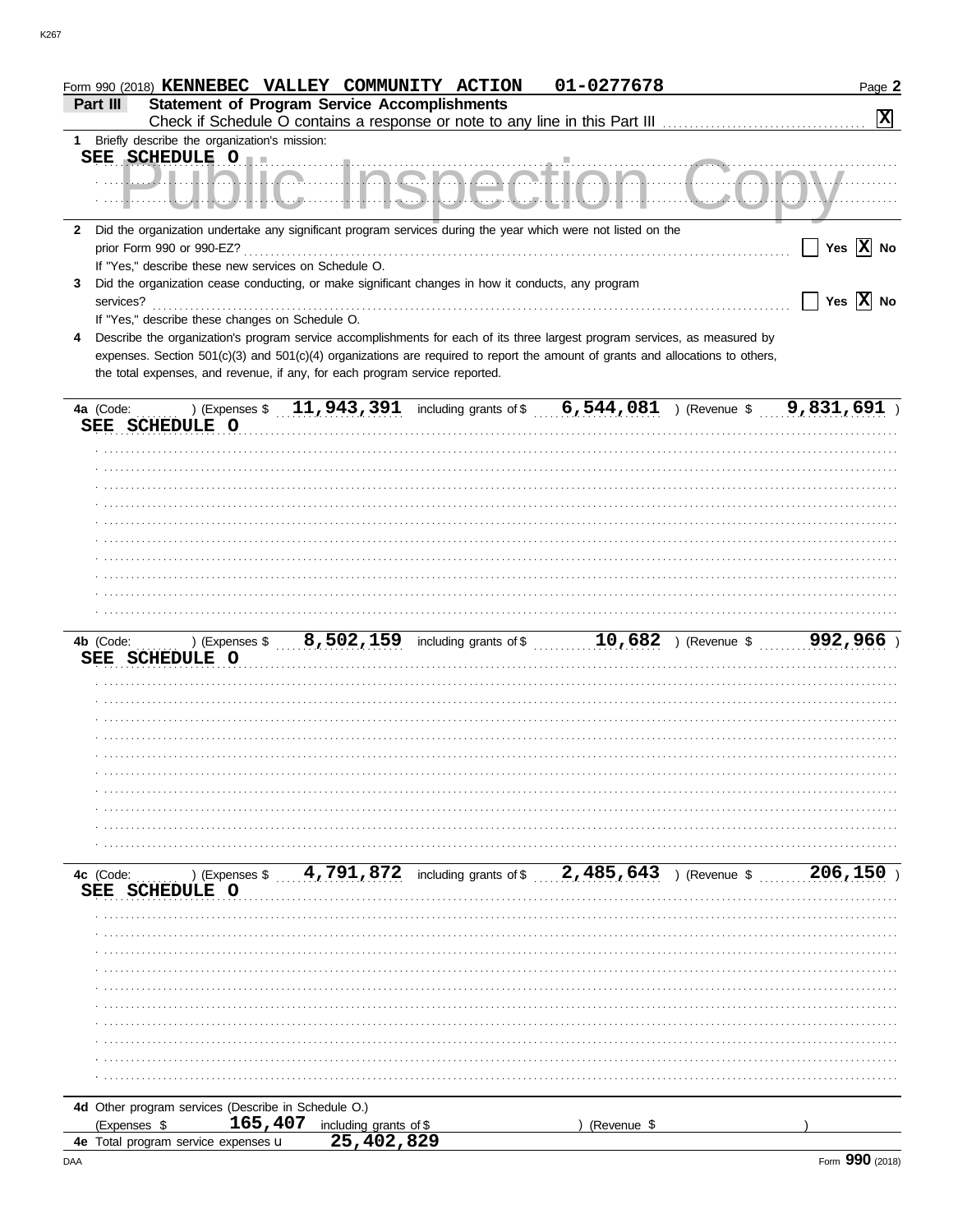| K267 |  |  |  |
|------|--|--|--|
|      |  |  |  |
|      |  |  |  |

|                | Form 990 (2018) KENNEBEC VALLEY COMMUNITY ACTION                            |                           |                                                                                                                                | 01-0277678  |                         | Page 2                |
|----------------|-----------------------------------------------------------------------------|---------------------------|--------------------------------------------------------------------------------------------------------------------------------|-------------|-------------------------|-----------------------|
| Part III       | <b>Statement of Program Service Accomplishments</b>                         |                           |                                                                                                                                |             |                         | $\mathbf{x}$          |
|                | 1 Briefly describe the organization's mission:                              |                           |                                                                                                                                |             |                         |                       |
|                | SEE SCHEDULE O                                                              |                           | .                                                                                                                              |             |                         |                       |
|                | Л.                                                                          |                           |                                                                                                                                |             |                         |                       |
|                |                                                                             |                           |                                                                                                                                |             |                         |                       |
|                |                                                                             |                           | 2 Did the organization undertake any significant program services during the year which were not listed on the                 |             |                         |                       |
|                | prior Form 990 or 990-EZ?                                                   |                           |                                                                                                                                |             |                         | Yes $ \mathbf{X} $ No |
|                | If "Yes," describe these new services on Schedule O.                        |                           |                                                                                                                                |             |                         |                       |
| 3<br>services? |                                                                             |                           | Did the organization cease conducting, or make significant changes in how it conducts, any program                             |             |                         | Yes $\overline{X}$ No |
|                | If "Yes," describe these changes on Schedule O.                             |                           |                                                                                                                                |             |                         |                       |
|                |                                                                             |                           | Describe the organization's program service accomplishments for each of its three largest program services, as measured by     |             |                         |                       |
|                |                                                                             |                           | expenses. Section 501(c)(3) and 501(c)(4) organizations are required to report the amount of grants and allocations to others, |             |                         |                       |
|                | the total expenses, and revenue, if any, for each program service reported. |                           |                                                                                                                                |             |                         |                       |
|                |                                                                             |                           |                                                                                                                                |             |                         |                       |
| 4a (Code:      |                                                                             | ) (Expenses \$ 11,943,391 | including grants of \$ 6,544,081                                                                                               |             | ) (Revenue \$9,831,691) |                       |
|                | SEE SCHEDULE O                                                              |                           |                                                                                                                                |             |                         |                       |
|                |                                                                             |                           |                                                                                                                                |             |                         |                       |
|                |                                                                             |                           |                                                                                                                                |             |                         |                       |
|                |                                                                             |                           |                                                                                                                                |             |                         |                       |
|                |                                                                             |                           |                                                                                                                                |             |                         |                       |
|                |                                                                             |                           |                                                                                                                                |             |                         |                       |
|                |                                                                             |                           |                                                                                                                                |             |                         |                       |
|                |                                                                             |                           |                                                                                                                                |             |                         |                       |
|                |                                                                             |                           |                                                                                                                                |             |                         |                       |
|                |                                                                             |                           |                                                                                                                                |             |                         |                       |
|                |                                                                             |                           |                                                                                                                                |             |                         |                       |
| 4b (Code:      |                                                                             |                           |                                                                                                                                |             | ) (Revenue \$           | 992,966)              |
|                | SEE SCHEDULE O                                                              |                           |                                                                                                                                |             |                         |                       |
|                |                                                                             |                           |                                                                                                                                |             |                         |                       |
|                |                                                                             |                           |                                                                                                                                |             |                         |                       |
|                |                                                                             |                           |                                                                                                                                |             |                         |                       |
|                |                                                                             |                           |                                                                                                                                |             |                         |                       |
|                |                                                                             |                           |                                                                                                                                |             |                         |                       |
|                |                                                                             |                           |                                                                                                                                |             |                         |                       |
|                |                                                                             |                           |                                                                                                                                |             |                         |                       |
|                |                                                                             |                           |                                                                                                                                |             |                         |                       |
|                |                                                                             |                           |                                                                                                                                |             |                         |                       |
|                |                                                                             |                           |                                                                                                                                |             |                         |                       |
| 4c (Code:      | ) (Expenses \$                                                              |                           | 4,791,872 including grants of \$2,485,643 ) (Revenue \$                                                                        |             |                         | 206,150               |
| SEE            | <b>SCHEDULE O</b>                                                           |                           |                                                                                                                                |             |                         |                       |
|                |                                                                             |                           |                                                                                                                                |             |                         |                       |
|                |                                                                             |                           |                                                                                                                                |             |                         |                       |
|                |                                                                             |                           |                                                                                                                                |             |                         |                       |
|                |                                                                             |                           |                                                                                                                                |             |                         |                       |
|                |                                                                             |                           |                                                                                                                                |             |                         |                       |
|                |                                                                             |                           |                                                                                                                                |             |                         |                       |
|                |                                                                             |                           |                                                                                                                                |             |                         |                       |
|                |                                                                             |                           |                                                                                                                                |             |                         |                       |
|                |                                                                             |                           |                                                                                                                                |             |                         |                       |
|                |                                                                             |                           |                                                                                                                                |             |                         |                       |
|                | 4d Other program services (Describe in Schedule O.)                         |                           |                                                                                                                                |             |                         |                       |
| (Expenses \$   | 165,407                                                                     | including grants of \$    |                                                                                                                                | (Revenue \$ |                         |                       |
|                | 4e Total program service expenses u                                         | 25,402,829                |                                                                                                                                |             |                         |                       |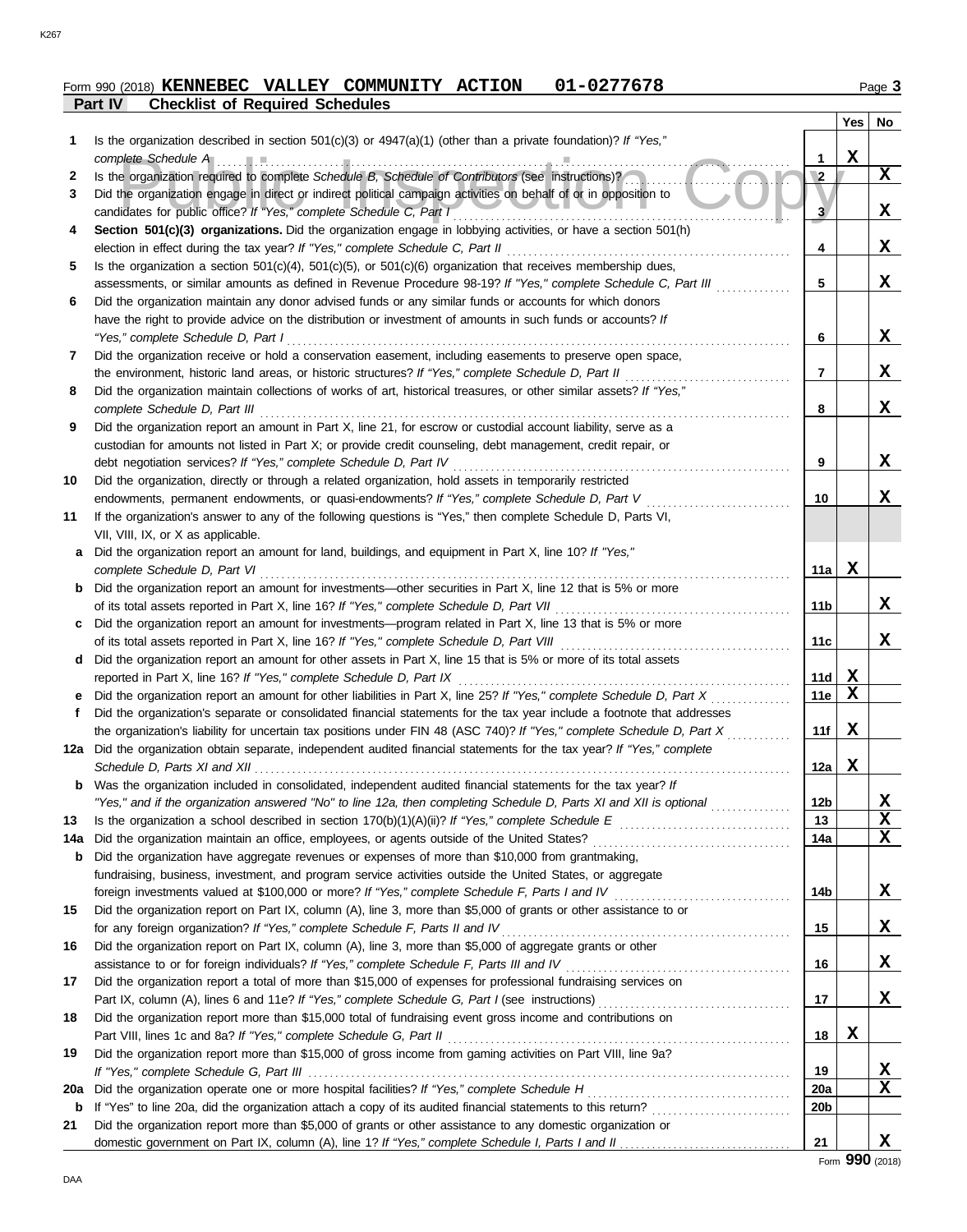#### **Part IV Checklist of Required Schedules Form 990 (2018) KENNEBEC VALLEY COMMUNITY ACTION 01-0277678** Page 3

|     |                                                                                                                                                                                                                   |                 | Yes | No |
|-----|-------------------------------------------------------------------------------------------------------------------------------------------------------------------------------------------------------------------|-----------------|-----|----|
| 1   | Is the organization described in section $501(c)(3)$ or $4947(a)(1)$ (other than a private foundation)? If "Yes,"                                                                                                 |                 |     |    |
|     | complete Schedule A                                                                                                                                                                                               | 1               | X   |    |
| 2   | Is the organization required to complete Schedule B, Schedule of Contributors (see instructions)?                                                                                                                 | $\overline{2}$  |     | X  |
| 3   | Did the organization engage in direct or indirect political campaign activities on behalf of or in opposition to                                                                                                  |                 |     |    |
|     | candidates for public office? If "Yes," complete Schedule C, Part I                                                                                                                                               | 3               |     | X  |
| 4   | Section 501(c)(3) organizations. Did the organization engage in lobbying activities, or have a section 501(h)<br>election in effect during the tax year? If "Yes," complete Schedule C, Part II                   | 4               |     | X  |
| 5   | Is the organization a section $501(c)(4)$ , $501(c)(5)$ , or $501(c)(6)$ organization that receives membership dues,                                                                                              |                 |     |    |
|     | assessments, or similar amounts as defined in Revenue Procedure 98-19? If "Yes," complete Schedule C, Part III                                                                                                    | 5               |     | X  |
| 6   | Did the organization maintain any donor advised funds or any similar funds or accounts for which donors                                                                                                           |                 |     |    |
|     | have the right to provide advice on the distribution or investment of amounts in such funds or accounts? If                                                                                                       |                 |     |    |
|     | "Yes," complete Schedule D, Part I                                                                                                                                                                                | 6               |     | X  |
| 7   | Did the organization receive or hold a conservation easement, including easements to preserve open space,                                                                                                         |                 |     |    |
|     | the environment, historic land areas, or historic structures? If "Yes," complete Schedule D, Part II                                                                                                              | 7               |     | X  |
| 8   | Did the organization maintain collections of works of art, historical treasures, or other similar assets? If "Yes,"                                                                                               |                 |     |    |
|     | complete Schedule D, Part III                                                                                                                                                                                     | 8               |     | X  |
| 9   | Did the organization report an amount in Part X, line 21, for escrow or custodial account liability, serve as a                                                                                                   |                 |     |    |
|     | custodian for amounts not listed in Part X; or provide credit counseling, debt management, credit repair, or                                                                                                      |                 |     |    |
|     | debt negotiation services? If "Yes," complete Schedule D, Part IV                                                                                                                                                 | 9               |     | X  |
| 10  | Did the organization, directly or through a related organization, hold assets in temporarily restricted                                                                                                           |                 |     |    |
|     | endowments, permanent endowments, or quasi-endowments? If "Yes," complete Schedule D, Part V                                                                                                                      | 10              |     | X  |
| 11  | If the organization's answer to any of the following questions is "Yes," then complete Schedule D, Parts VI,                                                                                                      |                 |     |    |
|     | VII, VIII, IX, or X as applicable.                                                                                                                                                                                |                 |     |    |
| a   | Did the organization report an amount for land, buildings, and equipment in Part X, line 10? If "Yes,"                                                                                                            |                 |     |    |
|     | complete Schedule D, Part VI                                                                                                                                                                                      | 11a             | x   |    |
|     | <b>b</b> Did the organization report an amount for investments—other securities in Part X, line 12 that is 5% or more<br>of its total assets reported in Part X, line 16? If "Yes," complete Schedule D, Part VII | 11 <sub>b</sub> |     | x  |
| c   | Did the organization report an amount for investments—program related in Part X, line 13 that is 5% or more                                                                                                       |                 |     |    |
|     |                                                                                                                                                                                                                   | 11c             |     | x  |
| d   | Did the organization report an amount for other assets in Part X, line 15 that is 5% or more of its total assets                                                                                                  |                 |     |    |
|     | reported in Part X, line 16? If "Yes," complete Schedule D, Part IX                                                                                                                                               | 11d             | Х   |    |
|     | Did the organization report an amount for other liabilities in Part X, line 25? If "Yes," complete Schedule D, Part X                                                                                             | 11e             | X   |    |
| f   | Did the organization's separate or consolidated financial statements for the tax year include a footnote that addresses                                                                                           |                 |     |    |
|     | the organization's liability for uncertain tax positions under FIN 48 (ASC 740)? If "Yes," complete Schedule D, Part X                                                                                            | 11f             | х   |    |
| 12a | Did the organization obtain separate, independent audited financial statements for the tax year? If "Yes," complete                                                                                               |                 |     |    |
|     | Schedule D, Parts XI and XII                                                                                                                                                                                      | 12a             | Х   |    |
|     | <b>b</b> Was the organization included in consolidated, independent audited financial statements for the tax year? If                                                                                             |                 |     |    |
|     | "Yes," and if the organization answered "No" to line 12a, then completing Schedule D, Parts XI and XII is optional                                                                                                | 12b             |     | X  |
| 13  |                                                                                                                                                                                                                   | 13              |     | X  |
| 14a |                                                                                                                                                                                                                   | 14a             |     | X  |
| b   | Did the organization have aggregate revenues or expenses of more than \$10,000 from grantmaking,                                                                                                                  |                 |     |    |
|     | fundraising, business, investment, and program service activities outside the United States, or aggregate                                                                                                         |                 |     |    |
|     | Did the organization report on Part IX, column (A), line 3, more than \$5,000 of grants or other assistance to or                                                                                                 | 14b             |     | X  |
| 15  | for any foreign organization? If "Yes," complete Schedule F, Parts II and IV                                                                                                                                      | 15              |     | X  |
| 16  | Did the organization report on Part IX, column (A), line 3, more than \$5,000 of aggregate grants or other                                                                                                        |                 |     |    |
|     |                                                                                                                                                                                                                   | 16              |     | X  |
| 17  | Did the organization report a total of more than \$15,000 of expenses for professional fundraising services on                                                                                                    |                 |     |    |
|     |                                                                                                                                                                                                                   | 17              |     | X  |
| 18  | Did the organization report more than \$15,000 total of fundraising event gross income and contributions on                                                                                                       |                 |     |    |
|     |                                                                                                                                                                                                                   | 18              | X   |    |
| 19  | Did the organization report more than \$15,000 of gross income from gaming activities on Part VIII, line 9a?                                                                                                      |                 |     |    |
|     |                                                                                                                                                                                                                   | 19              |     | X  |
| 20a |                                                                                                                                                                                                                   | <b>20a</b>      |     | X  |
| b   |                                                                                                                                                                                                                   | 20b             |     |    |
| 21  | Did the organization report more than \$5,000 of grants or other assistance to any domestic organization or                                                                                                       |                 |     |    |
|     |                                                                                                                                                                                                                   | 21              |     | X  |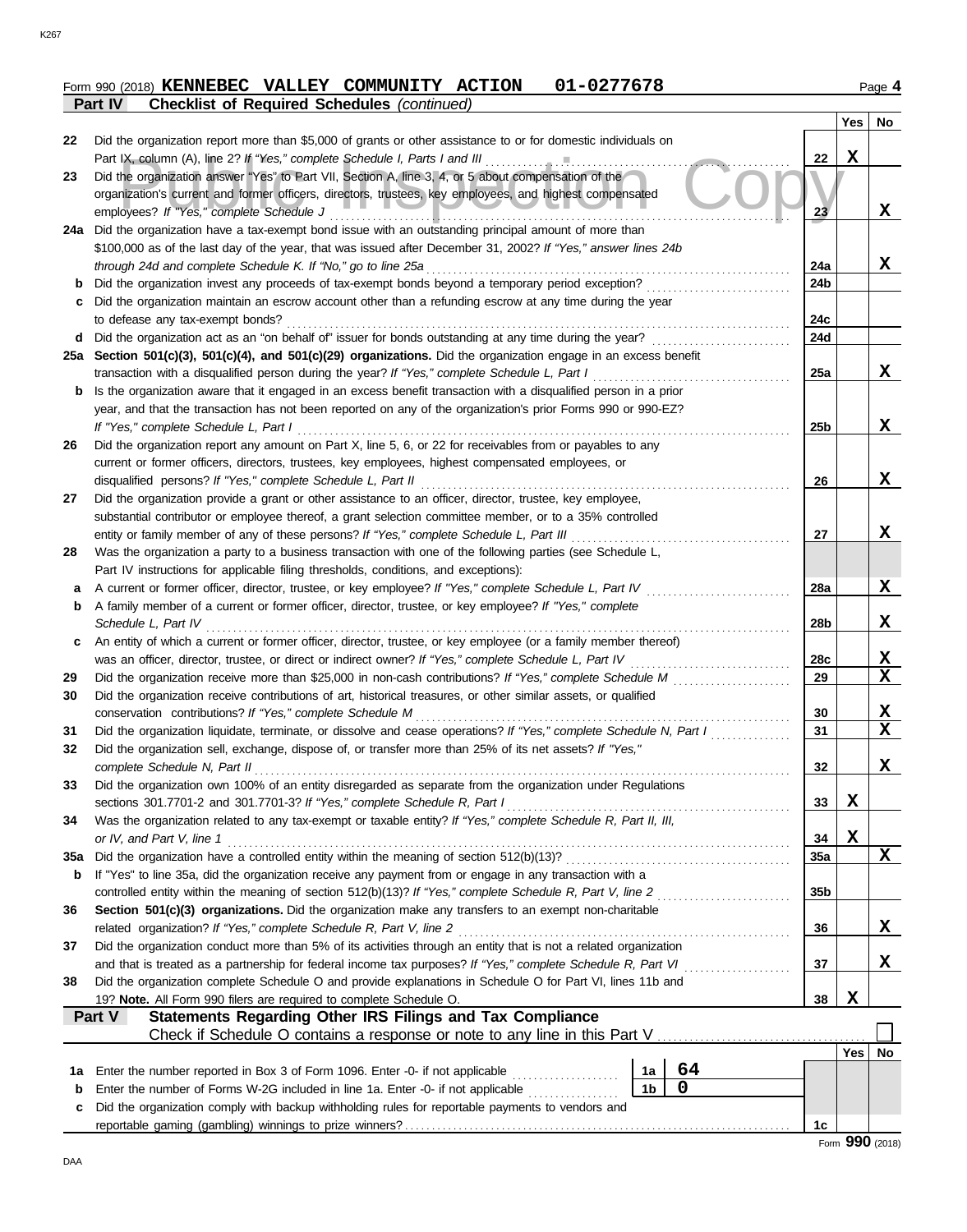DAA

**c b**

|     | 01-0277678<br>Form 990 (2018) KENNEBEC VALLEY COMMUNITY ACTION                                                                              |                 |     | Page 4       |
|-----|---------------------------------------------------------------------------------------------------------------------------------------------|-----------------|-----|--------------|
|     | <b>Checklist of Required Schedules (continued)</b><br>Part IV                                                                               |                 | Yes | No           |
| 22  | Did the organization report more than \$5,000 of grants or other assistance to or for domestic individuals on                               |                 |     |              |
|     |                                                                                                                                             | 22              | x   |              |
| 23  | Did the organization answer "Yes" to Part VII, Section A, line 3, 4, or 5 about compensation of the                                         |                 |     |              |
|     | organization's current and former officers, directors, trustees, key employees, and highest compensated                                     |                 |     |              |
|     | employees? If "Yes," complete Schedule J                                                                                                    | 23              |     | X            |
|     | 24a Did the organization have a tax-exempt bond issue with an outstanding principal amount of more than                                     |                 |     |              |
|     | \$100,000 as of the last day of the year, that was issued after December 31, 2002? If "Yes," answer lines 24b                               |                 |     |              |
|     | through 24d and complete Schedule K. If "No," go to line 25a                                                                                | 24a             |     | X            |
|     | <b>b</b> Did the organization invest any proceeds of tax-exempt bonds beyond a temporary period exception?                                  | 24b             |     |              |
| C   | Did the organization maintain an escrow account other than a refunding escrow at any time during the year                                   |                 |     |              |
|     | to defease any tax-exempt bonds?                                                                                                            | 24c             |     |              |
|     | d Did the organization act as an "on behalf of" issuer for bonds outstanding at any time during the year?                                   | 24d             |     |              |
|     | 25a Section 501(c)(3), 501(c)(4), and 501(c)(29) organizations. Did the organization engage in an excess benefit                            |                 |     |              |
|     | transaction with a disqualified person during the year? If "Yes," complete Schedule L, Part I                                               | 25a             |     | X            |
| b   | Is the organization aware that it engaged in an excess benefit transaction with a disqualified person in a prior                            |                 |     |              |
|     | year, and that the transaction has not been reported on any of the organization's prior Forms 990 or 990-EZ?                                |                 |     |              |
|     | If "Yes," complete Schedule L, Part I                                                                                                       | 25 <sub>b</sub> |     | X            |
| 26  | Did the organization report any amount on Part X, line 5, 6, or 22 for receivables from or payables to any                                  |                 |     |              |
|     | current or former officers, directors, trustees, key employees, highest compensated employees, or                                           |                 |     |              |
|     | disqualified persons? If "Yes," complete Schedule L, Part II                                                                                | 26              |     | X            |
| 27  | Did the organization provide a grant or other assistance to an officer, director, trustee, key employee,                                    |                 |     |              |
|     | substantial contributor or employee thereof, a grant selection committee member, or to a 35% controlled                                     |                 |     |              |
|     | entity or family member of any of these persons? If "Yes," complete Schedule L, Part III                                                    | 27              |     | X            |
| 28  | Was the organization a party to a business transaction with one of the following parties (see Schedule L,                                   |                 |     |              |
|     | Part IV instructions for applicable filing thresholds, conditions, and exceptions):                                                         |                 |     |              |
| a   | A current or former officer, director, trustee, or key employee? If "Yes," complete Schedule L, Part IV                                     | 28a             |     | x            |
| b   | A family member of a current or former officer, director, trustee, or key employee? If "Yes," complete                                      |                 |     |              |
|     | Schedule L, Part IV                                                                                                                         | 28b             |     | X            |
| c   | An entity of which a current or former officer, director, trustee, or key employee (or a family member thereof)                             |                 |     |              |
|     | was an officer, director, trustee, or direct or indirect owner? If "Yes," complete Schedule L, Part IV                                      | <b>28c</b>      |     | X<br>X       |
| 29  |                                                                                                                                             | 29              |     |              |
| 30  | Did the organization receive contributions of art, historical treasures, or other similar assets, or qualified                              |                 |     |              |
|     | conservation contributions? If "Yes," complete Schedule M                                                                                   | 30              |     | X            |
| 31  | Did the organization liquidate, terminate, or dissolve and cease operations? If "Yes," complete Schedule N, Part I                          | 31              |     | X            |
| 32  | Did the organization sell, exchange, dispose of, or transfer more than 25% of its net assets? If "Yes,"<br>complete Schedule N, Part II     | 32              |     | X            |
| 33  | Did the organization own 100% of an entity disregarded as separate from the organization under Regulations                                  |                 |     |              |
|     |                                                                                                                                             | 33              | X   |              |
| 34  | Was the organization related to any tax-exempt or taxable entity? If "Yes," complete Schedule R, Part II, III,<br>or IV, and Part V, line 1 | 34              | X   |              |
| 35a |                                                                                                                                             | 35a             |     | X            |
| b   | If "Yes" to line 35a, did the organization receive any payment from or engage in any transaction with a                                     |                 |     |              |
|     | controlled entity within the meaning of section 512(b)(13)? If "Yes," complete Schedule R, Part V, line 2                                   | 35 <sub>b</sub> |     |              |
| 36  | Section 501(c)(3) organizations. Did the organization make any transfers to an exempt non-charitable                                        |                 |     |              |
|     | related organization? If "Yes," complete Schedule R, Part V, line 2                                                                         | 36              |     | $\mathbf{x}$ |
| 37  | Did the organization conduct more than 5% of its activities through an entity that is not a related organization                            |                 |     |              |

and that is treated as a partnership for federal income tax purposes? *If "Yes," complete Schedule R, Part VI*

Check if Schedule O contains a response or note to any line in this Part V

19? **Note.** All Form 990 filers are required to complete Schedule O. **38**

reportable gaming (gambling) winnings to prize winners? . . . . . . . . . . . . . . . . . . . . . . . . . . . . . . . . . . . . . . . . . . . . . . . . . . . . . . . . . . . . . . . . . . . . . . . . **1c**

**38** Did the organization complete Schedule O and provide explanations in Schedule O for Part VI, lines 11b and

Did the organization comply with backup withholding rules for reportable payments to vendors and Enter the number of Forms W-2G included in line 1a. Enter -0- if not applicable .................. Enter the number reported in Box 3 of Form 1096. Enter -0- if not applicable . . . . . . . . . . . . . . . . . . . . **1a**

**Part V Statements Regarding Other IRS Filings and Tax Compliance**

**Yes No**

**X**

**37**

. . . . . . . . . . . . . . . . . . . .

**1b 0 1a 64** **X**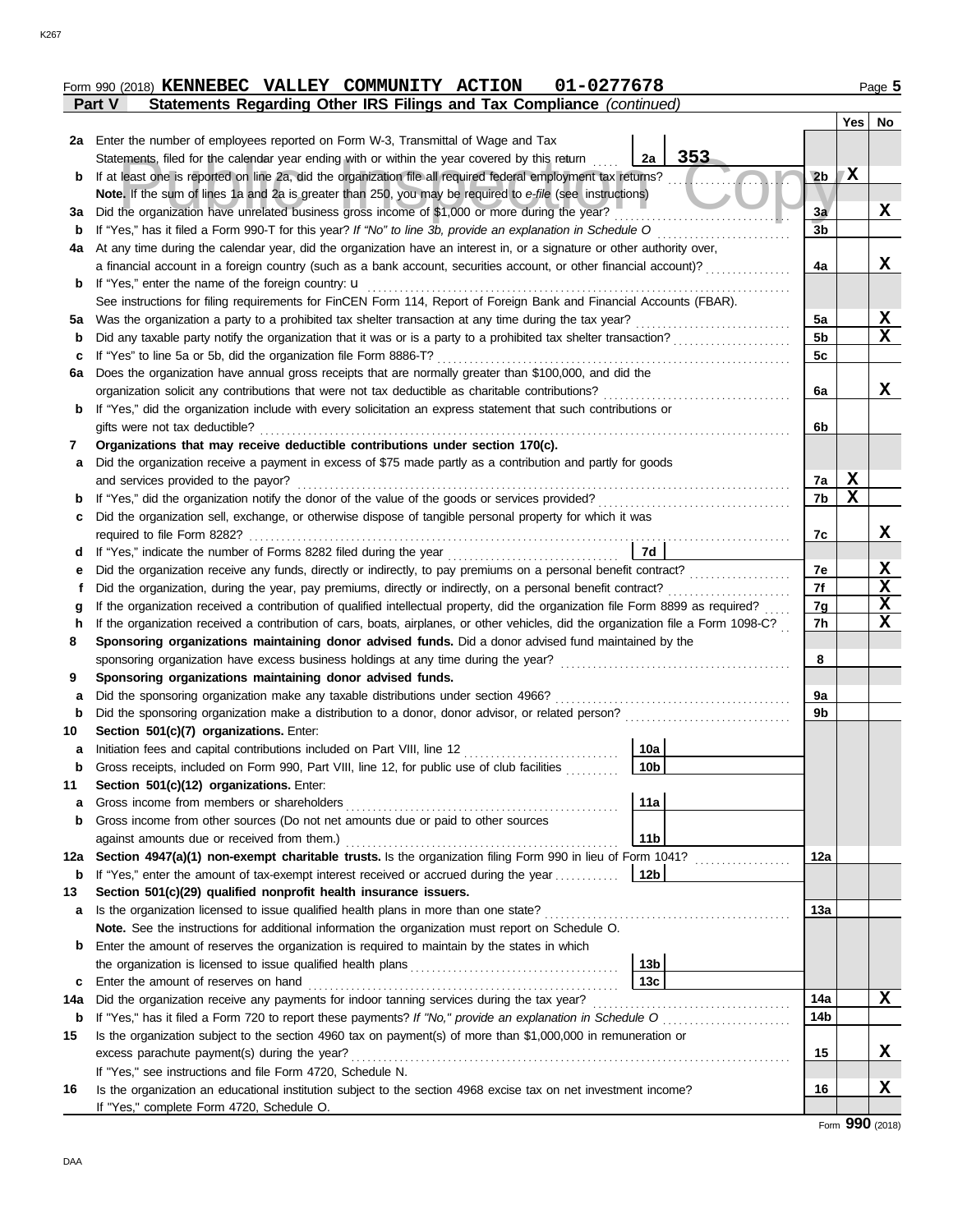|               | Form 990 (2018) KENNEBEC VALLEY COMMUNITY ACTION |  | 01-0277678                                                            | Page 5 |
|---------------|--------------------------------------------------|--|-----------------------------------------------------------------------|--------|
| <b>Part V</b> |                                                  |  | Statements Regarding Other IRS Filings and Tax Compliance (continued) |        |

|                  |                                                                                                                                                                                                                                      |                | Yes | No     |
|------------------|--------------------------------------------------------------------------------------------------------------------------------------------------------------------------------------------------------------------------------------|----------------|-----|--------|
|                  | 2a Enter the number of employees reported on Form W-3, Transmittal of Wage and Tax                                                                                                                                                   |                |     |        |
|                  | 353<br>Statements, filed for the calendar year ending with or within the year covered by this return<br>2a                                                                                                                           |                |     |        |
| b                | If at least one is reported on line 2a, did the organization file all required federal employment tax returns?                                                                                                                       | 2 <sub>b</sub> | X   |        |
|                  | Note. If the sum of lines 1a and 2a is greater than 250, you may be required to e-file (see instructions)                                                                                                                            |                |     |        |
| За               | Did the organization have unrelated business gross income of \$1,000 or more during the year?                                                                                                                                        | 3a             |     | X      |
| b                | If "Yes," has it filed a Form 990-T for this year? If "No" to line 3b, provide an explanation in Schedule O                                                                                                                          | 3b             |     |        |
| 4a               | At any time during the calendar year, did the organization have an interest in, or a signature or other authority over,                                                                                                              |                |     |        |
|                  | a financial account in a foreign country (such as a bank account, securities account, or other financial account)?                                                                                                                   | 4a             |     | x      |
| b                | If "Yes," enter the name of the foreign country: <b>u</b>                                                                                                                                                                            |                |     |        |
|                  | See instructions for filing requirements for FinCEN Form 114, Report of Foreign Bank and Financial Accounts (FBAR).                                                                                                                  |                |     |        |
| 5а               | Was the organization a party to a prohibited tax shelter transaction at any time during the tax year?                                                                                                                                | 5a             |     | X      |
| b                |                                                                                                                                                                                                                                      | 5 <sub>b</sub> |     | X      |
| c                | If "Yes" to line 5a or 5b, did the organization file Form 8886-T?                                                                                                                                                                    | 5c             |     |        |
| 6a               | Does the organization have annual gross receipts that are normally greater than \$100,000, and did the                                                                                                                               |                |     |        |
|                  | organization solicit any contributions that were not tax deductible as charitable contributions?                                                                                                                                     | 6a             |     | x      |
| b                | If "Yes," did the organization include with every solicitation an express statement that such contributions or                                                                                                                       |                |     |        |
|                  | gifts were not tax deductible?                                                                                                                                                                                                       | 6b             |     |        |
| 7                | Organizations that may receive deductible contributions under section 170(c).                                                                                                                                                        |                |     |        |
| а                | Did the organization receive a payment in excess of \$75 made partly as a contribution and partly for goods                                                                                                                          |                |     |        |
|                  | and services provided to the payor?                                                                                                                                                                                                  | 7a             | X   |        |
| b                |                                                                                                                                                                                                                                      | 7b             | X   |        |
| c                | Did the organization sell, exchange, or otherwise dispose of tangible personal property for which it was                                                                                                                             |                |     |        |
|                  | required to file Form 8282?                                                                                                                                                                                                          | 7c             |     | X      |
| d                | 7d<br>If "Yes," indicate the number of Forms 8282 filed during the year                                                                                                                                                              |                |     |        |
| е                |                                                                                                                                                                                                                                      | 7е             |     | X      |
| t                | Did the organization, during the year, pay premiums, directly or indirectly, on a personal benefit contract?                                                                                                                         | 7f             |     | X      |
| g                | If the organization received a contribution of qualified intellectual property, did the organization file Form 8899 as required?                                                                                                     | 7g             |     | X<br>X |
| h                | If the organization received a contribution of cars, boats, airplanes, or other vehicles, did the organization file a Form 1098-C?                                                                                                   | 7h             |     |        |
| 8                | Sponsoring organizations maintaining donor advised funds. Did a donor advised fund maintained by the                                                                                                                                 |                |     |        |
|                  | sponsoring organization have excess business holdings at any time during the year?                                                                                                                                                   | 8              |     |        |
| 9                | Sponsoring organizations maintaining donor advised funds.                                                                                                                                                                            | 9a             |     |        |
| а<br>$\mathbf b$ | Did the sponsoring organization make any taxable distributions under section 4966?                                                                                                                                                   | 9b             |     |        |
| 10               | Section 501(c)(7) organizations. Enter:                                                                                                                                                                                              |                |     |        |
| а                | Initiation fees and capital contributions included on Part VIII, line 12<br>10a                                                                                                                                                      |                |     |        |
| b                | 10 <sub>b</sub><br>Gross receipts, included on Form 990, Part VIII, line 12, for public use of club facilities                                                                                                                       |                |     |        |
| 11               | Section 501(c)(12) organizations. Enter:                                                                                                                                                                                             |                |     |        |
| a                | 11a                                                                                                                                                                                                                                  |                |     |        |
| b                | Gross income from other sources (Do not net amounts due or paid to other sources                                                                                                                                                     |                |     |        |
|                  | 11b                                                                                                                                                                                                                                  |                |     |        |
| 12a              | Section 4947(a)(1) non-exempt charitable trusts. Is the organization filing Form 990 in lieu of Form 1041?<br><u> 1999 - Johann Stoff, martin Stoff, martin Stoff, martin Stoff, martin Stoff, martin Stoff, martin Stoff, marti</u> | 12a            |     |        |
| b                | 12b <br>If "Yes," enter the amount of tax-exempt interest received or accrued during the year                                                                                                                                        |                |     |        |
| 13               | Section 501(c)(29) qualified nonprofit health insurance issuers.                                                                                                                                                                     |                |     |        |
| а                | Is the organization licensed to issue qualified health plans in more than one state?                                                                                                                                                 | 13a            |     |        |
|                  | Note. See the instructions for additional information the organization must report on Schedule O.                                                                                                                                    |                |     |        |
| b                | Enter the amount of reserves the organization is required to maintain by the states in which                                                                                                                                         |                |     |        |
|                  | 13 <sub>b</sub>                                                                                                                                                                                                                      |                |     |        |
| c                | Enter the amount of reserves on hand                                                                                                                                                                                                 |                |     |        |
| 14a              | Did the organization receive any payments for indoor tanning services during the tax year? [[[[[[[[[[[[[[[[[[[                                                                                                                       | 14a            |     | X      |
| b                | If "Yes," has it filed a Form 720 to report these payments? If "No," provide an explanation in Schedule O                                                                                                                            | 14b            |     |        |
| 15               | Is the organization subject to the section 4960 tax on payment(s) of more than \$1,000,000 in remuneration or                                                                                                                        |                |     |        |
|                  | excess parachute payment(s) during the year?                                                                                                                                                                                         | 15             |     | X      |
|                  | If "Yes," see instructions and file Form 4720, Schedule N.                                                                                                                                                                           |                |     |        |
| 16               | Is the organization an educational institution subject to the section 4968 excise tax on net investment income?                                                                                                                      | 16             |     | X      |
|                  | If "Yes," complete Form 4720, Schedule O.                                                                                                                                                                                            |                |     |        |

Form **990** (2018)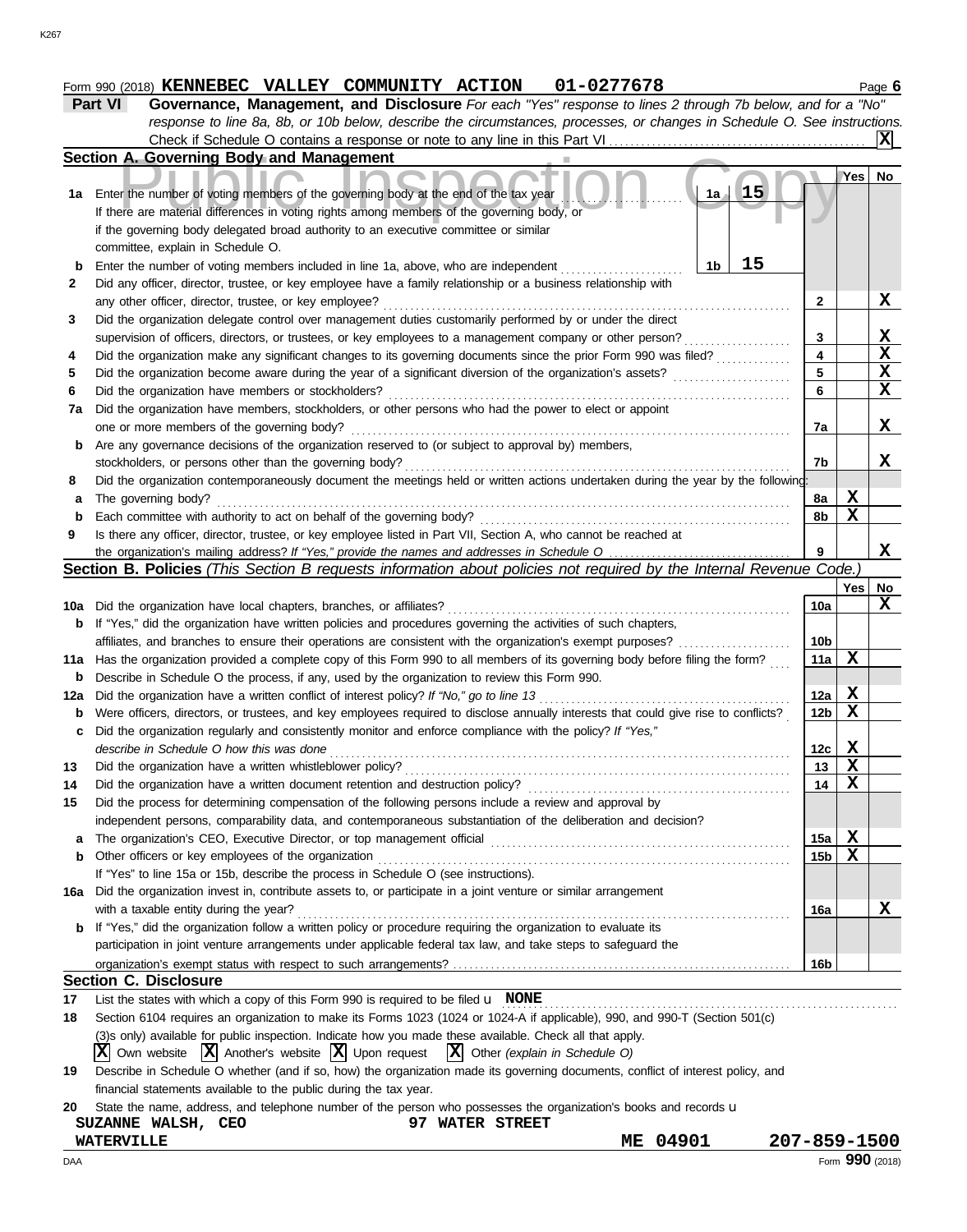#### **Form 990 (2018) KENNEBEC VALLEY COMMUNITY ACTION 01-0277678** Page 6

**Part VI Governance, Management, and Disclosure** *For each "Yes" response to lines 2 through 7b below, and for a "No" response to line 8a, 8b, or 10b below, describe the circumstances, processes, or changes in Schedule O. See instructions.* Check if Schedule O contains a response or note to any line in this Part VI  $\overline{\mathbf{x}}$ 

|     | borroadio o contanto a rooponto or noto to any mio in timo<br>Section A. Governing Body and Management                              |                 |     |             |
|-----|-------------------------------------------------------------------------------------------------------------------------------------|-----------------|-----|-------------|
|     |                                                                                                                                     |                 | Yes | No          |
| 1a  | 15<br>Enter the number of voting members of the governing body at the end of the tax year<br>1a /                                   |                 |     |             |
|     | If there are material differences in voting rights among members of the governing body, or                                          |                 |     |             |
|     | if the governing body delegated broad authority to an executive committee or similar                                                |                 |     |             |
|     | committee, explain in Schedule O.                                                                                                   |                 |     |             |
| b   | 15<br>Enter the number of voting members included in line 1a, above, who are independent<br>1b                                      |                 |     |             |
| 2   | Did any officer, director, trustee, or key employee have a family relationship or a business relationship with                      |                 |     |             |
|     | any other officer, director, trustee, or key employee?                                                                              | 2               |     | X           |
| 3   | Did the organization delegate control over management duties customarily performed by or under the direct                           |                 |     |             |
|     | supervision of officers, directors, or trustees, or key employees to a management company or other person?                          | 3               |     | X           |
| 4   | Did the organization make any significant changes to its governing documents since the prior Form 990 was filed?                    | 4               |     | $\mathbf x$ |
| 5   | Did the organization become aware during the year of a significant diversion of the organization's assets?                          | 5               |     | X           |
| 6   | Did the organization have members or stockholders?                                                                                  | 6               |     | $\mathbf x$ |
| 7a  | Did the organization have members, stockholders, or other persons who had the power to elect or appoint                             |                 |     |             |
|     | one or more members of the governing body?                                                                                          | 7a              |     | x           |
| b   | Are any governance decisions of the organization reserved to (or subject to approval by) members,                                   |                 |     |             |
|     | stockholders, or persons other than the governing body?                                                                             | 7b              |     | X           |
| 8   | Did the organization contemporaneously document the meetings held or written actions undertaken during the year by the following:   |                 |     |             |
| a   | The governing body?                                                                                                                 | 8a              | X   |             |
| b   | Each committee with authority to act on behalf of the governing body?                                                               | 8b              | X   |             |
| 9   | Is there any officer, director, trustee, or key employee listed in Part VII, Section A, who cannot be reached at                    |                 |     |             |
|     |                                                                                                                                     | 9               |     | X           |
|     | Section B. Policies (This Section B requests information about policies not required by the Internal Revenue Code.)                 |                 |     |             |
|     |                                                                                                                                     |                 | Yes | No          |
| 10a | Did the organization have local chapters, branches, or affiliates?                                                                  | 10a             |     | X           |
| b   | If "Yes," did the organization have written policies and procedures governing the activities of such chapters,                      |                 |     |             |
|     | affiliates, and branches to ensure their operations are consistent with the organization's exempt purposes?                         | 10 <sub>b</sub> |     |             |
| 11a | Has the organization provided a complete copy of this Form 990 to all members of its governing body before filing the form?         | 11a             | X   |             |
| b   | Describe in Schedule O the process, if any, used by the organization to review this Form 990.                                       |                 |     |             |
| 12a | Did the organization have a written conflict of interest policy? If "No," go to line 13                                             | 12a             | х   |             |
| b   | Were officers, directors, or trustees, and key employees required to disclose annually interests that could give rise to conflicts? | 12 <sub>b</sub> | X   |             |
| c   | Did the organization regularly and consistently monitor and enforce compliance with the policy? If "Yes,"                           |                 |     |             |
|     | describe in Schedule O how this was done                                                                                            | 12c             | X   |             |
| 13  | Did the organization have a written whistleblower policy?                                                                           | 13              | X   |             |
| 14  | Did the organization have a written document retention and destruction policy?                                                      | 14              | X   |             |
| 15  | Did the process for determining compensation of the following persons include a review and approval by                              |                 |     |             |
|     | independent persons, comparability data, and contemporaneous substantiation of the deliberation and decision?                       |                 |     |             |
| a   |                                                                                                                                     | 15a             | Х   |             |
| b   | Other officers or key employees of the organization                                                                                 | 15b             | X   |             |
|     | If "Yes" to line 15a or 15b, describe the process in Schedule O (see instructions).                                                 |                 |     |             |
| 16a | Did the organization invest in, contribute assets to, or participate in a joint venture or similar arrangement                      |                 |     |             |
|     | with a taxable entity during the year?                                                                                              | 16a             |     | X           |
| b   | If "Yes," did the organization follow a written policy or procedure requiring the organization to evaluate its                      |                 |     |             |
|     | participation in joint venture arrangements under applicable federal tax law, and take steps to safeguard the                       |                 |     |             |
|     |                                                                                                                                     | 16 <sub>b</sub> |     |             |
|     | <b>Section C. Disclosure</b>                                                                                                        |                 |     |             |
| 17  | List the states with which a copy of this Form 990 is required to be filed $\mathbf u$ NONE                                         |                 |     |             |
| 18  | Section 6104 requires an organization to make its Forms 1023 (1024 or 1024-A if applicable), 990, and 990-T (Section 501(c)         |                 |     |             |
|     | (3)s only) available for public inspection. Indicate how you made these available. Check all that apply.                            |                 |     |             |
|     | $ \mathbf{X} $ Other (explain in Schedule O)<br>Own website $ \mathbf{X} $ Another's website $ \mathbf{X} $ Upon request<br>ΧI      |                 |     |             |
| 19  | Describe in Schedule O whether (and if so, how) the organization made its governing documents, conflict of interest policy, and     |                 |     |             |

financial statements available to the public during the tax year.

| 20 State the name, address, and telephone number of the person who possesses the organization's books and records <b>u</b> |  |  |  |  |  |
|----------------------------------------------------------------------------------------------------------------------------|--|--|--|--|--|

| CEC<br><b>WALSH,</b><br><b>SUZANNE</b> | ດໆ<br><b>STREET</b><br><b>WATER</b> |             |                 |
|----------------------------------------|-------------------------------------|-------------|-----------------|
| <b>WATERVILLE</b>                      |                                     | 04901<br>ME | 207-859-1500    |
| ΙAΑ                                    |                                     |             | Form 990 (2018) |

K267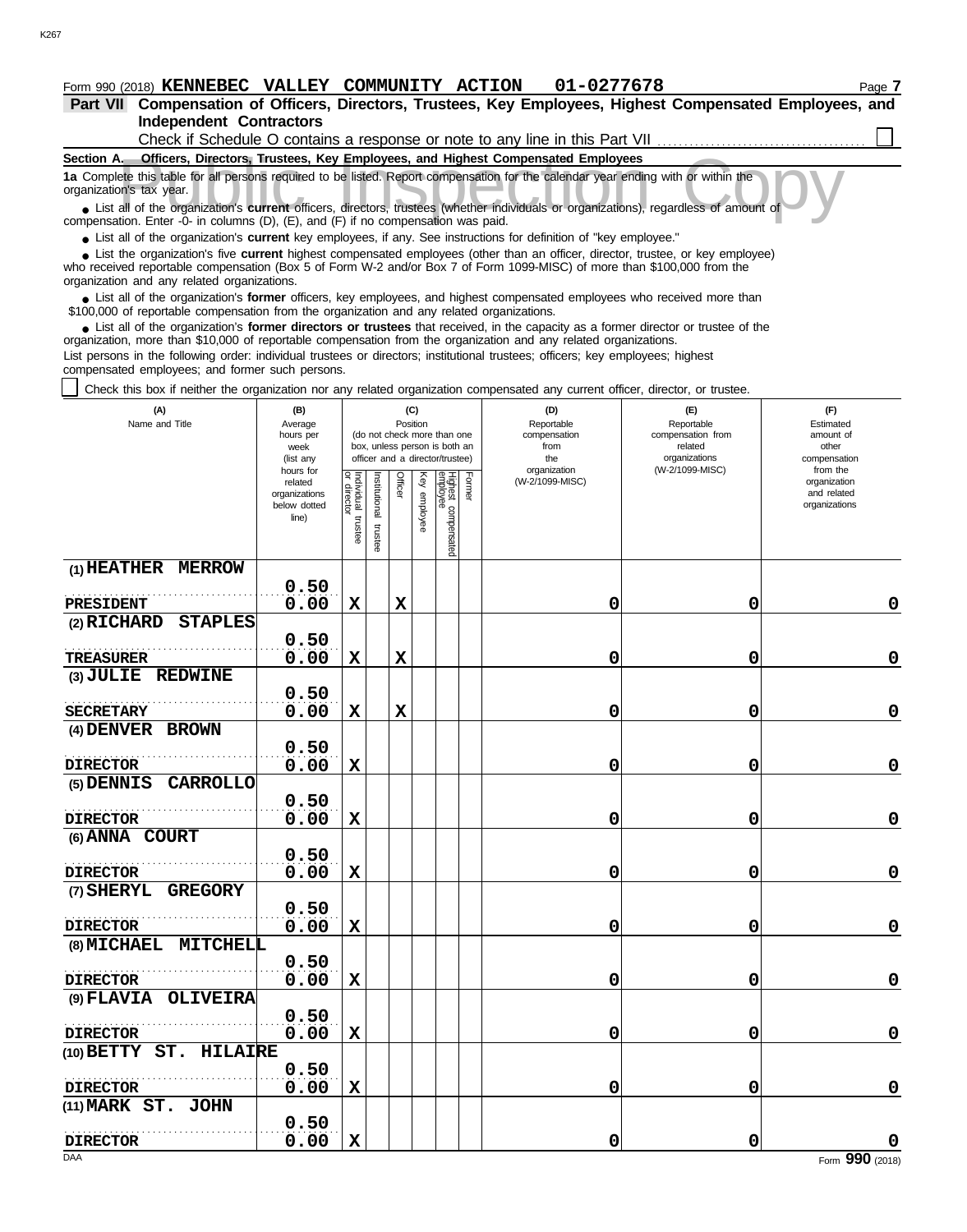#### **Independent Contractors Part VII Compensation of Officers, Directors, Trustees, Key Employees, Highest Compensated Employees, and Form 990 (2018) KENNEBEC VALLEY COMMUNITY ACTION 01-0277678** Page 7

| Check if Schedule O contains a response or note to any line in this Part VII.                                                                                                                                                                                                                                                                                                                |
|----------------------------------------------------------------------------------------------------------------------------------------------------------------------------------------------------------------------------------------------------------------------------------------------------------------------------------------------------------------------------------------------|
| Section A.<br><b>Officers, Directors, Trustees, Key Employees, and Highest Compensated Employees</b>                                                                                                                                                                                                                                                                                         |
| 1a Complete this table for all persons required to be listed. Report compensation for the calendar year ending with or within the<br>organization's tax year.<br>• List all of the organization's current officers, directors, trustees (whether individuals or organizations), regardless of amount of<br>compensation. Enter -0- in columns (D), (E), and (F) if no compensation was paid. |

● List all of the organization's **current** key employees, if any. See instructions for definition of "key employee."

who received reportable compensation (Box 5 of Form W-2 and/or Box 7 of Form 1099-MISC) of more than \$100,000 from the organization and any related organizations. ■ List the organization's five **current** highest compensated employees (other than an officer, director, trustee, or key employee)<br> **•** Peceived reportable compensation (Box 5 of Form W-2 and/or Box 7 of Form 1000-MISC) o

■ List all of the organization's **former** officers, key employees, and highest compensated employees who received more than<br>00,000 of reportable compensation from the organization and any related organizations \$100,000 of reportable compensation from the organization and any related organizations.

■ List all of the organization's **former directors or trustees** that received, in the capacity as a former director or trustee of the prization more than \$10,000 of reportable compensation from the organization and any re organization, more than \$10,000 of reportable compensation from the organization and any related organizations.

List persons in the following order: individual trustees or directors; institutional trustees; officers; key employees; highest compensated employees; and former such persons.

Check this box if neither the organization nor any related organization compensated any current officer, director, or trustee.

| (A)<br>Name and Title                           | (B)<br>Average<br>hours per<br>week<br>(list any               |                                   |                          | Position    | (C)             | (do not check more than one<br>box, unless person is both an<br>officer and a director/trustee) |        | (D)<br>Reportable<br>compensation<br>from<br>the<br>organization | (E)<br>Reportable<br>compensation from<br>related<br>organizations<br>(W-2/1099-MISC) | (F)<br>Estimated<br>amount of<br>other<br>compensation<br>from the |
|-------------------------------------------------|----------------------------------------------------------------|-----------------------------------|--------------------------|-------------|-----------------|-------------------------------------------------------------------------------------------------|--------|------------------------------------------------------------------|---------------------------------------------------------------------------------------|--------------------------------------------------------------------|
|                                                 | hours for<br>related<br>organizations<br>below dotted<br>line) | Individual trustee<br>or director | Institutional<br>trustee | Officer     | Ķey<br>employee | Highest compensated<br>employee                                                                 | Former | (W-2/1099-MISC)                                                  |                                                                                       | organization<br>and related<br>organizations                       |
| (1) HEATHER MERROW                              | 0.50                                                           |                                   |                          |             |                 |                                                                                                 |        |                                                                  |                                                                                       |                                                                    |
| PRESIDENT                                       | 0.00                                                           | $\mathbf x$                       |                          | $\mathbf x$ |                 |                                                                                                 |        | 0                                                                | 0                                                                                     | $\mathbf 0$                                                        |
| (2) RICHARD<br><b>STAPLES</b>                   |                                                                |                                   |                          |             |                 |                                                                                                 |        |                                                                  |                                                                                       |                                                                    |
|                                                 | 0.50                                                           |                                   |                          |             |                 |                                                                                                 |        |                                                                  |                                                                                       |                                                                    |
| <b>TREASURER</b>                                | 0.00                                                           | X                                 |                          | $\mathbf x$ |                 |                                                                                                 |        | 0                                                                | 0                                                                                     | $\mathbf 0$                                                        |
| (3) JULIE REDWINE                               |                                                                |                                   |                          |             |                 |                                                                                                 |        |                                                                  |                                                                                       |                                                                    |
|                                                 | 0.50                                                           |                                   |                          |             |                 |                                                                                                 |        |                                                                  |                                                                                       |                                                                    |
| <b>SECRETARY</b><br>(4) DENVER BROWN            | 0.00                                                           | $\mathbf x$                       |                          | $\mathbf x$ |                 |                                                                                                 |        | 0                                                                | 0                                                                                     | $\mathbf 0$                                                        |
|                                                 | 0.50                                                           |                                   |                          |             |                 |                                                                                                 |        |                                                                  |                                                                                       |                                                                    |
| <b>DIRECTOR</b>                                 | 0.00                                                           | $\mathbf x$                       |                          |             |                 |                                                                                                 |        | 0                                                                | $\mathbf 0$                                                                           | $\mathbf 0$                                                        |
| (5) DENNIS<br><b>CARROLLO</b>                   |                                                                |                                   |                          |             |                 |                                                                                                 |        |                                                                  |                                                                                       |                                                                    |
|                                                 | 0.50                                                           |                                   |                          |             |                 |                                                                                                 |        |                                                                  |                                                                                       |                                                                    |
| <b>DIRECTOR</b>                                 | 0.00                                                           | $\mathbf x$                       |                          |             |                 |                                                                                                 |        | 0                                                                | 0                                                                                     | $\mathbf 0$                                                        |
| (6) ANNA COURT                                  |                                                                |                                   |                          |             |                 |                                                                                                 |        |                                                                  |                                                                                       |                                                                    |
|                                                 | 0.50                                                           |                                   |                          |             |                 |                                                                                                 |        |                                                                  |                                                                                       |                                                                    |
| <b>DIRECTOR</b><br>(7) SHERYL<br><b>GREGORY</b> | 0.00                                                           | $\mathbf x$                       |                          |             |                 |                                                                                                 |        | 0                                                                | 0                                                                                     | $\mathbf 0$                                                        |
|                                                 | 0.50                                                           |                                   |                          |             |                 |                                                                                                 |        |                                                                  |                                                                                       |                                                                    |
| <b>DIRECTOR</b>                                 | 0.00                                                           | $\mathbf x$                       |                          |             |                 |                                                                                                 |        | 0                                                                | 0                                                                                     | $\mathbf 0$                                                        |
| (8) MICHAEL<br>MITCHELL                         |                                                                |                                   |                          |             |                 |                                                                                                 |        |                                                                  |                                                                                       |                                                                    |
|                                                 | 0.50                                                           |                                   |                          |             |                 |                                                                                                 |        |                                                                  |                                                                                       |                                                                    |
| <b>DIRECTOR</b>                                 | 0.00                                                           | $\mathbf x$                       |                          |             |                 |                                                                                                 |        | 0                                                                | 0                                                                                     | $\mathbf 0$                                                        |
| $(9)$ $FLAVIA$<br><b>OLIVEIRA</b>               |                                                                |                                   |                          |             |                 |                                                                                                 |        |                                                                  |                                                                                       |                                                                    |
|                                                 | 0.50                                                           |                                   |                          |             |                 |                                                                                                 |        |                                                                  |                                                                                       |                                                                    |
| <b>DIRECTOR</b>                                 | 0.00                                                           | X                                 |                          |             |                 |                                                                                                 |        | 0                                                                | 0                                                                                     | $\mathbf 0$                                                        |
| $(10)$ BETTY ST.<br>HILAIRE                     | 0.50                                                           |                                   |                          |             |                 |                                                                                                 |        |                                                                  |                                                                                       |                                                                    |
| <b>DIRECTOR</b>                                 | 0.00                                                           | X                                 |                          |             |                 |                                                                                                 |        | 0                                                                | 0                                                                                     | $\mathbf 0$                                                        |
| (11) MARK ST. JOHN                              |                                                                |                                   |                          |             |                 |                                                                                                 |        |                                                                  |                                                                                       |                                                                    |
|                                                 | 0.50                                                           |                                   |                          |             |                 |                                                                                                 |        |                                                                  |                                                                                       |                                                                    |
| <b>DIRECTOR</b>                                 | 0.00                                                           | $\mathbf x$                       |                          |             |                 |                                                                                                 |        | 0                                                                | $\mathbf 0$                                                                           | O                                                                  |
| DAA                                             |                                                                |                                   |                          |             |                 |                                                                                                 |        |                                                                  |                                                                                       | Form 990 (2018)                                                    |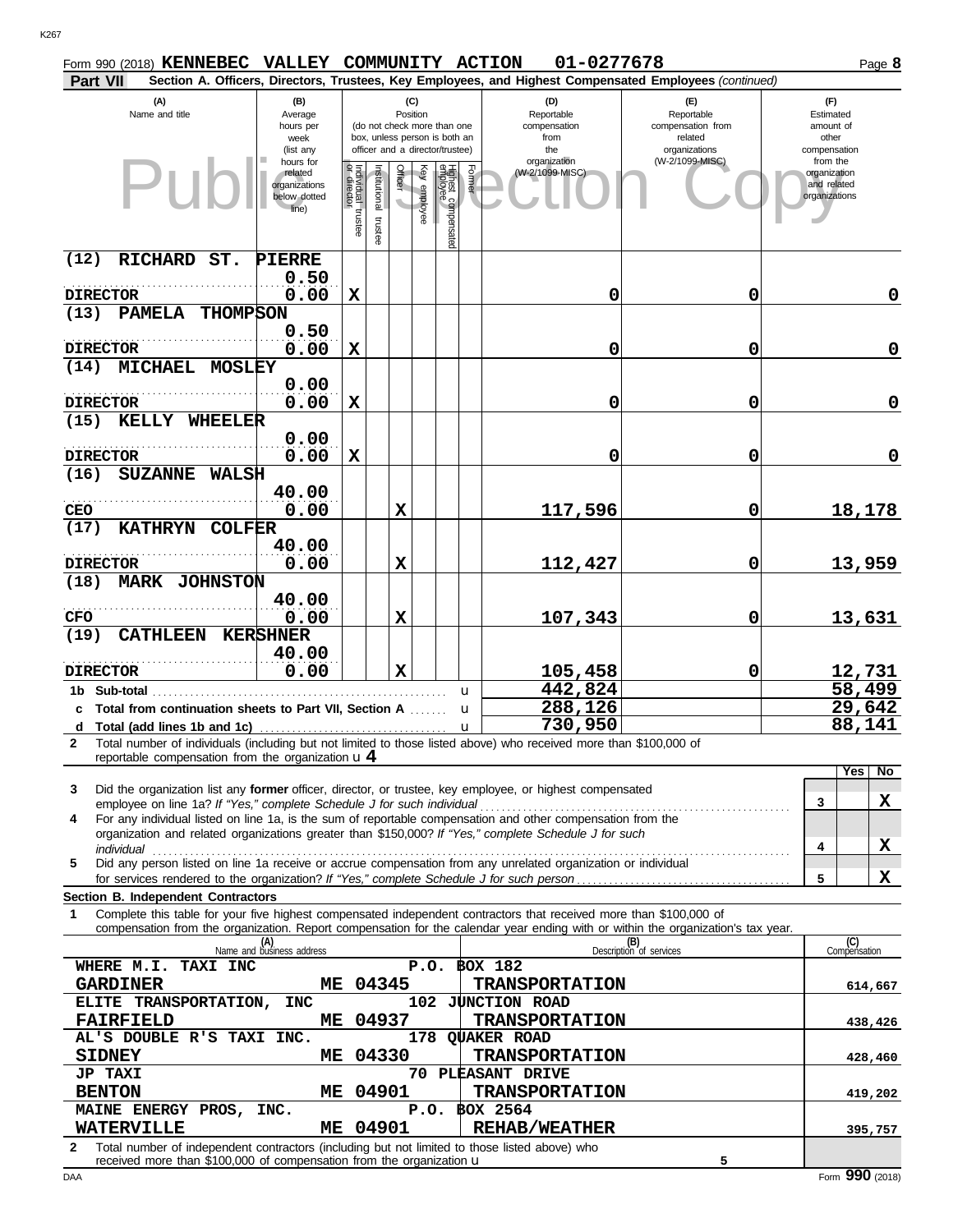| Form 990 (2018) KENNEBEC VALLEY COMMUNITY ACTION                                                                                                                                                                               |                                  |                                   |               |                 |              |                                                                  |                 | 01-0277678                      |   |                                                                                                        |                          | Page 8              |
|--------------------------------------------------------------------------------------------------------------------------------------------------------------------------------------------------------------------------------|----------------------------------|-----------------------------------|---------------|-----------------|--------------|------------------------------------------------------------------|-----------------|---------------------------------|---|--------------------------------------------------------------------------------------------------------|--------------------------|---------------------|
| Part VII                                                                                                                                                                                                                       |                                  |                                   |               |                 |              |                                                                  |                 |                                 |   | Section A. Officers, Directors, Trustees, Key Employees, and Highest Compensated Employees (continued) |                          |                     |
| (A)<br>Name and title                                                                                                                                                                                                          | (B)<br>Average                   |                                   |               | (C)<br>Position |              |                                                                  |                 | (D)<br>Reportable               |   | (E)<br>Reportable                                                                                      | (F)<br>Estimated         |                     |
|                                                                                                                                                                                                                                | hours per                        |                                   |               |                 |              | (do not check more than one                                      |                 | compensation                    |   | compensation from                                                                                      | amount of                |                     |
|                                                                                                                                                                                                                                | week<br>(list any                |                                   |               |                 |              | box, unless person is both an<br>officer and a director/trustee) |                 | from<br>the                     |   | related<br>organizations                                                                               | other<br>compensation    |                     |
|                                                                                                                                                                                                                                | hours for<br>related             |                                   |               |                 |              |                                                                  |                 | organization<br>(W-2/1099-MISC) |   | (W-2/1099-MISC)                                                                                        | from the<br>organization |                     |
| Puł                                                                                                                                                                                                                            | organizations                    | Individual trustee<br>or director | Institutional | Officer         | Key employee | Highest compensated<br>employee                                  | Former          |                                 |   |                                                                                                        | and related              |                     |
|                                                                                                                                                                                                                                | below dotted<br>line)            |                                   |               |                 |              |                                                                  |                 |                                 |   |                                                                                                        | organizations            |                     |
|                                                                                                                                                                                                                                |                                  |                                   | trustee       |                 |              |                                                                  |                 |                                 |   |                                                                                                        |                          |                     |
|                                                                                                                                                                                                                                |                                  |                                   |               |                 |              |                                                                  |                 |                                 |   |                                                                                                        |                          |                     |
| (12)<br><b>RICHARD</b><br>ST.                                                                                                                                                                                                  | PIERRE                           |                                   |               |                 |              |                                                                  |                 |                                 |   |                                                                                                        |                          |                     |
|                                                                                                                                                                                                                                | 0.50                             |                                   |               |                 |              |                                                                  |                 |                                 |   |                                                                                                        |                          |                     |
| <b>DIRECTOR</b><br><b>THOMPSON</b><br>(13)<br><b>PAMELA</b>                                                                                                                                                                    | 0.00                             | $\mathbf x$                       |               |                 |              |                                                                  |                 |                                 | 0 | 0                                                                                                      |                          | $\mathbf 0$         |
|                                                                                                                                                                                                                                | 0.50                             |                                   |               |                 |              |                                                                  |                 |                                 |   |                                                                                                        |                          |                     |
| <b>DIRECTOR</b>                                                                                                                                                                                                                | 0.00                             | X                                 |               |                 |              |                                                                  |                 |                                 | 0 | 0                                                                                                      |                          | $\mathbf 0$         |
| <b>MICHAEL</b><br>(14)<br><b>MOSLEY</b>                                                                                                                                                                                        |                                  |                                   |               |                 |              |                                                                  |                 |                                 |   |                                                                                                        |                          |                     |
|                                                                                                                                                                                                                                | 0.00                             |                                   |               |                 |              |                                                                  |                 |                                 |   |                                                                                                        |                          |                     |
| <b>DIRECTOR</b>                                                                                                                                                                                                                | 0.00                             | $\mathbf x$                       |               |                 |              |                                                                  |                 |                                 | 0 | 0                                                                                                      |                          | $\mathbf 0$         |
| KELLY WHEELER<br>(15)                                                                                                                                                                                                          |                                  |                                   |               |                 |              |                                                                  |                 |                                 |   |                                                                                                        |                          |                     |
|                                                                                                                                                                                                                                | 0.00                             |                                   |               |                 |              |                                                                  |                 |                                 |   |                                                                                                        |                          |                     |
| <b>DIRECTOR</b>                                                                                                                                                                                                                | 0.00                             | $\mathbf x$                       |               |                 |              |                                                                  |                 |                                 | 0 | 0                                                                                                      |                          | $\mathbf 0$         |
| (16)<br><b>SUZANNE</b><br><b>WALSH</b>                                                                                                                                                                                         |                                  |                                   |               |                 |              |                                                                  |                 |                                 |   |                                                                                                        |                          |                     |
|                                                                                                                                                                                                                                | 40.00                            |                                   |               |                 |              |                                                                  |                 |                                 |   |                                                                                                        |                          |                     |
| <b>CEO</b>                                                                                                                                                                                                                     | 0.00                             |                                   |               | $\mathbf x$     |              |                                                                  |                 | 117,596                         |   | 0                                                                                                      |                          | 18,178              |
| (17)<br><b>KATHRYN</b><br><b>COLFER</b>                                                                                                                                                                                        | 40.00                            |                                   |               |                 |              |                                                                  |                 |                                 |   |                                                                                                        |                          |                     |
| <b>DIRECTOR</b>                                                                                                                                                                                                                | 0.00                             |                                   |               | $\mathbf x$     |              |                                                                  |                 | 112,427                         |   | 0                                                                                                      |                          | 13,959              |
| (18)<br><b>MARK JOHNSTON</b>                                                                                                                                                                                                   |                                  |                                   |               |                 |              |                                                                  |                 |                                 |   |                                                                                                        |                          |                     |
|                                                                                                                                                                                                                                | 40.00                            |                                   |               |                 |              |                                                                  |                 |                                 |   |                                                                                                        |                          |                     |
| CFO                                                                                                                                                                                                                            | 0.00                             |                                   |               | $\mathbf x$     |              |                                                                  |                 | 107,343                         |   | 0                                                                                                      |                          | 13,631              |
| (19)<br><b>CATHLEEN</b>                                                                                                                                                                                                        | <b>KERSHNER</b>                  |                                   |               |                 |              |                                                                  |                 |                                 |   |                                                                                                        |                          |                     |
|                                                                                                                                                                                                                                | 40.00                            |                                   |               |                 |              |                                                                  |                 |                                 |   |                                                                                                        |                          |                     |
| <b>DIRECTOR</b>                                                                                                                                                                                                                | 0.00                             |                                   |               | $\mathbf x$     |              |                                                                  |                 | 105,458                         |   | 0                                                                                                      |                          | 12,731<br>58,499    |
| 1b Sub-total                                                                                                                                                                                                                   |                                  |                                   |               |                 |              |                                                                  | u               | 442,824                         |   |                                                                                                        |                          |                     |
| c Total from continuation sheets to Part VII, Section A                                                                                                                                                                        |                                  |                                   |               |                 |              |                                                                  | u               | 288, 126                        |   |                                                                                                        |                          | 29,642              |
|                                                                                                                                                                                                                                |                                  |                                   |               |                 |              |                                                                  |                 |                                 |   |                                                                                                        |                          | 88,141              |
| Total number of individuals (including but not limited to those listed above) who received more than \$100,000 of<br>$\mathbf{2}$<br>reportable compensation from the organization $\mathbf{u} 4$                              |                                  |                                   |               |                 |              |                                                                  |                 |                                 |   |                                                                                                        |                          |                     |
|                                                                                                                                                                                                                                |                                  |                                   |               |                 |              |                                                                  |                 |                                 |   |                                                                                                        |                          | Yes<br>No           |
| Did the organization list any <b>former</b> officer, director, or trustee, key employee, or highest compensated<br>3                                                                                                           |                                  |                                   |               |                 |              |                                                                  |                 |                                 |   |                                                                                                        |                          |                     |
| employee on line 1a? If "Yes," complete Schedule J for such individual<br>For any individual listed on line 1a, is the sum of reportable compensation and other compensation from the                                          |                                  |                                   |               |                 |              |                                                                  |                 |                                 |   |                                                                                                        | 3                        | X                   |
| 4<br>organization and related organizations greater than \$150,000? If "Yes," complete Schedule J for such                                                                                                                     |                                  |                                   |               |                 |              |                                                                  |                 |                                 |   |                                                                                                        |                          |                     |
| individual communications and individual contract to the contract of the contract of the contract of the contract of the contract of the contract of the contract of the contract of the contract of the contract of the contr |                                  |                                   |               |                 |              |                                                                  |                 |                                 |   |                                                                                                        | 4                        | X                   |
| Did any person listed on line 1a receive or accrue compensation from any unrelated organization or individual<br>5                                                                                                             |                                  |                                   |               |                 |              |                                                                  |                 |                                 |   |                                                                                                        |                          | X                   |
| Section B. Independent Contractors                                                                                                                                                                                             |                                  |                                   |               |                 |              |                                                                  |                 |                                 |   |                                                                                                        | 5                        |                     |
| Complete this table for your five highest compensated independent contractors that received more than \$100,000 of<br>1                                                                                                        |                                  |                                   |               |                 |              |                                                                  |                 |                                 |   |                                                                                                        |                          |                     |
| compensation from the organization. Report compensation for the calendar year ending with or within the organization's tax year.                                                                                               |                                  |                                   |               |                 |              |                                                                  |                 |                                 |   |                                                                                                        |                          |                     |
|                                                                                                                                                                                                                                | (A)<br>Name and business address |                                   |               |                 |              |                                                                  |                 |                                 |   | (B)<br>Description of services                                                                         |                          | (C)<br>Compensation |
| WHERE M.I. TAXI INC                                                                                                                                                                                                            |                                  |                                   |               |                 |              |                                                                  | $P.O.$ \$0X 182 |                                 |   |                                                                                                        |                          |                     |
| <b>GARDINER</b>                                                                                                                                                                                                                | ME                               |                                   | 04345         |                 |              |                                                                  |                 | <b>TRANSPORTATION</b>           |   |                                                                                                        |                          | 614,667             |
| ELITE TRANSPORTATION,                                                                                                                                                                                                          | <b>INC</b>                       |                                   |               |                 |              |                                                                  |                 | 102 JUNCTION ROAD               |   |                                                                                                        |                          |                     |
| <b>FAIRFIELD</b>                                                                                                                                                                                                               | MЕ                               |                                   | 04937         |                 |              |                                                                  |                 | <b>TRANSPORTATION</b>           |   |                                                                                                        |                          | 438,426             |
| AL'S DOUBLE R'S TAXI INC.                                                                                                                                                                                                      |                                  |                                   |               |                 |              |                                                                  |                 | 178 QUAKER ROAD                 |   |                                                                                                        |                          |                     |
| <b>SIDNEY</b>                                                                                                                                                                                                                  | ME.                              |                                   | 04330         |                 |              |                                                                  |                 | <b>TRANSPORTATION</b>           |   |                                                                                                        |                          | 428,460             |
| <b>JP TAXI</b><br><b>BENTON</b>                                                                                                                                                                                                | MЕ                               |                                   | 04901         |                 |              |                                                                  |                 | 70 PLEASANT DRIVE               |   |                                                                                                        |                          |                     |
| MAINE ENERGY PROS, INC.                                                                                                                                                                                                        |                                  |                                   |               |                 |              |                                                                  | P.O. \$0X 2564  | <b>TRANSPORTATION</b>           |   |                                                                                                        |                          | 419,202             |
| <b>WATERVILLE</b>                                                                                                                                                                                                              |                                  |                                   | ME 04901      |                 |              |                                                                  |                 | <b>REHAB/WEATHER</b>            |   |                                                                                                        |                          | 395,757             |
| Total number of independent contractors (including but not limited to those listed above) who<br>2                                                                                                                             |                                  |                                   |               |                 |              |                                                                  |                 |                                 |   |                                                                                                        |                          |                     |
| received more than \$100,000 of compensation from the organization u                                                                                                                                                           |                                  |                                   |               |                 |              |                                                                  |                 |                                 |   | 5                                                                                                      |                          |                     |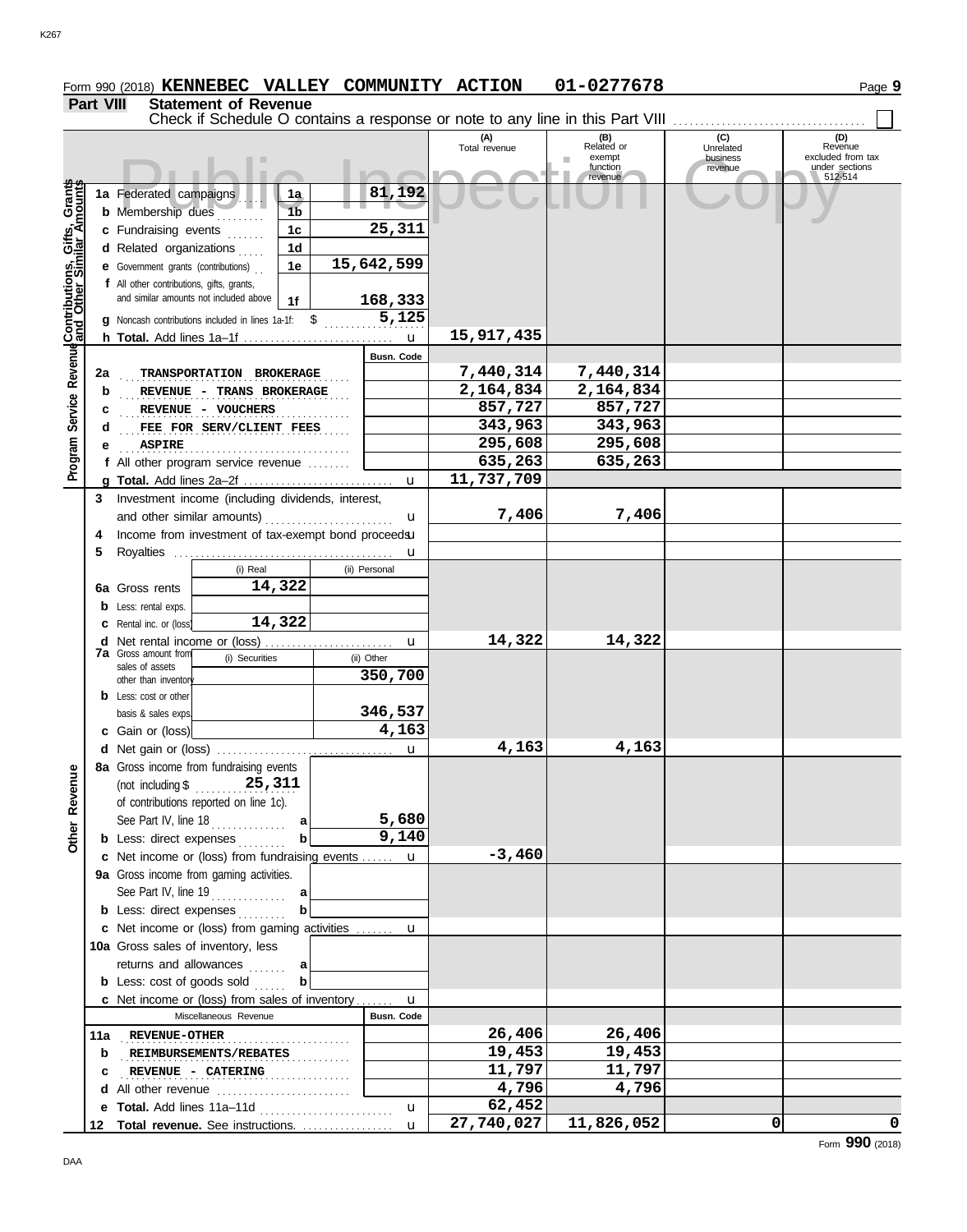**Part VIII Statement of Revenue**

|                                                                                         |    | Check if Schedule O contains a response or note to any line in this Part VIII                                                                |                                         |                                |                      |                                         |                                         |                                                       |
|-----------------------------------------------------------------------------------------|----|----------------------------------------------------------------------------------------------------------------------------------------------|-----------------------------------------|--------------------------------|----------------------|-----------------------------------------|-----------------------------------------|-------------------------------------------------------|
|                                                                                         |    |                                                                                                                                              |                                         |                                | (A)<br>Total revenue | (B)<br>Related or<br>exempt<br>function | (C)<br>Unrelated<br>business<br>revenue | (D)<br>Revenue<br>excluded from tax<br>under sections |
| Revenue <b>Contributions, Gifts, Grants</b><br>Revenue <b>and Other Similar Amounts</b> |    | 1a Federated campaigns<br><b>b</b> Membership dues<br>c Fundraising events<br>d Related organizations<br>e Government grants (contributions) | 1a.<br>1 <sub>b</sub><br>1c<br>1d<br>1e | 81,192<br>25,311<br>15,642,599 |                      | revenue                                 |                                         | 512-514                                               |
|                                                                                         |    | f All other contributions, gifts, grants,<br>and similar amounts not included above<br>g Noncash contributions included in lines 1a-1f: \$   | 1f                                      | 168,333<br>5,125               | 15,917,435           |                                         |                                         |                                                       |
|                                                                                         |    |                                                                                                                                              |                                         | $\mathbf u$                    |                      |                                         |                                         |                                                       |
|                                                                                         |    |                                                                                                                                              |                                         | Busn. Code                     |                      |                                         |                                         |                                                       |
|                                                                                         | 2a | TRANSPORTATION BROKERAGE                                                                                                                     |                                         |                                | 7,440,314            | 7,440,314                               |                                         |                                                       |
|                                                                                         | b  | REVENUE - TRANS BROKERAGE                                                                                                                    |                                         |                                | 2,164,834            | 2,164,834                               |                                         |                                                       |
|                                                                                         | с  | REVENUE - VOUCHERS                                                                                                                           |                                         |                                | 857,727              | 857,727                                 |                                         |                                                       |
| Service                                                                                 | d  | FEE FOR SERV/CLIENT FEES                                                                                                                     |                                         |                                | 343,963              | 343,963                                 |                                         |                                                       |
|                                                                                         | е  | <b>ASPIRE</b>                                                                                                                                |                                         |                                | 295,608              | 295,608                                 |                                         |                                                       |
|                                                                                         |    | f All other program service revenue                                                                                                          |                                         |                                | 635,263              | 635,263                                 |                                         |                                                       |
| Program                                                                                 |    |                                                                                                                                              |                                         | $\mathbf{u}$                   | 11,737,709           |                                         |                                         |                                                       |
|                                                                                         | 3  | Investment income (including dividends, interest,                                                                                            |                                         |                                |                      |                                         |                                         |                                                       |
|                                                                                         |    | and other similar amounts)                                                                                                                   |                                         | u                              | 7,406                | 7,406                                   |                                         |                                                       |
|                                                                                         | 4  | Income from investment of tax-exempt bond proceedsu                                                                                          |                                         |                                |                      |                                         |                                         |                                                       |
|                                                                                         | 5  |                                                                                                                                              |                                         |                                |                      |                                         |                                         |                                                       |
|                                                                                         |    | (i) Real                                                                                                                                     |                                         | u<br>(ii) Personal             |                      |                                         |                                         |                                                       |
|                                                                                         |    | 14,322                                                                                                                                       |                                         |                                |                      |                                         |                                         |                                                       |
|                                                                                         |    | <b>6a</b> Gross rents                                                                                                                        |                                         |                                |                      |                                         |                                         |                                                       |
|                                                                                         |    | <b>b</b> Less: rental exps.                                                                                                                  |                                         |                                |                      |                                         |                                         |                                                       |
|                                                                                         |    | 14,322<br><b>c</b> Rental inc. or (loss)                                                                                                     |                                         |                                |                      |                                         |                                         |                                                       |
|                                                                                         |    | <b>d</b> Net rental income or (loss).                                                                                                        |                                         | $\mathbf u$                    | 14,322               | 14,322                                  |                                         |                                                       |
|                                                                                         |    | 7a Gross amount from<br>(i) Securities<br>sales of assets                                                                                    |                                         | (ii) Other                     |                      |                                         |                                         |                                                       |
|                                                                                         |    | other than inventory                                                                                                                         |                                         | 350,700                        |                      |                                         |                                         |                                                       |
|                                                                                         |    | <b>b</b> Less: cost or other                                                                                                                 |                                         |                                |                      |                                         |                                         |                                                       |
|                                                                                         |    | basis & sales exps.                                                                                                                          |                                         | 346,537                        |                      |                                         |                                         |                                                       |
|                                                                                         |    | c Gain or (loss)                                                                                                                             |                                         | 4,163                          |                      |                                         |                                         |                                                       |
|                                                                                         |    |                                                                                                                                              |                                         | u                              | 4,163                | 4,163                                   |                                         |                                                       |
|                                                                                         |    | 8a Gross income from fundraising events                                                                                                      |                                         |                                |                      |                                         |                                         |                                                       |
| gn<br>Rever                                                                             |    | of contributions reported on line 1c).                                                                                                       |                                         |                                |                      |                                         |                                         |                                                       |
|                                                                                         |    | See Part IV, line 18                                                                                                                         | al                                      | 5,680                          |                      |                                         |                                         |                                                       |
| Other                                                                                   |    | <b>b</b> Less: direct expenses                                                                                                               | $\mathbf{b}$                            | 9,140                          |                      |                                         |                                         |                                                       |
|                                                                                         |    | c Net income or (loss) from fundraising events  u                                                                                            |                                         |                                | $-3,460$             |                                         |                                         |                                                       |
|                                                                                         |    | 9a Gross income from gaming activities.                                                                                                      |                                         |                                |                      |                                         |                                         |                                                       |
|                                                                                         |    | See Part IV, line 19                                                                                                                         | a                                       |                                |                      |                                         |                                         |                                                       |
|                                                                                         |    | <b>b</b> Less: direct expenses                                                                                                               | $\mathbf{b}$                            |                                |                      |                                         |                                         |                                                       |
|                                                                                         |    |                                                                                                                                              |                                         |                                |                      |                                         |                                         |                                                       |
|                                                                                         |    | c Net income or (loss) from gaming activities  u                                                                                             |                                         |                                |                      |                                         |                                         |                                                       |
|                                                                                         |    | 10a Gross sales of inventory, less                                                                                                           |                                         |                                |                      |                                         |                                         |                                                       |
|                                                                                         |    | returns and allowances                                                                                                                       | a                                       |                                |                      |                                         |                                         |                                                       |
|                                                                                         |    | <b>b</b> Less: $cost$ of goods sold $\ldots$                                                                                                 | b                                       |                                |                      |                                         |                                         |                                                       |
|                                                                                         |    | c Net income or (loss) from sales of inventory                                                                                               |                                         | $\mathbf{u}$                   |                      |                                         |                                         |                                                       |
|                                                                                         |    | Miscellaneous Revenue                                                                                                                        |                                         | Busn. Code                     |                      |                                         |                                         |                                                       |
|                                                                                         |    | 11a REVENUE-OTHER                                                                                                                            |                                         |                                | 26,406               | 26,406                                  |                                         |                                                       |
|                                                                                         | b  | <b>REIMBURSEMENTS/REBATES</b>                                                                                                                |                                         |                                | 19,453               | 19,453                                  |                                         |                                                       |
|                                                                                         | с  | <b>REVENUE - CATERING</b>                                                                                                                    | .                                       |                                | 11,797               | 11,797                                  |                                         |                                                       |
|                                                                                         |    | d All other revenue                                                                                                                          |                                         |                                | $\overline{4}$ , 796 | 4,796                                   |                                         |                                                       |
|                                                                                         |    | e Total. Add lines 11a-11d                                                                                                                   |                                         | u                              | 62,452               |                                         |                                         |                                                       |
|                                                                                         |    | 12 Total revenue. See instructions.                                                                                                          |                                         | $\mathbf{u}$                   | 27,740,027           | 11,826,052                              | $\Omega$                                | 0                                                     |

**Form 990 (2018) KENNEBEC VALLEY COMMUNITY ACTION 01-0277678** Page 9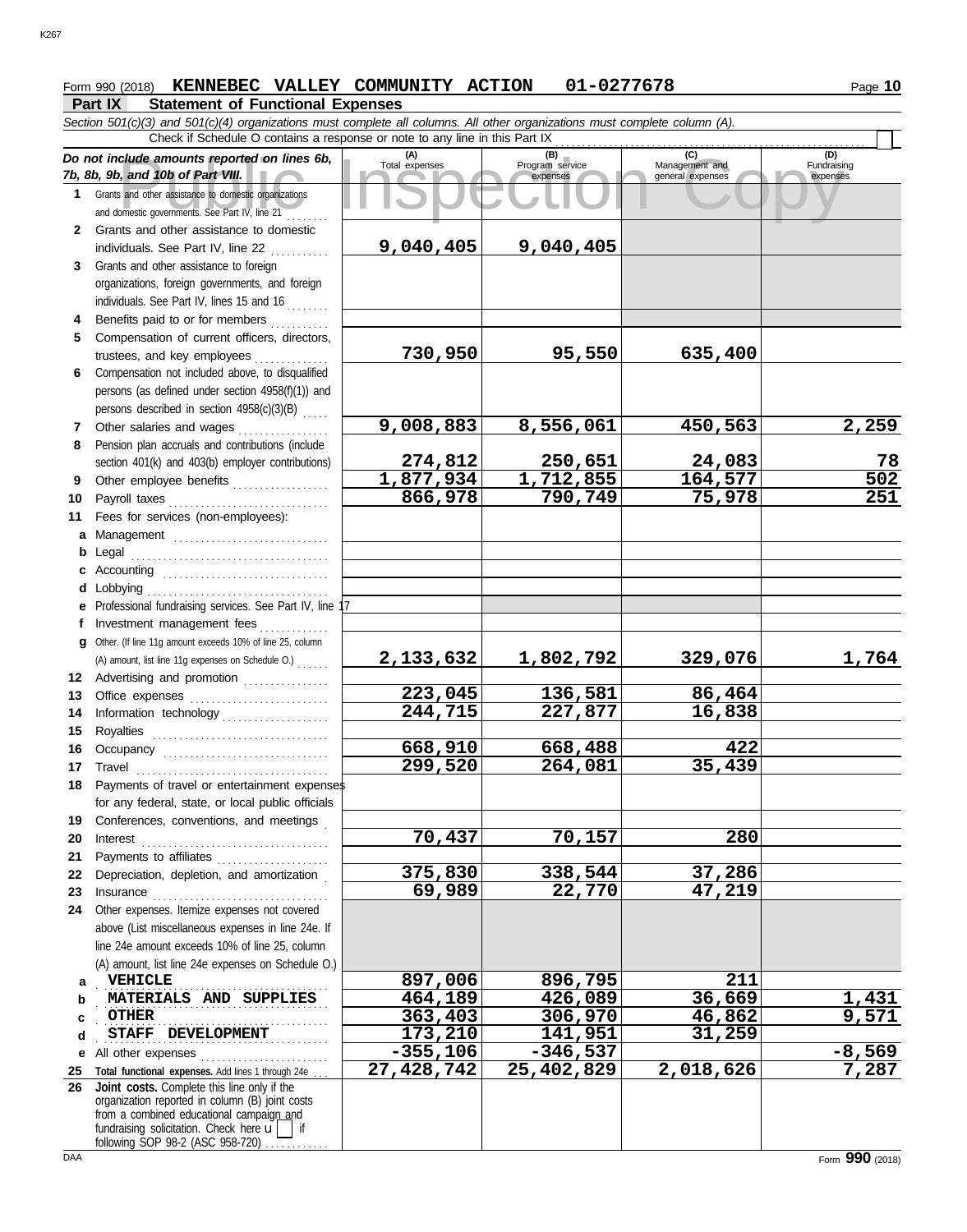# **Form 990 (2018) KENNEBEC VALLEY COMMUNITY ACTION 01-0277678** Page 10

### **Part IX Statement of Functional Expenses**

|              | Section 501(c)(3) and 501(c)(4) organizations must complete all columns. All other organizations must complete column (A).<br>Check if Schedule O contains a response or note to any line in this Part IX   |                    |                    |                  |                       |  |  |  |  |  |  |  |  |  |
|--------------|-------------------------------------------------------------------------------------------------------------------------------------------------------------------------------------------------------------|--------------------|--------------------|------------------|-----------------------|--|--|--|--|--|--|--|--|--|
|              | (A)<br>(C)<br>(D)<br>Do not include amounts reported on lines 6b,                                                                                                                                           |                    |                    |                  |                       |  |  |  |  |  |  |  |  |  |
|              | (B)<br>Program service<br>Total expenses<br>Fundraising<br>Management and<br>7b, 8b, 9b, and 10b of Part VIII.<br>general expenses<br>expenses<br>expenses                                                  |                    |                    |                  |                       |  |  |  |  |  |  |  |  |  |
| 1.           | Grants and other assistance to domestic organizations<br>and domestic governments. See Part IV, line 21                                                                                                     |                    |                    |                  |                       |  |  |  |  |  |  |  |  |  |
| $\mathbf{2}$ | Grants and other assistance to domestic<br>individuals. See Part IV, line 22                                                                                                                                | 9,040,405          | 9,040,405          |                  |                       |  |  |  |  |  |  |  |  |  |
| 3            | Grants and other assistance to foreign                                                                                                                                                                      |                    |                    |                  |                       |  |  |  |  |  |  |  |  |  |
|              | organizations, foreign governments, and foreign                                                                                                                                                             |                    |                    |                  |                       |  |  |  |  |  |  |  |  |  |
|              | individuals. See Part IV, lines 15 and 16                                                                                                                                                                   |                    |                    |                  |                       |  |  |  |  |  |  |  |  |  |
| 4            | Benefits paid to or for members                                                                                                                                                                             |                    |                    |                  |                       |  |  |  |  |  |  |  |  |  |
| 5            | Compensation of current officers, directors,                                                                                                                                                                |                    |                    |                  |                       |  |  |  |  |  |  |  |  |  |
|              | trustees, and key employees                                                                                                                                                                                 | 730,950            | 95,550             | 635,400          |                       |  |  |  |  |  |  |  |  |  |
| 6            | Compensation not included above, to disqualified                                                                                                                                                            |                    |                    |                  |                       |  |  |  |  |  |  |  |  |  |
|              | persons (as defined under section 4958(f)(1)) and                                                                                                                                                           |                    |                    |                  |                       |  |  |  |  |  |  |  |  |  |
|              | persons described in section 4958(c)(3)(B)                                                                                                                                                                  |                    |                    |                  |                       |  |  |  |  |  |  |  |  |  |
| 7            | Other salaries and wages                                                                                                                                                                                    | 9,008,883          | 8,556,061          | 450,563          | 2,259                 |  |  |  |  |  |  |  |  |  |
| 8            | Pension plan accruals and contributions (include                                                                                                                                                            |                    |                    |                  |                       |  |  |  |  |  |  |  |  |  |
|              | section 401(k) and 403(b) employer contributions)                                                                                                                                                           | 274,812            | 250,651            | 24,083           | 78                    |  |  |  |  |  |  |  |  |  |
| 9            | Other employee benefits                                                                                                                                                                                     | 1,877,934          | 1,712,855          | 164,577          | $\overline{502}$      |  |  |  |  |  |  |  |  |  |
| 10           | Payroll taxes                                                                                                                                                                                               | 866,978            | 790,749            | 75,978           | 251                   |  |  |  |  |  |  |  |  |  |
| 11           | Fees for services (non-employees):                                                                                                                                                                          |                    |                    |                  |                       |  |  |  |  |  |  |  |  |  |
| a            | Management                                                                                                                                                                                                  |                    |                    |                  |                       |  |  |  |  |  |  |  |  |  |
| b<br>c       |                                                                                                                                                                                                             |                    |                    |                  |                       |  |  |  |  |  |  |  |  |  |
| d            | Lobbying                                                                                                                                                                                                    |                    |                    |                  |                       |  |  |  |  |  |  |  |  |  |
| е            | Professional fundraising services. See Part IV, line 17                                                                                                                                                     |                    |                    |                  |                       |  |  |  |  |  |  |  |  |  |
| f            | Investment management fees                                                                                                                                                                                  |                    |                    |                  |                       |  |  |  |  |  |  |  |  |  |
| a            | Other. (If line 11g amount exceeds 10% of line 25, column                                                                                                                                                   |                    |                    |                  |                       |  |  |  |  |  |  |  |  |  |
|              | (A) amount, list line 11g expenses on Schedule O.)                                                                                                                                                          | 2,133,632          | 1,802,792          | 329,076          | 1,764                 |  |  |  |  |  |  |  |  |  |
|              | 12 Advertising and promotion                                                                                                                                                                                |                    |                    |                  |                       |  |  |  |  |  |  |  |  |  |
| 13           | Office expenses                                                                                                                                                                                             | 223,045            | 136,581            | 86,464           |                       |  |  |  |  |  |  |  |  |  |
| 14           | Information technology                                                                                                                                                                                      | 244,715            | 227,877            | 16,838           |                       |  |  |  |  |  |  |  |  |  |
| 15           | Royalties                                                                                                                                                                                                   |                    |                    |                  |                       |  |  |  |  |  |  |  |  |  |
| 16           | Occupancy                                                                                                                                                                                                   | 668,910            | 668,488            | 422              |                       |  |  |  |  |  |  |  |  |  |
| 17           |                                                                                                                                                                                                             | 299,520            | 264,081            | 35,439           |                       |  |  |  |  |  |  |  |  |  |
| 18           | Payments of travel or entertainment expenses                                                                                                                                                                |                    |                    |                  |                       |  |  |  |  |  |  |  |  |  |
| 19           | for any federal, state, or local public officials<br>Conferences, conventions, and meetings                                                                                                                 |                    |                    |                  |                       |  |  |  |  |  |  |  |  |  |
| 20           | $\textbf{Interest} \hspace{0.05in} \ldots \hspace{0.05in} \ldots \hspace{0.05in} \ldots \hspace{0.05in} \ldots \hspace{0.05in} \ldots \hspace{0.05in} \ldots \hspace{0.05in} \ldots \hspace{0.05in} \ldots$ | 70,437             | 70,157             | 280              |                       |  |  |  |  |  |  |  |  |  |
| 21           | Payments to affiliates                                                                                                                                                                                      |                    |                    |                  |                       |  |  |  |  |  |  |  |  |  |
| 22           | Depreciation, depletion, and amortization                                                                                                                                                                   | 375,830            | 338,544            | 37,286           |                       |  |  |  |  |  |  |  |  |  |
| 23           |                                                                                                                                                                                                             | 69,989             | 22,770             | 47,219           |                       |  |  |  |  |  |  |  |  |  |
| 24           | Other expenses. Itemize expenses not covered                                                                                                                                                                |                    |                    |                  |                       |  |  |  |  |  |  |  |  |  |
|              | above (List miscellaneous expenses in line 24e. If                                                                                                                                                          |                    |                    |                  |                       |  |  |  |  |  |  |  |  |  |
|              | line 24e amount exceeds 10% of line 25, column                                                                                                                                                              |                    |                    |                  |                       |  |  |  |  |  |  |  |  |  |
|              | (A) amount, list line 24e expenses on Schedule O.)                                                                                                                                                          |                    |                    |                  |                       |  |  |  |  |  |  |  |  |  |
| a            | <b>VEHICLE</b><br>MATERIALS AND SUPPLIES                                                                                                                                                                    | 897,006            | 896,795            | 211              |                       |  |  |  |  |  |  |  |  |  |
| b            | <b>OTHER</b>                                                                                                                                                                                                | 464,189<br>363,403 | 426,089<br>306,970 | 36,669<br>46,862 | <u>1,431</u><br>9,571 |  |  |  |  |  |  |  |  |  |
| c<br>d       | STAFF DEVELOPMENT                                                                                                                                                                                           | 173,210            | 141,951            | 31,259           |                       |  |  |  |  |  |  |  |  |  |
| е            | All other expenses                                                                                                                                                                                          | $-355,106$         | $-346,537$         |                  | $-8,569$              |  |  |  |  |  |  |  |  |  |
| 25           | Total functional expenses. Add lines 1 through 24e.                                                                                                                                                         | 27,428,742         | 25,402,829         | 2,018,626        | 7,287                 |  |  |  |  |  |  |  |  |  |
| 26           | Joint costs. Complete this line only if the                                                                                                                                                                 |                    |                    |                  |                       |  |  |  |  |  |  |  |  |  |
|              | organization reported in column (B) joint costs<br>from a combined educational campaign and                                                                                                                 |                    |                    |                  |                       |  |  |  |  |  |  |  |  |  |
|              | fundraising solicitation. Check here $\mathbf{u}$<br>l if                                                                                                                                                   |                    |                    |                  |                       |  |  |  |  |  |  |  |  |  |
|              | following SOP 98-2 (ASC 958-720)                                                                                                                                                                            |                    |                    |                  |                       |  |  |  |  |  |  |  |  |  |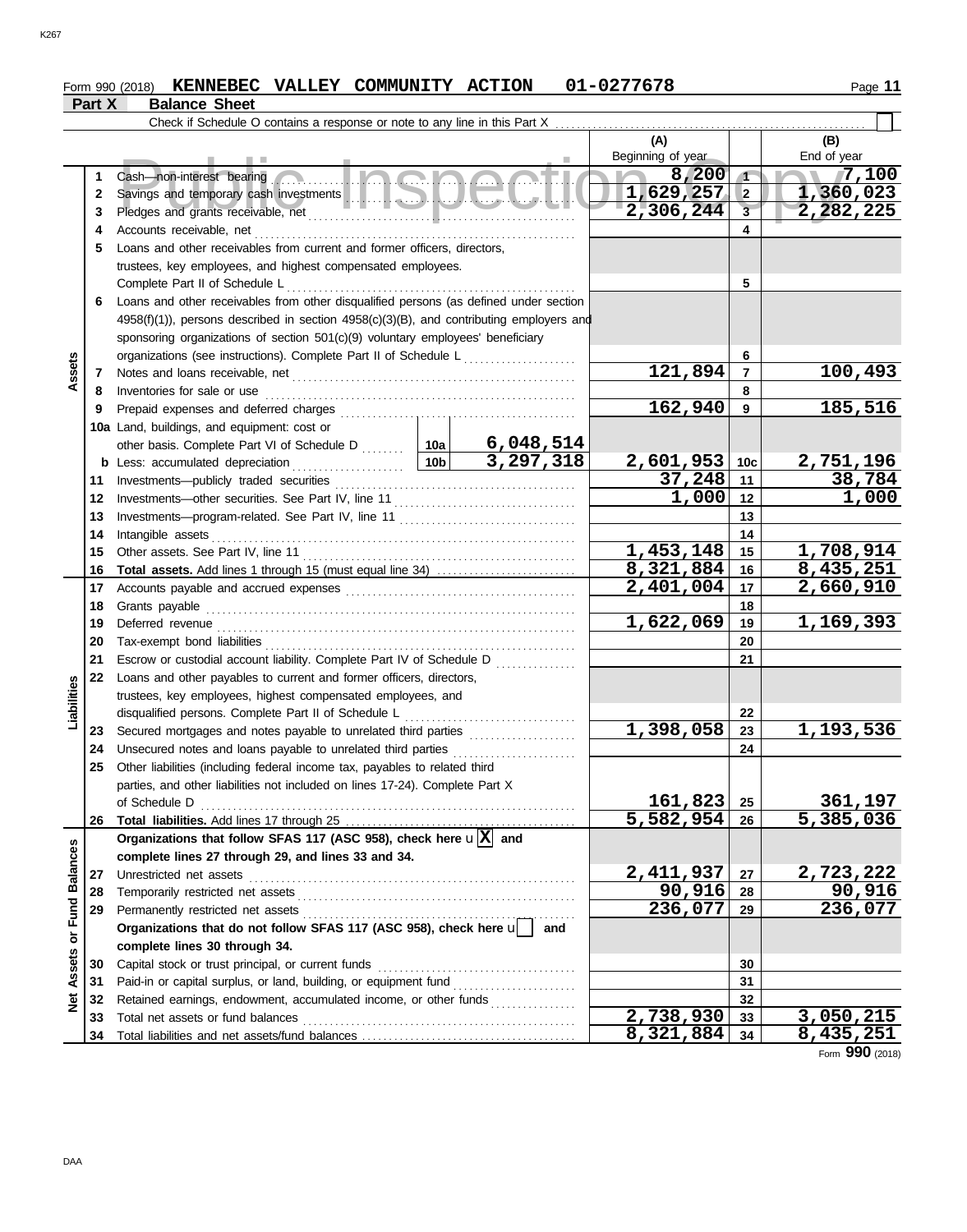#### Form 990 (2018) **KENNEBEC VALLEY COMMUNITY ACTION** 01-0277678 Page 11 **KENNEBEC VALLEY COMMUNITY ACTION 01-0277678**

| Part X | <b>Balance Sheet</b> |  |
|--------|----------------------|--|
|--------|----------------------|--|

|                         |    | Check if Schedule O contains a response or note to any line in this Part X                    |                 |             |                        |                 |                      |
|-------------------------|----|-----------------------------------------------------------------------------------------------|-----------------|-------------|------------------------|-----------------|----------------------|
|                         |    |                                                                                               |                 |             | (A)                    |                 | (B)                  |
|                         |    |                                                                                               |                 |             | Beginning of year      |                 | End of year          |
|                         | 1  | Ingha<br>Cash-non-interest bearing                                                            |                 |             | 8,200                  | $\sqrt{1}$      | 7,100                |
|                         | 2  |                                                                                               |                 |             | 1,629,257              | $\overline{2}$  | 1,360,023            |
|                         | 3  |                                                                                               |                 |             | 2,306,244              | 3               | 2,282,225            |
|                         | 4  | Accounts receivable, net                                                                      |                 |             |                        | 4               |                      |
|                         | 5  | Loans and other receivables from current and former officers, directors,                      |                 |             |                        |                 |                      |
|                         |    | trustees, key employees, and highest compensated employees.                                   |                 |             |                        |                 |                      |
|                         |    | Complete Part II of Schedule L                                                                |                 |             |                        | 5               |                      |
|                         | 6  | Loans and other receivables from other disqualified persons (as defined under section         |                 |             |                        |                 |                      |
|                         |    | $4958(f)(1)$ ), persons described in section $4958(c)(3)(B)$ , and contributing employers and |                 |             |                        |                 |                      |
|                         |    | sponsoring organizations of section 501(c)(9) voluntary employees' beneficiary                |                 |             |                        |                 |                      |
|                         |    | organizations (see instructions). Complete Part II of Schedule L <sub></sub>                  |                 |             |                        | 6               |                      |
| Assets                  | 7  |                                                                                               |                 |             | 121,894                | $\overline{7}$  | 100,493              |
|                         | 8  | Inventories for sale or use                                                                   |                 |             |                        | 8               |                      |
|                         | 9  | Prepaid expenses and deferred charges                                                         |                 |             | 162,940                | 9               | 185,516              |
|                         |    | 10a Land, buildings, and equipment: cost or                                                   |                 |             |                        |                 |                      |
|                         |    | other basis. Complete Part VI of Schedule D                                                   | 10a             | 6,048,514   |                        |                 |                      |
|                         |    | <b>b</b> Less: accumulated depreciation                                                       | 10 <sub>b</sub> | 3, 297, 318 | 2,601,953              | 10 <sub>c</sub> | 2,751,196            |
|                         | 11 | Investments-publicly traded securities                                                        |                 |             | 37,248                 | 11              | 38,784               |
|                         | 12 |                                                                                               |                 |             | 1,000                  | 12              | 1,000                |
|                         | 13 |                                                                                               |                 |             |                        | 13              |                      |
|                         | 14 | Intangible assets                                                                             |                 |             |                        | 14              |                      |
|                         | 15 | Other assets. See Part IV, line 11                                                            |                 |             | 1,453,148              | 15              | 1,708,914            |
|                         | 16 | <b>Total assets.</b> Add lines 1 through 15 (must equal line 34)                              |                 |             | 8,321,884              | 16              | 8,435,251            |
|                         | 17 |                                                                                               |                 |             | 2,401,004              | 17              | 2,660,910            |
|                         | 18 | Grants payable                                                                                |                 |             |                        | 18              |                      |
|                         | 19 | Deferred revenue                                                                              |                 |             | $\overline{1,622,069}$ | 19              | 1,169,393            |
|                         | 20 |                                                                                               |                 |             |                        | 20              |                      |
|                         | 21 | Escrow or custodial account liability. Complete Part IV of Schedule D                         |                 |             |                        | 21              |                      |
|                         | 22 | Loans and other payables to current and former officers, directors,                           |                 |             |                        |                 |                      |
| Liabilities             |    | trustees, key employees, highest compensated employees, and                                   |                 |             |                        |                 |                      |
|                         |    | disqualified persons. Complete Part II of Schedule L                                          |                 |             |                        | 22              |                      |
|                         | 23 |                                                                                               |                 |             | 1,398,058              | 23              | 1,193,536            |
|                         | 24 | Unsecured notes and loans payable to unrelated third parties                                  |                 |             |                        | 24              |                      |
|                         | 25 | Other liabilities (including federal income tax, payables to related third                    |                 |             |                        |                 |                      |
|                         |    | parties, and other liabilities not included on lines 17-24). Complete Part X                  |                 |             |                        |                 |                      |
|                         |    | of Schedule D                                                                                 |                 |             | $161,823$ 25           |                 | 361,197              |
|                         | 26 |                                                                                               |                 |             | $5,582,954$ 26         |                 | 5,385,036            |
|                         |    | Organizations that follow SFAS 117 (ASC 958), check here $\mathbf{u}[\overline{X}]$ and       |                 |             |                        |                 |                      |
|                         |    | complete lines 27 through 29, and lines 33 and 34.                                            |                 |             |                        |                 |                      |
|                         | 27 |                                                                                               |                 |             | 2,411,937              | 27              | 2,723,222            |
|                         | 28 |                                                                                               |                 |             | 90,916                 | 28              | 90,916               |
|                         | 29 |                                                                                               |                 |             | 236,077                | 29              | $\overline{236,077}$ |
|                         |    | Organizations that do not follow SFAS 117 (ASC 958), check here u                             |                 | and         |                        |                 |                      |
| Assets or Fund Balances |    | complete lines 30 through 34.                                                                 |                 |             |                        |                 |                      |
|                         | 30 | Capital stock or trust principal, or current funds                                            |                 |             |                        | 30              |                      |
|                         | 31 |                                                                                               |                 |             |                        | 31              |                      |
| ğ                       | 32 | Retained earnings, endowment, accumulated income, or other funds                              |                 |             |                        | 32              |                      |
|                         | 33 |                                                                                               |                 |             | $\overline{2,738,930}$ | 33              | 3,050,215            |
|                         | 34 |                                                                                               |                 |             | 8,321,884              | 34              | 8,435,251            |

Form **990** (2018)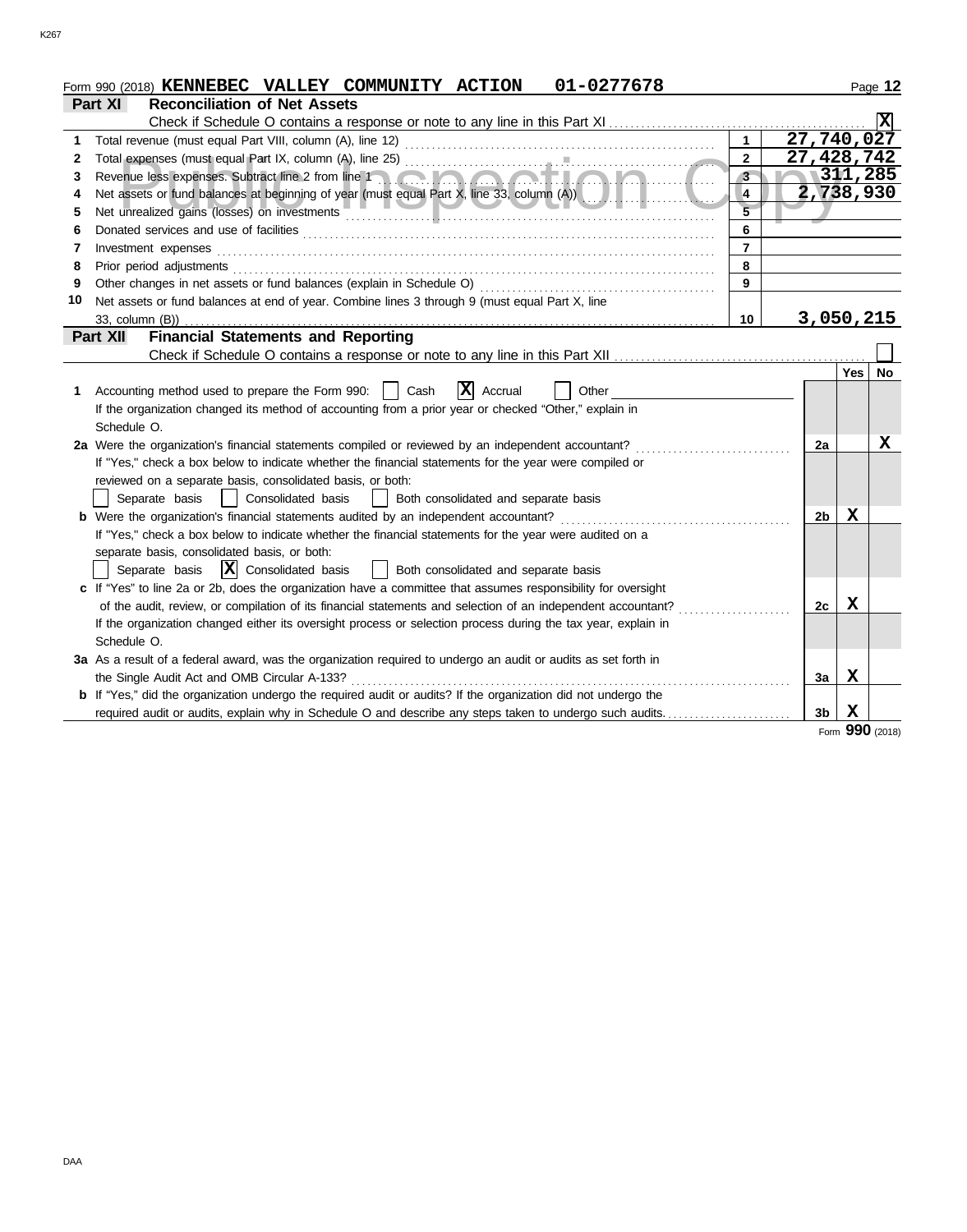|    | 01-0277678<br>Form 990 (2018) KENNEBEC VALLEY COMMUNITY ACTION                                                        |                         |                |          | Page 12 |
|----|-----------------------------------------------------------------------------------------------------------------------|-------------------------|----------------|----------|---------|
|    | <b>Reconciliation of Net Assets</b><br>Part XI                                                                        |                         |                |          |         |
|    | Check if Schedule O contains a response or note to any line in this Part XI                                           |                         |                |          |         |
| 1. |                                                                                                                       | $\mathbf{1}$            | 27,740,027     |          |         |
| 2  |                                                                                                                       | $\overline{2}$          | 27,428,742     |          |         |
| 3  | Revenue less expenses. Subtract line 2 from line 1                                                                    | $3 -$                   | 1311,285       |          |         |
| 4  |                                                                                                                       | $\overline{\mathbf{4}}$ | 2,738,930      |          |         |
| 5  |                                                                                                                       |                         |                |          |         |
| 6  |                                                                                                                       | 6                       |                |          |         |
| 7  | Investment expenses                                                                                                   | $\overline{7}$          |                |          |         |
| 8  |                                                                                                                       | 8                       |                |          |         |
| 9  |                                                                                                                       | 9                       |                |          |         |
| 10 | Net assets or fund balances at end of year. Combine lines 3 through 9 (must equal Part X, line                        |                         |                |          |         |
|    | 33, column (B))                                                                                                       | 10 <sup>1</sup>         | 3,050,215      |          |         |
|    | <b>Financial Statements and Reporting</b><br>Part XII                                                                 |                         |                |          |         |
|    |                                                                                                                       |                         |                |          |         |
|    |                                                                                                                       |                         |                | Yes   No |         |
| 1. | X Accrual<br>Accounting method used to prepare the Form 990:    <br>Cash<br>Other                                     |                         |                |          |         |
|    | If the organization changed its method of accounting from a prior year or checked "Other," explain in                 |                         |                |          |         |
|    | Schedule O.                                                                                                           |                         |                |          |         |
|    | 2a Were the organization's financial statements compiled or reviewed by an independent accountant?                    |                         | 2a             |          | x       |
|    | If "Yes," check a box below to indicate whether the financial statements for the year were compiled or                |                         |                |          |         |
|    | reviewed on a separate basis, consolidated basis, or both:                                                            |                         |                |          |         |
|    | Separate basis<br>Consolidated basis<br>Both consolidated and separate basis                                          |                         |                |          |         |
|    | <b>b</b> Were the organization's financial statements audited by an independent accountant?                           |                         | 2 <sub>b</sub> | x        |         |
|    | If "Yes," check a box below to indicate whether the financial statements for the year were audited on a               |                         |                |          |         |
|    | separate basis, consolidated basis, or both:                                                                          |                         |                |          |         |
|    | $ \mathbf{X} $ Consolidated basis<br>Both consolidated and separate basis<br>Separate basis                           |                         |                |          |         |
|    | c If "Yes" to line 2a or 2b, does the organization have a committee that assumes responsibility for oversight         |                         |                |          |         |
|    | of the audit, review, or compilation of its financial statements and selection of an independent accountant?          |                         | 2с             | x        |         |
|    | If the organization changed either its oversight process or selection process during the tax year, explain in         |                         |                |          |         |
|    | Schedule O.                                                                                                           |                         |                |          |         |
|    | 3a As a result of a federal award, was the organization required to undergo an audit or audits as set forth in        |                         |                |          |         |
|    | the Single Audit Act and OMB Circular A-133?                                                                          |                         | За             | х        |         |
|    | <b>b</b> If "Yes," did the organization undergo the required audit or audits? If the organization did not undergo the |                         |                |          |         |
|    | required audit or audits, explain why in Schedule O and describe any steps taken to undergo such audits               |                         | 3b             | X        |         |
|    |                                                                                                                       |                         |                | nnn      |         |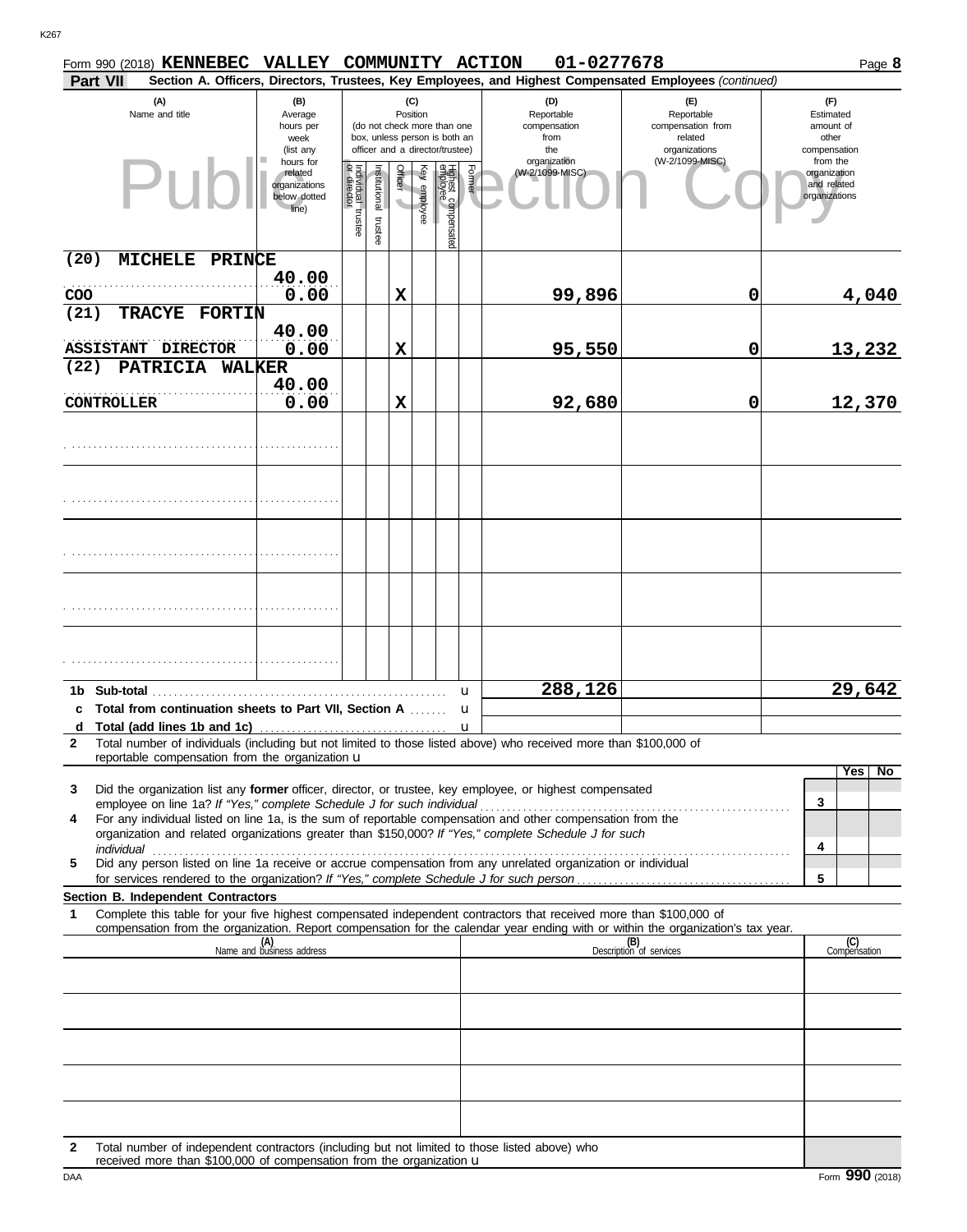|              |                   | Form 990 (2018) <b>KENNEBEC</b>                                        | VALLEY COMMUNITY ACTION                                        |                                   |                       |          |              |                                                                                                 |        | 01-0277678                                                                                                                                                                                                                                                                                                                             |                                                                    | Page 8                                                   |
|--------------|-------------------|------------------------------------------------------------------------|----------------------------------------------------------------|-----------------------------------|-----------------------|----------|--------------|-------------------------------------------------------------------------------------------------|--------|----------------------------------------------------------------------------------------------------------------------------------------------------------------------------------------------------------------------------------------------------------------------------------------------------------------------------------------|--------------------------------------------------------------------|----------------------------------------------------------|
|              | Part VII          |                                                                        |                                                                |                                   |                       |          |              |                                                                                                 |        | Section A. Officers, Directors, Trustees, Key Employees, and Highest Compensated Employees (continued)                                                                                                                                                                                                                                 |                                                                    |                                                          |
|              |                   | (A)<br>Name and title                                                  | (B)<br>Average<br>hours per<br>week<br>(list any               |                                   |                       | Position | (C)          | (do not check more than one<br>box, unless person is both an<br>officer and a director/trustee) |        | (D)<br>Reportable<br>compensation<br>from<br>the                                                                                                                                                                                                                                                                                       | (F)<br>Reportable<br>compensation from<br>related<br>organizations | (F)<br>Estimated<br>amount of<br>other<br>compensation   |
|              |                   | Puh                                                                    | hours for<br>related<br>organizations<br>below dotted<br>line) | Individual trustee<br>or director | Institutional trustee | Officer  | Key employee | Highest compensated<br>employee                                                                 | Former | organization<br>(W-2/1099-MISC)                                                                                                                                                                                                                                                                                                        | (W-2/1099-MISC)                                                    | from the<br>organization<br>and related<br>organizations |
| (20)<br>COO  |                   | <b>MICHELE</b><br>PRINCE                                               | 40.00<br>0.00                                                  |                                   |                       | X        |              |                                                                                                 |        | 99,896                                                                                                                                                                                                                                                                                                                                 | $\mathbf 0$                                                        | 4,040                                                    |
| (21)         |                   | TRACYE FORTIN                                                          | 40.00                                                          |                                   |                       |          |              |                                                                                                 |        |                                                                                                                                                                                                                                                                                                                                        |                                                                    |                                                          |
| (22)         |                   | ASSISTANT DIRECTOR<br>PATRICIA WALKER                                  | 0.00                                                           |                                   |                       | X        |              |                                                                                                 |        | 95,550                                                                                                                                                                                                                                                                                                                                 | 0                                                                  | 13,232                                                   |
|              | <b>CONTROLLER</b> |                                                                        | 40.00<br>0.00                                                  |                                   |                       | X        |              |                                                                                                 |        | 92,680                                                                                                                                                                                                                                                                                                                                 | $\mathbf 0$                                                        | 12,370                                                   |
|              |                   |                                                                        |                                                                |                                   |                       |          |              |                                                                                                 |        |                                                                                                                                                                                                                                                                                                                                        |                                                                    |                                                          |
|              |                   |                                                                        |                                                                |                                   |                       |          |              |                                                                                                 |        |                                                                                                                                                                                                                                                                                                                                        |                                                                    |                                                          |
|              |                   |                                                                        |                                                                |                                   |                       |          |              |                                                                                                 |        |                                                                                                                                                                                                                                                                                                                                        |                                                                    |                                                          |
|              |                   |                                                                        |                                                                |                                   |                       |          |              |                                                                                                 |        |                                                                                                                                                                                                                                                                                                                                        |                                                                    |                                                          |
|              |                   |                                                                        |                                                                |                                   |                       |          |              |                                                                                                 |        |                                                                                                                                                                                                                                                                                                                                        |                                                                    |                                                          |
|              | 1b Sub-total      |                                                                        |                                                                |                                   |                       |          |              |                                                                                                 | u      | 288,126                                                                                                                                                                                                                                                                                                                                |                                                                    | 29,642                                                   |
|              |                   | c Total from continuation sheets to Part VII, Section A                |                                                                |                                   |                       |          |              |                                                                                                 | u      |                                                                                                                                                                                                                                                                                                                                        |                                                                    |                                                          |
| $\mathbf{2}$ |                   | reportable compensation from the organization u                        |                                                                |                                   |                       |          |              |                                                                                                 |        | Total number of individuals (including but not limited to those listed above) who received more than \$100,000 of                                                                                                                                                                                                                      |                                                                    |                                                          |
| 3            |                   | employee on line 1a? If "Yes," complete Schedule J for such individual |                                                                |                                   |                       |          |              |                                                                                                 |        | Did the organization list any <b>former</b> officer, director, or trustee, key employee, or highest compensated                                                                                                                                                                                                                        |                                                                    | Yes<br>N <sub>o</sub><br>3                               |
| 4            |                   |                                                                        |                                                                |                                   |                       |          |              |                                                                                                 |        | employee on line 1a? If "Yes," complete Schedule J for such individual communities contained in the series of the For any individual listed on line 1a, is the sum of reportable compensation and other compensation from the<br>organization and related organizations greater than \$150,000? If "Yes," complete Schedule J for such |                                                                    | 4                                                        |
| 5            |                   |                                                                        |                                                                |                                   |                       |          |              |                                                                                                 |        | individual communication of the contract of the contract of the contract of the contract of the contract of the<br>Did any person listed on line 1a receive or accrue compensation from any unrelated organization or individual                                                                                                       |                                                                    | 5                                                        |
|              |                   | Section B. Independent Contractors                                     |                                                                |                                   |                       |          |              |                                                                                                 |        |                                                                                                                                                                                                                                                                                                                                        |                                                                    |                                                          |
| 1            |                   |                                                                        |                                                                |                                   |                       |          |              |                                                                                                 |        | Complete this table for your five highest compensated independent contractors that received more than \$100,000 of<br>compensation from the organization. Report compensation for the calendar year ending with or within the organization's tax year.                                                                                 |                                                                    |                                                          |
|              |                   |                                                                        | (A)<br>Name and business address                               |                                   |                       |          |              |                                                                                                 |        |                                                                                                                                                                                                                                                                                                                                        | (B)<br>Description of services                                     | (C)<br>Compensation                                      |
|              |                   |                                                                        |                                                                |                                   |                       |          |              |                                                                                                 |        |                                                                                                                                                                                                                                                                                                                                        |                                                                    |                                                          |
|              |                   |                                                                        |                                                                |                                   |                       |          |              |                                                                                                 |        |                                                                                                                                                                                                                                                                                                                                        |                                                                    |                                                          |
|              |                   |                                                                        |                                                                |                                   |                       |          |              |                                                                                                 |        |                                                                                                                                                                                                                                                                                                                                        |                                                                    |                                                          |
|              |                   |                                                                        |                                                                |                                   |                       |          |              |                                                                                                 |        |                                                                                                                                                                                                                                                                                                                                        |                                                                    |                                                          |
|              |                   |                                                                        |                                                                |                                   |                       |          |              |                                                                                                 |        |                                                                                                                                                                                                                                                                                                                                        |                                                                    |                                                          |
| 2            |                   | received more than \$100,000 of compensation from the organization u   |                                                                |                                   |                       |          |              |                                                                                                 |        | Total number of independent contractors (including but not limited to those listed above) who                                                                                                                                                                                                                                          |                                                                    |                                                          |
| DAA          |                   |                                                                        |                                                                |                                   |                       |          |              |                                                                                                 |        |                                                                                                                                                                                                                                                                                                                                        |                                                                    | Form 990 (2018)                                          |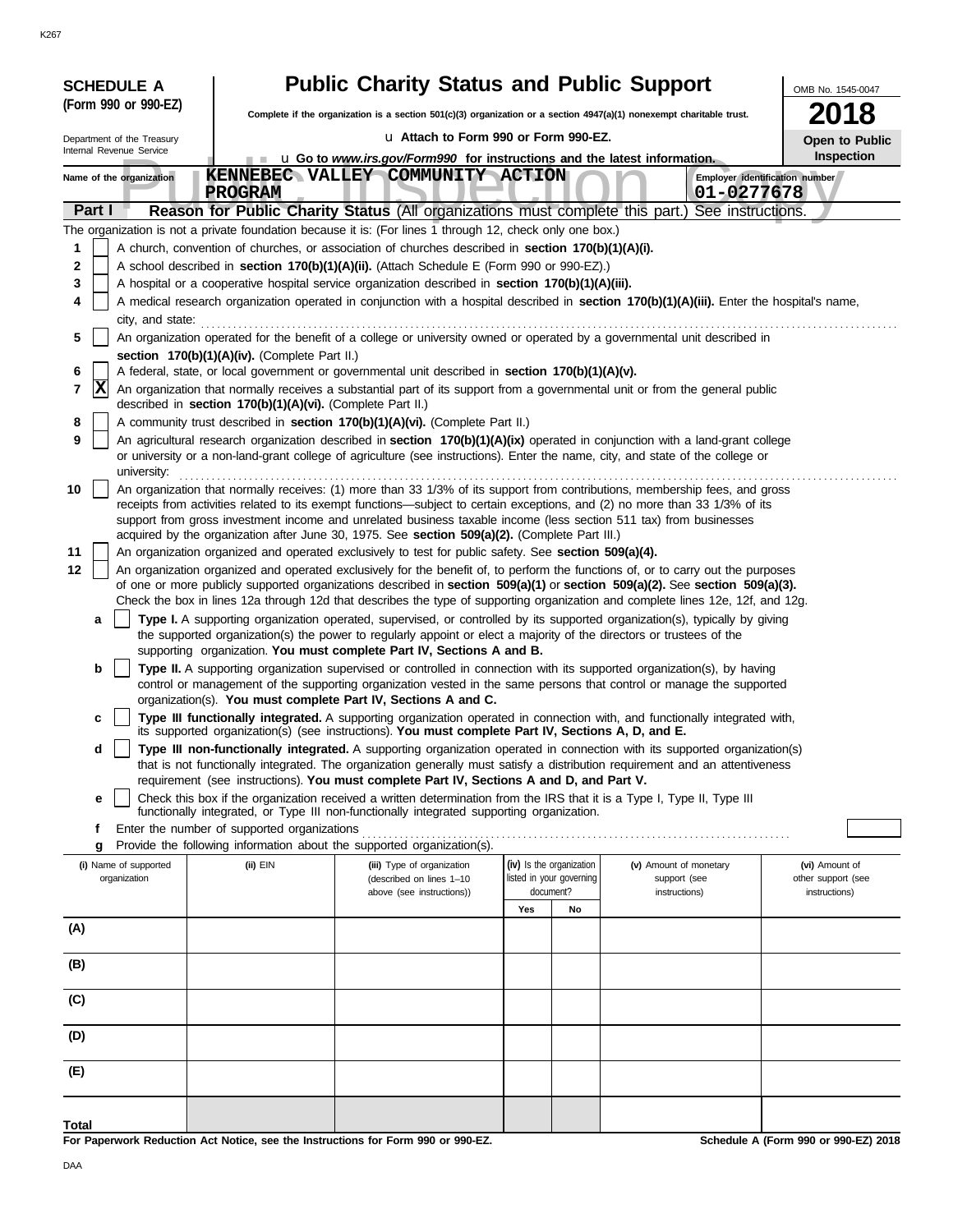|                                                                                                                                | <b>SCHEDULE A</b>          |                                                            | <b>Public Charity Status and Public Support</b>                                                                                                                                                                                                                 |                                       |    |                               | OMB No. 1545-0047                   |  |  |  |
|--------------------------------------------------------------------------------------------------------------------------------|----------------------------|------------------------------------------------------------|-----------------------------------------------------------------------------------------------------------------------------------------------------------------------------------------------------------------------------------------------------------------|---------------------------------------|----|-------------------------------|-------------------------------------|--|--|--|
|                                                                                                                                | (Form 990 or 990-EZ)       |                                                            | Complete if the organization is a section 501(c)(3) organization or a section 4947(a)(1) nonexempt charitable trust.                                                                                                                                            |                                       |    |                               | 18                                  |  |  |  |
|                                                                                                                                | Department of the Treasury |                                                            | u Attach to Form 990 or Form 990-EZ.                                                                                                                                                                                                                            |                                       |    |                               | Open to Public                      |  |  |  |
|                                                                                                                                | Internal Revenue Service   |                                                            | <b>u</b> Go to <i>www.irs.gov/Form990</i> for instructions and the latest information.                                                                                                                                                                          |                                       |    |                               | Inspection                          |  |  |  |
|                                                                                                                                | Name of the organization   | <b>PROGRAM</b>                                             | KENNEBEC VALLEY COMMUNITY ACTION                                                                                                                                                                                                                                |                                       |    | 01-0277678                    | Employer identification number      |  |  |  |
|                                                                                                                                | Part I                     |                                                            | Reason for Public Charity Status (All organizations must complete this part.) See instructions.                                                                                                                                                                 |                                       |    |                               |                                     |  |  |  |
|                                                                                                                                |                            |                                                            | The organization is not a private foundation because it is: (For lines 1 through 12, check only one box.)                                                                                                                                                       |                                       |    |                               |                                     |  |  |  |
| 1                                                                                                                              |                            |                                                            | A church, convention of churches, or association of churches described in section 170(b)(1)(A)(i).                                                                                                                                                              |                                       |    |                               |                                     |  |  |  |
| 2<br>3                                                                                                                         |                            |                                                            | A school described in section 170(b)(1)(A)(ii). (Attach Schedule E (Form 990 or 990-EZ).)<br>A hospital or a cooperative hospital service organization described in section 170(b)(1)(A)(iii).                                                                  |                                       |    |                               |                                     |  |  |  |
| 4                                                                                                                              |                            |                                                            | A medical research organization operated in conjunction with a hospital described in section 170(b)(1)(A)(iii). Enter the hospital's name,                                                                                                                      |                                       |    |                               |                                     |  |  |  |
| city, and state:                                                                                                               |                            |                                                            |                                                                                                                                                                                                                                                                 |                                       |    |                               |                                     |  |  |  |
| An organization operated for the benefit of a college or university owned or operated by a governmental unit described in<br>5 |                            |                                                            |                                                                                                                                                                                                                                                                 |                                       |    |                               |                                     |  |  |  |
|                                                                                                                                |                            | section 170(b)(1)(A)(iv). (Complete Part II.)              |                                                                                                                                                                                                                                                                 |                                       |    |                               |                                     |  |  |  |
| 6<br>7                                                                                                                         | <b>X</b>                   |                                                            | A federal, state, or local government or governmental unit described in section 170(b)(1)(A)(v).<br>An organization that normally receives a substantial part of its support from a governmental unit or from the general public                                |                                       |    |                               |                                     |  |  |  |
|                                                                                                                                |                            | described in section 170(b)(1)(A)(vi). (Complete Part II.) |                                                                                                                                                                                                                                                                 |                                       |    |                               |                                     |  |  |  |
| 8                                                                                                                              |                            |                                                            | A community trust described in section 170(b)(1)(A)(vi). (Complete Part II.)                                                                                                                                                                                    |                                       |    |                               |                                     |  |  |  |
| 9                                                                                                                              | university:                |                                                            | An agricultural research organization described in section 170(b)(1)(A)(ix) operated in conjunction with a land-grant college<br>or university or a non-land-grant college of agriculture (see instructions). Enter the name, city, and state of the college or |                                       |    |                               |                                     |  |  |  |
| 10                                                                                                                             |                            |                                                            | An organization that normally receives: (1) more than 33 1/3% of its support from contributions, membership fees, and gross                                                                                                                                     |                                       |    |                               |                                     |  |  |  |
|                                                                                                                                |                            |                                                            | receipts from activities related to its exempt functions-subject to certain exceptions, and (2) no more than 33 1/3% of its<br>support from gross investment income and unrelated business taxable income (less section 511 tax) from businesses                |                                       |    |                               |                                     |  |  |  |
|                                                                                                                                |                            |                                                            | acquired by the organization after June 30, 1975. See section 509(a)(2). (Complete Part III.)                                                                                                                                                                   |                                       |    |                               |                                     |  |  |  |
| 11                                                                                                                             |                            |                                                            | An organization organized and operated exclusively to test for public safety. See section 509(a)(4).                                                                                                                                                            |                                       |    |                               |                                     |  |  |  |
| 12                                                                                                                             |                            |                                                            | An organization organized and operated exclusively for the benefit of, to perform the functions of, or to carry out the purposes<br>of one or more publicly supported organizations described in section 509(a)(1) or section 509(a)(2). See section 509(a)(3). |                                       |    |                               |                                     |  |  |  |
|                                                                                                                                |                            |                                                            | Check the box in lines 12a through 12d that describes the type of supporting organization and complete lines 12e, 12f, and 12g.                                                                                                                                 |                                       |    |                               |                                     |  |  |  |
|                                                                                                                                | a                          |                                                            | Type I. A supporting organization operated, supervised, or controlled by its supported organization(s), typically by giving                                                                                                                                     |                                       |    |                               |                                     |  |  |  |
|                                                                                                                                |                            |                                                            | the supported organization(s) the power to regularly appoint or elect a majority of the directors or trustees of the<br>supporting organization. You must complete Part IV, Sections A and B.                                                                   |                                       |    |                               |                                     |  |  |  |
|                                                                                                                                | b                          |                                                            | Type II. A supporting organization supervised or controlled in connection with its supported organization(s), by having                                                                                                                                         |                                       |    |                               |                                     |  |  |  |
|                                                                                                                                |                            |                                                            | control or management of the supporting organization vested in the same persons that control or manage the supported<br>organization(s). You must complete Part IV, Sections A and C.                                                                           |                                       |    |                               |                                     |  |  |  |
|                                                                                                                                | c                          |                                                            | Type III functionally integrated. A supporting organization operated in connection with, and functionally integrated with,                                                                                                                                      |                                       |    |                               |                                     |  |  |  |
|                                                                                                                                | d                          |                                                            | its supported organization(s) (see instructions). You must complete Part IV, Sections A, D, and E.<br>Type III non-functionally integrated. A supporting organization operated in connection with its supported organization(s)                                 |                                       |    |                               |                                     |  |  |  |
|                                                                                                                                |                            |                                                            | that is not functionally integrated. The organization generally must satisfy a distribution requirement and an attentiveness<br>requirement (see instructions). You must complete Part IV, Sections A and D, and Part V.                                        |                                       |    |                               |                                     |  |  |  |
|                                                                                                                                | е                          |                                                            | Check this box if the organization received a written determination from the IRS that it is a Type I, Type II, Type III                                                                                                                                         |                                       |    |                               |                                     |  |  |  |
|                                                                                                                                |                            |                                                            | functionally integrated, or Type III non-functionally integrated supporting organization.                                                                                                                                                                       |                                       |    |                               |                                     |  |  |  |
|                                                                                                                                | f<br>g                     | Enter the number of supported organizations                | Provide the following information about the supported organization(s).                                                                                                                                                                                          |                                       |    |                               |                                     |  |  |  |
|                                                                                                                                | (i) Name of supported      | (ii) EIN                                                   | (iii) Type of organization                                                                                                                                                                                                                                      | (iv) Is the organization              |    | (v) Amount of monetary        | (vi) Amount of                      |  |  |  |
|                                                                                                                                | organization               |                                                            | (described on lines 1-10<br>above (see instructions))                                                                                                                                                                                                           | listed in your governing<br>document? |    | support (see<br>instructions) | other support (see<br>instructions) |  |  |  |
|                                                                                                                                |                            |                                                            |                                                                                                                                                                                                                                                                 | Yes                                   | No |                               |                                     |  |  |  |
| (A)                                                                                                                            |                            |                                                            |                                                                                                                                                                                                                                                                 |                                       |    |                               |                                     |  |  |  |
| (B)                                                                                                                            |                            |                                                            |                                                                                                                                                                                                                                                                 |                                       |    |                               |                                     |  |  |  |
|                                                                                                                                |                            |                                                            |                                                                                                                                                                                                                                                                 |                                       |    |                               |                                     |  |  |  |
| (C)                                                                                                                            |                            |                                                            |                                                                                                                                                                                                                                                                 |                                       |    |                               |                                     |  |  |  |
| (D)                                                                                                                            |                            |                                                            |                                                                                                                                                                                                                                                                 |                                       |    |                               |                                     |  |  |  |
|                                                                                                                                |                            |                                                            |                                                                                                                                                                                                                                                                 |                                       |    |                               |                                     |  |  |  |
| (E)                                                                                                                            |                            |                                                            |                                                                                                                                                                                                                                                                 |                                       |    |                               |                                     |  |  |  |
|                                                                                                                                |                            |                                                            |                                                                                                                                                                                                                                                                 |                                       |    |                               |                                     |  |  |  |

**For Paperwork Reduction Act Notice, see the Instructions for Form 990 or 990-EZ.**

DAA

**Total**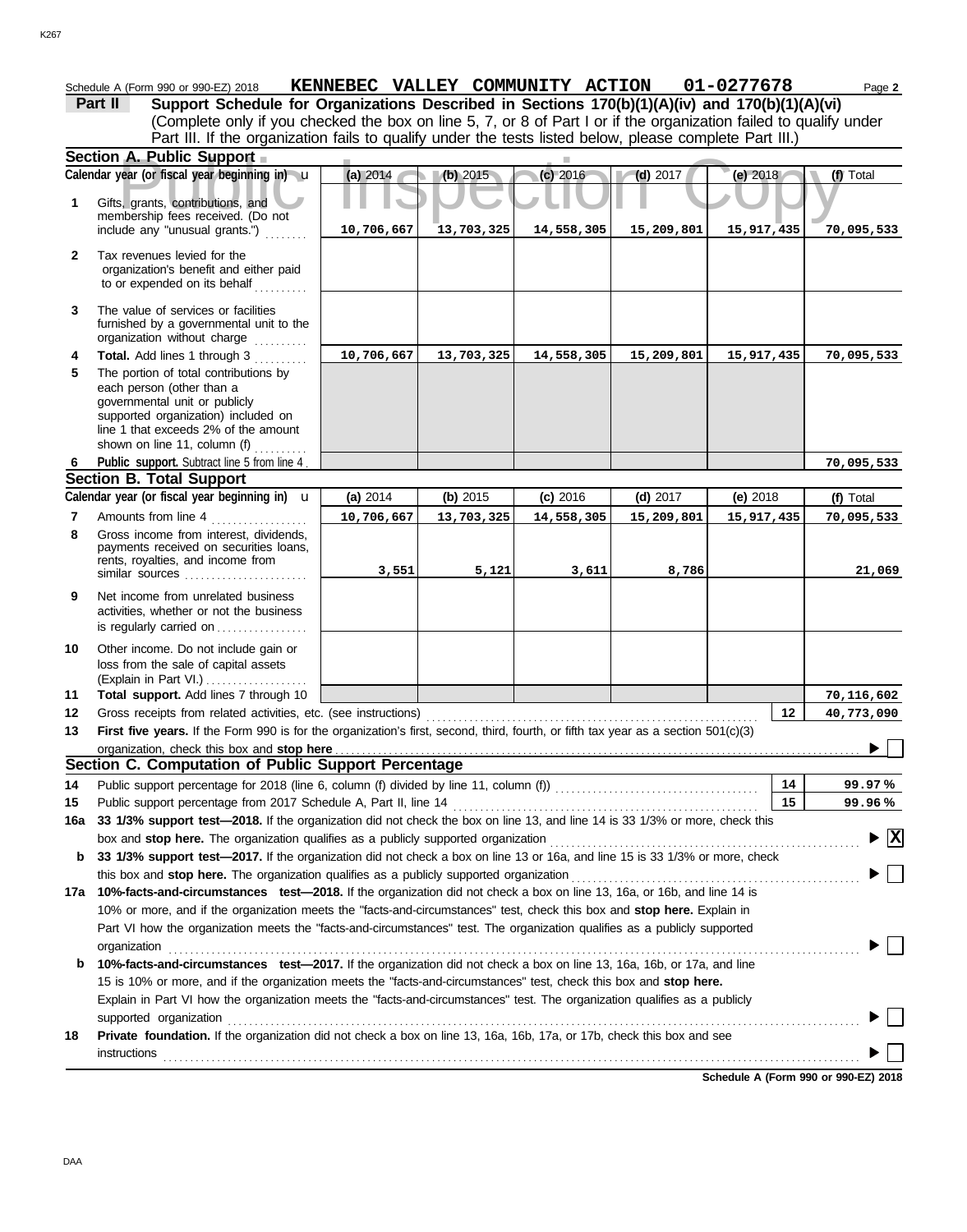|              | Schedule A (Form 990 or 990-EZ) 2018                                                                                                                                                            | KENNEBEC VALLEY COMMUNITY ACTION |            |            |            | 01-0277678 | Page 2                                        |
|--------------|-------------------------------------------------------------------------------------------------------------------------------------------------------------------------------------------------|----------------------------------|------------|------------|------------|------------|-----------------------------------------------|
|              | Support Schedule for Organizations Described in Sections 170(b)(1)(A)(iv) and 170(b)(1)(A)(vi)<br>Part II                                                                                       |                                  |            |            |            |            |                                               |
|              | (Complete only if you checked the box on line 5, 7, or 8 of Part I or if the organization failed to qualify under                                                                               |                                  |            |            |            |            |                                               |
|              | Part III. If the organization fails to qualify under the tests listed below, please complete Part III.)                                                                                         |                                  |            |            |            |            |                                               |
|              | Section A. Public Support                                                                                                                                                                       |                                  |            |            |            |            |                                               |
|              | Calendar year (or fiscal year beginning in) u                                                                                                                                                   | (a) 2014                         | (b) 2015   | $(c)$ 2016 | $(d)$ 2017 | (e) 2018   | (f) Total                                     |
| 1            | Gifts, grants, contributions, and                                                                                                                                                               |                                  |            |            |            |            |                                               |
|              | membership fees received. (Do not                                                                                                                                                               |                                  |            |            |            |            |                                               |
|              | include any "unusual grants.")                                                                                                                                                                  | 10,706,667                       | 13,703,325 | 14,558,305 | 15,209,801 | 15,917,435 | 70,095,533                                    |
| $\mathbf{2}$ | Tax revenues levied for the                                                                                                                                                                     |                                  |            |            |            |            |                                               |
|              | organization's benefit and either paid                                                                                                                                                          |                                  |            |            |            |            |                                               |
|              | to or expended on its behalf                                                                                                                                                                    |                                  |            |            |            |            |                                               |
| 3            | The value of services or facilities                                                                                                                                                             |                                  |            |            |            |            |                                               |
|              | furnished by a governmental unit to the                                                                                                                                                         |                                  |            |            |            |            |                                               |
|              | organization without charge                                                                                                                                                                     |                                  |            |            |            |            |                                               |
| 4            | Total. Add lines 1 through 3<br>The portion of total contributions by                                                                                                                           | 10,706,667                       | 13,703,325 | 14,558,305 | 15,209,801 | 15,917,435 | 70,095,533                                    |
| 5            | each person (other than a                                                                                                                                                                       |                                  |            |            |            |            |                                               |
|              | governmental unit or publicly                                                                                                                                                                   |                                  |            |            |            |            |                                               |
|              | supported organization) included on                                                                                                                                                             |                                  |            |            |            |            |                                               |
|              | line 1 that exceeds 2% of the amount<br>shown on line 11, column (f)                                                                                                                            |                                  |            |            |            |            |                                               |
| 6            | a a a a a a a a a<br>Public support. Subtract line 5 from line 4                                                                                                                                |                                  |            |            |            |            | 70,095,533                                    |
|              | Section B. Total Support                                                                                                                                                                        |                                  |            |            |            |            |                                               |
|              | Calendar year (or fiscal year beginning in) $\mathbf u$                                                                                                                                         | (a) 2014                         | (b) 2015   | $(c)$ 2016 | $(d)$ 2017 | $(e)$ 2018 | (f) Total                                     |
| 7            | Amounts from line 4                                                                                                                                                                             | 10,706,667                       | 13,703,325 | 14,558,305 | 15,209,801 | 15,917,435 | 70,095,533                                    |
| 8            | Gross income from interest, dividends,                                                                                                                                                          |                                  |            |            |            |            |                                               |
|              | payments received on securities loans,                                                                                                                                                          |                                  |            |            |            |            |                                               |
|              | rents, royalties, and income from<br>similar sources                                                                                                                                            | 3,551                            | 5,121      | 3,611      | 8,786      |            | 21,069                                        |
|              |                                                                                                                                                                                                 |                                  |            |            |            |            |                                               |
| 9            | Net income from unrelated business<br>activities, whether or not the business                                                                                                                   |                                  |            |            |            |            |                                               |
|              | is regularly carried on                                                                                                                                                                         |                                  |            |            |            |            |                                               |
| 10           | Other income. Do not include gain or                                                                                                                                                            |                                  |            |            |            |            |                                               |
|              | loss from the sale of capital assets                                                                                                                                                            |                                  |            |            |            |            |                                               |
|              | (Explain in Part VI.)                                                                                                                                                                           |                                  |            |            |            |            |                                               |
| 11           | Total support. Add lines 7 through 10                                                                                                                                                           |                                  |            |            |            |            | 70,116,602                                    |
| 12           | Gross receipts from related activities, etc. (see instructions)                                                                                                                                 |                                  |            |            |            | 12         | 40,773,090                                    |
| 13           | First five years. If the Form 990 is for the organization's first, second, third, fourth, or fifth tax year as a section 501(c)(3)                                                              |                                  |            |            |            |            |                                               |
|              |                                                                                                                                                                                                 |                                  |            |            |            |            |                                               |
|              | Section C. Computation of Public Support Percentage                                                                                                                                             |                                  |            |            |            |            |                                               |
| 14           |                                                                                                                                                                                                 |                                  |            |            |            | 14         | 99.97%                                        |
| 15<br>16a    | Public support percentage from 2017 Schedule A, Part II, line 14<br>33 1/3% support test-2018. If the organization did not check the box on line 13, and line 14 is 33 1/3% or more, check this |                                  |            |            |            | 15         | 99.96%                                        |
|              |                                                                                                                                                                                                 |                                  |            |            |            |            | $\blacktriangleright$ $\overline{\mathtt{x}}$ |
| b            | 33 1/3% support test-2017. If the organization did not check a box on line 13 or 16a, and line 15 is 33 1/3% or more, check                                                                     |                                  |            |            |            |            |                                               |
|              |                                                                                                                                                                                                 |                                  |            |            |            |            |                                               |
| 17a          | 10%-facts-and-circumstances test-2018. If the organization did not check a box on line 13, 16a, or 16b, and line 14 is                                                                          |                                  |            |            |            |            |                                               |
|              | 10% or more, and if the organization meets the "facts-and-circumstances" test, check this box and stop here. Explain in                                                                         |                                  |            |            |            |            |                                               |
|              | Part VI how the organization meets the "facts-and-circumstances" test. The organization qualifies as a publicly supported                                                                       |                                  |            |            |            |            |                                               |
|              | organization                                                                                                                                                                                    |                                  |            |            |            |            |                                               |
| b            | 10%-facts-and-circumstances test-2017. If the organization did not check a box on line 13, 16a, 16b, or 17a, and line                                                                           |                                  |            |            |            |            |                                               |
|              | 15 is 10% or more, and if the organization meets the "facts-and-circumstances" test, check this box and stop here.                                                                              |                                  |            |            |            |            |                                               |
|              | Explain in Part VI how the organization meets the "facts-and-circumstances" test. The organization qualifies as a publicly                                                                      |                                  |            |            |            |            |                                               |
|              | supported organization                                                                                                                                                                          |                                  |            |            |            |            |                                               |
| 18           | Private foundation. If the organization did not check a box on line 13, 16a, 16b, 17a, or 17b, check this box and see                                                                           |                                  |            |            |            |            |                                               |
|              | <b>instructions</b>                                                                                                                                                                             |                                  |            |            |            |            |                                               |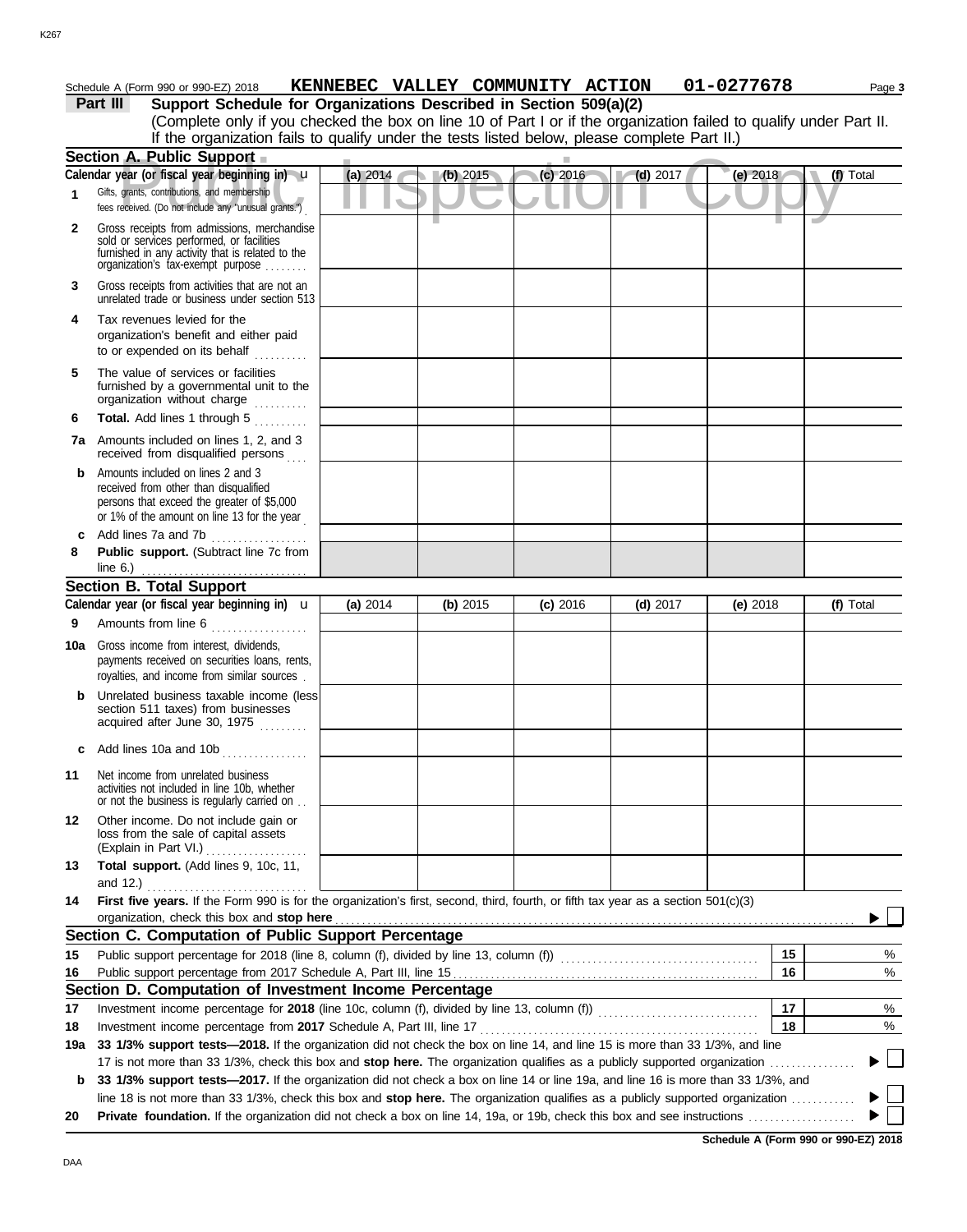#### Schedule A (Form 990 or 990-EZ) 2018 **KENNEBEC VALLEY COMMUNITY ACTION 01-0277678** Page 3

|              | Part III<br>Support Schedule for Organizations Described in Section 509(a)(2)                                                                                                                                      |          |          |            |            |            |           |
|--------------|--------------------------------------------------------------------------------------------------------------------------------------------------------------------------------------------------------------------|----------|----------|------------|------------|------------|-----------|
|              | (Complete only if you checked the box on line 10 of Part I or if the organization failed to qualify under Part II.<br>If the organization fails to qualify under the tests listed below, please complete Part II.) |          |          |            |            |            |           |
|              | <b>Section A. Public Support</b>                                                                                                                                                                                   |          |          |            |            |            |           |
|              | Calendar year (or fiscal year beginning in) u                                                                                                                                                                      | (a) 2014 | (b) 2015 | $(c)$ 2016 | $(d)$ 2017 | (e) 2018   | (f) Total |
| 1            | Gifts, grants, contributions, and membership<br>fees received. (Do not include any "unusual grants.")                                                                                                              |          |          |            |            |            |           |
| $\mathbf{2}$ | Gross receipts from admissions, merchandise<br>sold or services performed, or facilities<br>furnished in any activity that is related to the<br>organization's fax-exempt purpose                                  |          |          |            |            |            |           |
| 3            | Gross receipts from activities that are not an<br>unrelated trade or business under section 513                                                                                                                    |          |          |            |            |            |           |
| 4            | Tax revenues levied for the<br>organization's benefit and either paid<br>to or expended on its behalf                                                                                                              |          |          |            |            |            |           |
| 5            | The value of services or facilities<br>furnished by a governmental unit to the<br>organization without charge                                                                                                      |          |          |            |            |            |           |
| 6            | Total. Add lines 1 through 5<br>.                                                                                                                                                                                  |          |          |            |            |            |           |
|              | <b>7a</b> Amounts included on lines 1, 2, and 3<br>received from disqualified persons                                                                                                                              |          |          |            |            |            |           |
| b            | Amounts included on lines 2 and 3<br>received from other than disqualified<br>persons that exceed the greater of \$5,000<br>or 1% of the amount on line 13 for the year                                            |          |          |            |            |            |           |
| c            | Add lines 7a and 7b                                                                                                                                                                                                |          |          |            |            |            |           |
| 8            | Public support. (Subtract line 7c from                                                                                                                                                                             |          |          |            |            |            |           |
|              | line $6.$ )                                                                                                                                                                                                        |          |          |            |            |            |           |
|              | Section B. Total Support                                                                                                                                                                                           |          |          |            |            |            |           |
|              | Calendar year (or fiscal year beginning in) $\mathbf u$                                                                                                                                                            | (a) 2014 | (b) 2015 | $(c)$ 2016 | $(d)$ 2017 | (e) $2018$ | (f) Total |
| 9            | Amounts from line 6<br>.                                                                                                                                                                                           |          |          |            |            |            |           |
| 10a          | Gross income from interest, dividends,<br>payments received on securities loans, rents,<br>royalties, and income from similar sources.                                                                             |          |          |            |            |            |           |
| b            | Unrelated business taxable income (less)<br>section 511 taxes) from businesses<br>acquired after June 30, 1975                                                                                                     |          |          |            |            |            |           |
|              | c Add lines 10a and 10b $\ldots$                                                                                                                                                                                   |          |          |            |            |            |           |
| 11           | Net income from unrelated business<br>activities not included in line 10b, whether<br>or not the business is regularly carried on                                                                                  |          |          |            |            |            |           |
| 12           | Other income. Do not include gain or<br>loss from the sale of capital assets<br>(Explain in Part VI.)<br>.                                                                                                         |          |          |            |            |            |           |
| 13           | Total support. (Add lines 9, 10c, 11,                                                                                                                                                                              |          |          |            |            |            |           |
| 14           | First five years. If the Form 990 is for the organization's first, second, third, fourth, or fifth tax year as a section 501(c)(3)<br>organization, check this box and stop here                                   |          |          |            |            |            |           |
|              | Section C. Computation of Public Support Percentage                                                                                                                                                                |          |          |            |            |            |           |
| 15           |                                                                                                                                                                                                                    |          |          |            |            | 15         | %         |
| 16           |                                                                                                                                                                                                                    |          |          |            |            | 16         | %         |
|              | Section D. Computation of Investment Income Percentage                                                                                                                                                             |          |          |            |            |            |           |
| 17           |                                                                                                                                                                                                                    |          |          |            |            | 17         | %         |
| 18           |                                                                                                                                                                                                                    |          |          |            |            | 18         | %         |
| 19a          | 33 1/3% support tests-2018. If the organization did not check the box on line 14, and line 15 is more than 33 1/3%, and line                                                                                       |          |          |            |            |            |           |
|              | 17 is not more than 33 1/3%, check this box and stop here. The organization qualifies as a publicly supported organization.                                                                                        |          |          |            |            |            |           |
| b            | 33 1/3% support tests-2017. If the organization did not check a box on line 14 or line 19a, and line 16 is more than 33 1/3%, and                                                                                  |          |          |            |            |            |           |
|              | line 18 is not more than 33 1/3%, check this box and stop here. The organization qualifies as a publicly supported organization                                                                                    |          |          |            |            |            |           |
| 20           |                                                                                                                                                                                                                    |          |          |            |            |            |           |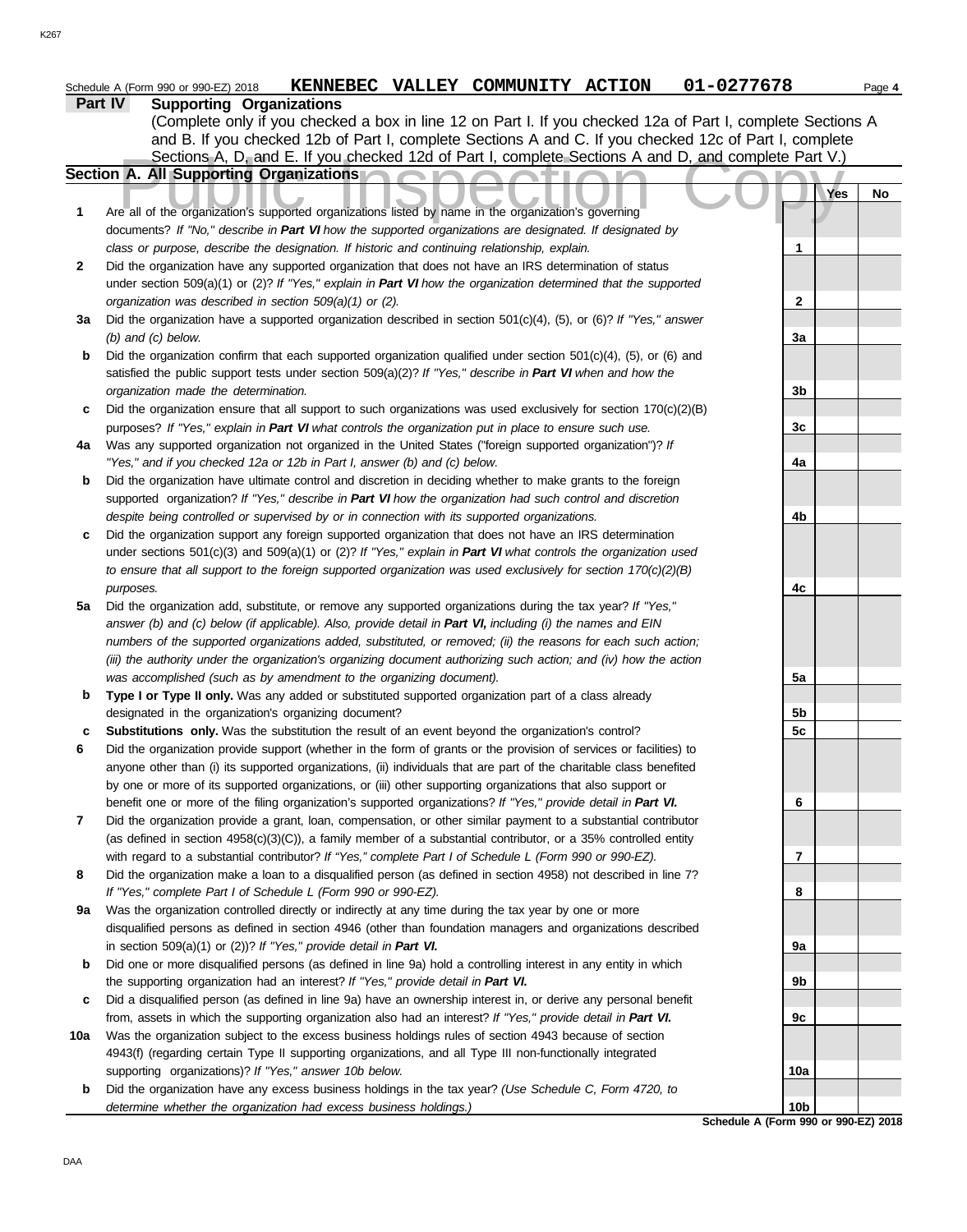|                | Schedule A (Form 990 or 990-EZ) 2018                   |  | KENNEBEC VALLEY COMMUNITY ACTION | 01-0277678                                                                                                  | Page 4 |
|----------------|--------------------------------------------------------|--|----------------------------------|-------------------------------------------------------------------------------------------------------------|--------|
| <b>Part IV</b> | <b>Supporting Organizations</b>                        |  |                                  |                                                                                                             |        |
|                |                                                        |  |                                  | (Complete only if you checked a box in line 12 on Part I. If you checked 12a of Part I, complete Sections A |        |
|                |                                                        |  |                                  | and B. If you checked 12b of Part I, complete Sections A and C. If you checked 12c of Part I, complete      |        |
|                |                                                        |  |                                  | Sections A, D, and E. If you checked 12d of Part I, complete Sections A and D, and complete Part V.)        |        |
|                | Section A. All Supporting Organizations A ALLA ALLA IN |  |                                  |                                                                                                             |        |

|              | Sections A, D, and E. If you checked 12d of Part I, complete Sections A and D, and complete Part V.)                     |                 |     |    |
|--------------|--------------------------------------------------------------------------------------------------------------------------|-----------------|-----|----|
|              | Section A. All Supporting Organizations                                                                                  |                 |     |    |
|              |                                                                                                                          |                 | Yes | No |
| 1            | Are all of the organization's supported organizations listed by name in the organization's governing                     |                 |     |    |
|              | documents? If "No," describe in Part VI how the supported organizations are designated. If designated by                 |                 |     |    |
|              | class or purpose, describe the designation. If historic and continuing relationship, explain.                            | 1               |     |    |
| $\mathbf{2}$ | Did the organization have any supported organization that does not have an IRS determination of status                   |                 |     |    |
|              | under section $509(a)(1)$ or (2)? If "Yes," explain in Part VI how the organization determined that the supported        |                 |     |    |
|              | organization was described in section 509(a)(1) or (2).                                                                  | $\mathbf{2}$    |     |    |
| За           | Did the organization have a supported organization described in section $501(c)(4)$ , (5), or (6)? If "Yes," answer      |                 |     |    |
|              | $(b)$ and $(c)$ below.                                                                                                   | 3a              |     |    |
| b            | Did the organization confirm that each supported organization qualified under section $501(c)(4)$ , $(5)$ , or $(6)$ and |                 |     |    |
|              | satisfied the public support tests under section $509(a)(2)?$ If "Yes," describe in Part VI when and how the             |                 |     |    |
|              | organization made the determination.                                                                                     | 3b              |     |    |
| c            | Did the organization ensure that all support to such organizations was used exclusively for section $170(c)(2)(B)$       |                 |     |    |
|              | purposes? If "Yes," explain in Part VI what controls the organization put in place to ensure such use.                   | 3c              |     |    |
| 4a           | Was any supported organization not organized in the United States ("foreign supported organization")? If                 |                 |     |    |
|              | "Yes," and if you checked 12a or 12b in Part I, answer (b) and (c) below.                                                | 4a              |     |    |
| b            | Did the organization have ultimate control and discretion in deciding whether to make grants to the foreign              |                 |     |    |
|              | supported organization? If "Yes," describe in Part VI how the organization had such control and discretion               |                 |     |    |
|              | despite being controlled or supervised by or in connection with its supported organizations.                             | 4b              |     |    |
| c            | Did the organization support any foreign supported organization that does not have an IRS determination                  |                 |     |    |
|              | under sections $501(c)(3)$ and $509(a)(1)$ or $(2)?$ If "Yes," explain in Part VI what controls the organization used    |                 |     |    |
|              | to ensure that all support to the foreign supported organization was used exclusively for section $170(c)(2)(B)$         |                 |     |    |
|              | purposes.                                                                                                                | 4с              |     |    |
| 5a           | Did the organization add, substitute, or remove any supported organizations during the tax year? If "Yes,"               |                 |     |    |
|              | answer (b) and (c) below (if applicable). Also, provide detail in Part VI, including (i) the names and EIN               |                 |     |    |
|              | numbers of the supported organizations added, substituted, or removed; (ii) the reasons for each such action;            |                 |     |    |
|              |                                                                                                                          |                 |     |    |
|              | (iii) the authority under the organization's organizing document authorizing such action; and (iv) how the action        |                 |     |    |
|              | was accomplished (such as by amendment to the organizing document).                                                      | 5a              |     |    |
| b            | Type I or Type II only. Was any added or substituted supported organization part of a class already                      |                 |     |    |
|              | designated in the organization's organizing document?                                                                    | 5b              |     |    |
| c            | <b>Substitutions only.</b> Was the substitution the result of an event beyond the organization's control?                | 5c              |     |    |
| 6            | Did the organization provide support (whether in the form of grants or the provision of services or facilities) to       |                 |     |    |
|              | anyone other than (i) its supported organizations, (ii) individuals that are part of the charitable class benefited      |                 |     |    |
|              | by one or more of its supported organizations, or (iii) other supporting organizations that also support or              |                 |     |    |
|              | benefit one or more of the filing organization's supported organizations? If "Yes," provide detail in Part VI.           | 6               |     |    |
|              | Did the organization provide a grant, loan, compensation, or other similar payment to a substantial contributor          |                 |     |    |
|              | (as defined in section $4958(c)(3)(C)$ ), a family member of a substantial contributor, or a 35% controlled entity       |                 |     |    |
|              | with regard to a substantial contributor? If "Yes," complete Part I of Schedule L (Form 990 or 990-EZ).                  | 7               |     |    |
| 8            | Did the organization make a loan to a disqualified person (as defined in section 4958) not described in line 7?          |                 |     |    |
|              | If "Yes," complete Part I of Schedule L (Form 990 or 990-EZ).                                                            | 8               |     |    |
| 9а           | Was the organization controlled directly or indirectly at any time during the tax year by one or more                    |                 |     |    |
|              | disqualified persons as defined in section 4946 (other than foundation managers and organizations described              |                 |     |    |
|              | in section 509(a)(1) or (2))? If "Yes," provide detail in Part VI.                                                       | 9а              |     |    |
| b            | Did one or more disqualified persons (as defined in line 9a) hold a controlling interest in any entity in which          |                 |     |    |
|              | the supporting organization had an interest? If "Yes," provide detail in Part VI.                                        | 9b              |     |    |
| c            | Did a disqualified person (as defined in line 9a) have an ownership interest in, or derive any personal benefit          |                 |     |    |
|              | from, assets in which the supporting organization also had an interest? If "Yes," provide detail in Part VI.             | 9c              |     |    |
| 10a          | Was the organization subject to the excess business holdings rules of section 4943 because of section                    |                 |     |    |
|              | 4943(f) (regarding certain Type II supporting organizations, and all Type III non-functionally integrated                |                 |     |    |
|              | supporting organizations)? If "Yes," answer 10b below.                                                                   | 10a             |     |    |
| b            | Did the organization have any excess business holdings in the tax year? (Use Schedule C, Form 4720, to                   |                 |     |    |
|              | determine whether the organization had excess business holdings.)                                                        | 10 <sub>b</sub> |     |    |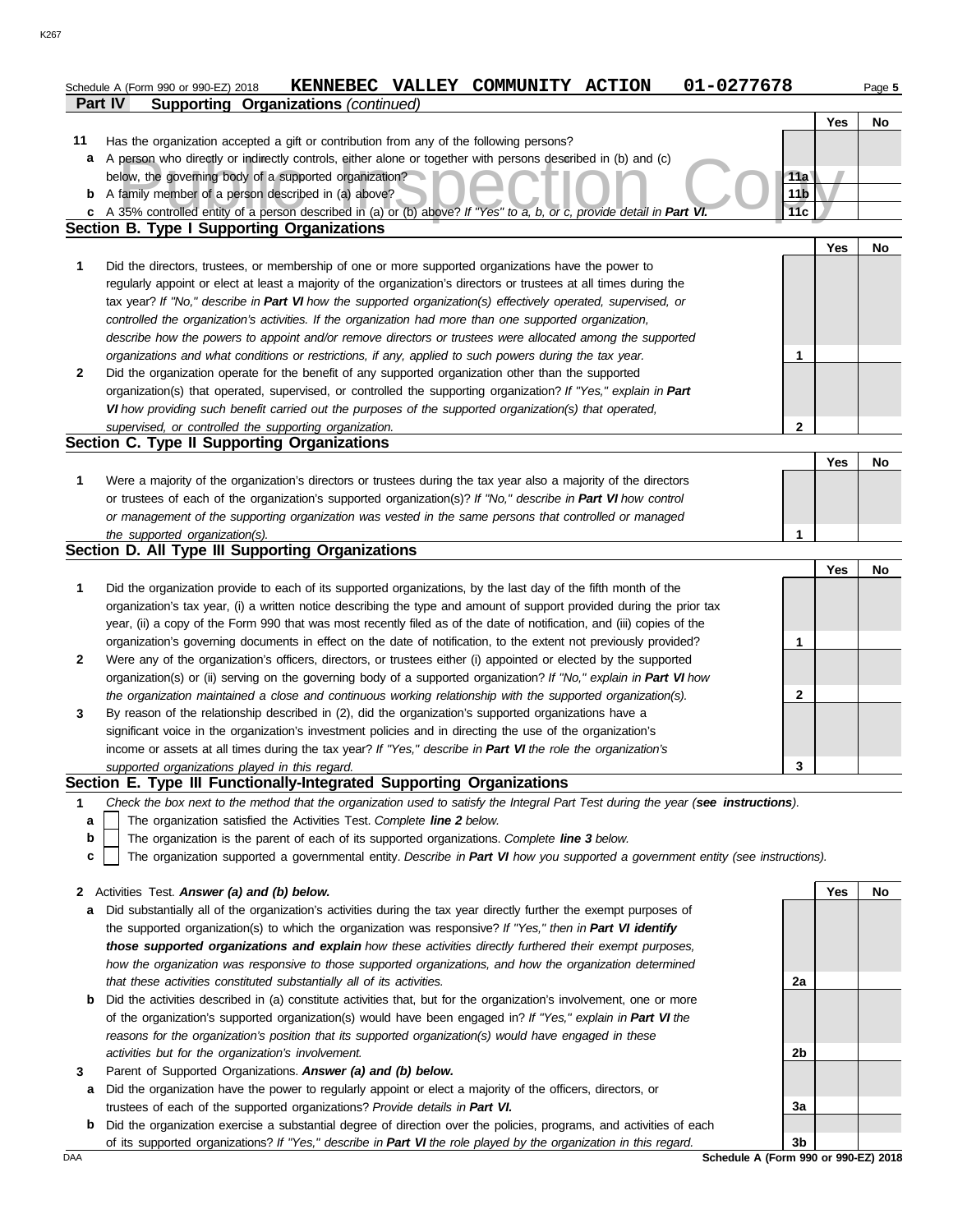|              | 01-0277678<br>KENNEBEC VALLEY COMMUNITY ACTION<br>Schedule A (Form 990 or 990-EZ) 2018                                            |                 |            | Page 5 |
|--------------|-----------------------------------------------------------------------------------------------------------------------------------|-----------------|------------|--------|
|              | <b>Supporting Organizations (continued)</b><br>Part IV                                                                            |                 |            |        |
|              |                                                                                                                                   |                 | Yes        | No     |
| 11           | Has the organization accepted a gift or contribution from any of the following persons?                                           |                 |            |        |
| а            | A person who directly or indirectly controls, either alone or together with persons described in (b) and (c)                      |                 |            |        |
|              | below, the governing body of a supported organization?                                                                            | 11a             |            |        |
| b            | A family member of a person described in (a) above?                                                                               | 11 <sub>b</sub> |            |        |
| c            | A 35% controlled entity of a person described in (a) or (b) above? If "Yes" to a, b, or c, provide detail in Part VI              | 11c             |            |        |
|              | <b>Section B. Type I Supporting Organizations</b>                                                                                 |                 |            |        |
|              |                                                                                                                                   |                 | Yes        | No     |
| 1            | Did the directors, trustees, or membership of one or more supported organizations have the power to                               |                 |            |        |
|              | regularly appoint or elect at least a majority of the organization's directors or trustees at all times during the                |                 |            |        |
|              | tax year? If "No," describe in Part VI how the supported organization(s) effectively operated, supervised, or                     |                 |            |        |
|              | controlled the organization's activities. If the organization had more than one supported organization,                           |                 |            |        |
|              | describe how the powers to appoint and/or remove directors or trustees were allocated among the supported                         |                 |            |        |
|              | organizations and what conditions or restrictions, if any, applied to such powers during the tax year.                            | 1               |            |        |
| $\mathbf{2}$ | Did the organization operate for the benefit of any supported organization other than the supported                               |                 |            |        |
|              | organization(s) that operated, supervised, or controlled the supporting organization? If "Yes," explain in Part                   |                 |            |        |
|              | VI how providing such benefit carried out the purposes of the supported organization(s) that operated,                            |                 |            |        |
|              | supervised, or controlled the supporting organization.                                                                            | 2               |            |        |
|              | Section C. Type II Supporting Organizations                                                                                       |                 |            |        |
|              |                                                                                                                                   |                 | <b>Yes</b> | No     |
| 1            | Were a majority of the organization's directors or trustees during the tax year also a majority of the directors                  |                 |            |        |
|              | or trustees of each of the organization's supported organization(s)? If "No," describe in Part VI how control                     |                 |            |        |
|              | or management of the supporting organization was vested in the same persons that controlled or managed                            |                 |            |        |
|              | the supported organization(s).                                                                                                    | 1               |            |        |
|              | Section D. All Type III Supporting Organizations                                                                                  |                 |            |        |
|              |                                                                                                                                   |                 | <b>Yes</b> | No     |
| 1            | Did the organization provide to each of its supported organizations, by the last day of the fifth month of the                    |                 |            |        |
|              | organization's tax year, (i) a written notice describing the type and amount of support provided during the prior tax             |                 |            |        |
|              | year, (ii) a copy of the Form 990 that was most recently filed as of the date of notification, and (iii) copies of the            |                 |            |        |
|              | organization's governing documents in effect on the date of notification, to the extent not previously provided?                  | 1               |            |        |
| $\mathbf{2}$ | Were any of the organization's officers, directors, or trustees either (i) appointed or elected by the supported                  |                 |            |        |
|              | organization(s) or (ii) serving on the governing body of a supported organization? If "No," explain in Part VI how                |                 |            |        |
|              | the organization maintained a close and continuous working relationship with the supported organization(s).                       | 2               |            |        |
| 3            | By reason of the relationship described in (2), did the organization's supported organizations have a                             |                 |            |        |
|              | significant voice in the organization's investment policies and in directing the use of the organization's                        |                 |            |        |
|              | income or assets at all times during the tax year? If "Yes," describe in Part VI the role the organization's                      |                 |            |        |
|              | supported organizations played in this regard.                                                                                    | 3               |            |        |
|              | Section E. Type III Functionally-Integrated Supporting Organizations                                                              |                 |            |        |
| 1            | Check the box next to the method that the organization used to satisfy the Integral Part Test during the year (see instructions). |                 |            |        |
| a            | The organization satisfied the Activities Test. Complete line 2 below.                                                            |                 |            |        |
| b            | The organization is the parent of each of its supported organizations. Complete line 3 below.                                     |                 |            |        |
| c            | The organization supported a governmental entity. Describe in Part VI how you supported a government entity (see instructions).   |                 |            |        |
|              |                                                                                                                                   |                 |            |        |
| $\mathbf{2}$ | Activities Test. Answer (a) and (b) below.                                                                                        |                 | Yes        | No     |
| а            | Did substantially all of the organization's activities during the tax year directly further the exempt purposes of                |                 |            |        |
|              | the supported organization(s) to which the organization was responsive? If "Yes," then in Part VI identify                        |                 |            |        |
|              | those supported organizations and explain how these activities directly furthered their exempt purposes,                          |                 |            |        |
|              | how the organization was responsive to those supported organizations, and how the organization determined                         |                 |            |        |
|              | that these activities constituted substantially all of its activities.                                                            | 2a              |            |        |
| b            | Did the activities described in (a) constitute activities that, but for the organization's involvement, one or more               |                 |            |        |
|              | of the organization's supported organization(s) would have been engaged in? If "Yes," explain in Part VI the                      |                 |            |        |
|              | reasons for the organization's position that its supported organization(s) would have engaged in these                            |                 |            |        |
|              | activities but for the organization's involvement.                                                                                | 2b              |            |        |
| 3            | Parent of Supported Organizations. Answer (a) and (b) below.                                                                      |                 |            |        |
| a            | Did the organization have the power to regularly appoint or elect a majority of the officers, directors, or                       |                 |            |        |
|              | trustees of each of the supported organizations? Provide details in Part VI.                                                      | 3a              |            |        |

<u>DAA Schedule A (Form 990 or 990-EZ) 2018</u><br>DAA Schedule A (Form 990 or 990-EZ) 2018 **b** Did the organization exercise a substantial degree of direction over the policies, programs, and activities of each of its supported organizations? *If "Yes," describe in Part VI the role played by the organization in this regard.*

**3b**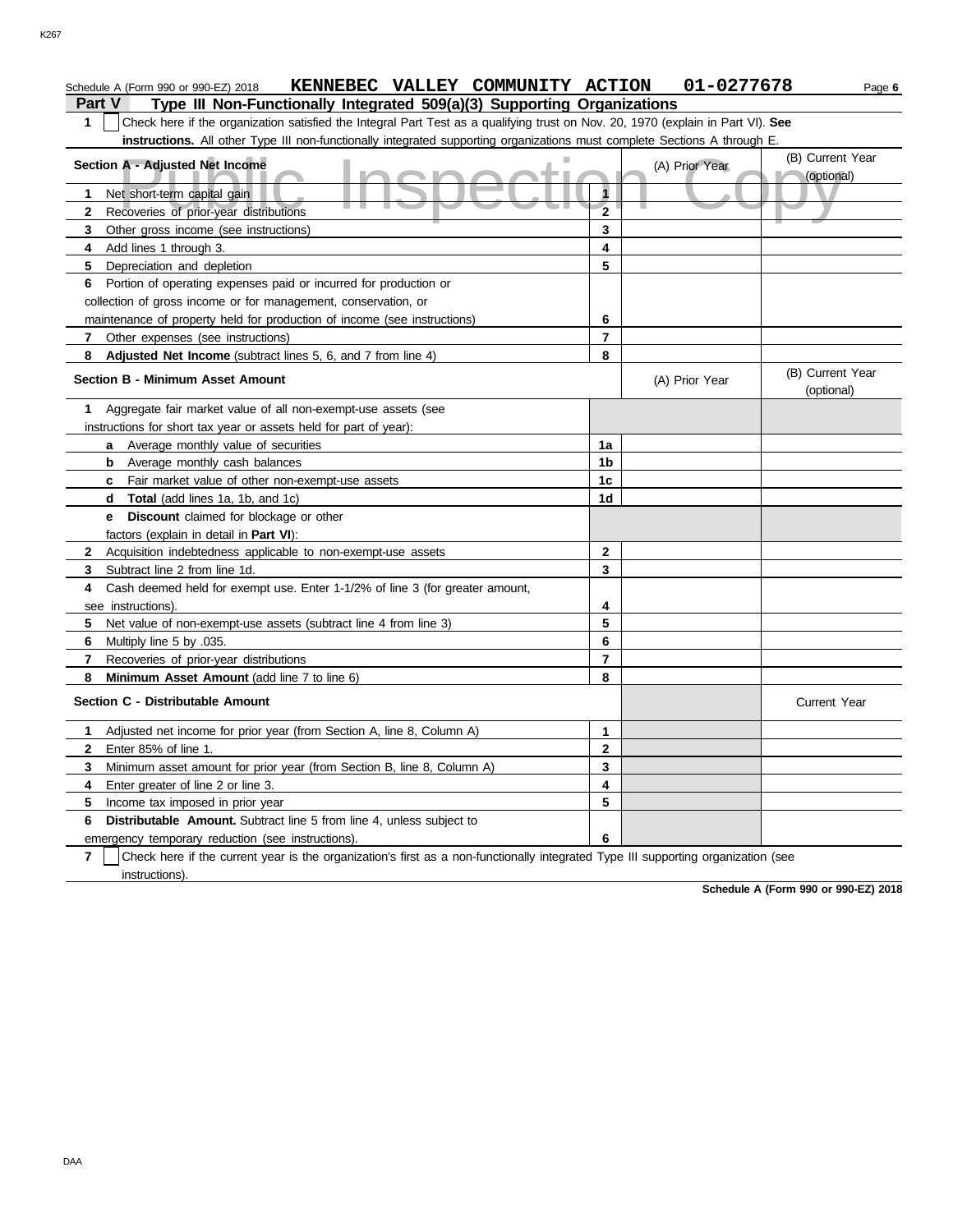#### A - Adjusted Net Income<br>et short-term capital gain (B) Current<br>ecoveries of prior-year distributions (P) Current (P) Current (P) Current (P) Current<br>2 **Part V Type III Non-Functionally Integrated 509(a)(3) Supporting Organizations** Schedule A (Form 990 or 990-EZ) 2018 **KENNEBEC VALLEY COMMUNITY ACTION 01-0277678** Page 6 **1** Check here if the organization satisfied the Integral Part Test as a qualifying trust on Nov. 20, 1970 (explain in Part VI). **See instructions.** All other Type III non-functionally integrated supporting organizations must complete Sections A through E. **1** Net short-term capital gain **2 3 4 5 6** Portion of operating expenses paid or incurred for production or **Section A - Adjusted Net Income** Recoveries of prior-year distributions Other gross income (see instructions) Add lines 1 through 3. Depreciation and depletion collection of gross income or for management, conservation, or maintenance of property held for production of income (see instructions) **6 5 4 3 2 1** (A) Prior Year (B) Current Year (optional)

**7**

| Adjusted Net Income (subtract lines 5, 6, and 7 from line 4)                                                                                        | 8              |                |                                |
|-----------------------------------------------------------------------------------------------------------------------------------------------------|----------------|----------------|--------------------------------|
| <b>Section B - Minimum Asset Amount</b>                                                                                                             |                | (A) Prior Year | (B) Current Year<br>(optional) |
| Aggregate fair market value of all non-exempt-use assets (see<br>1                                                                                  |                |                |                                |
| instructions for short tax year or assets held for part of year):                                                                                   |                |                |                                |
| a Average monthly value of securities                                                                                                               | 1a             |                |                                |
| <b>b</b> Average monthly cash balances                                                                                                              | 1b             |                |                                |
| Fair market value of other non-exempt-use assets<br>C                                                                                               | 1c             |                |                                |
| <b>Total</b> (add lines 1a, 1b, and 1c)<br>d                                                                                                        | 1 <sub>d</sub> |                |                                |
| Discount claimed for blockage or other<br>e                                                                                                         |                |                |                                |
| factors (explain in detail in Part VI):                                                                                                             |                |                |                                |
| Acquisition indebtedness applicable to non-exempt-use assets<br>2                                                                                   | $\mathbf{2}$   |                |                                |
| Subtract line 2 from line 1d.<br>3                                                                                                                  | 3              |                |                                |
| Cash deemed held for exempt use. Enter 1-1/2% of line 3 (for greater amount,<br>4                                                                   |                |                |                                |
| see instructions).                                                                                                                                  | 4              |                |                                |
| 5<br>Net value of non-exempt-use assets (subtract line 4 from line 3)                                                                               | 5              |                |                                |
| Multiply line 5 by .035.<br>6                                                                                                                       | 6              |                |                                |
| Recoveries of prior-year distributions<br>7                                                                                                         | 7              |                |                                |
| Minimum Asset Amount (add line 7 to line 6)<br>8                                                                                                    | 8              |                |                                |
| Section C - Distributable Amount                                                                                                                    |                |                | <b>Current Year</b>            |
| Adjusted net income for prior year (from Section A, line 8, Column A)<br>1.                                                                         | 1              |                |                                |
| Enter 85% of line 1.<br>$\mathbf{2}$                                                                                                                | $\mathbf{2}$   |                |                                |
| Minimum asset amount for prior year (from Section B, line 8, Column A)<br>3                                                                         | 3              |                |                                |
| Enter greater of line 2 or line 3.<br>4                                                                                                             | 4              |                |                                |
| Income tax imposed in prior year<br>5.                                                                                                              | 5              |                |                                |
| Distributable Amount. Subtract line 5 from line 4, unless subject to<br>6                                                                           |                |                |                                |
| emergency temporary reduction (see instructions).                                                                                                   | 6              |                |                                |
| $\overline{7}$<br>Check here if the current year is the organization's first as a non-functionally integrated Type III supporting organization (see |                |                |                                |

**Schedule A (Form 990 or 990-EZ) 2018**

**7** Other expenses (see instructions)

instructions).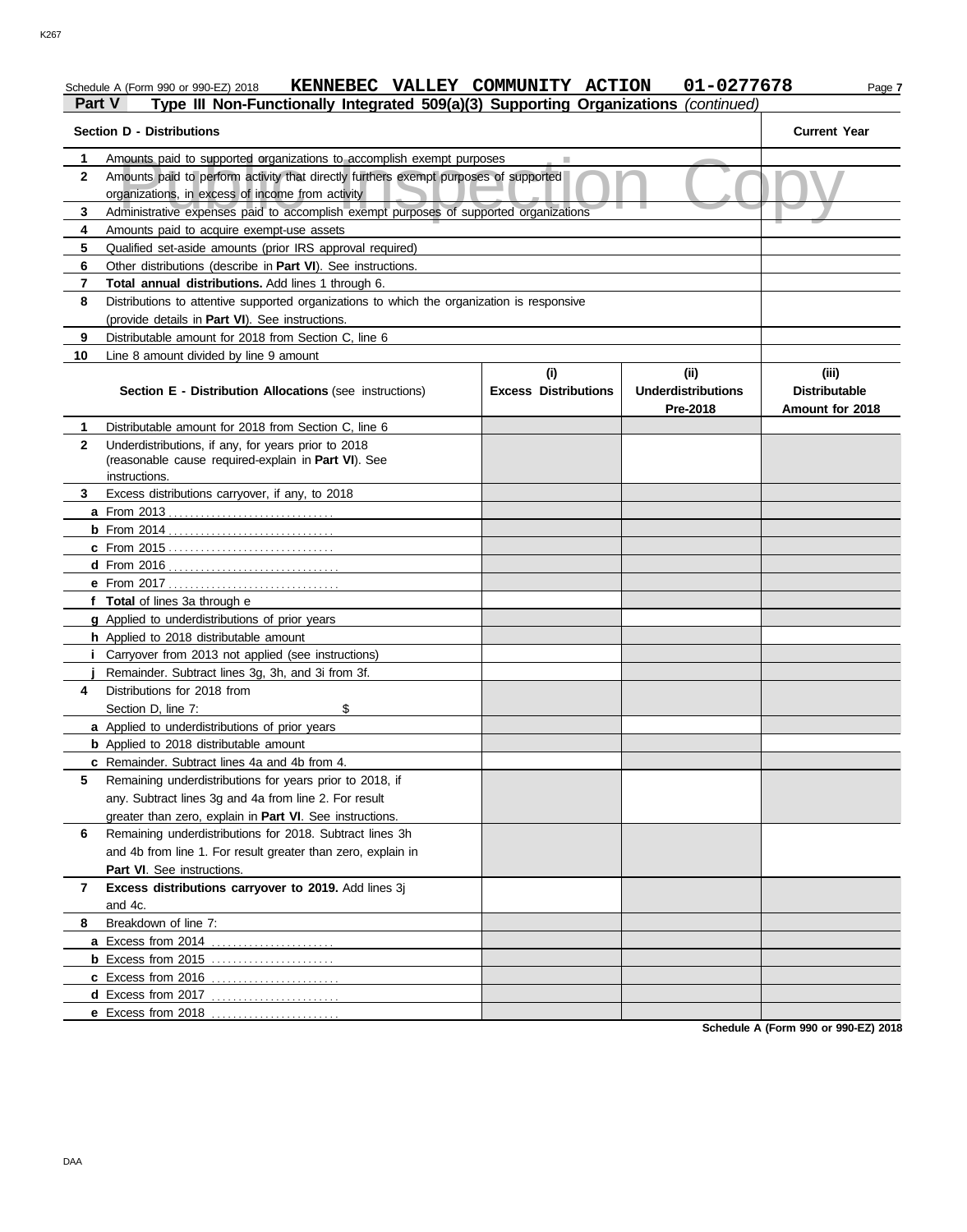#### Schedule A (Form 990 or 990-EZ) 2018 **KENNEBEC VALLEY COMMUNITY ACTION 01-0277678** Page 7 **Part V Type III Non-Functionally Integrated 509(a)(3) Supporting Organizations** *(continued)*

#### Amounts paid to supported organizations to accomplish exempt purposes<br>Amounts paid to perform activity that directly furthers exempt purposes of supported<br>organizations, in excess of income from activity<br>Administrative exp **Section D - Distributions Current Year 1 2 3 4 5 6 7 8 9 10** Amounts paid to supported organizations to accomplish exempt purposes Amounts paid to perform activity that directly furthers exempt purposes of supported organizations, in excess of income from activity Amounts paid to acquire exempt-use assets Qualified set-aside amounts (prior IRS approval required) Other distributions (describe in **Part VI**). See instructions. **Total annual distributions.** Add lines 1 through 6. Distributions to attentive supported organizations to which the organization is responsive (provide details in **Part VI**). See instructions. Distributable amount for 2018 from Section C, line 6 Line 8 amount divided by line 9 amount **Section E - Distribution Allocations** (see instructions) **Excess Distributions (i) (ii) Underdistributions Pre-2018 (iii) Distributable Amount for 2018 8** Breakdown of line 7: **7 6** Remaining underdistributions for 2018. Subtract lines 3h **5 4** Distributions for 2018 from **3 2 1 a** From 2013 . . . . . . . . . . . . . . . . . . . . . . . . . . . . . . . **b** From 2014 . . . . . . . . . . . . . . . . . . . . . . . . . . . . . . . **c** From 2015 . . . . . . . . . . . . . . . . . . . . . . . . . . . . . . . **d** From 2016 . . . . . . . . . . . . . . . . . . . . . . . . . . . . . . . . **e** From 2017 . . . . . . . . . . . . . . . . . . . . . . . . . . . . . . . . **f Total** of lines 3a through e **g** Applied to underdistributions of prior years **h** Applied to 2018 distributable amount **i** Carryover from 2013 not applied (see instructions) **j a** Applied to underdistributions of prior years **b** Applied to 2018 distributable amount **c** Remainder. Subtract lines 4a and 4b from 4. **a** Excess from 2014 . . . . . . . . . . . . . . . . . . . . . . . **b** Excess from 2015 . . . . . . . . . . . . . . . . . . . . . . . **c** Excess from 2016 . . . . . . . . . . . . . . . . . . . . . . . . **d** Excess from 2017 . . . . . . . . . . . . . . . . . . . . . . . . **e** Excess from 2018 . . . . . . . . . . . . . . . . . . . . . . . . Distributable amount for 2018 from Section C, line 6 Underdistributions, if any, for years prior to 2018 (reasonable cause required-explain in **Part VI**). See Excess distributions carryover, if any, to 2018 Remainder. Subtract lines 3g, 3h, and 3i from 3f. Section D, line 7: \$ Remaining underdistributions for years prior to 2018, if any. Subtract lines 3g and 4a from line 2. For result greater than zero, explain in **Part VI**. See instructions. and 4b from line 1. For result greater than zero, explain in **Part VI**. See instructions. **Excess distributions carryover to 2019.** Add lines 3j and 4c. instructions.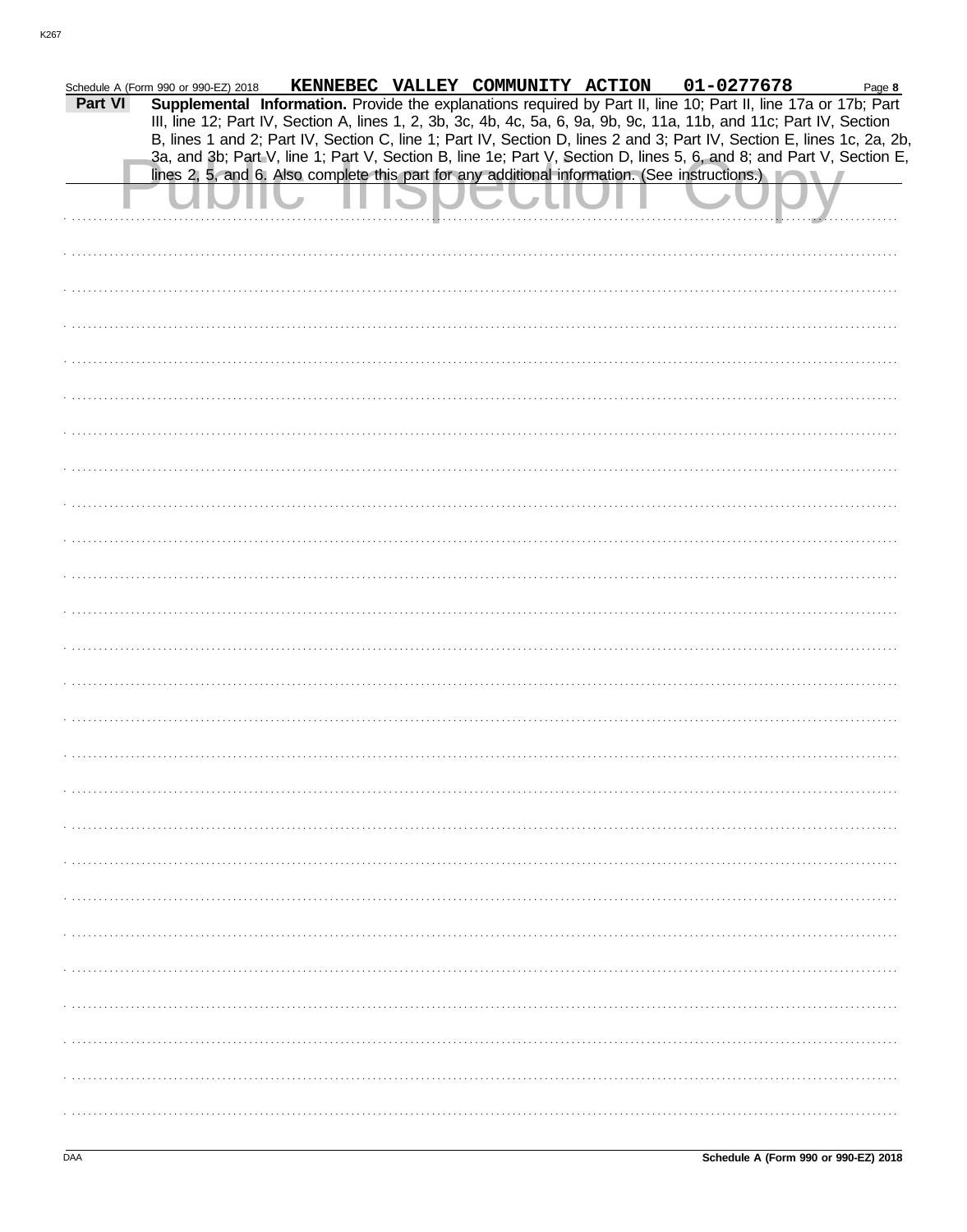|         | Schedule A (Form 990 or 990-EZ) 2018 |                                                                                                | KENNEBEC VALLEY COMMUNITY ACTION | 01-0277678                                                                                                             | Page 8 |
|---------|--------------------------------------|------------------------------------------------------------------------------------------------|----------------------------------|------------------------------------------------------------------------------------------------------------------------|--------|
| Part VI |                                      |                                                                                                |                                  | Supplemental Information. Provide the explanations required by Part II, line 10; Part II, line 17a or 17b; Part        |        |
|         |                                      |                                                                                                |                                  | III, line 12; Part IV, Section A, lines 1, 2, 3b, 3c, 4b, 4c, 5a, 6, 9a, 9b, 9c, 11a, 11b, and 11c; Part IV, Section   |        |
|         |                                      |                                                                                                |                                  | B, lines 1 and 2; Part IV, Section C, line 1; Part IV, Section D, lines 2 and 3; Part IV, Section E, lines 1c, 2a, 2b, |        |
|         |                                      |                                                                                                |                                  | 3a, and 3b; Part V, line 1; Part V, Section B, line 1e; Part V, Section D, lines 5, 6, and 8; and Part V, Section E,   |        |
|         |                                      | lines 2, 5, and 6. Also complete this part for any additional information. (See instructions.) |                                  |                                                                                                                        |        |
|         |                                      |                                                                                                |                                  |                                                                                                                        |        |
|         |                                      |                                                                                                |                                  |                                                                                                                        |        |
|         |                                      |                                                                                                |                                  |                                                                                                                        |        |
|         |                                      |                                                                                                |                                  |                                                                                                                        |        |
|         |                                      |                                                                                                |                                  |                                                                                                                        |        |
|         |                                      |                                                                                                |                                  |                                                                                                                        |        |
|         |                                      |                                                                                                |                                  |                                                                                                                        |        |
|         |                                      |                                                                                                |                                  |                                                                                                                        |        |
|         |                                      |                                                                                                |                                  |                                                                                                                        |        |
|         |                                      |                                                                                                |                                  |                                                                                                                        |        |
|         |                                      |                                                                                                |                                  |                                                                                                                        |        |
|         |                                      |                                                                                                |                                  |                                                                                                                        |        |
|         |                                      |                                                                                                |                                  |                                                                                                                        |        |
|         |                                      |                                                                                                |                                  |                                                                                                                        |        |
|         |                                      |                                                                                                |                                  |                                                                                                                        |        |
|         |                                      |                                                                                                |                                  |                                                                                                                        |        |
|         |                                      |                                                                                                |                                  |                                                                                                                        |        |
|         |                                      |                                                                                                |                                  |                                                                                                                        |        |
|         |                                      |                                                                                                |                                  |                                                                                                                        |        |
|         |                                      |                                                                                                |                                  |                                                                                                                        |        |
|         |                                      |                                                                                                |                                  |                                                                                                                        |        |
|         |                                      |                                                                                                |                                  |                                                                                                                        |        |
|         |                                      |                                                                                                |                                  |                                                                                                                        |        |
|         |                                      |                                                                                                |                                  |                                                                                                                        |        |
|         |                                      |                                                                                                |                                  |                                                                                                                        |        |
|         |                                      |                                                                                                |                                  |                                                                                                                        |        |
|         |                                      |                                                                                                |                                  |                                                                                                                        |        |
|         |                                      |                                                                                                |                                  |                                                                                                                        |        |
|         |                                      |                                                                                                |                                  |                                                                                                                        |        |
|         |                                      |                                                                                                |                                  |                                                                                                                        |        |
|         |                                      |                                                                                                |                                  |                                                                                                                        |        |
|         |                                      |                                                                                                |                                  |                                                                                                                        |        |
|         |                                      |                                                                                                |                                  |                                                                                                                        |        |
|         |                                      |                                                                                                |                                  |                                                                                                                        |        |
|         |                                      |                                                                                                |                                  |                                                                                                                        |        |
|         |                                      |                                                                                                |                                  |                                                                                                                        |        |
|         |                                      |                                                                                                |                                  |                                                                                                                        |        |
|         |                                      |                                                                                                |                                  |                                                                                                                        |        |
|         |                                      |                                                                                                |                                  |                                                                                                                        |        |
|         |                                      |                                                                                                |                                  |                                                                                                                        |        |
|         |                                      |                                                                                                |                                  |                                                                                                                        |        |
|         |                                      |                                                                                                |                                  |                                                                                                                        |        |
|         |                                      |                                                                                                |                                  |                                                                                                                        |        |
|         |                                      |                                                                                                |                                  |                                                                                                                        |        |
|         |                                      |                                                                                                |                                  |                                                                                                                        |        |
|         |                                      |                                                                                                |                                  |                                                                                                                        |        |
|         |                                      |                                                                                                |                                  |                                                                                                                        |        |
|         |                                      |                                                                                                |                                  |                                                                                                                        |        |
|         |                                      |                                                                                                |                                  |                                                                                                                        |        |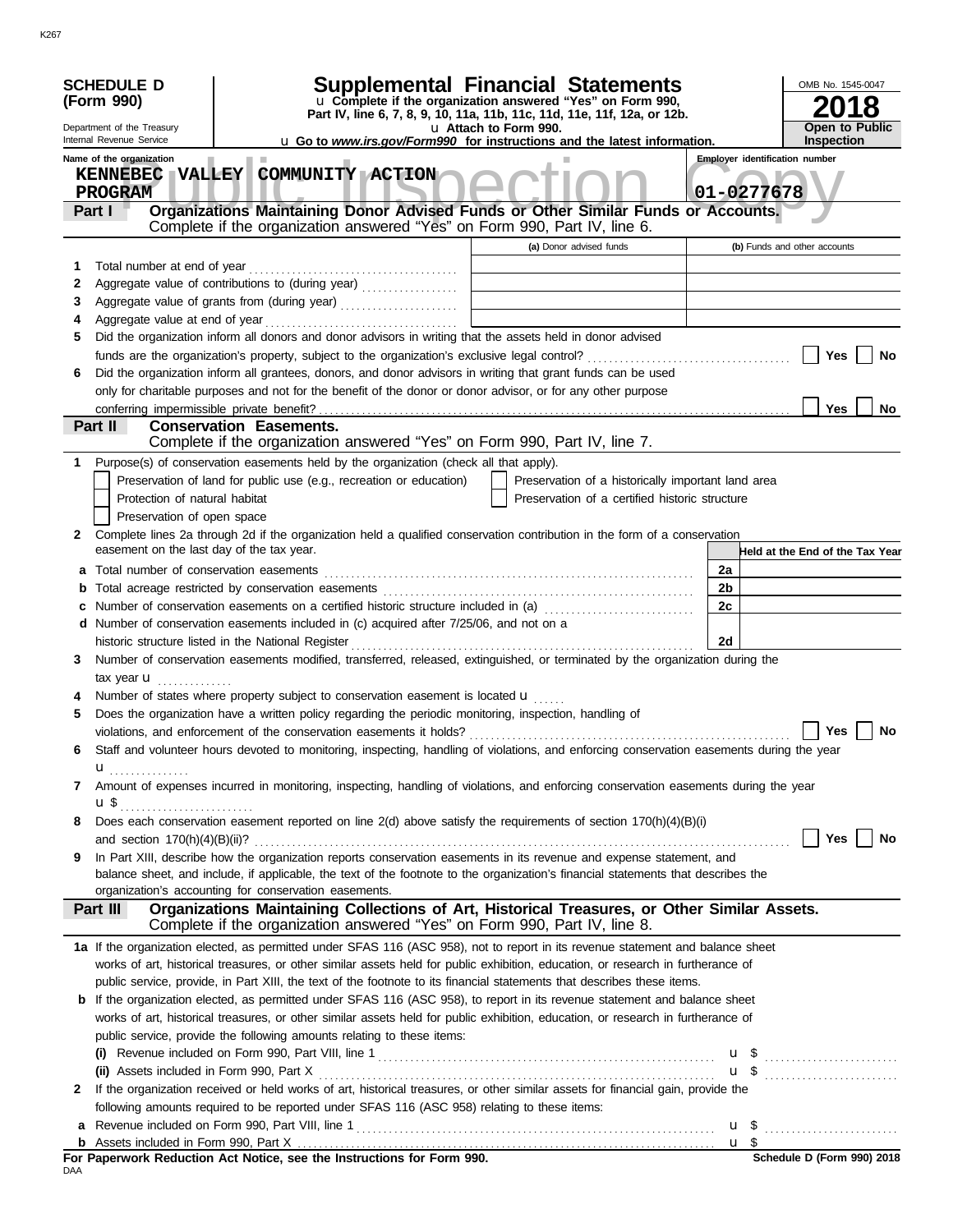|              | <b>SCHEDULE D</b><br>(Form 990)                                                                                                           |                                                                                              |  | Supplemental Financial Statements<br>u Complete if the organization answered "Yes" on Form 990, |                       |                                                    |                |                 | OMB No. 1545-0047                                   |    |
|--------------|-------------------------------------------------------------------------------------------------------------------------------------------|----------------------------------------------------------------------------------------------|--|-------------------------------------------------------------------------------------------------|-----------------------|----------------------------------------------------|----------------|-----------------|-----------------------------------------------------|----|
|              |                                                                                                                                           |                                                                                              |  | Part IV, line 6, 7, 8, 9, 10, 11a, 11b, 11c, 11d, 11e, 11f, 12a, or 12b.                        |                       |                                                    |                |                 |                                                     | 8  |
|              | Department of the Treasury                                                                                                                |                                                                                              |  |                                                                                                 | u Attach to Form 990. |                                                    |                |                 | <b>Open to Public</b>                               |    |
|              | Internal Revenue Service                                                                                                                  |                                                                                              |  | <b>u</b> Go to <i>www.irs.gov/Form990</i> for instructions and the latest information.          |                       |                                                    |                |                 | Inspection<br><b>Employer identification number</b> |    |
|              | Name of the organization<br>KENNEBEC VALLEY COMMUNITY ACTION                                                                              |                                                                                              |  |                                                                                                 |                       |                                                    |                |                 |                                                     |    |
|              | <b>PROGRAM</b>                                                                                                                            |                                                                                              |  |                                                                                                 |                       |                                                    | 01-0277678     |                 |                                                     |    |
|              | Part I                                                                                                                                    | Organizations Maintaining Donor Advised Funds or Other Similar Funds or Accounts.            |  |                                                                                                 |                       |                                                    |                |                 |                                                     |    |
|              |                                                                                                                                           | Complete if the organization answered "Yes" on Form 990, Part IV, line 6.                    |  |                                                                                                 |                       |                                                    |                |                 |                                                     |    |
|              |                                                                                                                                           |                                                                                              |  |                                                                                                 |                       | (a) Donor advised funds                            |                |                 | (b) Funds and other accounts                        |    |
| 1            | Total number at end of year                                                                                                               |                                                                                              |  |                                                                                                 |                       |                                                    |                |                 |                                                     |    |
| 2            |                                                                                                                                           |                                                                                              |  |                                                                                                 |                       |                                                    |                |                 |                                                     |    |
| 3            |                                                                                                                                           |                                                                                              |  |                                                                                                 |                       |                                                    |                |                 |                                                     |    |
| 4            |                                                                                                                                           |                                                                                              |  |                                                                                                 |                       |                                                    |                |                 |                                                     |    |
| 5            | Did the organization inform all donors and donor advisors in writing that the assets held in donor advised                                |                                                                                              |  |                                                                                                 |                       |                                                    |                |                 |                                                     |    |
|              |                                                                                                                                           |                                                                                              |  |                                                                                                 |                       |                                                    |                |                 | Yes                                                 | No |
| 6            | Did the organization inform all grantees, donors, and donor advisors in writing that grant funds can be used                              |                                                                                              |  |                                                                                                 |                       |                                                    |                |                 |                                                     |    |
|              | only for charitable purposes and not for the benefit of the donor or donor advisor, or for any other purpose                              |                                                                                              |  |                                                                                                 |                       |                                                    |                |                 |                                                     |    |
|              | Part II                                                                                                                                   | <b>Conservation Easements.</b>                                                               |  |                                                                                                 |                       |                                                    |                |                 | Yes                                                 | No |
|              |                                                                                                                                           | Complete if the organization answered "Yes" on Form 990, Part IV, line 7.                    |  |                                                                                                 |                       |                                                    |                |                 |                                                     |    |
| 1            | Purpose(s) of conservation easements held by the organization (check all that apply).                                                     |                                                                                              |  |                                                                                                 |                       |                                                    |                |                 |                                                     |    |
|              |                                                                                                                                           | Preservation of land for public use (e.g., recreation or education)                          |  |                                                                                                 |                       | Preservation of a historically important land area |                |                 |                                                     |    |
|              |                                                                                                                                           | Protection of natural habitat                                                                |  |                                                                                                 |                       | Preservation of a certified historic structure     |                |                 |                                                     |    |
|              |                                                                                                                                           | Preservation of open space                                                                   |  |                                                                                                 |                       |                                                    |                |                 |                                                     |    |
| $\mathbf{2}$ | Complete lines 2a through 2d if the organization held a qualified conservation contribution in the form of a conservation                 |                                                                                              |  |                                                                                                 |                       |                                                    |                |                 |                                                     |    |
|              | easement on the last day of the tax year.                                                                                                 |                                                                                              |  |                                                                                                 |                       |                                                    |                |                 | Held at the End of the Tax Year                     |    |
| a            | Total number of conservation easements                                                                                                    |                                                                                              |  |                                                                                                 |                       |                                                    | 2a             |                 |                                                     |    |
| b            |                                                                                                                                           |                                                                                              |  |                                                                                                 |                       |                                                    | 2 <sub>b</sub> |                 |                                                     |    |
|              | Number of conservation easements on a certified historic structure included in (a) [[[[[[[[[[[[[[[[[[[[[[[[[]]]]]]]                       |                                                                                              |  |                                                                                                 |                       |                                                    | 2c             |                 |                                                     |    |
|              | d Number of conservation easements included in (c) acquired after 7/25/06, and not on a                                                   |                                                                                              |  |                                                                                                 |                       |                                                    |                |                 |                                                     |    |
|              |                                                                                                                                           |                                                                                              |  |                                                                                                 |                       |                                                    | 2d             |                 |                                                     |    |
| 3            | Number of conservation easements modified, transferred, released, extinguished, or terminated by the organization during the              |                                                                                              |  |                                                                                                 |                       |                                                    |                |                 |                                                     |    |
|              | tax year <b>u</b>                                                                                                                         |                                                                                              |  |                                                                                                 |                       |                                                    |                |                 |                                                     |    |
|              | Number of states where property subject to conservation easement is located u                                                             |                                                                                              |  |                                                                                                 |                       |                                                    |                |                 |                                                     |    |
| 5            | Does the organization have a written policy regarding the periodic monitoring, inspection, handling of                                    |                                                                                              |  |                                                                                                 |                       |                                                    |                |                 |                                                     |    |
|              | violations, and enforcement of the conservation easements it holds?                                                                       |                                                                                              |  |                                                                                                 |                       |                                                    |                |                 | Yes                                                 | No |
| 6            | Staff and volunteer hours devoted to monitoring, inspecting, handling of violations, and enforcing conservation easements during the year |                                                                                              |  |                                                                                                 |                       |                                                    |                |                 |                                                     |    |
|              | u<br>.                                                                                                                                    |                                                                                              |  |                                                                                                 |                       |                                                    |                |                 |                                                     |    |
| 7            | Amount of expenses incurred in monitoring, inspecting, handling of violations, and enforcing conservation easements during the year       |                                                                                              |  |                                                                                                 |                       |                                                    |                |                 |                                                     |    |
|              | <b>u</b> \$                                                                                                                               |                                                                                              |  |                                                                                                 |                       |                                                    |                |                 |                                                     |    |
| 8            | Does each conservation easement reported on line $2(d)$ above satisfy the requirements of section $170(h)(4)(B)(i)$                       |                                                                                              |  |                                                                                                 |                       |                                                    |                |                 | Yes $ $                                             | No |
| 9            | In Part XIII, describe how the organization reports conservation easements in its revenue and expense statement, and                      |                                                                                              |  |                                                                                                 |                       |                                                    |                |                 |                                                     |    |
|              | balance sheet, and include, if applicable, the text of the footnote to the organization's financial statements that describes the         |                                                                                              |  |                                                                                                 |                       |                                                    |                |                 |                                                     |    |
|              | organization's accounting for conservation easements.                                                                                     |                                                                                              |  |                                                                                                 |                       |                                                    |                |                 |                                                     |    |
|              | Part III                                                                                                                                  | Organizations Maintaining Collections of Art, Historical Treasures, or Other Similar Assets. |  |                                                                                                 |                       |                                                    |                |                 |                                                     |    |
|              |                                                                                                                                           | Complete if the organization answered "Yes" on Form 990, Part IV, line 8.                    |  |                                                                                                 |                       |                                                    |                |                 |                                                     |    |
|              | 1a If the organization elected, as permitted under SFAS 116 (ASC 958), not to report in its revenue statement and balance sheet           |                                                                                              |  |                                                                                                 |                       |                                                    |                |                 |                                                     |    |
|              | works of art, historical treasures, or other similar assets held for public exhibition, education, or research in furtherance of          |                                                                                              |  |                                                                                                 |                       |                                                    |                |                 |                                                     |    |
|              | public service, provide, in Part XIII, the text of the footnote to its financial statements that describes these items.                   |                                                                                              |  |                                                                                                 |                       |                                                    |                |                 |                                                     |    |
|              | <b>b</b> If the organization elected, as permitted under SFAS 116 (ASC 958), to report in its revenue statement and balance sheet         |                                                                                              |  |                                                                                                 |                       |                                                    |                |                 |                                                     |    |
|              | works of art, historical treasures, or other similar assets held for public exhibition, education, or research in furtherance of          |                                                                                              |  |                                                                                                 |                       |                                                    |                |                 |                                                     |    |
|              | public service, provide the following amounts relating to these items:                                                                    |                                                                                              |  |                                                                                                 |                       |                                                    |                |                 |                                                     |    |
|              |                                                                                                                                           |                                                                                              |  |                                                                                                 |                       |                                                    |                |                 | $\mathbf{u}$ \$                                     |    |
|              |                                                                                                                                           |                                                                                              |  |                                                                                                 |                       |                                                    |                |                 | $\mathbf{u}$ \$                                     |    |
| $\mathbf{2}$ | If the organization received or held works of art, historical treasures, or other similar assets for financial gain, provide the          |                                                                                              |  |                                                                                                 |                       |                                                    |                |                 |                                                     |    |
|              | following amounts required to be reported under SFAS 116 (ASC 958) relating to these items:                                               |                                                                                              |  |                                                                                                 |                       |                                                    |                |                 |                                                     |    |
| a            |                                                                                                                                           |                                                                                              |  |                                                                                                 |                       |                                                    |                |                 | $\mathbf{u}$ \$                                     |    |
| b            | For Paperwork Reduction Act Notice, see the Instructions for Form 990.                                                                    |                                                                                              |  |                                                                                                 |                       |                                                    |                | $\mathbf{u}$ \$ | $$$ Schedule D (Form 990) 2018                      |    |
| DAA          |                                                                                                                                           |                                                                                              |  |                                                                                                 |                       |                                                    |                |                 |                                                     |    |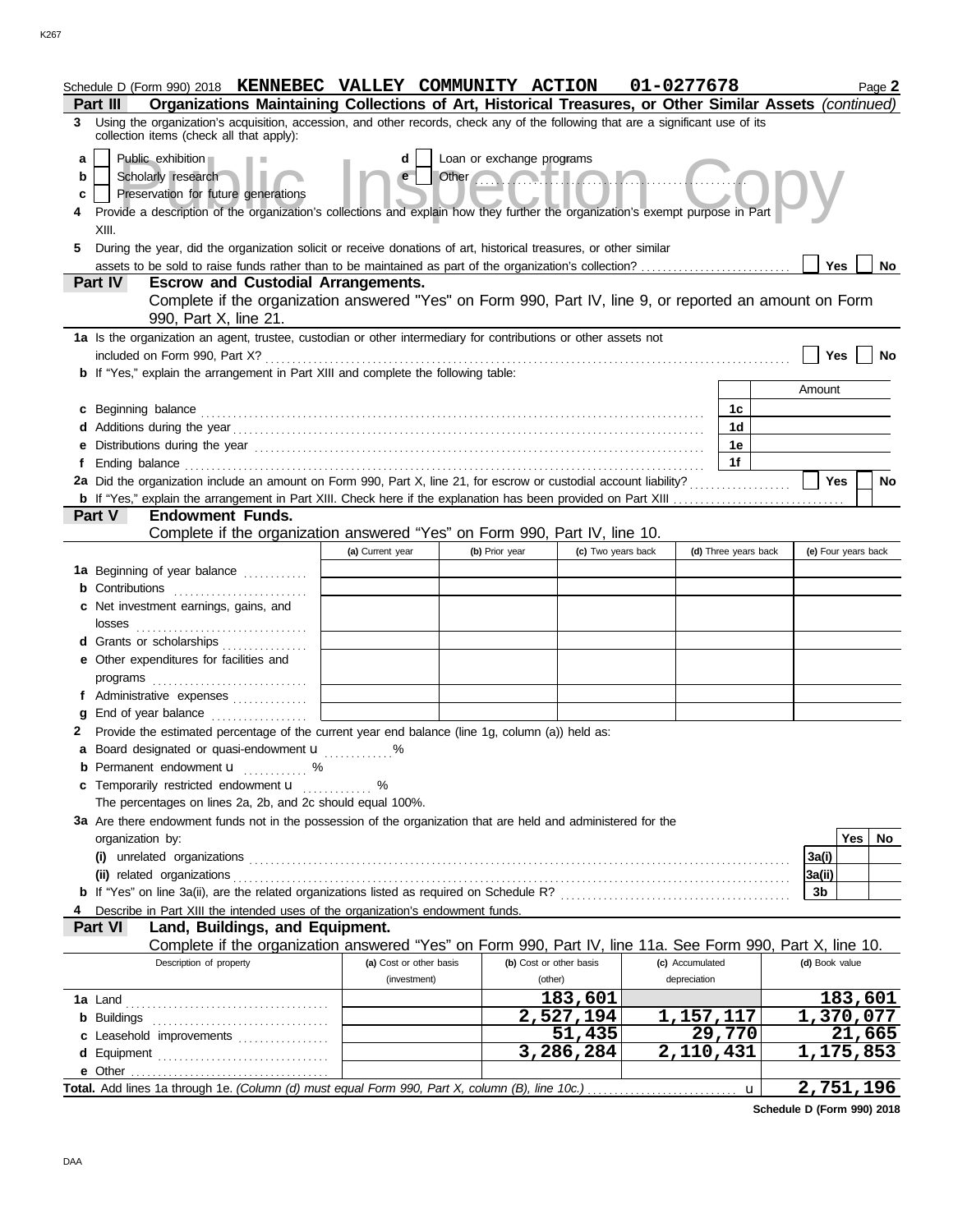|                       | Schedule D (Form 990) 2018 <b>KENNEBEC VALLEY COMMUNITY ACTION</b><br>Organizations Maintaining Collections of Art, Historical Treasures, or Other Similar Assets (continued)<br><b>Part III</b>                                                                                                                                               |                         |                                                                                                                                                                                                                                                                   |                                   | 01-0277678           |    |                 | Page 2                            |
|-----------------------|------------------------------------------------------------------------------------------------------------------------------------------------------------------------------------------------------------------------------------------------------------------------------------------------------------------------------------------------|-------------------------|-------------------------------------------------------------------------------------------------------------------------------------------------------------------------------------------------------------------------------------------------------------------|-----------------------------------|----------------------|----|-----------------|-----------------------------------|
| 3                     | Using the organization's acquisition, accession, and other records, check any of the following that are a significant use of its<br>collection items (check all that apply):                                                                                                                                                                   |                         |                                                                                                                                                                                                                                                                   |                                   |                      |    |                 |                                   |
| a<br>b<br>c<br>4<br>5 | Public exhibition<br>Scholarly research<br>Preservation for future generations<br>Provide a description of the organization's collections and explain how they further the organization's exempt purpose in Part<br>XIII.<br>During the year, did the organization solicit or receive donations of art, historical treasures, or other similar | d<br>e                  | Loan or exchange programs<br>Other <b>Contract on the Contract of the Contract of the Contract of the Contract of the Contract of the Contract of the Contract of the Contract of the Contract of the Contract of the Contract of the Contract of the Contrac</b> |                                   |                      |    | Yes             | No                                |
|                       | Part IV<br><b>Escrow and Custodial Arrangements.</b>                                                                                                                                                                                                                                                                                           |                         |                                                                                                                                                                                                                                                                   |                                   |                      |    |                 |                                   |
|                       | Complete if the organization answered "Yes" on Form 990, Part IV, line 9, or reported an amount on Form<br>990, Part X, line 21.                                                                                                                                                                                                               |                         |                                                                                                                                                                                                                                                                   |                                   |                      |    |                 |                                   |
|                       | 1a Is the organization an agent, trustee, custodian or other intermediary for contributions or other assets not<br>included on Form 990, Part X?                                                                                                                                                                                               |                         |                                                                                                                                                                                                                                                                   |                                   |                      |    | <b>Yes</b>      | No                                |
|                       | <b>b</b> If "Yes," explain the arrangement in Part XIII and complete the following table:                                                                                                                                                                                                                                                      |                         |                                                                                                                                                                                                                                                                   |                                   |                      |    | Amount          |                                   |
|                       |                                                                                                                                                                                                                                                                                                                                                |                         |                                                                                                                                                                                                                                                                   |                                   |                      | 1c |                 |                                   |
|                       | c Beginning balance expressions and the contract of the contract of the contract of the contract of the contract of the contract of the contract of the contract of the contract of the contract of the contract of the contra                                                                                                                 |                         |                                                                                                                                                                                                                                                                   |                                   |                      | 1d |                 |                                   |
|                       | e Distributions during the year manufactured contains and the year manufactured with the year manufactured with the set of the set of the set of the set of the set of the set of the set of the set of the set of the set of                                                                                                                  |                         |                                                                                                                                                                                                                                                                   |                                   |                      | 1е |                 |                                   |
|                       |                                                                                                                                                                                                                                                                                                                                                |                         |                                                                                                                                                                                                                                                                   |                                   |                      | 1f |                 |                                   |
|                       | 2a Did the organization include an amount on Form 990, Part X, line 21, for escrow or custodial account liability?                                                                                                                                                                                                                             |                         |                                                                                                                                                                                                                                                                   |                                   |                      |    | <b>Yes</b>      | No                                |
|                       | <b>b</b> If "Yes," explain the arrangement in Part XIII. Check here if the explanation has been provided on Part XIII<br><b>Endowment Funds.</b><br>Part V                                                                                                                                                                                     |                         |                                                                                                                                                                                                                                                                   |                                   |                      |    |                 |                                   |
|                       | Complete if the organization answered "Yes" on Form 990, Part IV, line 10.                                                                                                                                                                                                                                                                     |                         |                                                                                                                                                                                                                                                                   |                                   |                      |    |                 |                                   |
|                       |                                                                                                                                                                                                                                                                                                                                                | (a) Current year        | (b) Prior year                                                                                                                                                                                                                                                    | (c) Two years back                | (d) Three years back |    |                 | (e) Four years back               |
|                       | 1a Beginning of year balance                                                                                                                                                                                                                                                                                                                   |                         |                                                                                                                                                                                                                                                                   |                                   |                      |    |                 |                                   |
|                       | <b>b</b> Contributions                                                                                                                                                                                                                                                                                                                         |                         |                                                                                                                                                                                                                                                                   |                                   |                      |    |                 |                                   |
|                       | c Net investment earnings, gains, and<br>losses                                                                                                                                                                                                                                                                                                |                         |                                                                                                                                                                                                                                                                   |                                   |                      |    |                 |                                   |
|                       | d Grants or scholarships                                                                                                                                                                                                                                                                                                                       |                         |                                                                                                                                                                                                                                                                   |                                   |                      |    |                 |                                   |
|                       | e Other expenditures for facilities and                                                                                                                                                                                                                                                                                                        |                         |                                                                                                                                                                                                                                                                   |                                   |                      |    |                 |                                   |
|                       |                                                                                                                                                                                                                                                                                                                                                |                         |                                                                                                                                                                                                                                                                   |                                   |                      |    |                 |                                   |
|                       | f Administrative expenses<br>g End of year balance                                                                                                                                                                                                                                                                                             |                         |                                                                                                                                                                                                                                                                   |                                   |                      |    |                 |                                   |
|                       | 2 Provide the estimated percentage of the current year end balance (line 1g, column (a)) held as:                                                                                                                                                                                                                                              |                         |                                                                                                                                                                                                                                                                   |                                   |                      |    |                 |                                   |
|                       | a Board designated or quasi-endowment u %                                                                                                                                                                                                                                                                                                      |                         |                                                                                                                                                                                                                                                                   |                                   |                      |    |                 |                                   |
|                       | <b>b</b> Permanent endowment <b>u</b> %                                                                                                                                                                                                                                                                                                        |                         |                                                                                                                                                                                                                                                                   |                                   |                      |    |                 |                                   |
|                       | c Temporarily restricted endowment <b>u</b> %                                                                                                                                                                                                                                                                                                  |                         |                                                                                                                                                                                                                                                                   |                                   |                      |    |                 |                                   |
|                       | The percentages on lines 2a, 2b, and 2c should equal 100%.                                                                                                                                                                                                                                                                                     |                         |                                                                                                                                                                                                                                                                   |                                   |                      |    |                 |                                   |
|                       | 3a Are there endowment funds not in the possession of the organization that are held and administered for the                                                                                                                                                                                                                                  |                         |                                                                                                                                                                                                                                                                   |                                   |                      |    |                 |                                   |
|                       | organization by:                                                                                                                                                                                                                                                                                                                               |                         |                                                                                                                                                                                                                                                                   |                                   |                      |    |                 | Yes<br>No                         |
|                       | (ii) related organizations                                                                                                                                                                                                                                                                                                                     |                         |                                                                                                                                                                                                                                                                   |                                   |                      |    | 3a(i)<br>3a(ii) |                                   |
|                       |                                                                                                                                                                                                                                                                                                                                                |                         |                                                                                                                                                                                                                                                                   |                                   |                      |    | 3b              |                                   |
|                       | 4 Describe in Part XIII the intended uses of the organization's endowment funds.                                                                                                                                                                                                                                                               |                         |                                                                                                                                                                                                                                                                   |                                   |                      |    |                 |                                   |
|                       | Land, Buildings, and Equipment.<br><b>Part VI</b>                                                                                                                                                                                                                                                                                              |                         |                                                                                                                                                                                                                                                                   |                                   |                      |    |                 |                                   |
|                       | Complete if the organization answered "Yes" on Form 990, Part IV, line 11a. See Form 990, Part X, line 10.                                                                                                                                                                                                                                     |                         |                                                                                                                                                                                                                                                                   |                                   |                      |    |                 |                                   |
|                       | Description of property                                                                                                                                                                                                                                                                                                                        | (a) Cost or other basis |                                                                                                                                                                                                                                                                   | (b) Cost or other basis           | (c) Accumulated      |    | (d) Book value  |                                   |
|                       |                                                                                                                                                                                                                                                                                                                                                | (investment)            |                                                                                                                                                                                                                                                                   | (other)                           | depreciation         |    |                 |                                   |
|                       |                                                                                                                                                                                                                                                                                                                                                |                         |                                                                                                                                                                                                                                                                   | 183,601<br>$\overline{2,}527,194$ | 1,157,117            |    |                 | 183,601<br>$\overline{1,370,077}$ |
|                       | c Leasehold improvements                                                                                                                                                                                                                                                                                                                       |                         |                                                                                                                                                                                                                                                                   | 51,435                            | 29,770               |    |                 | 21,665                            |
|                       |                                                                                                                                                                                                                                                                                                                                                |                         |                                                                                                                                                                                                                                                                   | 3,286,284                         | 2,110,431            |    |                 | 1,175,853                         |
|                       |                                                                                                                                                                                                                                                                                                                                                |                         |                                                                                                                                                                                                                                                                   |                                   |                      |    |                 |                                   |
|                       |                                                                                                                                                                                                                                                                                                                                                |                         |                                                                                                                                                                                                                                                                   |                                   |                      | u  |                 | 2,751,196                         |

**Schedule D (Form 990) 2018**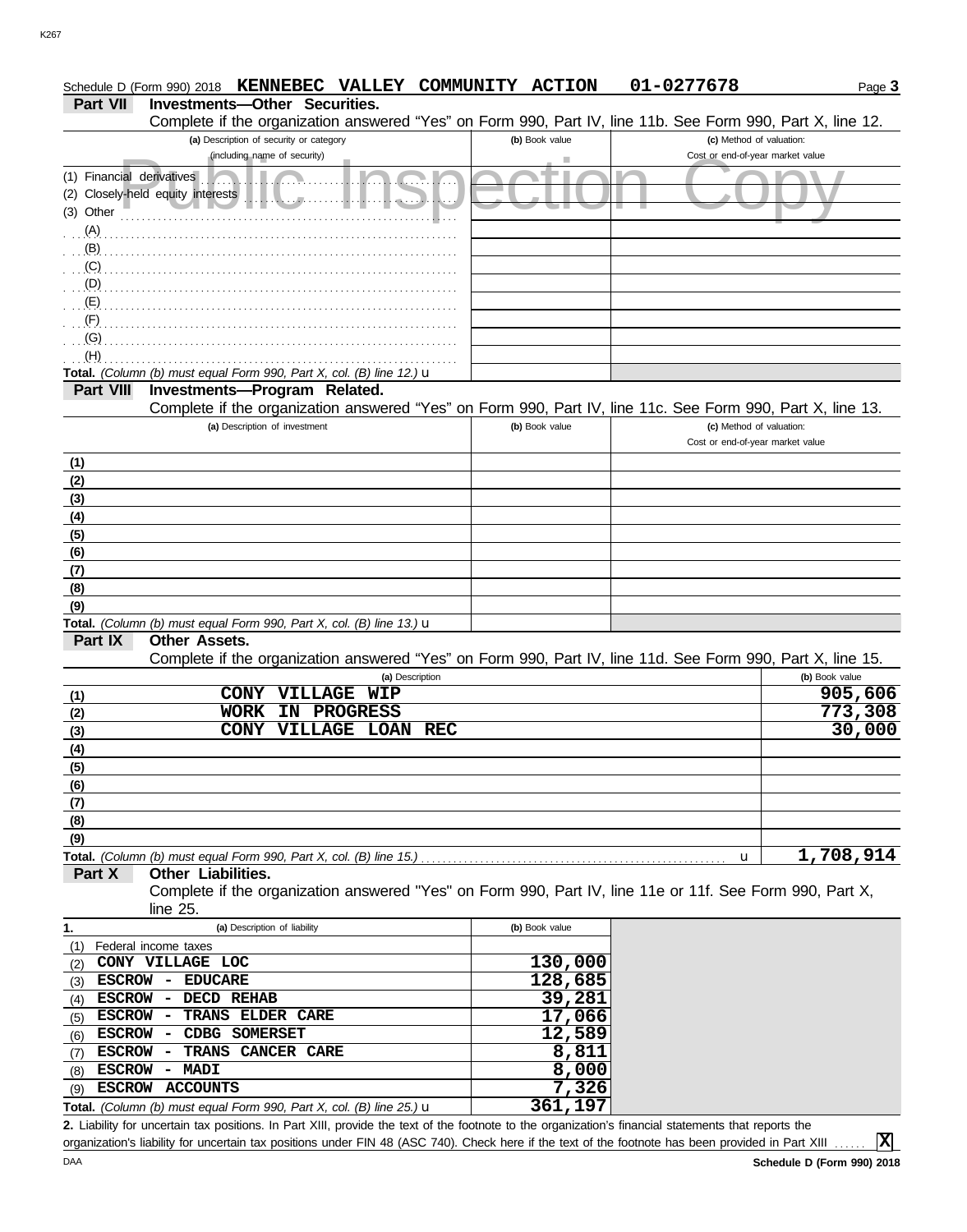|                           | KENNEBEC VALLEY COMMUNITY<br>Schedule D (Form 990) 2018                                                                                     | <b>ACTION</b>  | 01-0277678 | Page 3                           |
|---------------------------|---------------------------------------------------------------------------------------------------------------------------------------------|----------------|------------|----------------------------------|
| <b>Part VII</b>           | <b>Investments-Other Securities.</b>                                                                                                        |                |            |                                  |
|                           | Complete if the organization answered "Yes" on Form 990, Part IV, line 11b. See Form 990, Part X, line 12.                                  |                |            |                                  |
|                           | (a) Description of security or category                                                                                                     | (b) Book value |            | (c) Method of valuation:         |
|                           | (including name of security)                                                                                                                |                |            | Cost or end-of-year market value |
| (1) Financial derivatives | (2) Closely-held equity interests                                                                                                           |                |            |                                  |
| (3) Other                 |                                                                                                                                             |                |            |                                  |
| (A)                       |                                                                                                                                             |                |            |                                  |
| (B)                       |                                                                                                                                             |                |            |                                  |
| (C)                       |                                                                                                                                             |                |            |                                  |
| (D)                       |                                                                                                                                             |                |            |                                  |
| (E)                       |                                                                                                                                             |                |            |                                  |
| (F)                       |                                                                                                                                             |                |            |                                  |
| (G)                       |                                                                                                                                             |                |            |                                  |
| (H)                       |                                                                                                                                             |                |            |                                  |
|                           | Total. (Column (b) must equal Form 990, Part X, col. (B) line 12.) $\mathbf u$                                                              |                |            |                                  |
| <b>Part VIII</b>          | Investments-Program Related.                                                                                                                |                |            |                                  |
|                           | Complete if the organization answered "Yes" on Form 990, Part IV, line 11c. See Form 990, Part X, line 13.<br>(a) Description of investment | (b) Book value |            | (c) Method of valuation:         |
|                           |                                                                                                                                             |                |            | Cost or end-of-year market value |
| <u>(1)</u>                |                                                                                                                                             |                |            |                                  |
| (2)                       |                                                                                                                                             |                |            |                                  |
| (3)                       |                                                                                                                                             |                |            |                                  |
| (4)                       |                                                                                                                                             |                |            |                                  |
| (5)                       |                                                                                                                                             |                |            |                                  |
| (6)                       |                                                                                                                                             |                |            |                                  |
| (7)                       |                                                                                                                                             |                |            |                                  |
| (8)                       |                                                                                                                                             |                |            |                                  |
| (9)                       |                                                                                                                                             |                |            |                                  |
|                           | <b>Total.</b> (Column (b) must equal Form 990, Part X, col. (B) line 13.) $\mathbf{u}$                                                      |                |            |                                  |
| Part IX                   | <b>Other Assets.</b><br>Complete if the organization answered "Yes" on Form 990, Part IV, line 11d. See Form 990, Part X, line 15.          |                |            |                                  |
|                           | (a) Description                                                                                                                             |                |            | (b) Book value                   |
| (1)                       | VILLAGE<br><b>CONY</b><br><b>WIP</b>                                                                                                        |                |            | 905,606                          |
| (2)                       | <b>WORK</b><br><b>PROGRESS</b><br>ΙN                                                                                                        |                |            | 773,308                          |
| (3)                       | <b>VILLAGE LOAN REC</b><br><b>CONY</b>                                                                                                      |                |            | 30,000                           |
| (4)                       |                                                                                                                                             |                |            |                                  |
| (5)                       |                                                                                                                                             |                |            |                                  |
| (6)                       |                                                                                                                                             |                |            |                                  |
| (7)                       |                                                                                                                                             |                |            |                                  |
| (8)                       |                                                                                                                                             |                |            |                                  |
| (9)                       |                                                                                                                                             |                |            | 1,708,914                        |
| Part X                    | Total. (Column (b) must equal Form 990, Part X, col. (B) line 15.).<br>Other Liabilities.                                                   |                | u          |                                  |
|                           | Complete if the organization answered "Yes" on Form 990, Part IV, line 11e or 11f. See Form 990, Part X,                                    |                |            |                                  |
|                           | line 25.                                                                                                                                    |                |            |                                  |
| 1.                        | (a) Description of liability                                                                                                                | (b) Book value |            |                                  |
| (1)                       | Federal income taxes                                                                                                                        |                |            |                                  |
| (2)                       | CONY VILLAGE LOC                                                                                                                            | 130,000        |            |                                  |
| ESCROW -<br>(3)           | <b>EDUCARE</b>                                                                                                                              | 128,685        |            |                                  |
| <b>ESCROW</b><br>(4)      | DECD REHAB<br>$\overline{\phantom{a}}$                                                                                                      | 39,281         |            |                                  |
| <b>ESCROW</b><br>(5)      | TRANS ELDER CARE<br>$\overline{\phantom{a}}$                                                                                                | 17,066         |            |                                  |
| <b>ESCROW</b><br>(6)      | CDBG SOMERSET<br>$\overline{\phantom{a}}$                                                                                                   | 12,589         |            |                                  |
| <b>ESCROW</b><br>(7)      | TRANS<br><b>CANCER CARE</b><br>$\overline{\phantom{a}}$                                                                                     | 8,811          |            |                                  |
| $(8)$ ESCROW              | MADI<br>$\overline{\phantom{a}}$<br>ESCROW ACCOUNTS                                                                                         | 8,000<br>7,326 |            |                                  |
| (9)                       | Total. (Column (b) must equal Form 990, Part X, col. (B) line 25.) $\mathbf u$                                                              | 361,197        |            |                                  |
|                           |                                                                                                                                             |                |            |                                  |

Liability for uncertain tax positions. In Part XIII, provide the text of the footnote to the organization's financial statements that reports the **2.** organization's liability for uncertain tax positions under FIN 48 (ASC 740). Check here if the text of the footnote has been provided in Part XIII

**X**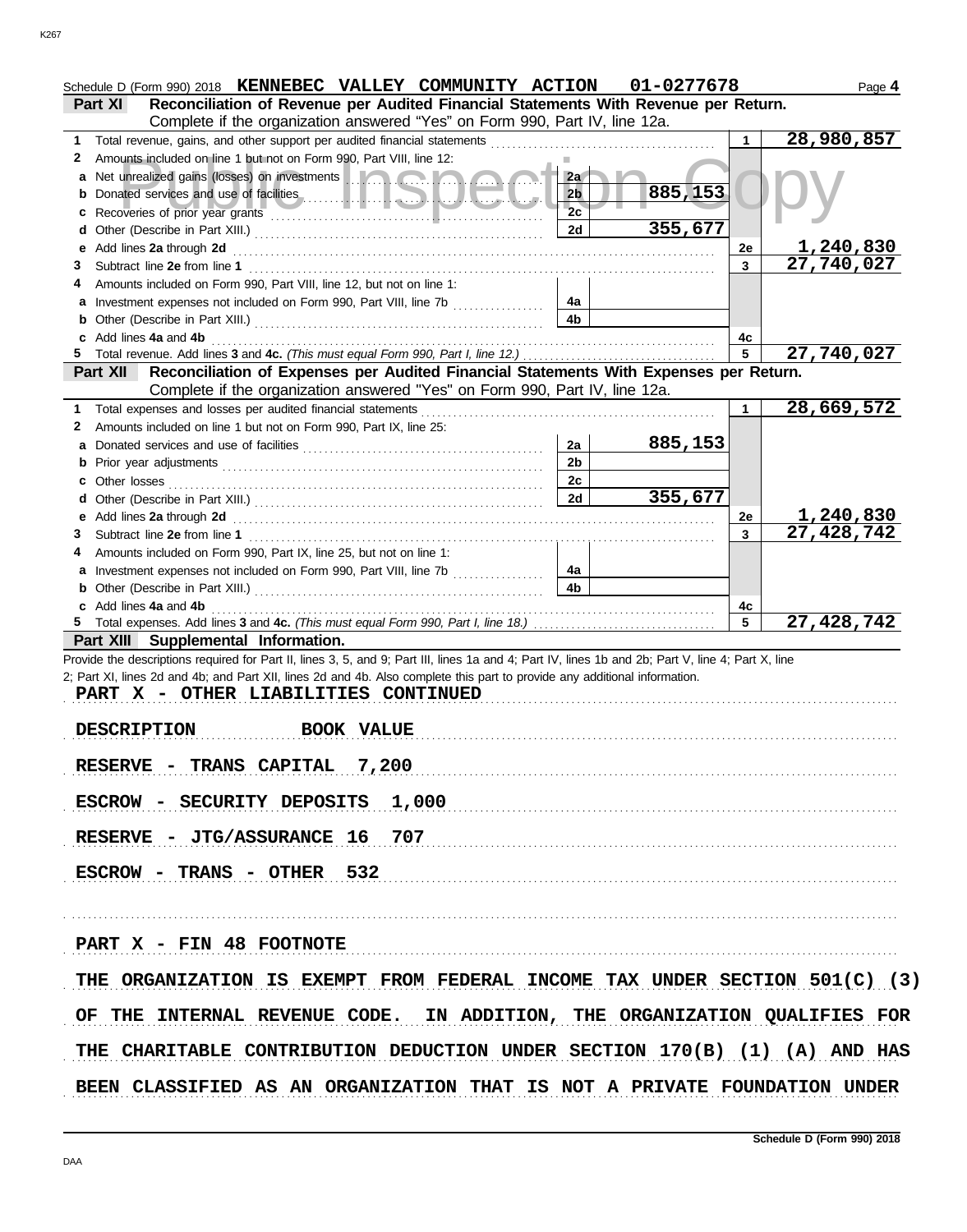| Schedule D (Form 990) 2018 KENNEBEC VALLEY COMMUNITY ACTION                                                                                        |                | 01-0277678 |    | Page 4                                      |  |  |  |  |
|----------------------------------------------------------------------------------------------------------------------------------------------------|----------------|------------|----|---------------------------------------------|--|--|--|--|
| Reconciliation of Revenue per Audited Financial Statements With Revenue per Return.<br><b>Part XI</b>                                              |                |            |    |                                             |  |  |  |  |
| Complete if the organization answered "Yes" on Form 990, Part IV, line 12a.                                                                        |                |            |    |                                             |  |  |  |  |
| Total revenue, gains, and other support per audited financial statements<br>1                                                                      |                |            | 1  | 28,980,857                                  |  |  |  |  |
| Amounts included on line 1 but not on Form 990, Part VIII, line 12:<br>2                                                                           |                |            |    |                                             |  |  |  |  |
| Net unrealized gains (losses) on investments                                                                                                       | 2a             |            |    |                                             |  |  |  |  |
|                                                                                                                                                    | 2 <sub>b</sub> | 885,153    |    |                                             |  |  |  |  |
| Recoveries of prior year grants enter the contract of the contract of prior year grants                                                            | 2c             |            |    |                                             |  |  |  |  |
| d                                                                                                                                                  | 2d             | 355,677    |    |                                             |  |  |  |  |
| Add lines 2a through 2d                                                                                                                            |                |            | 2e | 1,240,830                                   |  |  |  |  |
| Subtract line 2e from line 1<br>З                                                                                                                  |                |            | 3  | $\overline{27,740,027}$                     |  |  |  |  |
| Amounts included on Form 990, Part VIII, line 12, but not on line 1:                                                                               |                |            |    |                                             |  |  |  |  |
|                                                                                                                                                    | 4a             |            |    |                                             |  |  |  |  |
|                                                                                                                                                    | 4 <sub>b</sub> |            |    |                                             |  |  |  |  |
| Add lines 4a and 4b                                                                                                                                |                |            | 4c |                                             |  |  |  |  |
|                                                                                                                                                    |                |            | 5  | 27,740,027                                  |  |  |  |  |
| Part XII Reconciliation of Expenses per Audited Financial Statements With Expenses per Return.                                                     |                |            |    |                                             |  |  |  |  |
| Complete if the organization answered "Yes" on Form 990, Part IV, line 12a.                                                                        |                |            |    |                                             |  |  |  |  |
| Total expenses and losses per audited financial statements<br>1                                                                                    |                |            | 1  | 28,669,572                                  |  |  |  |  |
| Amounts included on line 1 but not on Form 990, Part IX, line 25:<br>2                                                                             |                |            |    |                                             |  |  |  |  |
|                                                                                                                                                    | 2a             | 885,153    |    |                                             |  |  |  |  |
|                                                                                                                                                    | 2 <sub>b</sub> |            |    |                                             |  |  |  |  |
|                                                                                                                                                    | 2c             |            |    |                                             |  |  |  |  |
| c Other losses                                                                                                                                     | 2d             | 355,677    |    |                                             |  |  |  |  |
| d                                                                                                                                                  |                |            |    |                                             |  |  |  |  |
| Add lines 2a through 2d [[[[[[[[[[[[[[[[[[[[[[[[]]]]]]]]]] Add lines 2a through 2d                                                                 |                |            | 2e | <u>1,240,830</u>                            |  |  |  |  |
| 3                                                                                                                                                  |                |            | 3  | 27,428,742                                  |  |  |  |  |
| Amounts included on Form 990, Part IX, line 25, but not on line 1:                                                                                 |                |            |    |                                             |  |  |  |  |
| a Investment expenses not included on Form 990, Part VIII, line 7b                                                                                 | 4a             |            |    |                                             |  |  |  |  |
|                                                                                                                                                    | 4 <sub>b</sub> |            |    |                                             |  |  |  |  |
| c Add lines 4a and 4b                                                                                                                              |                |            | 4с |                                             |  |  |  |  |
|                                                                                                                                                    |                |            | 5  | 27,428,742                                  |  |  |  |  |
| Part XIII Supplemental Information.                                                                                                                |                |            |    |                                             |  |  |  |  |
| Provide the descriptions required for Part II, lines 3, 5, and 9; Part III, lines 1a and 4; Part IV, lines 1b and 2b; Part V, line 4; Part X, line |                |            |    |                                             |  |  |  |  |
| 2; Part XI, lines 2d and 4b; and Part XII, lines 2d and 4b. Also complete this part to provide any additional information.                         |                |            |    |                                             |  |  |  |  |
| PART X - OTHER LIABILITIES CONTINUED                                                                                                               |                |            |    |                                             |  |  |  |  |
|                                                                                                                                                    |                |            |    |                                             |  |  |  |  |
| <b>DESCRIPTION</b><br><b>BOOK VALUE</b><br>.                                                                                                       |                |            |    |                                             |  |  |  |  |
|                                                                                                                                                    |                |            |    |                                             |  |  |  |  |
| 7,200<br><b>RESERVE - TRANS CAPITAL</b>                                                                                                            |                |            |    |                                             |  |  |  |  |
|                                                                                                                                                    |                |            |    |                                             |  |  |  |  |
| ESCROW - SECURITY DEPOSITS<br>1,000                                                                                                                |                |            |    |                                             |  |  |  |  |
|                                                                                                                                                    |                |            |    |                                             |  |  |  |  |
| RESERVE - JTG/ASSURANCE 16<br>707                                                                                                                  |                |            |    |                                             |  |  |  |  |
|                                                                                                                                                    |                |            |    |                                             |  |  |  |  |
| ESCROW - TRANS - OTHER 532                                                                                                                         |                |            |    |                                             |  |  |  |  |
|                                                                                                                                                    |                |            |    |                                             |  |  |  |  |
|                                                                                                                                                    |                |            |    |                                             |  |  |  |  |
|                                                                                                                                                    |                |            |    |                                             |  |  |  |  |
| PART X - FIN 48 FOOTNOTE                                                                                                                           |                |            |    |                                             |  |  |  |  |
|                                                                                                                                                    |                |            |    |                                             |  |  |  |  |
| THE ORGANIZATION IS EXEMPT FROM FEDERAL INCOME TAX UNDER SECTION 501(C) (3)                                                                        |                |            |    |                                             |  |  |  |  |
|                                                                                                                                                    |                |            |    |                                             |  |  |  |  |
| INTERNAL REVENUE CODE.<br>OF.<br>THE                                                                                                               |                |            |    | IN ADDITION, THE ORGANIZATION QUALIFIES FOR |  |  |  |  |
|                                                                                                                                                    |                |            |    |                                             |  |  |  |  |
| THE CHARITABLE CONTRIBUTION DEDUCTION UNDER SECTION 170(B) (1) (A) AND HAS                                                                         |                |            |    |                                             |  |  |  |  |
|                                                                                                                                                    |                |            |    |                                             |  |  |  |  |
| BEEN CLASSIFIED AS AN ORGANIZATION THAT IS NOT A PRIVATE FOUNDATION UNDER                                                                          |                |            |    |                                             |  |  |  |  |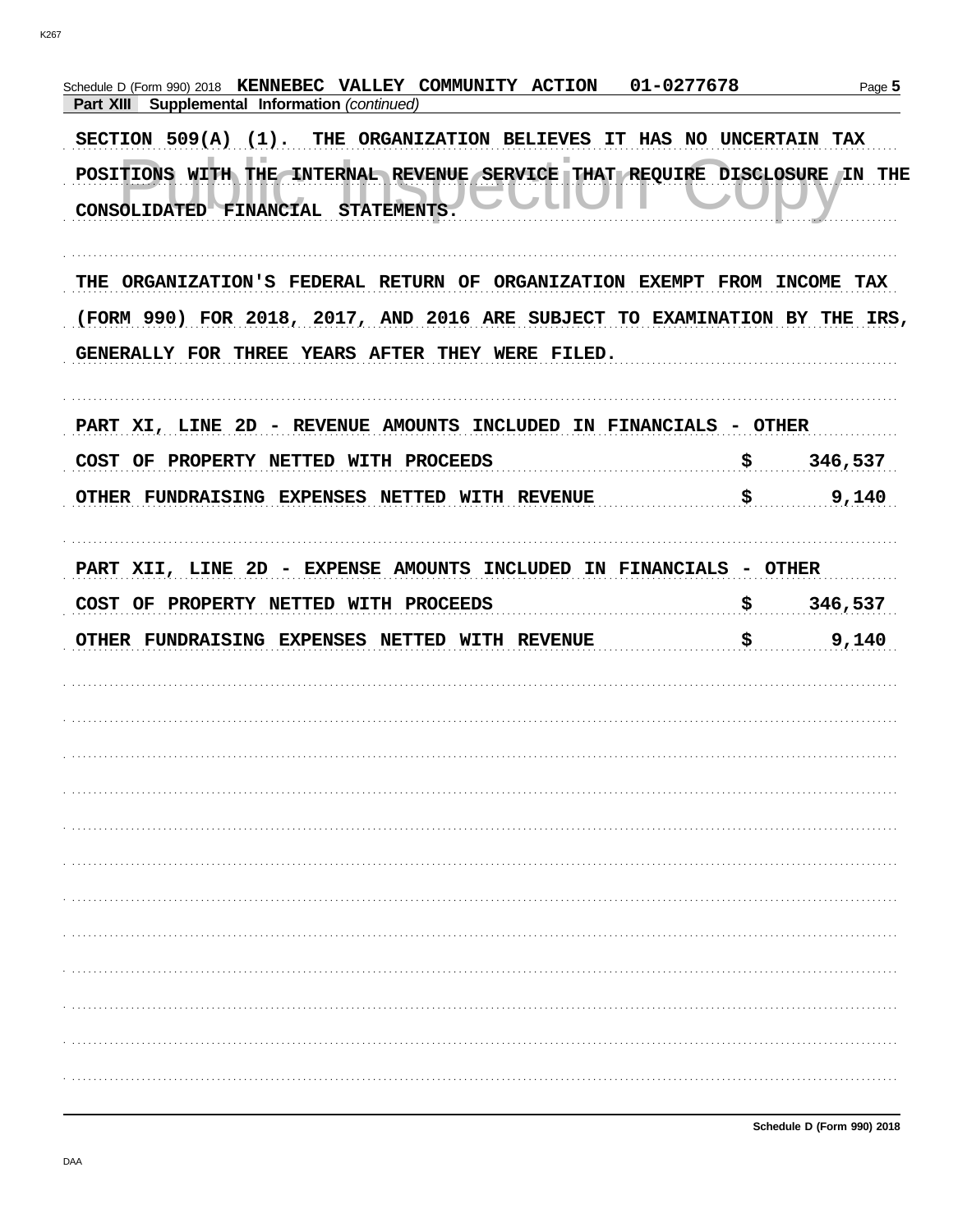| 01-0277678<br>Schedule D (Form 990) 2018 KENNEBEC VALLEY COMMUNITY ACTION<br>Supplemental Information (continued)<br>Part XIII |                                                                  | Page 5  |
|--------------------------------------------------------------------------------------------------------------------------------|------------------------------------------------------------------|---------|
| SECTION 509(A) (1). THE ORGANIZATION BELIEVES<br>IT HAS NO UNCERTAIN TAX                                                       |                                                                  |         |
| POSITIONS WITH THE INTERNAL REVENUE SERVICE THAT REQUIRE DISCLOSURE IN THE<br>CONSOLIDATED FINANCIAL STATEMENTS.               |                                                                  |         |
| ORGANIZATION'S FEDERAL RETURN OF ORGANIZATION EXEMPT FROM INCOME TAX<br>THE                                                    |                                                                  |         |
| (FORM 990) FOR 2018, 2017, AND 2016 ARE SUBJECT TO EXAMINATION BY THE IRS,                                                     |                                                                  |         |
| GENERALLY FOR THREE YEARS AFTER THEY WERE FILED.                                                                               |                                                                  |         |
| PART XI, LINE 2D - REVENUE AMOUNTS INCLUDED IN FINANCIALS - OTHER                                                              |                                                                  |         |
| COST OF PROPERTY NETTED WITH PROCEEDS                                                                                          | \$                                                               | 346,537 |
| OTHER FUNDRAISING EXPENSES NETTED WITH REVENUE                                                                                 | \$                                                               | 9,140   |
| PART XII, LINE 2D - EXPENSE AMOUNTS INCLUDED IN FINANCIALS - OTHER                                                             |                                                                  |         |
|                                                                                                                                |                                                                  |         |
| COST OF PROPERTY NETTED WITH PROCEEDS                                                                                          | $\boldsymbol{\mathsf{S}}$ . The set of $\boldsymbol{\mathsf{S}}$ | 346,537 |
| OTHER FUNDRAISING EXPENSES NETTED WITH REVENUE                                                                                 | \$                                                               | 9,140   |
|                                                                                                                                |                                                                  |         |
|                                                                                                                                |                                                                  |         |
|                                                                                                                                |                                                                  |         |
|                                                                                                                                |                                                                  |         |
|                                                                                                                                |                                                                  |         |
|                                                                                                                                |                                                                  |         |
|                                                                                                                                |                                                                  |         |
|                                                                                                                                |                                                                  |         |
|                                                                                                                                |                                                                  |         |
|                                                                                                                                |                                                                  |         |
|                                                                                                                                |                                                                  |         |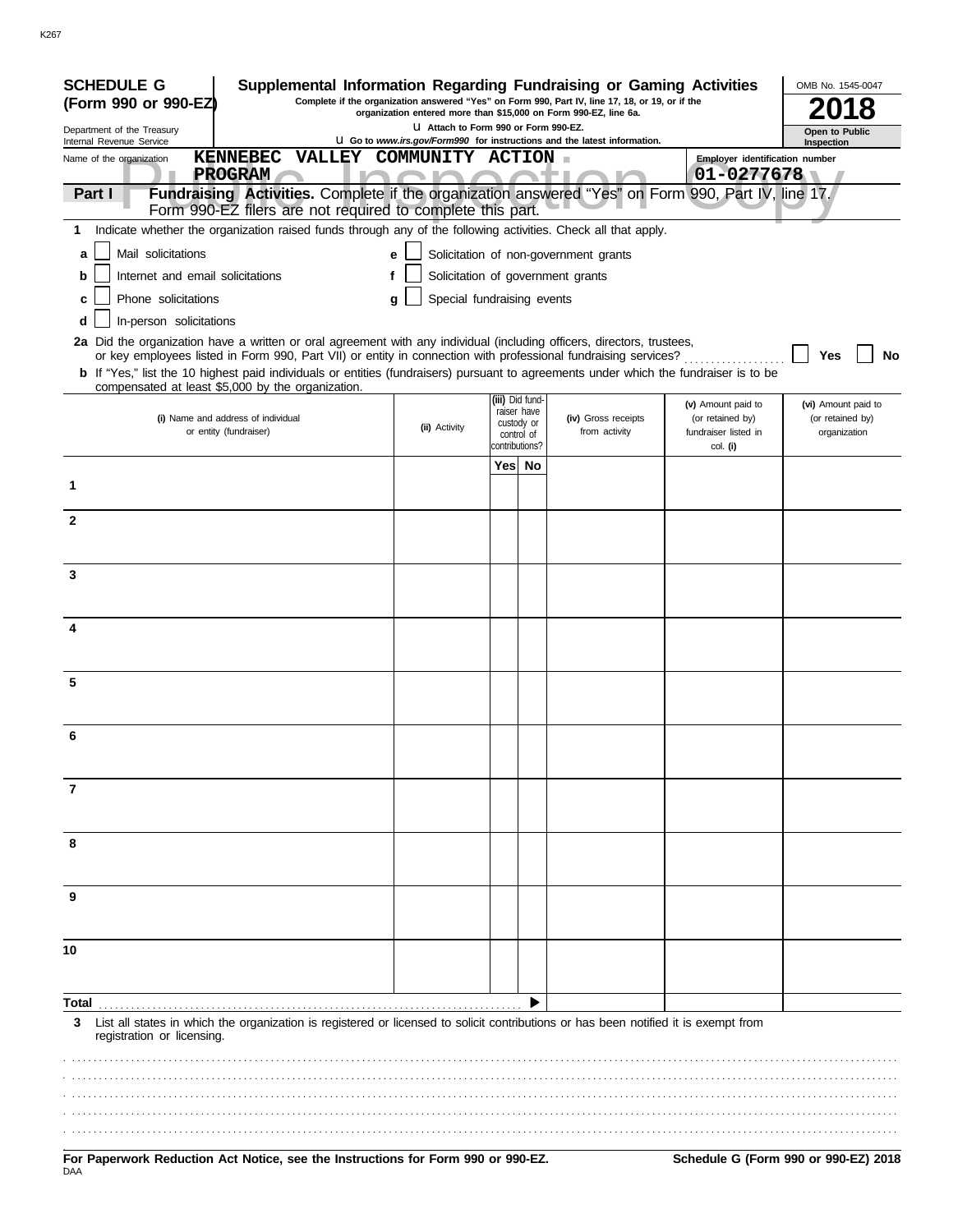| <b>SCHEDULE G</b><br>Supplemental Information Regarding Fundraising or Gaming Activities                                                                                                                                                 |                                                                                                                                                                     |                                                           |                                       |                                                      | OMB No. 1545-0047                |
|------------------------------------------------------------------------------------------------------------------------------------------------------------------------------------------------------------------------------------------|---------------------------------------------------------------------------------------------------------------------------------------------------------------------|-----------------------------------------------------------|---------------------------------------|------------------------------------------------------|----------------------------------|
| (Form 990 or 990-EZ)                                                                                                                                                                                                                     | Complete if the organization answered "Yes" on Form 990, Part IV, line 17, 18, or 19, or if the<br>organization entered more than \$15,000 on Form 990-EZ, line 6a. |                                                           |                                       |                                                      |                                  |
| Department of the Treasury<br>Internal Revenue Service                                                                                                                                                                                   | LI Attach to Form 990 or Form 990-EZ.<br>U Go to www.irs.gov/Form990 for instructions and the latest information.                                                   |                                                           |                                       |                                                      | Open to Public<br>Inspection     |
| KENNEBEC VALLEY COMMUNITY ACTION<br>Name of the organization                                                                                                                                                                             |                                                                                                                                                                     |                                                           |                                       | Employer identification number                       |                                  |
| <b>PROGRAM</b><br>Fundraising Activities. Complete if the organization answered "Yes" on Form 990, Part IV, line 17.<br>Part I                                                                                                           |                                                                                                                                                                     |                                                           |                                       | $01 - 0277678$                                       |                                  |
| Form 990-EZ filers are not required to complete this part.                                                                                                                                                                               |                                                                                                                                                                     |                                                           |                                       |                                                      |                                  |
| Indicate whether the organization raised funds through any of the following activities. Check all that apply.<br>1                                                                                                                       |                                                                                                                                                                     |                                                           |                                       |                                                      |                                  |
| Mail solicitations<br>a                                                                                                                                                                                                                  | e                                                                                                                                                                   |                                                           | Solicitation of non-government grants |                                                      |                                  |
| Internet and email solicitations<br>b                                                                                                                                                                                                    |                                                                                                                                                                     |                                                           | Solicitation of government grants     |                                                      |                                  |
| Phone solicitations<br>c                                                                                                                                                                                                                 | Special fundraising events<br>g                                                                                                                                     |                                                           |                                       |                                                      |                                  |
| In-person solicitations<br>d                                                                                                                                                                                                             |                                                                                                                                                                     |                                                           |                                       |                                                      |                                  |
| 2a Did the organization have a written or oral agreement with any individual (including officers, directors, trustees,<br>or key employees listed in Form 990, Part VII) or entity in connection with professional fundraising services? |                                                                                                                                                                     |                                                           |                                       |                                                      | Yes<br>No                        |
| b If "Yes," list the 10 highest paid individuals or entities (fundraisers) pursuant to agreements under which the fundraiser is to be                                                                                                    |                                                                                                                                                                     |                                                           |                                       |                                                      |                                  |
| compensated at least \$5,000 by the organization.                                                                                                                                                                                        |                                                                                                                                                                     | (iii) Did fund-                                           |                                       | (v) Amount paid to                                   | (vi) Amount paid to              |
| (i) Name and address of individual<br>or entity (fundraiser)                                                                                                                                                                             | (ii) Activity                                                                                                                                                       | raiser have<br>custody or<br>control of<br>contributions? | (iv) Gross receipts<br>from activity  | (or retained by)<br>fundraiser listed in<br>col. (i) | (or retained by)<br>organization |
|                                                                                                                                                                                                                                          |                                                                                                                                                                     | Yes No                                                    |                                       |                                                      |                                  |
| 1                                                                                                                                                                                                                                        |                                                                                                                                                                     |                                                           |                                       |                                                      |                                  |
| $\mathbf{2}$                                                                                                                                                                                                                             |                                                                                                                                                                     |                                                           |                                       |                                                      |                                  |
|                                                                                                                                                                                                                                          |                                                                                                                                                                     |                                                           |                                       |                                                      |                                  |
|                                                                                                                                                                                                                                          |                                                                                                                                                                     |                                                           |                                       |                                                      |                                  |
| 3                                                                                                                                                                                                                                        |                                                                                                                                                                     |                                                           |                                       |                                                      |                                  |
|                                                                                                                                                                                                                                          |                                                                                                                                                                     |                                                           |                                       |                                                      |                                  |
| 4                                                                                                                                                                                                                                        |                                                                                                                                                                     |                                                           |                                       |                                                      |                                  |
|                                                                                                                                                                                                                                          |                                                                                                                                                                     |                                                           |                                       |                                                      |                                  |
| 5                                                                                                                                                                                                                                        |                                                                                                                                                                     |                                                           |                                       |                                                      |                                  |
|                                                                                                                                                                                                                                          |                                                                                                                                                                     |                                                           |                                       |                                                      |                                  |
|                                                                                                                                                                                                                                          |                                                                                                                                                                     |                                                           |                                       |                                                      |                                  |
|                                                                                                                                                                                                                                          |                                                                                                                                                                     |                                                           |                                       |                                                      |                                  |
| 7                                                                                                                                                                                                                                        |                                                                                                                                                                     |                                                           |                                       |                                                      |                                  |
|                                                                                                                                                                                                                                          |                                                                                                                                                                     |                                                           |                                       |                                                      |                                  |
|                                                                                                                                                                                                                                          |                                                                                                                                                                     |                                                           |                                       |                                                      |                                  |
| 8                                                                                                                                                                                                                                        |                                                                                                                                                                     |                                                           |                                       |                                                      |                                  |
|                                                                                                                                                                                                                                          |                                                                                                                                                                     |                                                           |                                       |                                                      |                                  |
| 9                                                                                                                                                                                                                                        |                                                                                                                                                                     |                                                           |                                       |                                                      |                                  |
|                                                                                                                                                                                                                                          |                                                                                                                                                                     |                                                           |                                       |                                                      |                                  |
| 10                                                                                                                                                                                                                                       |                                                                                                                                                                     |                                                           |                                       |                                                      |                                  |
|                                                                                                                                                                                                                                          |                                                                                                                                                                     |                                                           |                                       |                                                      |                                  |
| Total                                                                                                                                                                                                                                    |                                                                                                                                                                     |                                                           |                                       |                                                      |                                  |
| List all states in which the organization is registered or licensed to solicit contributions or has been notified it is exempt from<br>3<br>registration or licensing.                                                                   |                                                                                                                                                                     |                                                           |                                       |                                                      |                                  |
|                                                                                                                                                                                                                                          |                                                                                                                                                                     |                                                           |                                       |                                                      |                                  |
|                                                                                                                                                                                                                                          |                                                                                                                                                                     |                                                           |                                       |                                                      |                                  |
|                                                                                                                                                                                                                                          |                                                                                                                                                                     |                                                           |                                       |                                                      |                                  |
|                                                                                                                                                                                                                                          |                                                                                                                                                                     |                                                           |                                       |                                                      |                                  |
|                                                                                                                                                                                                                                          |                                                                                                                                                                     |                                                           |                                       |                                                      |                                  |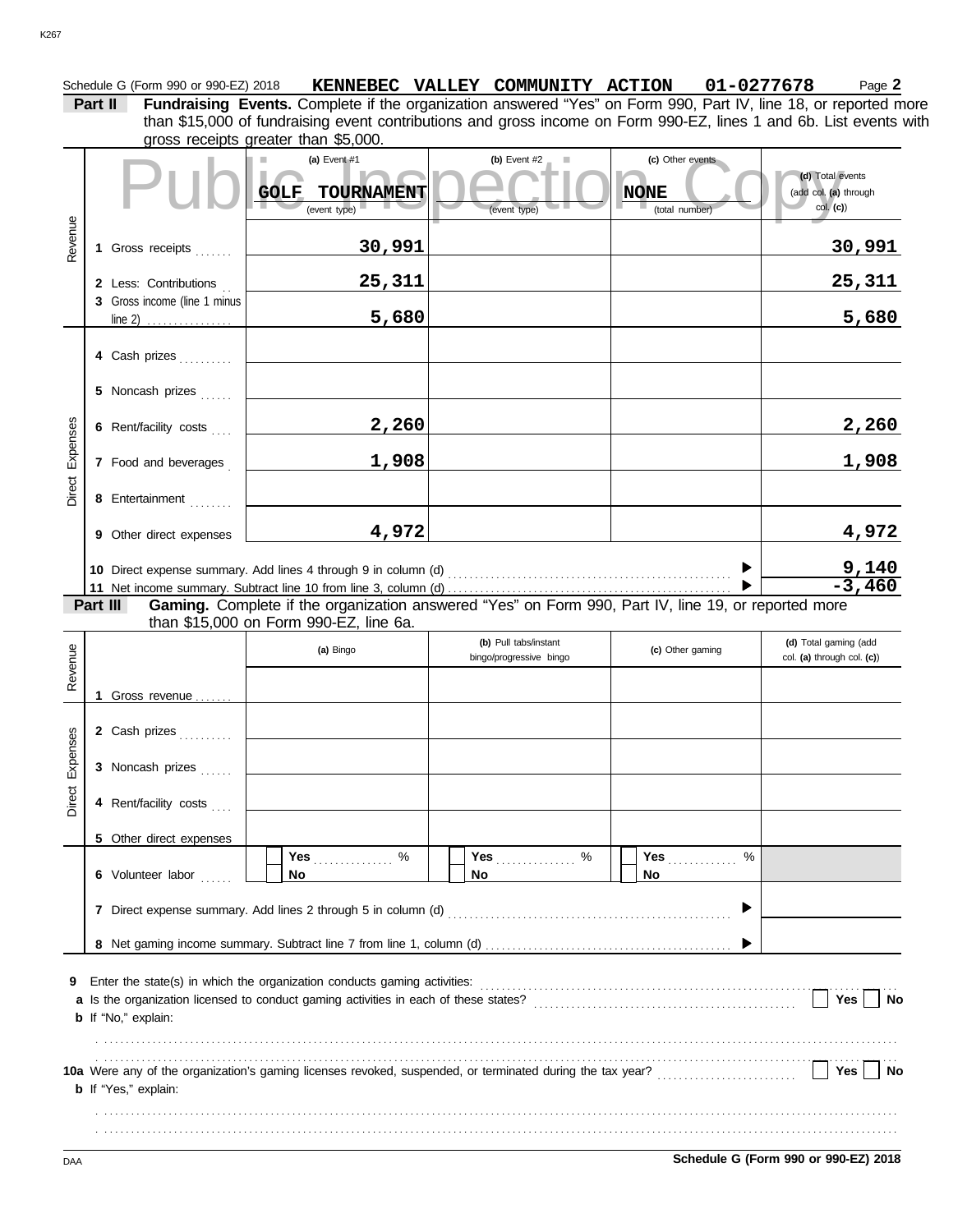# Schedule G (Form 990 or 990-EZ) 2018 **KENNEBEC VALLEY COMMUNITY ACTION 01-0277678** Page 2 **Part II Fundraising Events.** Complete if the organization answered "Yes" on Form 990, Part IV, line 18, or reported more than \$15,000 of fundraising event contributions and gross income on Form 990-EZ, lines 1 and 6b. List events with

|                      |                                                  | gross receipts greater than \$5,000.                                                                |                                |                                                   |                                                       |
|----------------------|--------------------------------------------------|-----------------------------------------------------------------------------------------------------|--------------------------------|---------------------------------------------------|-------------------------------------------------------|
|                      |                                                  | (a) Event $#1$<br>TOURNAMENT<br><b>GOLF</b><br>(event type)                                         | (b) Event $#2$<br>(event type) | (c) Other events<br><b>NONE</b><br>(total number) | (d) Total events<br>(add col. (a) through<br>col. (c) |
| Revenue              | 1 Gross receipts                                 | 30,991                                                                                              |                                |                                                   | <u>30,991</u>                                         |
|                      | 2 Less: Contributions                            | 25,311                                                                                              |                                |                                                   | <u>25,311</u>                                         |
|                      | 3 Gross income (line 1 minus<br>line 2) $\ldots$ | 5,680                                                                                               |                                |                                                   | 5,680                                                 |
|                      | 4 Cash prizes                                    |                                                                                                     |                                |                                                   |                                                       |
|                      | 5 Noncash prizes                                 |                                                                                                     |                                |                                                   |                                                       |
| Expenses             | 6 Rent/facility costs                            | 2,260                                                                                               |                                |                                                   | 2,260                                                 |
|                      | 7 Food and beverages                             | 1,908                                                                                               |                                |                                                   | 1,908                                                 |
| Direct               | 8 Entertainment                                  |                                                                                                     |                                |                                                   |                                                       |
|                      | 9 Other direct expenses                          | 4,972                                                                                               |                                |                                                   | 4,972                                                 |
|                      |                                                  |                                                                                                     |                                |                                                   | $\frac{9,140}{-3,460}$                                |
|                      | Part III                                         | Gaming. Complete if the organization answered "Yes" on Form 990, Part IV, line 19, or reported more |                                |                                                   |                                                       |
|                      |                                                  | than \$15,000 on Form 990-EZ, line 6a.                                                              | (b) Pull tabs/instant          |                                                   | (d) Total gaming (add                                 |
|                      |                                                  | (a) Bingo                                                                                           |                                | (c) Other gaming                                  |                                                       |
|                      |                                                  |                                                                                                     | bingo/progressive bingo        |                                                   | col. (a) through col. (c))                            |
| Revenue              |                                                  |                                                                                                     |                                |                                                   |                                                       |
|                      | 1 Gross revenue                                  |                                                                                                     |                                |                                                   |                                                       |
|                      | 2 Cash prizes                                    |                                                                                                     |                                |                                                   |                                                       |
| Expenses             | 3 Noncash prizes                                 |                                                                                                     |                                |                                                   |                                                       |
| $\overline{5}$<br>ڠڙ | 4 Rent/facility costs                            |                                                                                                     |                                |                                                   |                                                       |
|                      | 5 Other direct expenses                          |                                                                                                     |                                |                                                   |                                                       |
|                      | 6 Volunteer labor                                | Yes $\ldots \ldots \ldots$ %<br>No                                                                  | No.                            | $\%$<br>Yes <b>Market</b><br>No.                  |                                                       |
|                      |                                                  |                                                                                                     |                                |                                                   |                                                       |
|                      |                                                  |                                                                                                     |                                |                                                   |                                                       |
| 9                    | <b>b</b> If "No," explain:                       |                                                                                                     |                                |                                                   | Yes $\vert$ $\vert$<br>No                             |
|                      | <b>b</b> If "Yes," explain:                      |                                                                                                     |                                |                                                   | $Yes \mid \text{No}$                                  |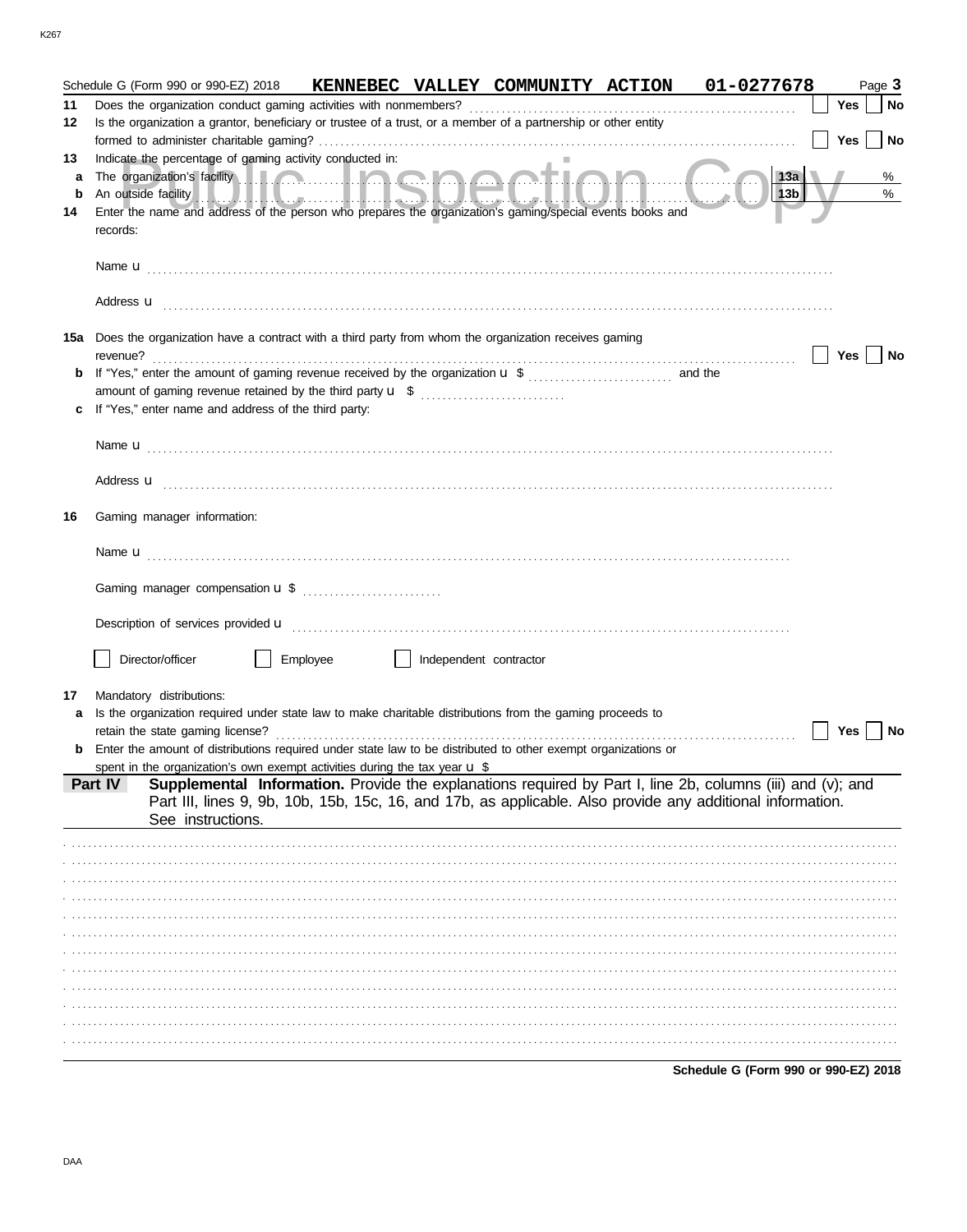|         | Schedule G (Form 990 or 990-EZ) 2018                                                                                                                                                                                                                                                                                                       | KENNEBEC VALLEY COMMUNITY ACTION 01-0277678 |                        |  |                                      |            | Page 3    |
|---------|--------------------------------------------------------------------------------------------------------------------------------------------------------------------------------------------------------------------------------------------------------------------------------------------------------------------------------------------|---------------------------------------------|------------------------|--|--------------------------------------|------------|-----------|
| 11      |                                                                                                                                                                                                                                                                                                                                            |                                             |                        |  |                                      | <b>Yes</b> | <b>No</b> |
| 12      | Is the organization a grantor, beneficiary or trustee of a trust, or a member of a partnership or other entity                                                                                                                                                                                                                             |                                             |                        |  |                                      |            |           |
|         |                                                                                                                                                                                                                                                                                                                                            |                                             |                        |  |                                      | Yes        | No        |
| 13      | Indicate the percentage of gaming activity conducted in:                                                                                                                                                                                                                                                                                   |                                             |                        |  |                                      |            |           |
| a       |                                                                                                                                                                                                                                                                                                                                            |                                             |                        |  | $\vert$ 13b                          |            | %<br>$\%$ |
| b<br>14 | An outside facility with the contract of the contract of the contract of the contract of the contract of the contract of the contract of the contract of the contract of the contract of the contract of the contract of the c<br>Enter the name and address of the person who prepares the organization's gaming/special events books and |                                             |                        |  |                                      |            |           |
|         | records:                                                                                                                                                                                                                                                                                                                                   |                                             |                        |  |                                      |            |           |
|         |                                                                                                                                                                                                                                                                                                                                            |                                             |                        |  |                                      |            |           |
|         |                                                                                                                                                                                                                                                                                                                                            |                                             |                        |  |                                      |            |           |
|         |                                                                                                                                                                                                                                                                                                                                            |                                             |                        |  |                                      |            |           |
|         | Address <b>u</b>                                                                                                                                                                                                                                                                                                                           |                                             |                        |  |                                      |            |           |
|         |                                                                                                                                                                                                                                                                                                                                            |                                             |                        |  |                                      |            |           |
| 15a     | Does the organization have a contract with a third party from whom the organization receives gaming<br>revenue?                                                                                                                                                                                                                            |                                             |                        |  |                                      | Yes        | No        |
| b       |                                                                                                                                                                                                                                                                                                                                            |                                             |                        |  |                                      |            |           |
|         | amount of gaming revenue retained by the third party <b>u</b> \$                                                                                                                                                                                                                                                                           |                                             |                        |  |                                      |            |           |
|         | If "Yes," enter name and address of the third party:                                                                                                                                                                                                                                                                                       |                                             |                        |  |                                      |            |           |
|         |                                                                                                                                                                                                                                                                                                                                            |                                             |                        |  |                                      |            |           |
|         |                                                                                                                                                                                                                                                                                                                                            |                                             |                        |  |                                      |            |           |
|         |                                                                                                                                                                                                                                                                                                                                            |                                             |                        |  |                                      |            |           |
|         | Address <b>u</b>                                                                                                                                                                                                                                                                                                                           |                                             |                        |  |                                      |            |           |
| 16      | Gaming manager information:                                                                                                                                                                                                                                                                                                                |                                             |                        |  |                                      |            |           |
|         |                                                                                                                                                                                                                                                                                                                                            |                                             |                        |  |                                      |            |           |
|         |                                                                                                                                                                                                                                                                                                                                            |                                             |                        |  |                                      |            |           |
|         |                                                                                                                                                                                                                                                                                                                                            |                                             |                        |  |                                      |            |           |
|         |                                                                                                                                                                                                                                                                                                                                            |                                             |                        |  |                                      |            |           |
|         |                                                                                                                                                                                                                                                                                                                                            |                                             |                        |  |                                      |            |           |
|         | Description of services provided <b>u</b> electron contract the contract of the contract of the contract of the contract of the contract of the contract of the contract of the contract of the contract of the contract of the con                                                                                                        |                                             |                        |  |                                      |            |           |
|         | Director/officer                                                                                                                                                                                                                                                                                                                           | Employee                                    | Independent contractor |  |                                      |            |           |
|         |                                                                                                                                                                                                                                                                                                                                            |                                             |                        |  |                                      |            |           |
| 17      | Mandatory distributions:                                                                                                                                                                                                                                                                                                                   |                                             |                        |  |                                      |            |           |
|         | Is the organization required under state law to make charitable distributions from the gaming proceeds to                                                                                                                                                                                                                                  |                                             |                        |  |                                      |            |           |
|         | retain the state gaming license?                                                                                                                                                                                                                                                                                                           |                                             |                        |  |                                      | Yes        | No        |
|         | <b>b</b> Enter the amount of distributions required under state law to be distributed to other exempt organizations or<br>spent in the organization's own exempt activities during the tax year $\mathbf{u} \$                                                                                                                             |                                             |                        |  |                                      |            |           |
|         | Supplemental Information. Provide the explanations required by Part I, line 2b, columns (iii) and (v); and<br>Part IV                                                                                                                                                                                                                      |                                             |                        |  |                                      |            |           |
|         | Part III, lines 9, 9b, 10b, 15b, 15c, 16, and 17b, as applicable. Also provide any additional information.                                                                                                                                                                                                                                 |                                             |                        |  |                                      |            |           |
|         | See instructions.                                                                                                                                                                                                                                                                                                                          |                                             |                        |  |                                      |            |           |
|         |                                                                                                                                                                                                                                                                                                                                            |                                             |                        |  |                                      |            |           |
|         |                                                                                                                                                                                                                                                                                                                                            |                                             |                        |  |                                      |            |           |
|         |                                                                                                                                                                                                                                                                                                                                            |                                             |                        |  |                                      |            |           |
|         |                                                                                                                                                                                                                                                                                                                                            |                                             |                        |  |                                      |            |           |
|         |                                                                                                                                                                                                                                                                                                                                            |                                             |                        |  |                                      |            |           |
|         |                                                                                                                                                                                                                                                                                                                                            |                                             |                        |  |                                      |            |           |
|         |                                                                                                                                                                                                                                                                                                                                            |                                             |                        |  |                                      |            |           |
|         |                                                                                                                                                                                                                                                                                                                                            |                                             |                        |  |                                      |            |           |
|         |                                                                                                                                                                                                                                                                                                                                            |                                             |                        |  |                                      |            |           |
|         |                                                                                                                                                                                                                                                                                                                                            |                                             |                        |  |                                      |            |           |
|         |                                                                                                                                                                                                                                                                                                                                            |                                             |                        |  |                                      |            |           |
|         |                                                                                                                                                                                                                                                                                                                                            |                                             |                        |  | Schedule G (Form 990 or 990-EZ) 2018 |            |           |
|         |                                                                                                                                                                                                                                                                                                                                            |                                             |                        |  |                                      |            |           |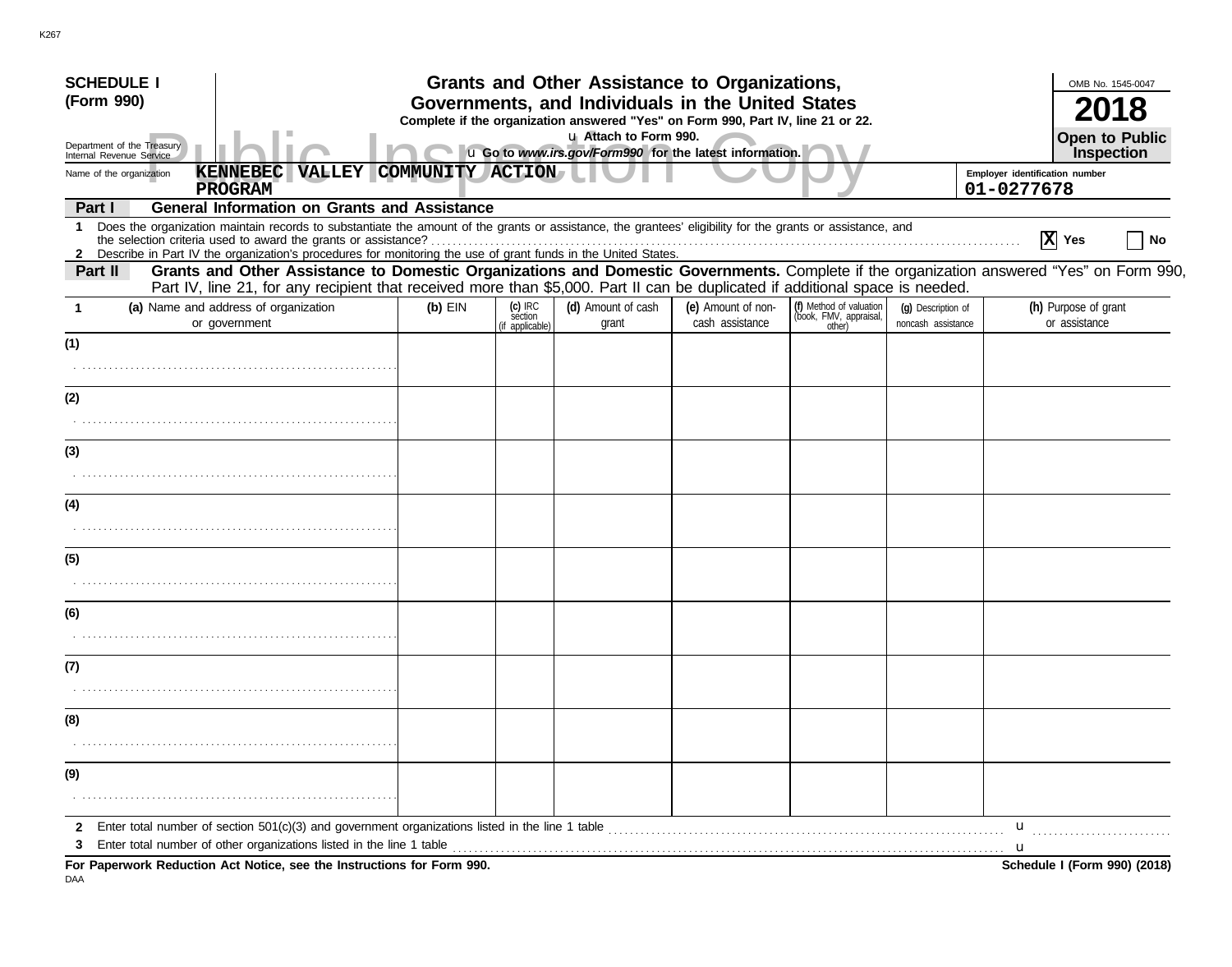| <b>SCHEDULE I</b><br>(Form 990)                        |                                                                                                                                                                                                                   |                                                                                  |                                       | Grants and Other Assistance to Organizations,<br>Governments, and Individuals in the United States |                                       |                                                             |                                          | OMB No. 1545-0047                                                                                                                        |
|--------------------------------------------------------|-------------------------------------------------------------------------------------------------------------------------------------------------------------------------------------------------------------------|----------------------------------------------------------------------------------|---------------------------------------|----------------------------------------------------------------------------------------------------|---------------------------------------|-------------------------------------------------------------|------------------------------------------|------------------------------------------------------------------------------------------------------------------------------------------|
|                                                        |                                                                                                                                                                                                                   | Complete if the organization answered "Yes" on Form 990, Part IV, line 21 or 22. |                                       |                                                                                                    |                                       |                                                             |                                          |                                                                                                                                          |
| Department of the Treasury<br>Internal Revenue Service |                                                                                                                                                                                                                   | u Go to www.irs.gov/Form990 for the latest information.                          | <b>Open to Public</b><br>Inspection   |                                                                                                    |                                       |                                                             |                                          |                                                                                                                                          |
| Name of the organization                               | <b>KENNEBEC</b><br><b>VALLEY</b>                                                                                                                                                                                  | COMMUNITY ACTION                                                                 |                                       |                                                                                                    |                                       |                                                             |                                          | Employer identification number                                                                                                           |
|                                                        | <b>PROGRAM</b>                                                                                                                                                                                                    |                                                                                  |                                       |                                                                                                    |                                       |                                                             |                                          | 01-0277678                                                                                                                               |
| Part I<br>$\mathbf 1$                                  | <b>General Information on Grants and Assistance</b><br>Does the organization maintain records to substantiate the amount of the grants or assistance, the grantees' eligibility for the grants or assistance, and |                                                                                  |                                       |                                                                                                    |                                       |                                                             |                                          |                                                                                                                                          |
|                                                        | the selection criteria used to award the grants or assistance?                                                                                                                                                    |                                                                                  |                                       |                                                                                                    |                                       |                                                             |                                          | $ \mathbf{X} $ Yes                                                                                                                       |
| Part II                                                | 2 Describe in Part IV the organization's procedures for monitoring the use of grant funds in the United States.                                                                                                   |                                                                                  |                                       |                                                                                                    |                                       |                                                             |                                          | Grants and Other Assistance to Domestic Organizations and Domestic Governments. Complete if the organization answered "Yes" on Form 990. |
|                                                        | Part IV, line 21, for any recipient that received more than \$5,000. Part II can be duplicated if additional space is needed.                                                                                     |                                                                                  |                                       |                                                                                                    |                                       |                                                             |                                          |                                                                                                                                          |
| -1                                                     | (a) Name and address of organization<br>or government                                                                                                                                                             | $(b)$ EIN                                                                        | (c) IRC<br>section<br>(if applicable) | (d) Amount of cash<br>grant                                                                        | (e) Amount of non-<br>cash assistance | (f) Method of valuation<br>(book, FMV, appraisal,<br>other) | (g) Description of<br>noncash assistance | (h) Purpose of grant<br>or assistance                                                                                                    |
| (1)                                                    |                                                                                                                                                                                                                   |                                                                                  |                                       |                                                                                                    |                                       |                                                             |                                          |                                                                                                                                          |
|                                                        |                                                                                                                                                                                                                   |                                                                                  |                                       |                                                                                                    |                                       |                                                             |                                          |                                                                                                                                          |
| (2)                                                    |                                                                                                                                                                                                                   |                                                                                  |                                       |                                                                                                    |                                       |                                                             |                                          |                                                                                                                                          |
|                                                        |                                                                                                                                                                                                                   |                                                                                  |                                       |                                                                                                    |                                       |                                                             |                                          |                                                                                                                                          |
| (3)                                                    |                                                                                                                                                                                                                   |                                                                                  |                                       |                                                                                                    |                                       |                                                             |                                          |                                                                                                                                          |
|                                                        |                                                                                                                                                                                                                   |                                                                                  |                                       |                                                                                                    |                                       |                                                             |                                          |                                                                                                                                          |
| (4)                                                    |                                                                                                                                                                                                                   |                                                                                  |                                       |                                                                                                    |                                       |                                                             |                                          |                                                                                                                                          |
|                                                        |                                                                                                                                                                                                                   |                                                                                  |                                       |                                                                                                    |                                       |                                                             |                                          |                                                                                                                                          |
| (5)                                                    |                                                                                                                                                                                                                   |                                                                                  |                                       |                                                                                                    |                                       |                                                             |                                          |                                                                                                                                          |
|                                                        |                                                                                                                                                                                                                   |                                                                                  |                                       |                                                                                                    |                                       |                                                             |                                          |                                                                                                                                          |
| (6)                                                    |                                                                                                                                                                                                                   |                                                                                  |                                       |                                                                                                    |                                       |                                                             |                                          |                                                                                                                                          |
|                                                        |                                                                                                                                                                                                                   |                                                                                  |                                       |                                                                                                    |                                       |                                                             |                                          |                                                                                                                                          |
| (7)                                                    |                                                                                                                                                                                                                   |                                                                                  |                                       |                                                                                                    |                                       |                                                             |                                          |                                                                                                                                          |
|                                                        |                                                                                                                                                                                                                   |                                                                                  |                                       |                                                                                                    |                                       |                                                             |                                          |                                                                                                                                          |
| (8)                                                    |                                                                                                                                                                                                                   |                                                                                  |                                       |                                                                                                    |                                       |                                                             |                                          |                                                                                                                                          |
|                                                        |                                                                                                                                                                                                                   |                                                                                  |                                       |                                                                                                    |                                       |                                                             |                                          |                                                                                                                                          |
| (9)                                                    |                                                                                                                                                                                                                   |                                                                                  |                                       |                                                                                                    |                                       |                                                             |                                          |                                                                                                                                          |
|                                                        |                                                                                                                                                                                                                   |                                                                                  |                                       |                                                                                                    |                                       |                                                             |                                          |                                                                                                                                          |
|                                                        | 2 Enter total number of section 501(c)(3) and government organizations listed in the line 1 table                                                                                                                 |                                                                                  |                                       |                                                                                                    |                                       |                                                             |                                          | $\mathbf u$                                                                                                                              |
| 3                                                      |                                                                                                                                                                                                                   |                                                                                  |                                       |                                                                                                    |                                       |                                                             |                                          | u.                                                                                                                                       |
|                                                        | For Paperwork Reduction Act Notice, see the Instructions for Form 990.                                                                                                                                            |                                                                                  |                                       |                                                                                                    |                                       |                                                             |                                          | Schedule I (Form 990) (2018)                                                                                                             |

DAA

K267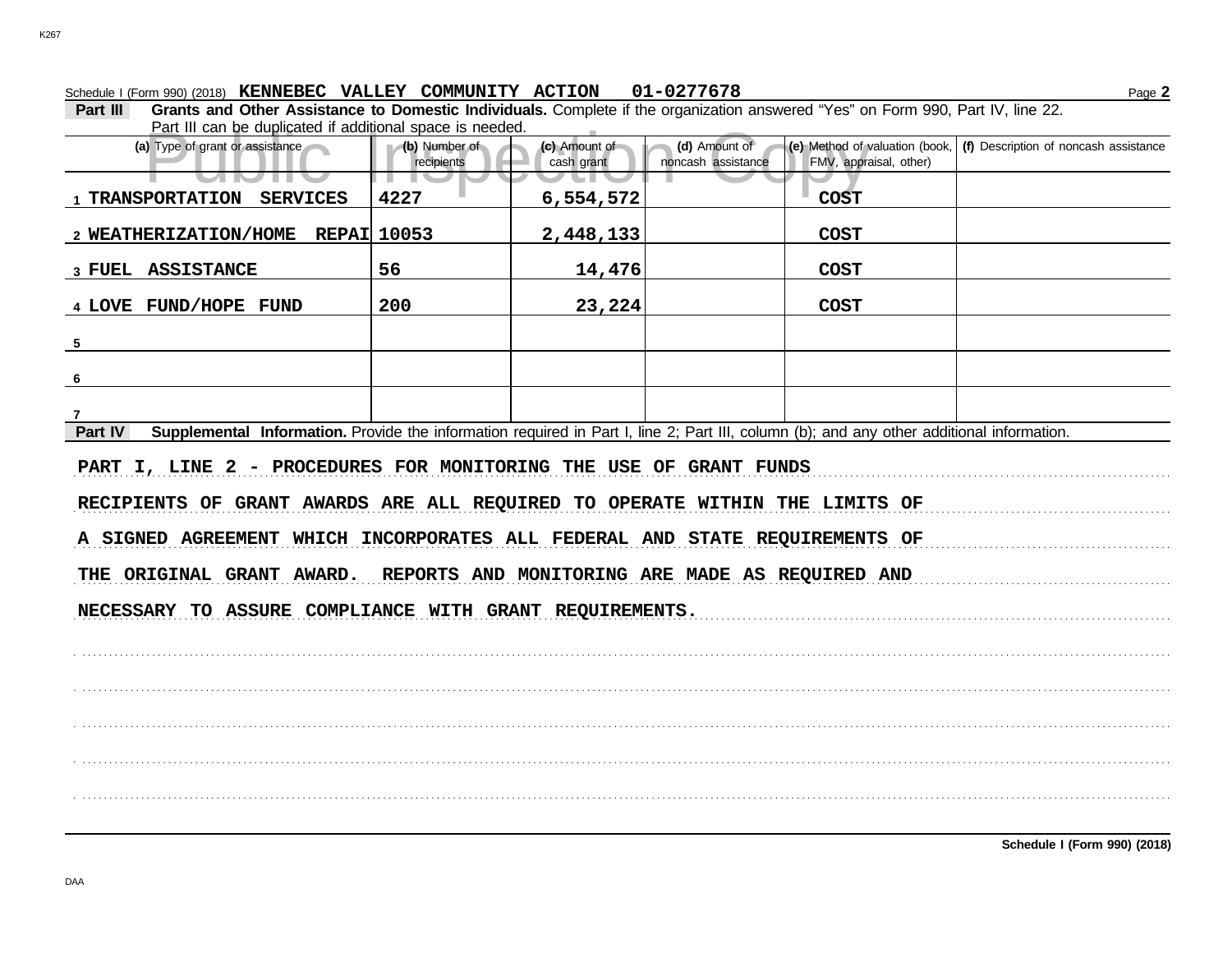Schedule I (Form 990) (2018) Page **2 KENNEBEC VALLEY COMMUNITY ACTION 01-0277678**

**Part III Grants and Other Assistance to Domestic Individuals.** Complete if the organization answered "Yes" on Form 990, Part IV, line 22. Part III can be duplicated if additional space is needed.

| Part ili can be duplicated il additional space is needed.                                                                                            |                             |                             |                                                 |                                                          |                                       |
|------------------------------------------------------------------------------------------------------------------------------------------------------|-----------------------------|-----------------------------|-------------------------------------------------|----------------------------------------------------------|---------------------------------------|
| (a) Type of grant or assistance                                                                                                                      | (b) Number of<br>recipients | (c) Amount of<br>cash grant | (d) Amount of<br>noncash assistance             | (e) Method of valuation (book,<br>FMV, appraisal, other) | (f) Description of noncash assistance |
| and the                                                                                                                                              | . .                         |                             |                                                 |                                                          |                                       |
| 1 TRANSPORTATION<br><b>SERVICES</b>                                                                                                                  | 4227                        | 6,554,572                   |                                                 | <b>COST</b>                                              |                                       |
| 2 WEATHERIZATION/HOME REPAI 10053                                                                                                                    |                             | 2,448,133                   |                                                 | <b>COST</b>                                              |                                       |
| 3 FUEL ASSISTANCE                                                                                                                                    | 56                          | 14,476                      |                                                 | <b>COST</b>                                              |                                       |
| 4 LOVE FUND/HOPE FUND                                                                                                                                | 200                         | 23,224                      |                                                 | <b>COST</b>                                              |                                       |
| $5\overline{)}$                                                                                                                                      |                             |                             |                                                 |                                                          |                                       |
| 6                                                                                                                                                    |                             |                             |                                                 |                                                          |                                       |
| 7                                                                                                                                                    |                             |                             |                                                 |                                                          |                                       |
| Supplemental Information. Provide the information required in Part I, line 2; Part III, column (b); and any other additional information.<br>Part IV |                             |                             |                                                 |                                                          |                                       |
| PART I, LINE 2 - PROCEDURES FOR MONITORING THE USE OF GRANT FUNDS                                                                                    |                             |                             |                                                 |                                                          |                                       |
| RECIPIENTS OF GRANT AWARDS ARE ALL REQUIRED TO OPERATE WITHIN THE LIMITS OF                                                                          |                             |                             |                                                 |                                                          |                                       |
| A SIGNED AGREEMENT WHICH INCORPORATES ALL FEDERAL AND STATE REQUIREMENTS OF                                                                          |                             |                             |                                                 |                                                          |                                       |
| THE ORIGINAL GRANT AWARD.                                                                                                                            |                             |                             | REPORTS AND MONITORING ARE MADE AS REQUIRED AND |                                                          |                                       |
| NECESSARY TO ASSURE COMPLIANCE WITH GRANT REQUIREMENTS.                                                                                              |                             |                             |                                                 |                                                          |                                       |
|                                                                                                                                                      |                             |                             |                                                 |                                                          |                                       |
|                                                                                                                                                      |                             |                             |                                                 |                                                          |                                       |
|                                                                                                                                                      |                             |                             |                                                 |                                                          |                                       |
|                                                                                                                                                      |                             |                             |                                                 |                                                          |                                       |
|                                                                                                                                                      |                             |                             |                                                 |                                                          |                                       |
|                                                                                                                                                      |                             |                             |                                                 |                                                          |                                       |
|                                                                                                                                                      |                             |                             |                                                 |                                                          |                                       |
|                                                                                                                                                      |                             |                             |                                                 |                                                          |                                       |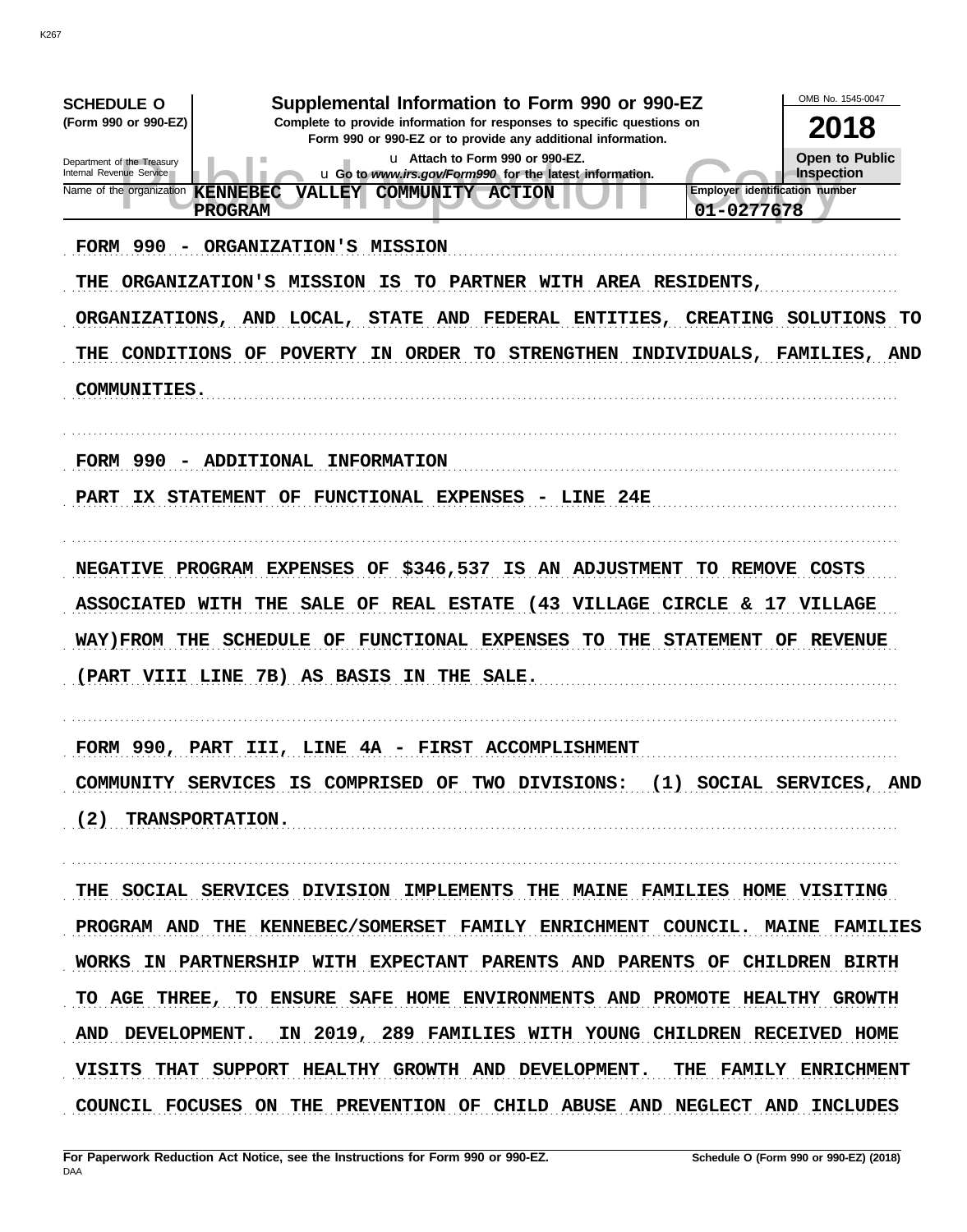| Supplemental Information to Form 990 or 990-EZ<br><b>SCHEDULE O</b><br>(Form 990 or 990-EZ)<br>Complete to provide information for responses to specific questions on<br>Form 990 or 990-EZ or to provide any additional information.<br>u Attach to Form 990 or 990-EZ.<br>Department of the Treasury<br>Internal Revenue Service<br>u Go to www.irs.gov/Form990 for the latest information.<br>Name of the organization<br><b>KENNEBEC</b><br>COMMUNITY ACTION<br><b>VALLEY</b><br>01-0277678<br><b>PROGRAM</b><br><b>FORM 990</b><br>ORGANIZATION'S<br><b>MISSION</b><br>ORGANIZATION'S<br><b>MISSION</b><br>PARTNER<br>WITH AREA RESIDENTS,<br>THE<br>IS<br>TО<br><b>LOCAL,</b><br><b>STATE</b><br><b>AND</b><br>FEDERAL<br><b>CREATING</b><br><b>ORGANIZATIONS,</b><br>AND<br>ENTITIES,<br><b>STRENGTHEN</b><br><b>CONDITIONS</b><br>OF<br><b>POVERTY</b><br><b>ORDER</b><br><b>TO</b><br>INDIVIDUALS,<br>THE<br>IN.<br>COMMUNITIES. | OMB No. 1545-0047<br>2018<br>Open to Public<br>Inspection<br>Employer identification number<br>SOLUTIONS<br>TO<br>FAMILIES, AND |
|-------------------------------------------------------------------------------------------------------------------------------------------------------------------------------------------------------------------------------------------------------------------------------------------------------------------------------------------------------------------------------------------------------------------------------------------------------------------------------------------------------------------------------------------------------------------------------------------------------------------------------------------------------------------------------------------------------------------------------------------------------------------------------------------------------------------------------------------------------------------------------------------------------------------------------------------|---------------------------------------------------------------------------------------------------------------------------------|
| <b>FORM 990</b><br>ADDITIONAL<br><b>INFORMATION</b><br><b>STATEMENT</b><br>FUNCTIONAL EXPENSES<br>24E<br><b>PART</b><br>OF<br>LINE<br>IX.                                                                                                                                                                                                                                                                                                                                                                                                                                                                                                                                                                                                                                                                                                                                                                                                 |                                                                                                                                 |
| \$346,537<br>PROGRAM<br><b>EXPENSES</b><br>OF<br>IS<br>AN<br><b>ADJUSTMENT</b><br><b>REMOVE</b><br><b>NEGATIVE</b><br>TO.<br>(43)<br><b>VILLAGE</b><br><b>ASSOCIATED</b><br><b>SALE</b><br>REAL<br><b>ESTATE</b><br><b>CIRCLE</b><br><b>WITH</b><br>THE<br>OF<br>&.<br>FUNCTIONAL EXPENSES<br>WAY) FROM THE<br><b>SCHEDULE</b><br>OF<br>TO<br>THE<br><b>STATEMENT</b><br>(PART VIII LINE<br>7B)<br>AS BASIS<br>THE<br><b>SALE.</b><br>IN                                                                                                                                                                                                                                                                                                                                                                                                                                                                                                  | <b>COSTS</b><br>17<br><b>VILLAGE</b><br><b>REVENUE</b><br>OF                                                                    |
| FORM 990, PART III, LINE 4A - FIRST ACCOMPLISHMENT<br>COMMUNITY SERVICES IS COMPRISED OF TWO DIVISIONS: (1) SOCIAL SERVICES, AND<br>(2) TRANSPORTATION.                                                                                                                                                                                                                                                                                                                                                                                                                                                                                                                                                                                                                                                                                                                                                                                   |                                                                                                                                 |
| THE SOCIAL SERVICES DIVISION IMPLEMENTS THE MAINE FAMILIES HOME VISITING<br>PROGRAM AND THE KENNEBEC/SOMERSET FAMILY ENRICHMENT COUNCIL. MAINE FAMILIES<br>WORKS IN PARTNERSHIP WITH EXPECTANT PARENTS AND PARENTS OF CHILDREN BIRTH<br>TO AGE THREE, TO ENSURE SAFE HOME ENVIRONMENTS AND PROMOTE HEALTHY GROWTH<br>AND DEVELOPMENT. IN 2019, 289 FAMILIES WITH YOUNG CHILDREN RECEIVED HOME<br>VISITS THAT SUPPORT HEALTHY GROWTH AND DEVELOPMENT. THE FAMILY ENRICHMENT<br>COUNCIL FOCUSES ON THE PREVENTION OF CHILD ABUSE AND NEGLECT AND INCLUDES                                                                                                                                                                                                                                                                                                                                                                                   |                                                                                                                                 |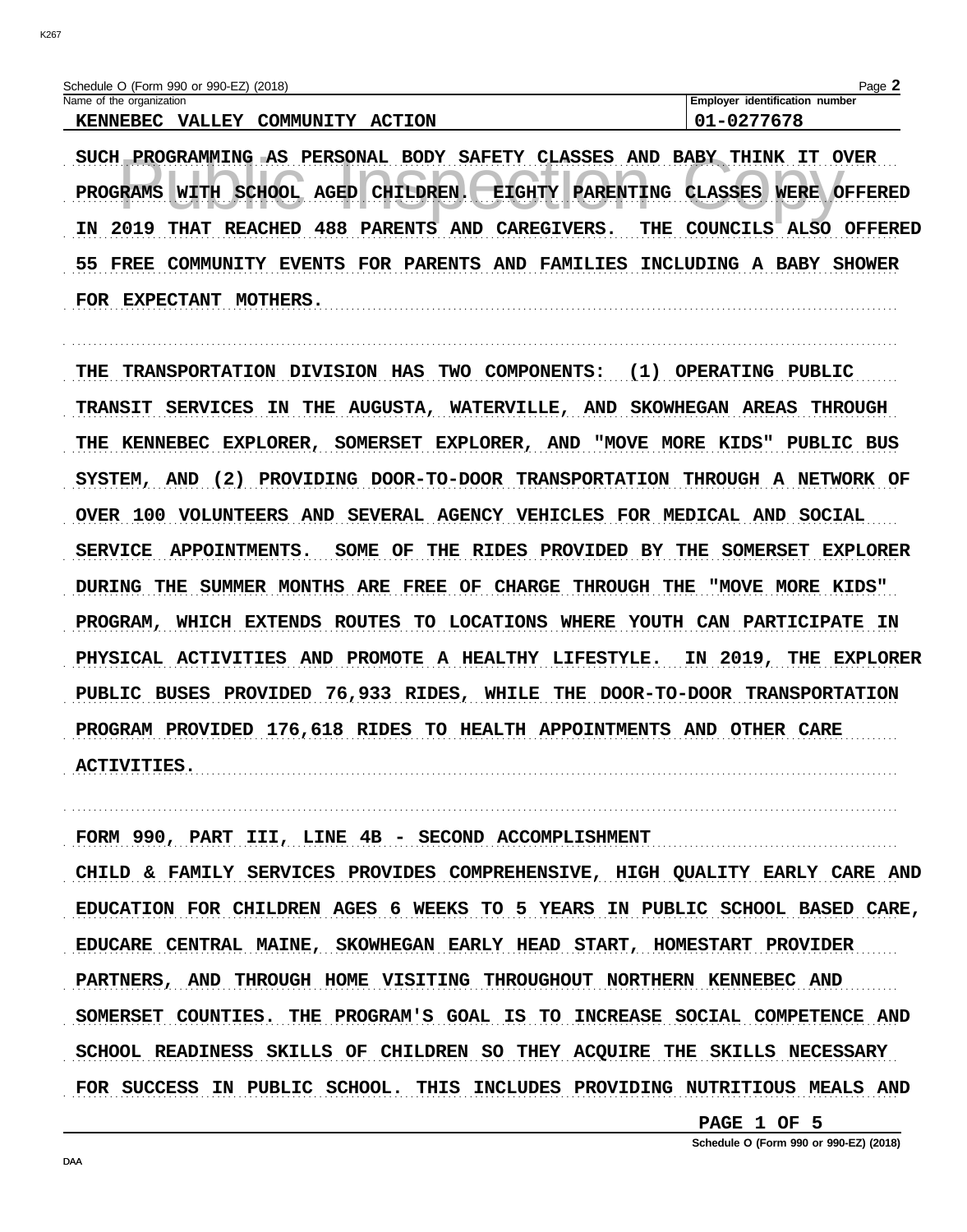| Schedule O (Form 990 or 990-EZ) (2018) |                  | $P$ aqe.                              |
|----------------------------------------|------------------|---------------------------------------|
| Name of the organization               |                  | <b>Employer identification number</b> |
| <b>KENNEBEC</b><br><b>VALLEY</b>       | COMMUNITY ACTION | 01-0277678                            |

SUCH PROGRAMMING AS PERSONAL BODY SAFETY CLASSES AND BABY THINK IT OVER PROGRAMS WITH SCHOOL AGED CHILDREN. EIGHTY PARENTING CLASSES WERE OFFERED IN 2019 THAT REACHED 488 PARENTS AND CAREGIVERS. THE COUNCILS ALSO OFFERED 55 FREE COMMUNITY EVENTS FOR PARENTS AND FAMILIES INCLUDING A BABY SHOWER FOR EXPECTANT MOTHERS. 

THE TRANSPORTATION DIVISION HAS TWO COMPONENTS: (1) OPERATING PUBLIC TRANSIT SERVICES IN THE AUGUSTA, WATERVILLE, AND SKOWHEGAN AREAS THROUGH THE KENNEBEC EXPLORER, SOMERSET EXPLORER, AND "MOVE MORE KIDS" PUBLIC BUS SYSTEM, AND (2) PROVIDING DOOR-TO-DOOR TRANSPORTATION THROUGH A NETWORK OF OVER 100 VOLUNTEERS AND SEVERAL AGENCY VEHICLES FOR MEDICAL AND SOCIAL SERVICE APPOINTMENTS. SOME OF THE RIDES PROVIDED BY THE SOMERSET EXPLORER DURING THE SUMMER MONTHS ARE FREE OF CHARGE THROUGH THE "MOVE MORE KIDS" PROGRAM, WHICH EXTENDS ROUTES TO LOCATIONS WHERE YOUTH CAN PARTICIPATE IN PHYSICAL ACTIVITIES AND PROMOTE A HEALTHY LIFESTYLE. IN 2019, THE EXPLORER PUBLIC BUSES PROVIDED 76,933 RIDES, WHILE THE DOOR-TO-DOOR TRANSPORTATION PROGRAM PROVIDED 176,618 RIDES TO HEALTH APPOINTMENTS AND OTHER CARE ACTIVITIES.

FORM 990, PART III, LINE 4B - SECOND ACCOMPLISHMENT

CHILD & FAMILY SERVICES PROVIDES COMPREHENSIVE, HIGH QUALITY EARLY CARE AND EDUCATION FOR CHILDREN AGES 6 WEEKS TO 5 YEARS IN PUBLIC SCHOOL BASED CARE, EDUCARE CENTRAL MAINE, SKOWHEGAN EARLY HEAD START, HOMESTART PROVIDER PARTNERS, AND THROUGH HOME VISITING THROUGHOUT NORTHERN KENNEBEC AND SOMERSET COUNTIES. THE PROGRAM'S GOAL IS TO INCREASE SOCIAL COMPETENCE AND SCHOOL READINESS SKILLS OF CHILDREN SO THEY ACQUIRE THE SKILLS NECESSARY FOR SUCCESS IN PUBLIC SCHOOL. THIS INCLUDES PROVIDING NUTRITIOUS MEALS AND

PAGE 1 OF 5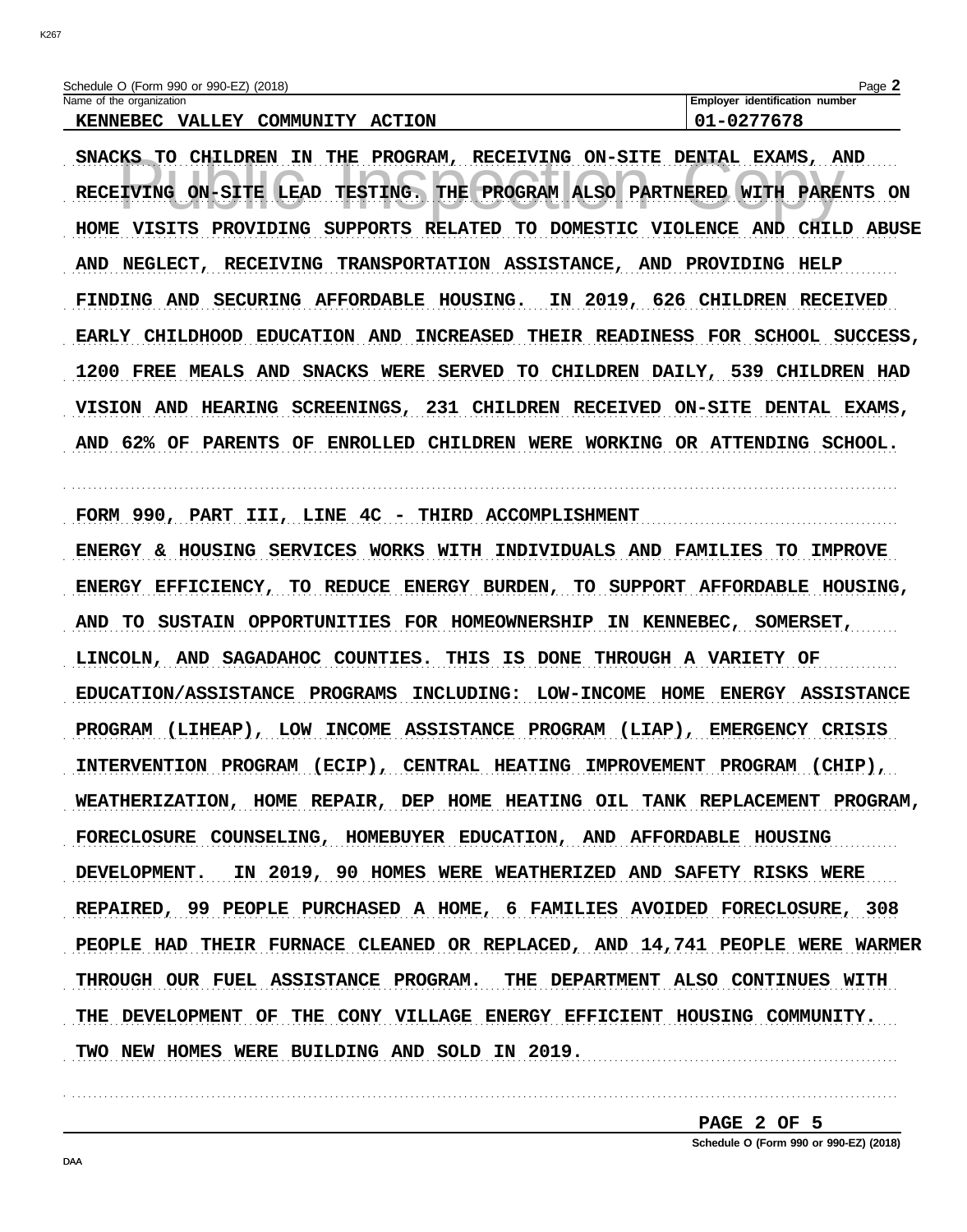| Schedule O (Form 990 or 990-EZ) (2018)        |               | $P$ aqe $\blacktriangle$       |
|-----------------------------------------------|---------------|--------------------------------|
| Name of the organization                      |               | Emplover identification number |
| <b>KENNEBEC</b><br><b>VALLEY</b><br>COMMUNITY | <b>ACTION</b> | L-0277678                      |

SNACKS TO CHILDREN IN THE PROGRAM, RECEIVING ON-SITE DENTAL EXAMS, AND RECEIVING ON-SITE LEAD TESTING. THE PROGRAM ALSO PARTNERED WITH PARENTS ON HOME VISITS PROVIDING SUPPORTS RELATED TO DOMESTIC VIOLENCE AND CHILD ABUSE AND NEGLECT, RECEIVING TRANSPORTATION ASSISTANCE, AND PROVIDING HELP FINDING AND SECURING AFFORDABLE HOUSING. IN 2019, 626 CHILDREN RECEIVED EARLY CHILDHOOD EDUCATION AND INCREASED THEIR READINESS FOR SCHOOL SUCCESS, 1200 FREE MEALS AND SNACKS WERE SERVED TO CHILDREN DAILY, 539 CHILDREN HAD VISION AND HEARING SCREENINGS, 231 CHILDREN RECEIVED ON-SITE DENTAL EXAMS, AND 62% OF PARENTS OF ENROLLED CHILDREN WERE WORKING OR ATTENDING SCHOOL.

FORM 990, PART III, LINE 4C - THIRD ACCOMPLISHMENT

ENERGY & HOUSING SERVICES WORKS WITH INDIVIDUALS AND FAMILIES TO IMPROVE ENERGY EFFICIENCY, TO REDUCE ENERGY BURDEN, TO SUPPORT AFFORDABLE HOUSING, AND TO SUSTAIN OPPORTUNITIES FOR HOMEOWNERSHIP IN KENNEBEC, SOMERSET, LINCOLN, AND SAGADAHOC COUNTIES. THIS IS DONE THROUGH A VARIETY OF EDUCATION/ASSISTANCE PROGRAMS INCLUDING: LOW-INCOME HOME ENERGY ASSISTANCE PROGRAM (LIHEAP), LOW INCOME ASSISTANCE PROGRAM (LIAP), EMERGENCY CRISIS INTERVENTION PROGRAM (ECIP), CENTRAL HEATING IMPROVEMENT PROGRAM (CHIP), WEATHERIZATION, HOME REPAIR, DEP HOME HEATING OIL TANK REPLACEMENT PROGRAM, FORECLOSURE COUNSELING, HOMEBUYER EDUCATION, AND AFFORDABLE HOUSING DEVELOPMENT. IN 2019, 90 HOMES WERE WEATHERIZED AND SAFETY RISKS WERE REPAIRED, 99 PEOPLE PURCHASED A HOME, 6 FAMILIES AVOIDED FORECLOSURE, 308 PEOPLE HAD THEIR FURNACE CLEANED OR REPLACED, AND 14,741 PEOPLE WERE WARMER THROUGH OUR FUEL ASSISTANCE PROGRAM. THE DEPARTMENT ALSO CONTINUES WITH THE DEVELOPMENT OF THE CONY VILLAGE ENERGY EFFICIENT HOUSING COMMUNITY. TWO NEW HOMES WERE BUILDING AND SOLD IN 2019.

> PAGE 2 OF 5 Schedule O (Form 990 or 990-EZ) (2018)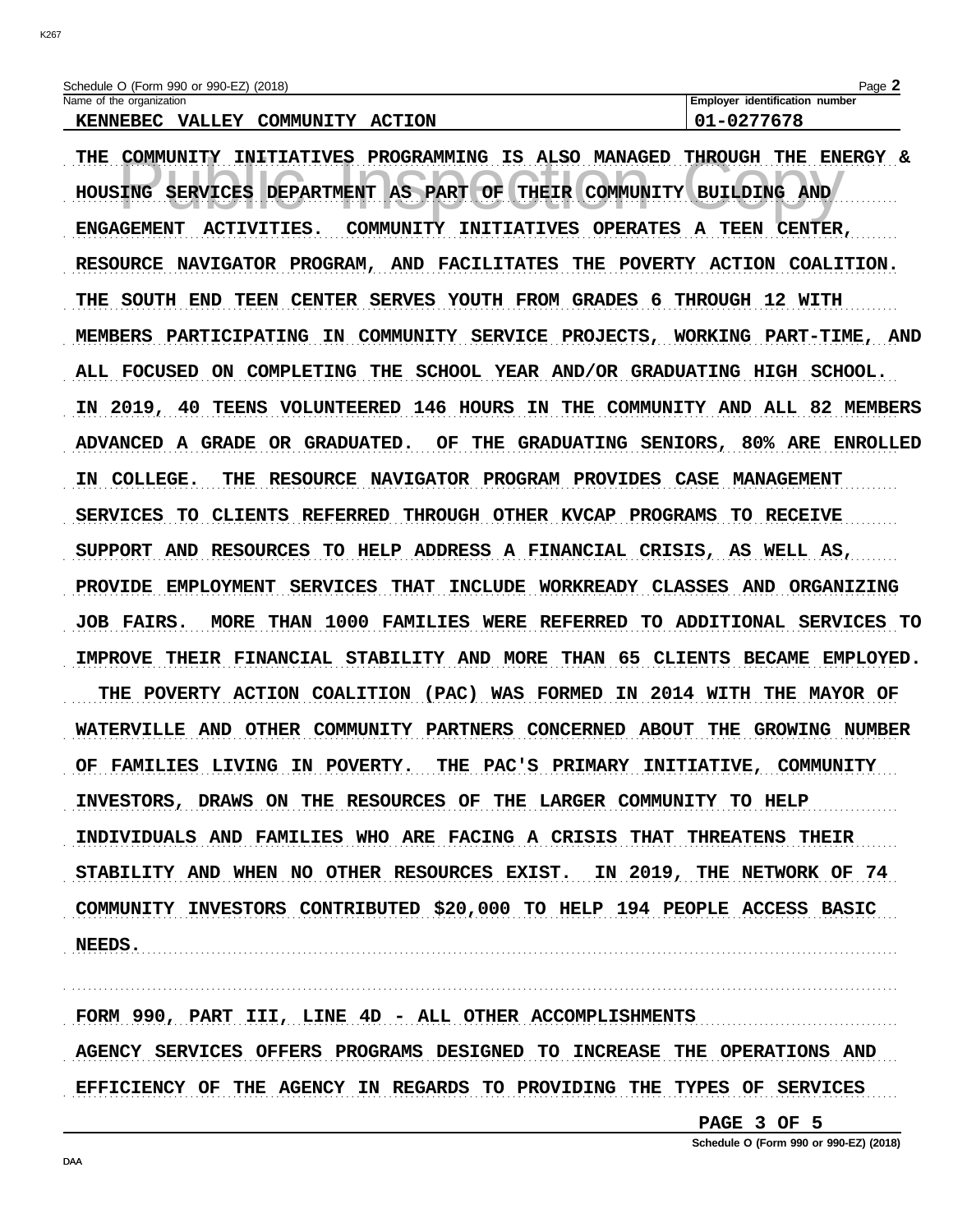| Schedule O (Form 990 or 990-EZ) (2018)                         | Page,                            |
|----------------------------------------------------------------|----------------------------------|
| Name of the organization                                       | dentification number<br>Emplover |
| <b>ACTION</b><br>COMMUNITY<br><b>KENNEBEC</b><br><b>VALLEY</b> | 0277678                          |

| THE COMMUNITY INITIATIVES PROGRAMMING IS ALSO MANAGED THROUGH THE ENERGY &  |
|-----------------------------------------------------------------------------|
| HOUSING SERVICES DEPARTMENT AS PART OF THEIR COMMUNITY BUILDING AND         |
| ENGAGEMENT ACTIVITIES. COMMUNITY INITIATIVES OPERATES A TEEN CENTER,        |
| RESOURCE NAVIGATOR PROGRAM, AND FACILITATES THE POVERTY ACTION COALITION.   |
| THE SOUTH END TEEN CENTER SERVES YOUTH FROM GRADES 6 THROUGH 12 WITH        |
| MEMBERS PARTICIPATING IN COMMUNITY SERVICE PROJECTS, WORKING PART-TIME, AND |
| ALL FOCUSED ON COMPLETING THE SCHOOL YEAR AND/OR GRADUATING HIGH SCHOOL.    |
| IN 2019, 40 TEENS VOLUNTEERED 146 HOURS IN THE COMMUNITY AND ALL 82 MEMBERS |
| ADVANCED A GRADE OR GRADUATED. OF THE GRADUATING SENIORS, 80% ARE ENROLLED  |
| IN COLLEGE. THE RESOURCE NAVIGATOR PROGRAM PROVIDES CASE MANAGEMENT         |
| SERVICES TO CLIENTS REFERRED THROUGH OTHER KVCAP PROGRAMS TO RECEIVE        |
| SUPPORT AND RESOURCES TO HELP ADDRESS A FINANCIAL CRISIS, AS WELL AS,       |
| PROVIDE EMPLOYMENT SERVICES THAT INCLUDE WORKREADY CLASSES AND ORGANIZING   |
| JOB FAIRS. MORE THAN 1000 FAMILIES WERE REFERRED TO ADDITIONAL SERVICES TO  |
| IMPROVE THEIR FINANCIAL STABILITY AND MORE THAN 65 CLIENTS BECAME EMPLOYED. |
| THE POVERTY ACTION COALITION (PAC) WAS FORMED IN 2014 WITH THE MAYOR OF     |
| WATERVILLE AND OTHER COMMUNITY PARTNERS CONCERNED ABOUT THE GROWING NUMBER  |
| FAMILIES LIVING IN POVERTY. THE PAC'S PRIMARY INITIATIVE, COMMUNITY         |
| INVESTORS, DRAWS ON THE RESOURCES OF THE LARGER COMMUNITY TO HELP           |
| INDIVIDUALS AND FAMILIES WHO ARE FACING A CRISIS THAT THREATENS THEIR       |
| STABILITY AND WHEN NO OTHER RESOURCES EXIST. IN 2019, THE NETWORK OF 74     |
| COMMUNITY INVESTORS CONTRIBUTED \$20,000 TO HELP 194 PEOPLE ACCESS BASIC    |
| NEEDS.                                                                      |

FORM 990, PART III, LINE 4D - ALL OTHER ACCOMPLISHMENTS AGENCY SERVICES OFFERS PROGRAMS DESIGNED TO INCREASE THE OPERATIONS AND EFFICIENCY OF THE AGENCY IN REGARDS TO PROVIDING THE TYPES OF SERVICES

PAGE 3 OF 5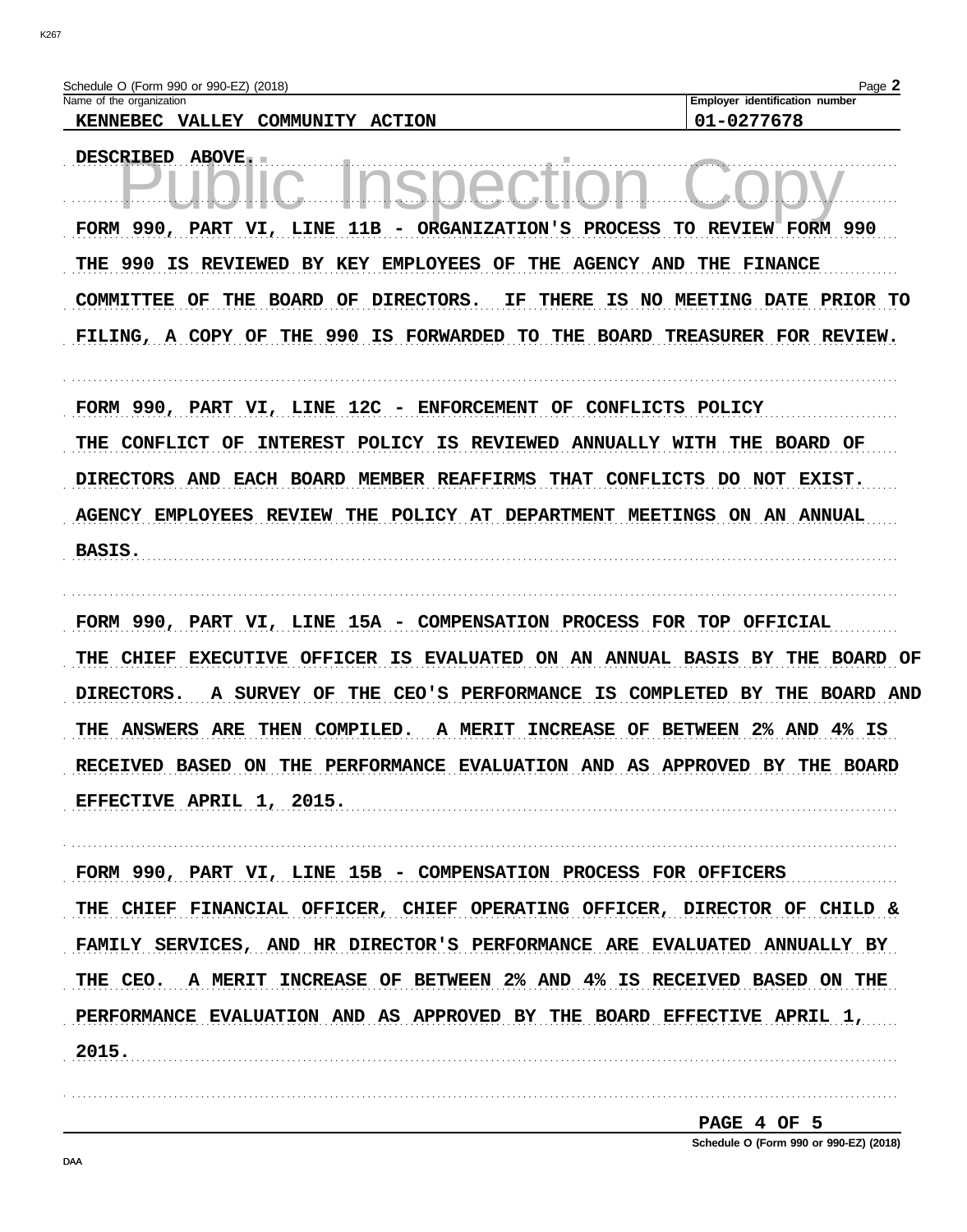| Schedule O (Form 990 or 990-EZ) (2018)<br>Name of the organization                                                                                             | Page 2<br>Employer identification number                 |
|----------------------------------------------------------------------------------------------------------------------------------------------------------------|----------------------------------------------------------|
| <b>ACTION</b><br>KENNEBEC VALLEY COMMUNITY                                                                                                                     | 01-0277678                                               |
| <b>DESCRIBED</b><br><b>ABOVE.</b><br>a - 17                                                                                                                    |                                                          |
| FORM 990, PART VI, LINE 11B - ORGANIZATION'S PROCESS                                                                                                           | REVIEW FORM 990<br>TO.                                   |
| 990<br>IS<br><b>REVIEWED</b><br>BY KEY<br><b>EMPLOYEES</b><br>OF<br>THE<br><b>AGENCY AND</b><br>THE                                                            | THE FINANCE                                              |
| <b>BOARD</b><br>OF<br>DIRECTORS.<br>IS.<br><b>COMMITTEE</b><br>OF<br>THE<br>ΙF<br>THERE<br>NO.<br>THE 990 IS FORWARDED TO<br>FILING, A COPY OF<br>BOARD<br>THE | <b>MEETING DATE</b><br>PRIOR TO<br>TREASURER FOR REVIEW. |
| FORM 990, PART VI, LINE<br>12C - ENFORCEMENT<br>OF                                                                                                             | CONFLICTS POLICY                                         |
| <b>POLICY</b><br>IS<br><b>ANNUALLY</b><br><b>CONFLICT</b><br>OF<br><b>INTEREST</b><br><b>REVIEWED</b><br>THE                                                   | <b>BOARD OF</b><br>THE<br>WITH                           |
| <b>DIRECTORS</b><br>AND<br><b>EACH</b><br><b>BOARD</b><br>MEMBER REAFFIRMS<br><b>THAT</b><br><b>CONFLICTS</b>                                                  | <b>NOT</b><br><b>EXIST.</b><br>DO.                       |
| <b>AGENCY EMPLOYEES</b><br><b>REVIEW</b><br>POLICY AT DEPARTMENT MEETINGS<br>THE                                                                               | <b>ON</b><br>AN<br>ANNUAL                                |
| <b>BASIS.</b>                                                                                                                                                  |                                                          |
| FORM 990, PART VI, LINE<br>15A - COMPENSATION PROCESS FOR                                                                                                      | TOP<br><b>OFFICIAL</b>                                   |
| IS<br><b>EVALUATED</b><br>ON<br>AN<br>CHIEF<br><b>EXECUTIVE</b><br><b>OFFICER</b><br>THE                                                                       | <b>ANNUAL BASIS</b><br>ВY<br>THE<br>BOARD OF             |
| DIRECTORS.<br><b>SURVEY</b><br>CEO'S<br><b>PERFORMANCE</b><br>IS<br>A<br>OF<br>THE                                                                             | COMPLETED<br><b>BOARD</b><br><b>AND</b><br>вY<br>THE     |
| THE ANSWERS<br><b>ARE</b><br>THEN COMPILED.<br>INCREASE OF BETWEEN<br>A MERIT                                                                                  | 4% IS<br>$2%$ AND                                        |
| RECEIVED BASED ON THE PERFORMANCE EVALUATION AND AS APPROVED BY THE                                                                                            |                                                          |
| EFFECTIVE APRIL 1, 2015.                                                                                                                                       |                                                          |
| FORM 990, PART VI, LINE 15B - COMPENSATION PROCESS FOR OFFICERS                                                                                                |                                                          |
| THE CHIEF FINANCIAL OFFICER, CHIEF OPERATING OFFICER, DIRECTOR OF CHILD &                                                                                      |                                                          |
| FAMILY SERVICES, AND HR DIRECTOR'S PERFORMANCE ARE EVALUATED ANNUALLY BY                                                                                       |                                                          |

THE CEO. A MERIT INCREASE OF BETWEEN 2% AND 4% IS RECEIVED BASED ON THE PERFORMANCE EVALUATION AND AS APPROVED BY THE BOARD EFFECTIVE APRIL 1,  $2015.$ 

PAGE 4 OF 5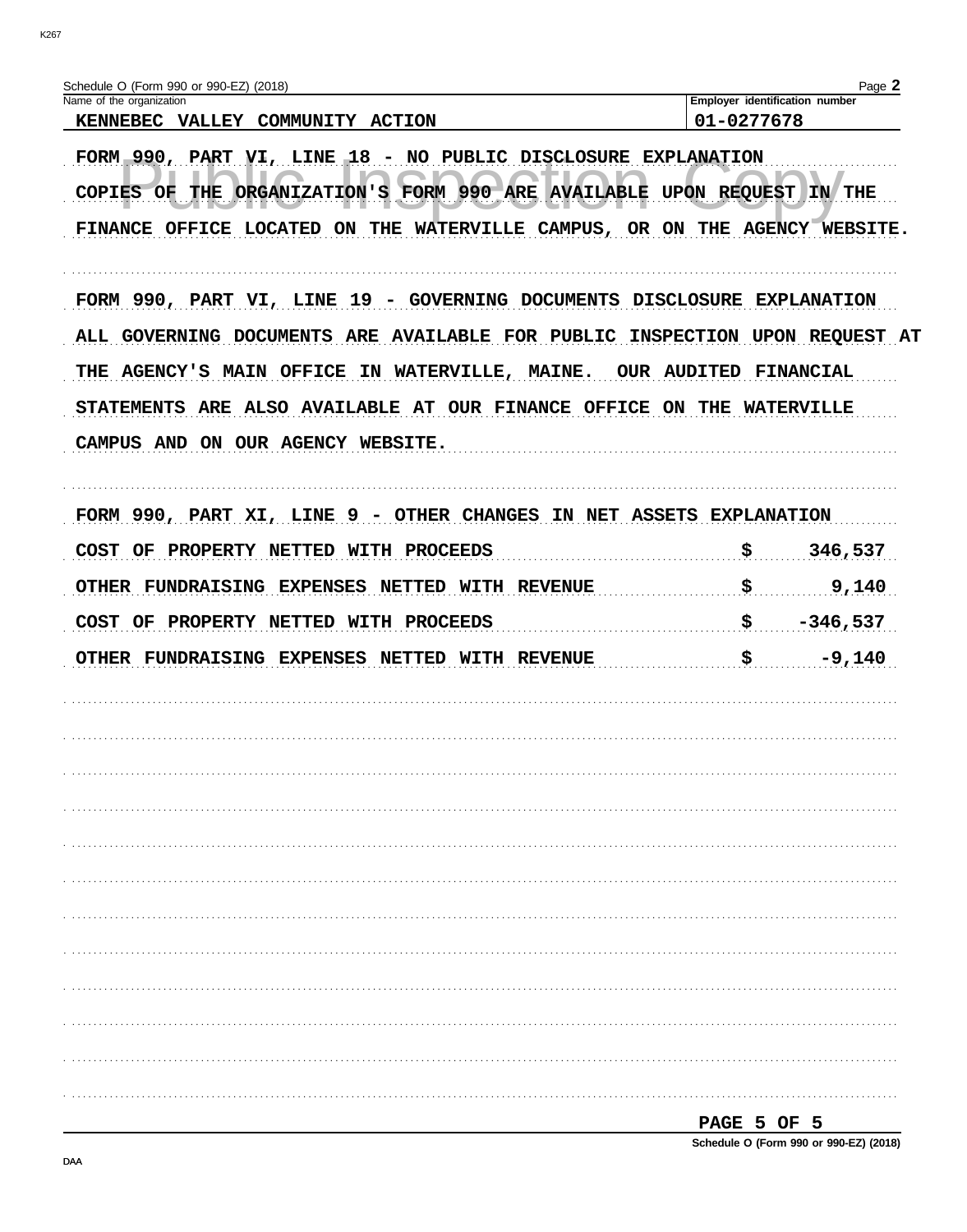| Name of the organization<br>KENNEBEC VALLEY COMMUNITY<br><b>ACTION</b>                                                                                                                                                                                                                                                                                                                                                                  | 01-0277678 | Employer identification number |
|-----------------------------------------------------------------------------------------------------------------------------------------------------------------------------------------------------------------------------------------------------------------------------------------------------------------------------------------------------------------------------------------------------------------------------------------|------------|--------------------------------|
| FORM 990, PART VI, LINE 18 - NO PUBLIC DISCLOSURE EXPLANATION<br>FORM 990 ARE AVAILABLE UPON REQUEST<br>THE<br><b>ORGANIZATION'S</b><br><b>COPIES OF</b><br>FINANCE OFFICE LOCATED ON THE<br>WATERVILLE CAMPUS, OR ON THE AGENCY WEBSITE.<br>FORM 990, PART VI, LINE 19 - GOVERNING DOCUMENTS DISCLOSURE EXPLANATION<br>INSPECTION UPON REQUEST AT<br><b>OUR AUDITED</b><br>THE AGENCY'S MAIN OFFICE IN WATERVILLE, MAINE.<br>FINANCIAL |            | IN THE                         |
|                                                                                                                                                                                                                                                                                                                                                                                                                                         |            |                                |
| ALL GOVERNING DOCUMENTS ARE AVAILABLE FOR PUBLIC                                                                                                                                                                                                                                                                                                                                                                                        |            |                                |
| STATEMENTS ARE ALSO AVAILABLE AT OUR FINANCE OFFICE ON THE WATERVILLE<br>CAMPUS AND ON OUR AGENCY WEBSITE.                                                                                                                                                                                                                                                                                                                              |            |                                |
|                                                                                                                                                                                                                                                                                                                                                                                                                                         |            |                                |
| FORM 990, PART XI, LINE 9 - OTHER CHANGES IN NET ASSETS EXPLANATION                                                                                                                                                                                                                                                                                                                                                                     |            |                                |
| <b>COST</b><br>PROPERTY NETTED WITH PROCEEDS<br>OF<br>OTHER FUNDRAISING EXPENSES<br><b>NETTED WITH REVENUE</b>                                                                                                                                                                                                                                                                                                                          | \$<br>\$   | 346,537<br>9,140               |
| COST OF<br>PROPERTY NETTED WITH PROCEEDS                                                                                                                                                                                                                                                                                                                                                                                                | \$         | $-346,537$                     |
| OTHER FUNDRAISING EXPENSES NETTED WITH REVENUE                                                                                                                                                                                                                                                                                                                                                                                          | \$         | $-9,140$                       |
|                                                                                                                                                                                                                                                                                                                                                                                                                                         |            |                                |
|                                                                                                                                                                                                                                                                                                                                                                                                                                         |            |                                |
|                                                                                                                                                                                                                                                                                                                                                                                                                                         |            |                                |
|                                                                                                                                                                                                                                                                                                                                                                                                                                         |            |                                |
|                                                                                                                                                                                                                                                                                                                                                                                                                                         |            |                                |
|                                                                                                                                                                                                                                                                                                                                                                                                                                         |            |                                |
|                                                                                                                                                                                                                                                                                                                                                                                                                                         |            |                                |

PAGE 5 OF 5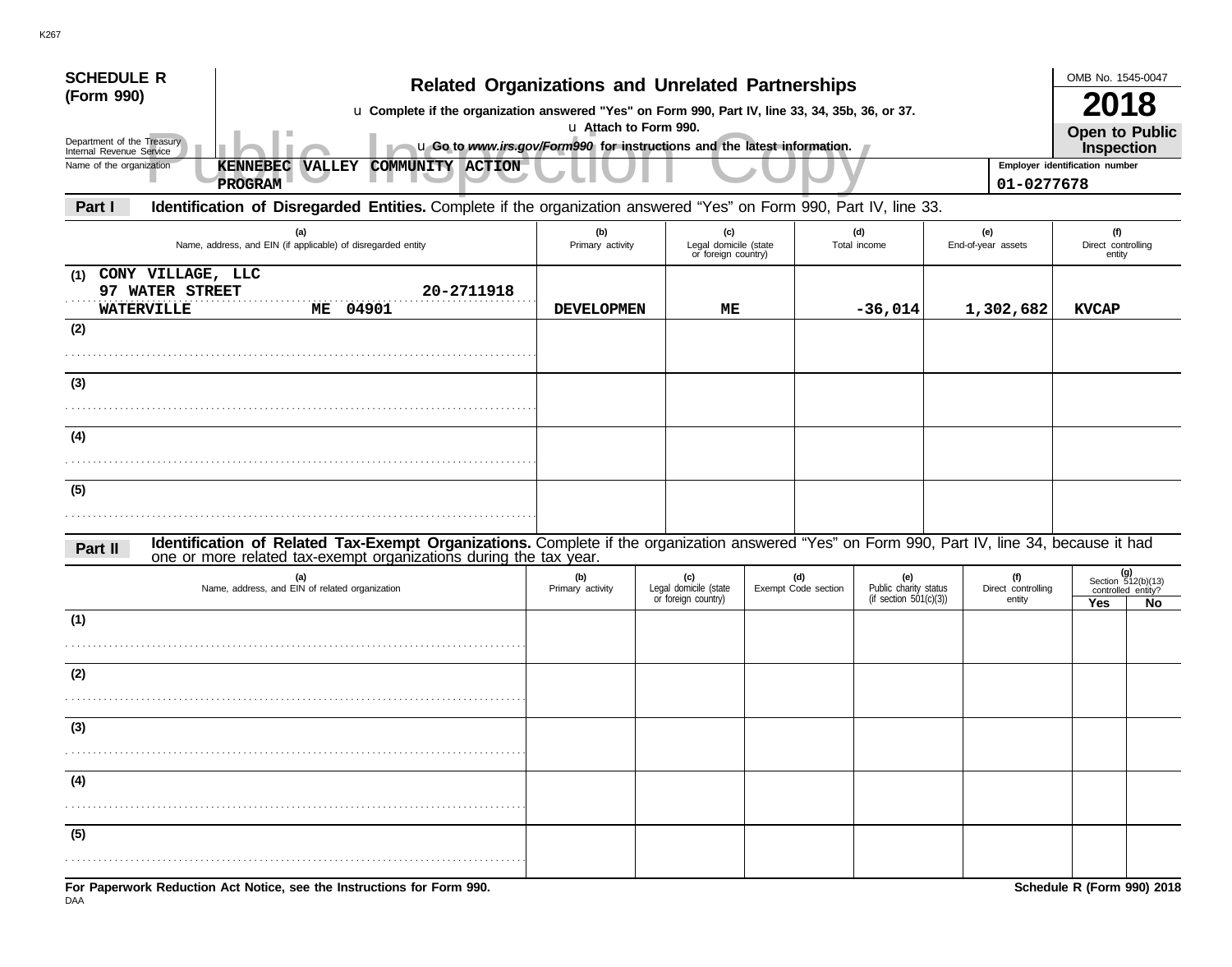| <b>SCHEDULE R</b>                                                | <b>Related Organizations and Unrelated Partnerships</b>                                                                                                                                                            |                         |  |                                                     |  |                            |                                                           |  |                                     | OMB No. 1545-0047                                 |    |  |
|------------------------------------------------------------------|--------------------------------------------------------------------------------------------------------------------------------------------------------------------------------------------------------------------|-------------------------|--|-----------------------------------------------------|--|----------------------------|-----------------------------------------------------------|--|-------------------------------------|---------------------------------------------------|----|--|
| (Form 990)                                                       | u Complete if the organization answered "Yes" on Form 990, Part IV, line 33, 34, 35b, 36, or 37.                                                                                                                   |                         |  |                                                     |  |                            |                                                           |  |                                     | 2018                                              |    |  |
| Department of the Treasury<br>Internal Revenue Service           | u Attach to Form 990.<br>u Go to www.irs.gov/Form990 for instructions and the latest information.                                                                                                                  |                         |  |                                                     |  |                            |                                                           |  |                                     | <b>Open to Public</b><br>Inspection               |    |  |
| Name of the organization                                         | COMMUNITY ACTION<br><b>KENNEBEC</b><br><b>VALLEY</b>                                                                                                                                                               |                         |  |                                                     |  |                            |                                                           |  |                                     | Employer identification number                    |    |  |
|                                                                  | PROGRAM                                                                                                                                                                                                            |                         |  |                                                     |  |                            |                                                           |  | 01-0277678                          |                                                   |    |  |
| Part I                                                           | Identification of Disregarded Entities. Complete if the organization answered "Yes" on Form 990, Part IV, line 33.                                                                                                 |                         |  |                                                     |  |                            |                                                           |  |                                     |                                                   |    |  |
|                                                                  | (a)<br>Name, address, and EIN (if applicable) of disregarded entity                                                                                                                                                | (b)<br>Primary activity |  | (c)<br>Legal domicile (state<br>or foreign country) |  |                            | (d)<br>Total income                                       |  | (e)<br>End-of-year assets           | (f)<br>Direct controlling<br>entity               |    |  |
| CONY VILLAGE, LLC<br>(1)<br>97 WATER STREET<br><b>WATERVILLE</b> | 20-2711918<br><b>ME 04901</b>                                                                                                                                                                                      | <b>DEVELOPMEN</b>       |  | ME                                                  |  |                            | $-36,014$                                                 |  | 1,302,682                           | <b>KVCAP</b>                                      |    |  |
| (2)                                                              |                                                                                                                                                                                                                    |                         |  |                                                     |  |                            |                                                           |  |                                     |                                                   |    |  |
|                                                                  |                                                                                                                                                                                                                    |                         |  |                                                     |  |                            |                                                           |  |                                     |                                                   |    |  |
| (3)                                                              |                                                                                                                                                                                                                    |                         |  |                                                     |  |                            |                                                           |  |                                     |                                                   |    |  |
| (4)                                                              |                                                                                                                                                                                                                    |                         |  |                                                     |  |                            |                                                           |  |                                     |                                                   |    |  |
|                                                                  |                                                                                                                                                                                                                    |                         |  |                                                     |  |                            |                                                           |  |                                     |                                                   |    |  |
| (5)                                                              |                                                                                                                                                                                                                    |                         |  |                                                     |  |                            |                                                           |  |                                     |                                                   |    |  |
|                                                                  |                                                                                                                                                                                                                    |                         |  |                                                     |  |                            |                                                           |  |                                     |                                                   |    |  |
| Part II                                                          | Identification of Related Tax-Exempt Organizations. Complete if the organization answered "Yes" on Form 990, Part IV, line 34, because it had<br>one or more related tax-exempt organizations during the tax year. |                         |  |                                                     |  |                            |                                                           |  |                                     |                                                   |    |  |
|                                                                  | (a)<br>Name, address, and EIN of related organization                                                                                                                                                              | (b)<br>Primary activity |  | (c)<br>Legal domicile (state<br>or foreign country) |  | (d)<br>Exempt Code section | (e)<br>Public charity status<br>(if section $501(c)(3)$ ) |  | (f)<br>Direct controlling<br>entity | (g)<br>Section $512(b)(13)$<br>controlled entity? |    |  |
| (1)                                                              |                                                                                                                                                                                                                    |                         |  |                                                     |  |                            |                                                           |  |                                     | Yes                                               | No |  |
|                                                                  |                                                                                                                                                                                                                    |                         |  |                                                     |  |                            |                                                           |  |                                     |                                                   |    |  |
| (2)                                                              |                                                                                                                                                                                                                    |                         |  |                                                     |  |                            |                                                           |  |                                     |                                                   |    |  |
| $\sim$                                                           |                                                                                                                                                                                                                    |                         |  |                                                     |  |                            |                                                           |  |                                     |                                                   |    |  |
| (३)                                                              |                                                                                                                                                                                                                    |                         |  |                                                     |  |                            |                                                           |  |                                     |                                                   |    |  |
| (4)                                                              |                                                                                                                                                                                                                    |                         |  |                                                     |  |                            |                                                           |  |                                     |                                                   |    |  |
|                                                                  |                                                                                                                                                                                                                    |                         |  |                                                     |  |                            |                                                           |  |                                     |                                                   |    |  |
| (5)                                                              |                                                                                                                                                                                                                    |                         |  |                                                     |  |                            |                                                           |  |                                     |                                                   |    |  |
|                                                                  |                                                                                                                                                                                                                    |                         |  |                                                     |  |                            |                                                           |  |                                     |                                                   |    |  |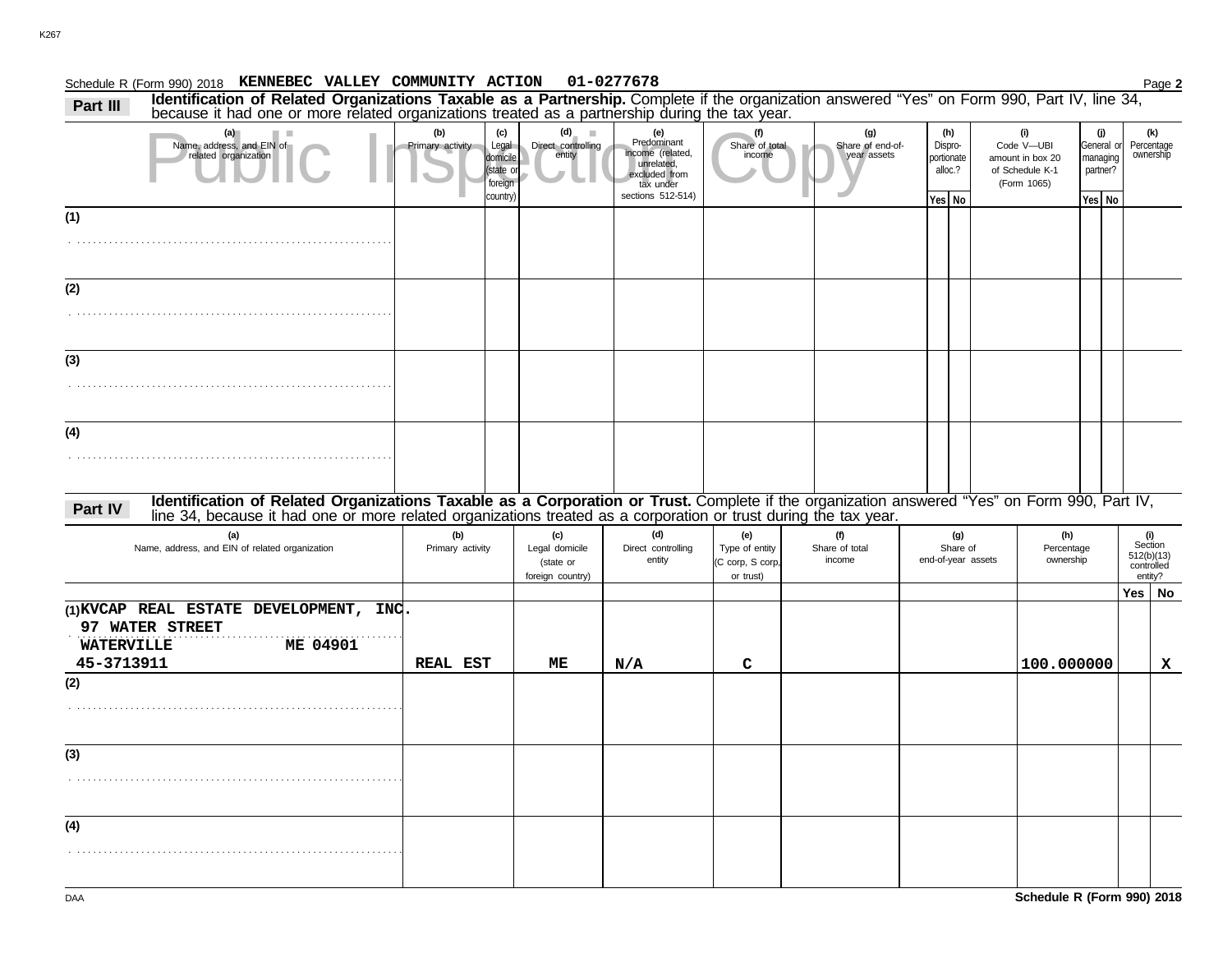|          | Schedule R (Form 990) 2018 KENNEBEC VALLEY COMMUNITY ACTION 01-0277678                                                                                                                                                        |                                |                                              |                                    |                                                                                                         |                          |                                        |                                         |                                                                         |                                                       | Page 2                         |
|----------|-------------------------------------------------------------------------------------------------------------------------------------------------------------------------------------------------------------------------------|--------------------------------|----------------------------------------------|------------------------------------|---------------------------------------------------------------------------------------------------------|--------------------------|----------------------------------------|-----------------------------------------|-------------------------------------------------------------------------|-------------------------------------------------------|--------------------------------|
| Part III | Identification of Related Organizations Taxable as a Partnership. Complete if the organization answered "Yes" on Form 990, Part IV, line 34, because it had one or more related organizations treated as a partnership during |                                |                                              |                                    |                                                                                                         |                          |                                        |                                         |                                                                         |                                                       |                                |
|          | Name, address, and EIN of<br>related organization                                                                                                                                                                             | (b)<br><b>Primary activity</b> | (c)<br>domicil<br>state<br>foreign<br>countr | Legal Direct controlling<br>entity | (e)<br>Predominant<br>income (related,<br>unrelated.<br>excluded from<br>tax under<br>sections 512-514) | Share of total<br>income | (g)<br>Share of end-of-<br>year assets | (h)<br>Dispro-<br>portionate<br>alloc.? | (i)<br>Code V-UBI<br>amount in box 20<br>of Schedule K-1<br>(Form 1065) | (j)<br>General or<br>managing<br>partner?<br>Yes   No | (k)<br>Percentage<br>ownership |
| (1)      |                                                                                                                                                                                                                               |                                |                                              |                                    |                                                                                                         |                          |                                        | Yes   No                                |                                                                         |                                                       |                                |
| (2)      |                                                                                                                                                                                                                               |                                |                                              |                                    |                                                                                                         |                          |                                        |                                         |                                                                         |                                                       |                                |
| (3)      |                                                                                                                                                                                                                               |                                |                                              |                                    |                                                                                                         |                          |                                        |                                         |                                                                         |                                                       |                                |
| (4)      |                                                                                                                                                                                                                               |                                |                                              |                                    |                                                                                                         |                          |                                        |                                         |                                                                         |                                                       |                                |

# Part IV Identification of Related Organizations Taxable as a Corporation or Trust. Complete if the organization answered "Yes" on Form 990, Part IV, Part IV, Part IV, Part IV, Part IV, Part IV, Part IV, Part IV, Part IV, P

| (a)<br>Name, address, and EIN of related organization      | (b)<br>Primary activity | (c)<br>Legal domicile<br>(state or<br>foreign country) | (d)<br>Direct controlling<br>entity | (e)<br>Type of entity<br>(C corp, S corp,<br>or trust) | (f)<br>Share of total<br>income | (g)<br>Share of<br>end-of-year assets | (h)<br>Percentage<br>ownership | controlled | (i)<br>Section<br>512(b)(13)<br>entity? |
|------------------------------------------------------------|-------------------------|--------------------------------------------------------|-------------------------------------|--------------------------------------------------------|---------------------------------|---------------------------------------|--------------------------------|------------|-----------------------------------------|
|                                                            |                         |                                                        |                                     |                                                        |                                 |                                       |                                | $Yes \mid$ | No                                      |
| (1) KVCAP REAL ESTATE DEVELOPMENT, INC.<br>97 WATER STREET |                         |                                                        |                                     |                                                        |                                 |                                       |                                |            |                                         |
| ME 04901<br><b>WATERVILLE</b><br>45-3713911                | <b>REAL EST</b>         | ME                                                     | $\rm N/A$                           | C                                                      |                                 |                                       | 100.000000                     |            | x                                       |
| (2)                                                        |                         |                                                        |                                     |                                                        |                                 |                                       |                                |            |                                         |
|                                                            |                         |                                                        |                                     |                                                        |                                 |                                       |                                |            |                                         |
| (3)                                                        |                         |                                                        |                                     |                                                        |                                 |                                       |                                |            |                                         |
|                                                            |                         |                                                        |                                     |                                                        |                                 |                                       |                                |            |                                         |
| (4)                                                        |                         |                                                        |                                     |                                                        |                                 |                                       |                                |            |                                         |
|                                                            |                         |                                                        |                                     |                                                        |                                 |                                       |                                |            |                                         |

. . . . . . . . . . . . . . . . . . . . . . . . . . . . . . . . . . . . . . . . . . . . . . . . . . . . . . . . . . . .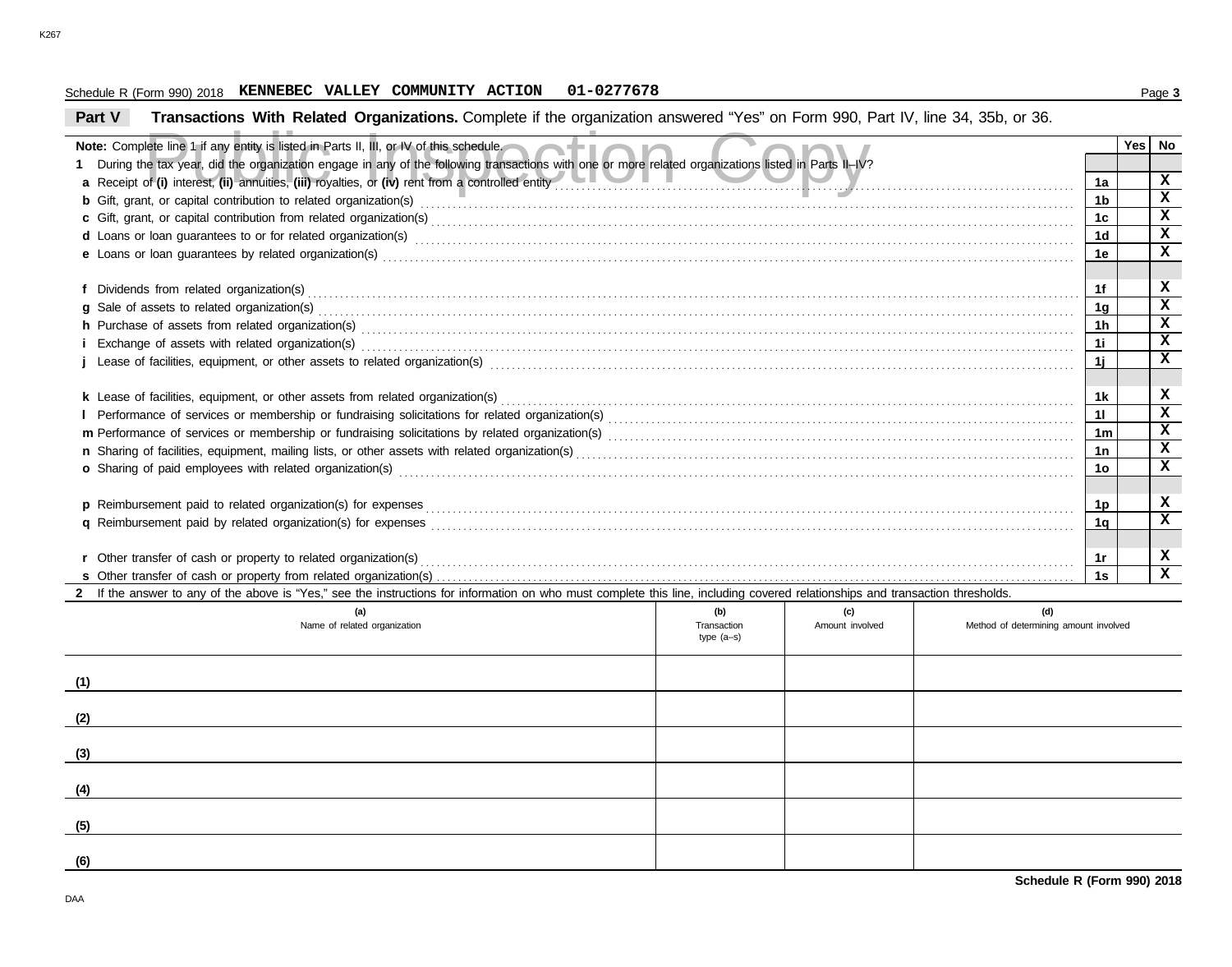#### Schedule R (Form 990) 2018 Page **3 KENNEBEC VALLEY COMMUNITY ACTION 01-0277678**

#### **Part V Transactions With Related Organizations.** Complete if the organization answered "Yes" on Form 990, Part IV, line 34, 35b, or 36.

|                                                                                                                                                                                                                                                  |             |                 |                                       |                      | Yes l | No          |  |  |
|--------------------------------------------------------------------------------------------------------------------------------------------------------------------------------------------------------------------------------------------------|-------------|-----------------|---------------------------------------|----------------------|-------|-------------|--|--|
| Note: Complete line 1 if any entity is listed in Parts II, III, or IV of this schedule.<br>1 During the tax year, did the organization engage in any of the following transactions with one or more related organizations listed in Parts II-IV? |             |                 |                                       |                      |       |             |  |  |
|                                                                                                                                                                                                                                                  |             |                 |                                       | 1a                   |       | x           |  |  |
|                                                                                                                                                                                                                                                  |             |                 |                                       |                      |       |             |  |  |
|                                                                                                                                                                                                                                                  |             |                 |                                       |                      |       |             |  |  |
|                                                                                                                                                                                                                                                  |             |                 |                                       |                      |       |             |  |  |
|                                                                                                                                                                                                                                                  |             |                 |                                       | 1 <sub>d</sub><br>1e |       | X<br>x      |  |  |
|                                                                                                                                                                                                                                                  |             |                 |                                       |                      |       |             |  |  |
|                                                                                                                                                                                                                                                  |             |                 |                                       | 1f                   |       | x           |  |  |
| g Sale of assets to related organization(s) encourance contains and contains a series of assets to related organization(s)                                                                                                                       |             |                 |                                       | 1g                   |       | x           |  |  |
|                                                                                                                                                                                                                                                  |             |                 |                                       | 1h                   |       | x           |  |  |
| h Purchase of assets from related organization(s) with an interventional contract to contact the contract or contract or contract or contract or contract or contract or contract or contract or contract or contract or contr                   |             |                 |                                       |                      |       |             |  |  |
|                                                                                                                                                                                                                                                  |             |                 |                                       |                      |       |             |  |  |
|                                                                                                                                                                                                                                                  |             |                 |                                       |                      |       |             |  |  |
|                                                                                                                                                                                                                                                  |             |                 |                                       | 1 <sub>k</sub>       |       | x           |  |  |
|                                                                                                                                                                                                                                                  |             |                 |                                       | 11                   |       | X           |  |  |
|                                                                                                                                                                                                                                                  |             |                 |                                       | 1 <sub>m</sub>       |       | x           |  |  |
|                                                                                                                                                                                                                                                  |             |                 |                                       | 1n                   |       | x           |  |  |
|                                                                                                                                                                                                                                                  |             |                 |                                       | 1o                   |       | $\mathbf x$ |  |  |
|                                                                                                                                                                                                                                                  |             |                 |                                       |                      |       |             |  |  |
|                                                                                                                                                                                                                                                  |             |                 |                                       | 1p                   |       | x           |  |  |
|                                                                                                                                                                                                                                                  |             |                 |                                       | 1q                   |       | $\mathbf x$ |  |  |
|                                                                                                                                                                                                                                                  |             |                 |                                       |                      |       |             |  |  |
|                                                                                                                                                                                                                                                  |             |                 |                                       |                      |       |             |  |  |
|                                                                                                                                                                                                                                                  |             |                 |                                       |                      |       |             |  |  |
| 2 If the answer to any of the above is "Yes," see the instructions for information on who must complete this line, including covered relationships and transaction thresholds.                                                                   |             |                 |                                       |                      |       |             |  |  |
| (a)                                                                                                                                                                                                                                              | (b)         | (c)             | (d)                                   |                      |       |             |  |  |
| Name of related organization                                                                                                                                                                                                                     | Transaction | Amount involved | Method of determining amount involved |                      |       |             |  |  |

| (a)<br>Name of related organization | (W)<br>Transaction<br>type (a-s) | (~)<br>Amount involved | (u)<br>Method of determining amount involved |
|-------------------------------------|----------------------------------|------------------------|----------------------------------------------|
| (1)                                 |                                  |                        |                                              |
| (2)                                 |                                  |                        |                                              |
| (3)                                 |                                  |                        |                                              |
| (4)                                 |                                  |                        |                                              |
| (5)                                 |                                  |                        |                                              |
| (6)                                 |                                  |                        |                                              |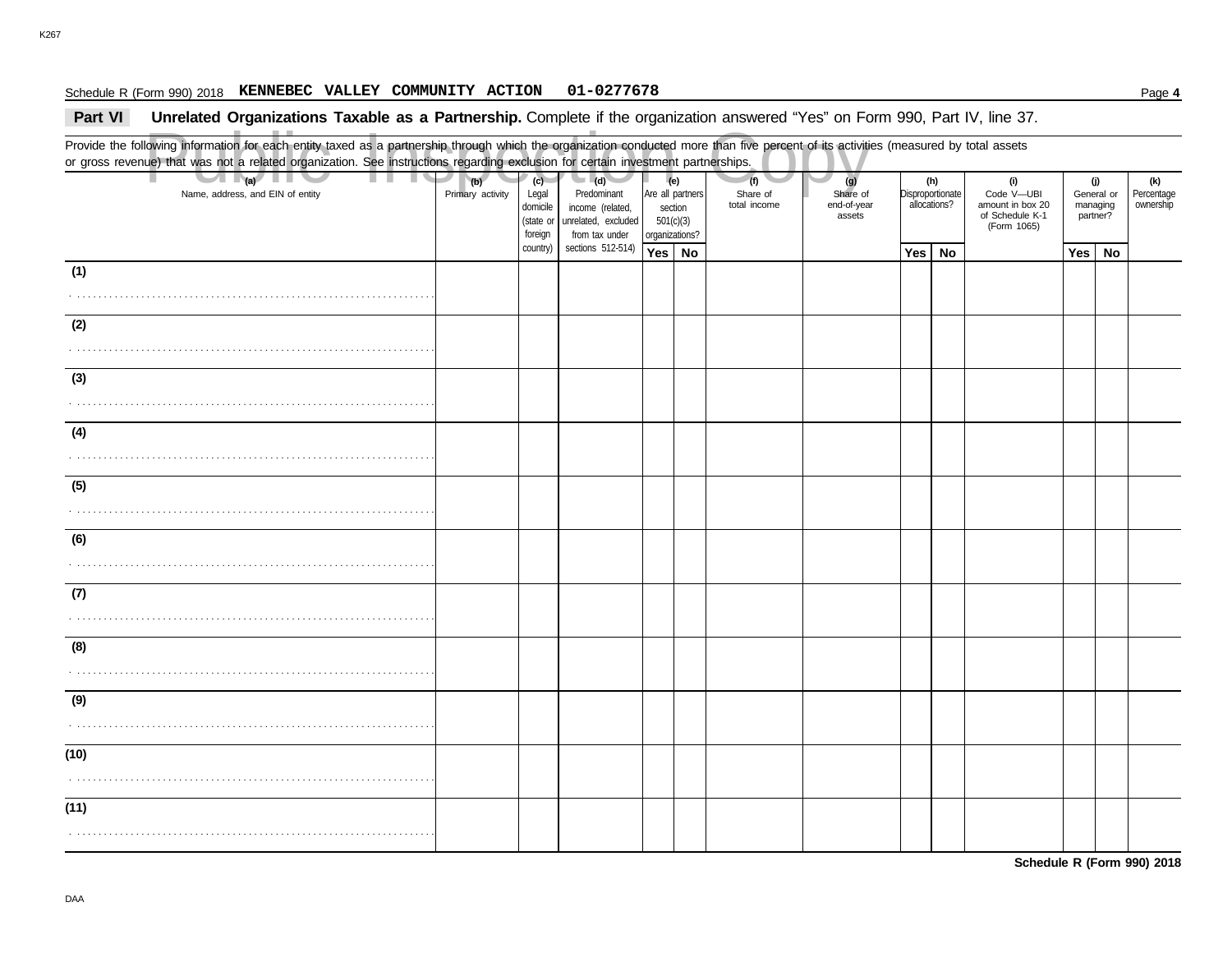#### Schedule R (Form 990) 2018 Page **4 KENNEBEC VALLEY COMMUNITY ACTION 01-0277678**

# **Part VI Unrelated Organizations Taxable as a Partnership.** Complete if the organization answered "Yes" on Form 990, Part IV, line 37.

| Provide the following information for each entity taxed as a partnership through which the organization conducted more than five percent of its activities (measured by total assets<br>or gross revenue) that was not a related organization. See instructions regarding exclusion for certain investment partnerships. |                         |                                                              |                                                                                                      |                              |                                                 |                                 |                                          |                                                          |                                                                         |         |                                                        |                                |
|--------------------------------------------------------------------------------------------------------------------------------------------------------------------------------------------------------------------------------------------------------------------------------------------------------------------------|-------------------------|--------------------------------------------------------------|------------------------------------------------------------------------------------------------------|------------------------------|-------------------------------------------------|---------------------------------|------------------------------------------|----------------------------------------------------------|-------------------------------------------------------------------------|---------|--------------------------------------------------------|--------------------------------|
| TTTV<br>$\blacksquare$<br>$\sim$<br>Name, address, and EIN of entity                                                                                                                                                                                                                                                     | (b)<br>Primary activity | (c)<br>Legal<br>domicile<br>(state or<br>foreign<br>country) | (d)<br>Predominant<br>income (related,<br>unrelated, excluded<br>from tax under<br>sections 512-514) | organizations?<br>$ Yes $ No | (e)<br>Are all partners<br>section<br>501(c)(3) | (f)<br>Share of<br>total income | (g)<br>Share of<br>end-of-year<br>assets | (h)<br>Disproportionate<br>allocations?<br>$Yes \mid No$ | (i)<br>Code V-UBI<br>amount in box 20<br>of Schedule K-1<br>(Form 1065) | Yes $ $ | (j)<br>General or<br>managing<br>partner?<br><b>No</b> | (k)<br>Percentage<br>ownership |
| (1)                                                                                                                                                                                                                                                                                                                      |                         |                                                              |                                                                                                      |                              |                                                 |                                 |                                          |                                                          |                                                                         |         |                                                        |                                |
| (2)                                                                                                                                                                                                                                                                                                                      |                         |                                                              |                                                                                                      |                              |                                                 |                                 |                                          |                                                          |                                                                         |         |                                                        |                                |
| (3)                                                                                                                                                                                                                                                                                                                      |                         |                                                              |                                                                                                      |                              |                                                 |                                 |                                          |                                                          |                                                                         |         |                                                        |                                |
| (4)                                                                                                                                                                                                                                                                                                                      |                         |                                                              |                                                                                                      |                              |                                                 |                                 |                                          |                                                          |                                                                         |         |                                                        |                                |
| (5)                                                                                                                                                                                                                                                                                                                      |                         |                                                              |                                                                                                      |                              |                                                 |                                 |                                          |                                                          |                                                                         |         |                                                        |                                |
| (6)<br>$\alpha$ , $\alpha$ , $\alpha$ , $\alpha$ , $\alpha$                                                                                                                                                                                                                                                              |                         |                                                              |                                                                                                      |                              |                                                 |                                 |                                          |                                                          |                                                                         |         |                                                        |                                |
| (7)                                                                                                                                                                                                                                                                                                                      |                         |                                                              |                                                                                                      |                              |                                                 |                                 |                                          |                                                          |                                                                         |         |                                                        |                                |
| (8)                                                                                                                                                                                                                                                                                                                      |                         |                                                              |                                                                                                      |                              |                                                 |                                 |                                          |                                                          |                                                                         |         |                                                        |                                |
| (9)                                                                                                                                                                                                                                                                                                                      |                         |                                                              |                                                                                                      |                              |                                                 |                                 |                                          |                                                          |                                                                         |         |                                                        |                                |
| (10)                                                                                                                                                                                                                                                                                                                     |                         |                                                              |                                                                                                      |                              |                                                 |                                 |                                          |                                                          |                                                                         |         |                                                        |                                |
| (11)                                                                                                                                                                                                                                                                                                                     |                         |                                                              |                                                                                                      |                              |                                                 |                                 |                                          |                                                          |                                                                         |         |                                                        |                                |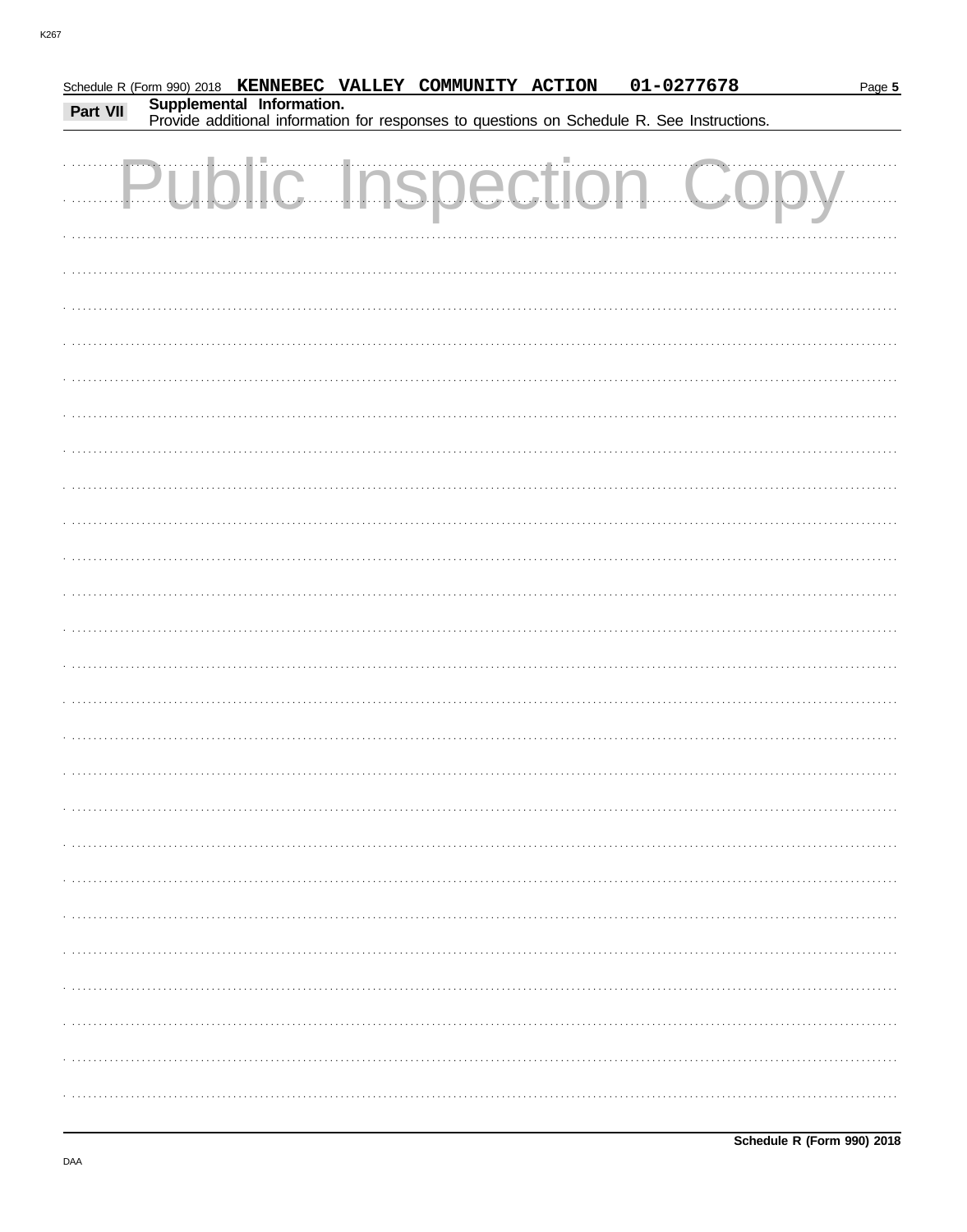|          |                           | Schedule R (Form 990) 2018 KENNEBEC VALLEY COMMUNITY ACTION | 01-0277678                                                                                 | Page 5 |
|----------|---------------------------|-------------------------------------------------------------|--------------------------------------------------------------------------------------------|--------|
| Part VII | Supplemental Information. |                                                             | Provide additional information for responses to questions on Schedule R. See Instructions. |        |
|          |                           |                                                             |                                                                                            |        |
|          |                           |                                                             | <b>Public Inspection Copy</b>                                                              |        |
|          |                           |                                                             |                                                                                            |        |
|          |                           |                                                             |                                                                                            |        |
|          |                           |                                                             |                                                                                            |        |
|          |                           |                                                             |                                                                                            |        |
|          |                           |                                                             |                                                                                            |        |
|          |                           |                                                             |                                                                                            |        |
|          |                           |                                                             |                                                                                            |        |
|          |                           |                                                             |                                                                                            |        |
|          |                           |                                                             |                                                                                            |        |
|          |                           |                                                             |                                                                                            |        |
|          |                           |                                                             |                                                                                            |        |
|          |                           |                                                             |                                                                                            |        |
|          |                           |                                                             |                                                                                            |        |
|          |                           |                                                             |                                                                                            |        |
|          |                           |                                                             |                                                                                            |        |
|          |                           |                                                             |                                                                                            |        |
|          |                           |                                                             |                                                                                            |        |
|          |                           |                                                             |                                                                                            |        |
|          |                           |                                                             |                                                                                            |        |
|          |                           |                                                             |                                                                                            |        |
|          |                           |                                                             |                                                                                            |        |
|          |                           |                                                             |                                                                                            |        |
|          |                           |                                                             |                                                                                            |        |
|          |                           |                                                             |                                                                                            |        |
|          |                           |                                                             |                                                                                            |        |
|          |                           |                                                             |                                                                                            |        |
|          |                           |                                                             |                                                                                            |        |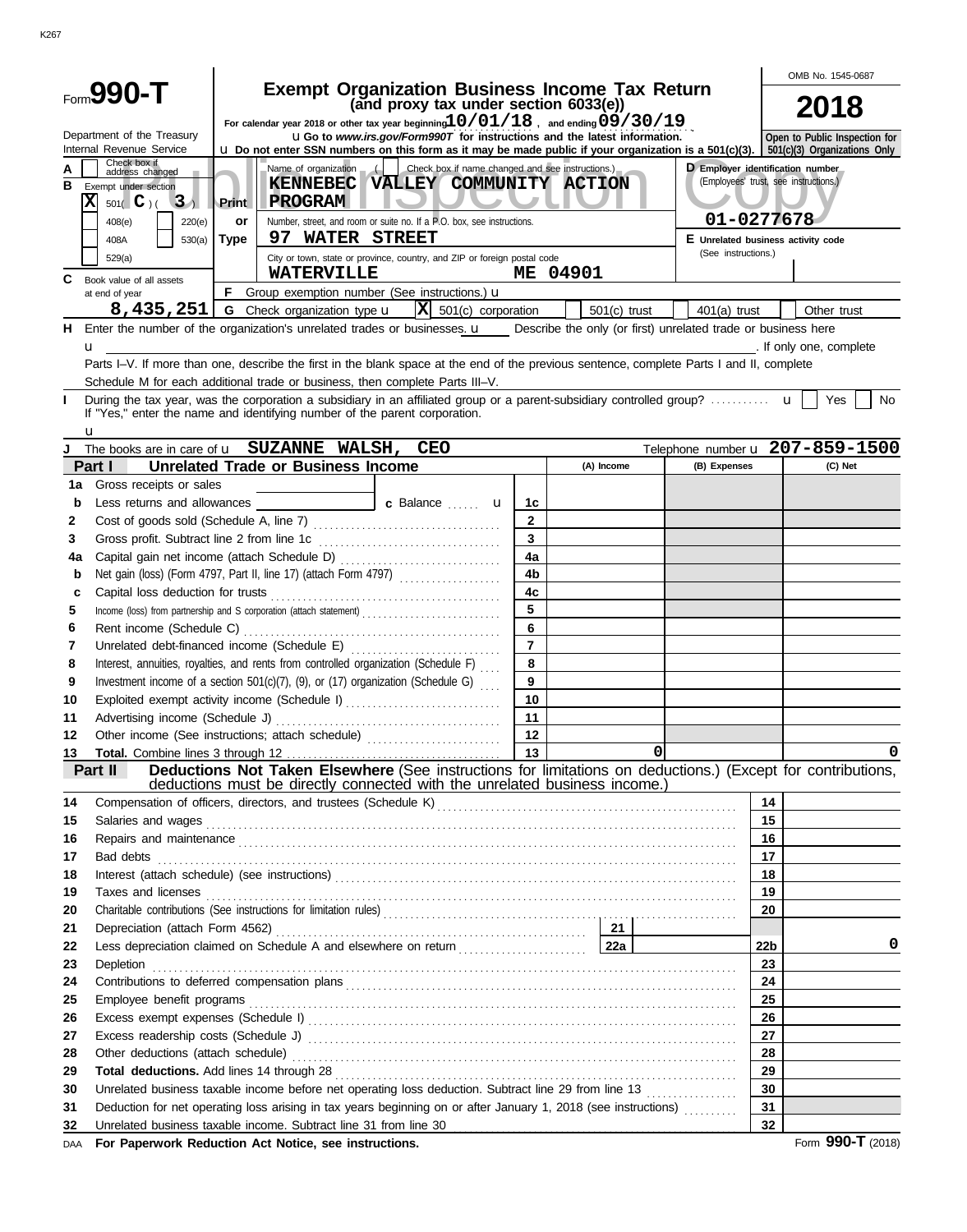|     |                                                                                                                                                              |                                   | OMB No. 1545-0687                                                |                                                                                                                                                                                                                                     |                |                |          |                     |                 |                                         |
|-----|--------------------------------------------------------------------------------------------------------------------------------------------------------------|-----------------------------------|------------------------------------------------------------------|-------------------------------------------------------------------------------------------------------------------------------------------------------------------------------------------------------------------------------------|----------------|----------------|----------|---------------------|-----------------|-----------------------------------------|
|     | Form990-1                                                                                                                                                    |                                   |                                                                  | <b>Exempt Organization Business Income Tax Return</b><br>(and proxy tax under section 6033(e))                                                                                                                                      |                |                |          |                     |                 | 2018                                    |
|     | Department of the Treasury                                                                                                                                   |                                   |                                                                  | For calendar year 2018 or other tax year beginning $10/01/18$ , and ending $09/30/19$                                                                                                                                               |                |                |          |                     |                 |                                         |
|     | Internal Revenue Service                                                                                                                                     |                                   |                                                                  | <b>uGo</b> to www.irs.gov/Form990T for instructions and the latest information.<br><b>u</b> Do not enter SSN numbers on this form as it may be made public if your organization is a 501(c)(3). S01(c)(3) Organizations Only        |                |                |          |                     |                 | Open to Public Inspection for           |
| в   | Check box if<br>address changed<br>Exempt under section<br>$\overline{\textbf{x}}$<br>3 <sub>1</sub><br>$501($ C $)$ (<br>408(e)<br>220(e)<br>408A<br>530(a) | <b>Print</b><br>or<br><b>Type</b> | E Unrelated business activity code                               | <b>D</b> Employer identification number<br>(Employees' trust, see instructions.)<br>01-0277678                                                                                                                                      |                |                |          |                     |                 |                                         |
|     | 529(a)                                                                                                                                                       |                                   | 97 WATER STREET                                                  | City or town, state or province, country, and ZIP or foreign postal code                                                                                                                                                            |                |                |          | (See instructions.) |                 |                                         |
|     |                                                                                                                                                              |                                   | <b>WATERVILLE</b>                                                |                                                                                                                                                                                                                                     |                | ME 04901       |          |                     |                 |                                         |
| C   | Book value of all assets<br>at end of year                                                                                                                   | F.                                |                                                                  | Group exemption number (See instructions.) <b>u</b>                                                                                                                                                                                 |                |                |          |                     |                 |                                         |
|     | 8,435,251                                                                                                                                                    |                                   | <b>G</b> Check organization type <b>u</b>                        | $ \mathbf{X} $ 501(c) corporation                                                                                                                                                                                                   |                | $501(c)$ trust |          | $401(a)$ trust      |                 | Other trust                             |
|     |                                                                                                                                                              |                                   |                                                                  | H Enter the number of the organization's unrelated trades or businesses. u Describe the only (or first) unrelated trade or business here                                                                                            |                |                |          |                     |                 |                                         |
|     | u                                                                                                                                                            |                                   |                                                                  |                                                                                                                                                                                                                                     |                |                |          |                     |                 | . If only one, complete                 |
|     |                                                                                                                                                              |                                   |                                                                  | Parts I-V. If more than one, describe the first in the blank space at the end of the previous sentence, complete Parts I and II, complete                                                                                           |                |                |          |                     |                 |                                         |
|     |                                                                                                                                                              |                                   |                                                                  | Schedule M for each additional trade or business, then complete Parts III-V.                                                                                                                                                        |                |                |          |                     |                 |                                         |
| ı   | If "Yes," enter the name and identifying number of the parent corporation.<br>u                                                                              |                                   |                                                                  |                                                                                                                                                                                                                                     |                |                |          |                     |                 | Yes<br>No                               |
| J   | The books are in care of <b>u</b> SUZANNE WALSH,                                                                                                             |                                   |                                                                  | <b>CEO</b>                                                                                                                                                                                                                          |                |                |          |                     |                 | Telephone number $u$ $207 - 859 - 1500$ |
|     | Part I                                                                                                                                                       |                                   | <b>Unrelated Trade or Business Income</b>                        |                                                                                                                                                                                                                                     |                | (A) Income     |          | (B) Expenses        |                 | (C) Net                                 |
| 1a  | Gross receipts or sales                                                                                                                                      |                                   |                                                                  |                                                                                                                                                                                                                                     |                |                |          |                     |                 |                                         |
| b   | Less returns and allowances                                                                                                                                  |                                   |                                                                  | c Balance  u                                                                                                                                                                                                                        | 1c             |                |          |                     |                 |                                         |
| 2   |                                                                                                                                                              |                                   |                                                                  |                                                                                                                                                                                                                                     | $\mathbf{2}$   |                |          |                     |                 |                                         |
| 3   |                                                                                                                                                              |                                   |                                                                  |                                                                                                                                                                                                                                     | 3              |                |          |                     |                 |                                         |
| 4a  |                                                                                                                                                              |                                   |                                                                  |                                                                                                                                                                                                                                     | 4a             |                |          |                     |                 |                                         |
| b   |                                                                                                                                                              |                                   |                                                                  | Net gain (loss) (Form 4797, Part II, line 17) (attach Form 4797)                                                                                                                                                                    | 4 <sub>b</sub> |                |          |                     |                 |                                         |
| c   |                                                                                                                                                              |                                   |                                                                  |                                                                                                                                                                                                                                     | 4 <sub>c</sub> |                |          |                     |                 |                                         |
| 5   |                                                                                                                                                              |                                   |                                                                  | Income (loss) from partnership and S corporation (attach statement)                                                                                                                                                                 | 5              |                |          |                     |                 |                                         |
| 6   | Rent income (Schedule C)                                                                                                                                     |                                   |                                                                  |                                                                                                                                                                                                                                     | 6              |                |          |                     |                 |                                         |
| 7   | Unrelated debt-financed income (Schedule E)                                                                                                                  |                                   |                                                                  |                                                                                                                                                                                                                                     | $\overline{7}$ |                |          |                     |                 |                                         |
| 8   |                                                                                                                                                              |                                   |                                                                  | Interest, annuities, royalties, and rents from controlled organization (Schedule F)                                                                                                                                                 | 8              |                |          |                     |                 |                                         |
| 9   |                                                                                                                                                              |                                   |                                                                  | Investment income of a section 501(c)(7), (9), or (17) organization (Schedule G)                                                                                                                                                    | 9              |                |          |                     |                 |                                         |
| 10  |                                                                                                                                                              |                                   |                                                                  | Exploited exempt activity income (Schedule I)                                                                                                                                                                                       | 10             |                |          |                     |                 |                                         |
| 11  |                                                                                                                                                              |                                   |                                                                  |                                                                                                                                                                                                                                     | 11             |                |          |                     |                 |                                         |
| 12  |                                                                                                                                                              |                                   |                                                                  | Other income (See instructions; attach schedule)                                                                                                                                                                                    | 12             |                |          |                     |                 |                                         |
| 13  |                                                                                                                                                              |                                   |                                                                  |                                                                                                                                                                                                                                     | 13             |                | $\Omega$ |                     |                 | $\Omega$                                |
|     | Part II                                                                                                                                                      |                                   |                                                                  | Deductions Not Taken Elsewhere (See instructions for limitations on deductions.) (Except for contributions,<br>deductions must be directly connected with the unrelated business income.)                                           |                |                |          |                     |                 |                                         |
| 14  |                                                                                                                                                              |                                   |                                                                  |                                                                                                                                                                                                                                     |                |                |          |                     | 14              |                                         |
| 15  |                                                                                                                                                              |                                   |                                                                  |                                                                                                                                                                                                                                     |                |                |          |                     | 15              |                                         |
| 16  |                                                                                                                                                              |                                   |                                                                  | Repairs and maintenance <i>[11] maintenance</i> [11] maintenance in the contract of the contract of the contract of the contract of the contract of the contract of the contract of the contract of the contract of the contract of |                |                |          |                     | 16              |                                         |
| 17  |                                                                                                                                                              |                                   |                                                                  | Bad debts <b>construction of the construction of the construction</b> of the construction of the construction of the construction of the construction of the construction of the construction of the construction of the constructi |                |                |          |                     | 17              |                                         |
| 18  |                                                                                                                                                              |                                   |                                                                  |                                                                                                                                                                                                                                     |                |                |          |                     | 18              |                                         |
| 19  |                                                                                                                                                              |                                   |                                                                  | Taxes and licenses <b>construction and intervention construction</b> and intervention and intervention and intervention                                                                                                             |                |                |          |                     | 19              |                                         |
| 20  |                                                                                                                                                              |                                   |                                                                  |                                                                                                                                                                                                                                     |                |                |          |                     | 20              |                                         |
| 21  |                                                                                                                                                              |                                   |                                                                  |                                                                                                                                                                                                                                     |                |                |          |                     |                 |                                         |
| 22  |                                                                                                                                                              |                                   |                                                                  | Less depreciation claimed on Schedule A and elsewhere on return <b>Constant Constant Panel Andrew Press</b>                                                                                                                         |                |                |          |                     | 22 <sub>b</sub> | 0                                       |
| 23  |                                                                                                                                                              |                                   |                                                                  |                                                                                                                                                                                                                                     |                |                |          |                     | 23              |                                         |
| 24  |                                                                                                                                                              |                                   |                                                                  |                                                                                                                                                                                                                                     |                |                |          |                     | 24              |                                         |
| 25  |                                                                                                                                                              |                                   |                                                                  |                                                                                                                                                                                                                                     |                |                |          |                     | 25              |                                         |
| 26  |                                                                                                                                                              |                                   |                                                                  |                                                                                                                                                                                                                                     |                |                |          |                     | 26              |                                         |
| 27  |                                                                                                                                                              |                                   |                                                                  |                                                                                                                                                                                                                                     |                |                |          |                     | 27              |                                         |
| 28  |                                                                                                                                                              |                                   |                                                                  | Other deductions (attach schedule) (attach schedule) (b) and according to the state of the schedule of the schedule of the state of the state of the state of the state of the state of the state of the state of the state of      |                |                |          |                     | 28              |                                         |
| 29  |                                                                                                                                                              |                                   |                                                                  |                                                                                                                                                                                                                                     |                |                |          |                     | 29              |                                         |
| 30  |                                                                                                                                                              |                                   |                                                                  |                                                                                                                                                                                                                                     |                |                |          |                     | 30              |                                         |
| 31  |                                                                                                                                                              |                                   |                                                                  | Deduction for net operating loss arising in tax years beginning on or after January 1, 2018 (see instructions)                                                                                                                      |                |                |          |                     | 31              |                                         |
| 32  |                                                                                                                                                              |                                   | Unrelated business taxable income. Subtract line 31 from line 30 |                                                                                                                                                                                                                                     |                |                |          |                     | 32              |                                         |
| DAA | For Paperwork Reduction Act Notice, see instructions.                                                                                                        |                                   |                                                                  |                                                                                                                                                                                                                                     |                |                |          |                     |                 | Form 990-T (2018)                       |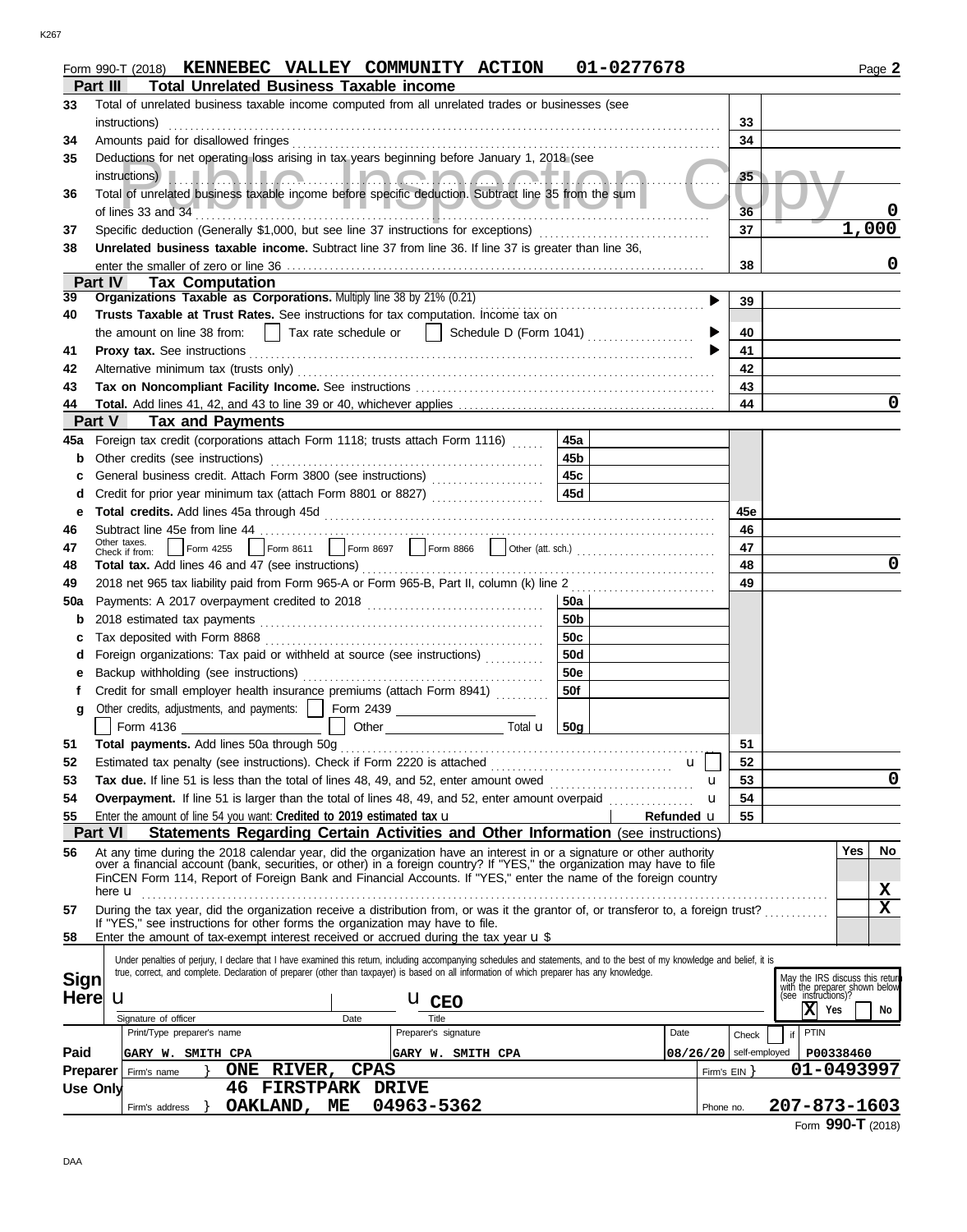|                 | Form 990-T (2018) KENNEBEC VALLEY COMMUNITY ACTION                                                                                                                                                                                                                                                                        | 01-0277678      |                            |                 | Page 2                                                                                  |
|-----------------|---------------------------------------------------------------------------------------------------------------------------------------------------------------------------------------------------------------------------------------------------------------------------------------------------------------------------|-----------------|----------------------------|-----------------|-----------------------------------------------------------------------------------------|
|                 | <b>Total Unrelated Business Taxable income</b><br>Part III                                                                                                                                                                                                                                                                |                 |                            |                 |                                                                                         |
| 33              | Total of unrelated business taxable income computed from all unrelated trades or businesses (see                                                                                                                                                                                                                          |                 |                            |                 |                                                                                         |
|                 | instructions)                                                                                                                                                                                                                                                                                                             |                 |                            | 33              |                                                                                         |
| 34              | Amounts paid for disallowed fringes                                                                                                                                                                                                                                                                                       |                 |                            | 34              |                                                                                         |
| 35              | Deductions for net operating loss arising in tax years beginning before January 1, 2018 (see                                                                                                                                                                                                                              |                 |                            |                 |                                                                                         |
|                 | instructions) <b>I.I.I.A.I.I.A.I.I.A.A.I.A.A.A.T.I.A.I</b>                                                                                                                                                                                                                                                                |                 |                            | 35 <sub>5</sub> |                                                                                         |
| 36              | Total of unrelated business taxable income before specific deduction. Subtract line 35 from the sum                                                                                                                                                                                                                       |                 |                            |                 |                                                                                         |
|                 | of lines 33 and 34                                                                                                                                                                                                                                                                                                        |                 |                            | 36              |                                                                                         |
| 37              | Specific deduction (Generally \$1,000, but see line 37 instructions for exceptions)                                                                                                                                                                                                                                       |                 |                            | 37              | 1,000                                                                                   |
| 38              | Unrelated business taxable income. Subtract line 37 from line 36. If line 37 is greater than line 36,                                                                                                                                                                                                                     |                 |                            |                 |                                                                                         |
|                 |                                                                                                                                                                                                                                                                                                                           |                 |                            | 38              | 0                                                                                       |
|                 | Part IV<br><b>Tax Computation</b>                                                                                                                                                                                                                                                                                         |                 |                            |                 |                                                                                         |
| 39              | Organizations Taxable as Corporations. Multiply line 38 by 21% (0.21)                                                                                                                                                                                                                                                     |                 |                            | 39              |                                                                                         |
| 40              | Trusts Taxable at Trust Rates. See instructions for tax computation. Income tax on                                                                                                                                                                                                                                        |                 |                            |                 |                                                                                         |
|                 | $\vert$ Tax rate schedule or<br>  Schedule D (Form 1041) $\ldots$<br>the amount on line 38 from:                                                                                                                                                                                                                          |                 |                            | 40              |                                                                                         |
| 41              |                                                                                                                                                                                                                                                                                                                           |                 |                            | 41              |                                                                                         |
| 42              |                                                                                                                                                                                                                                                                                                                           |                 |                            | 42              |                                                                                         |
| 43              |                                                                                                                                                                                                                                                                                                                           |                 |                            | 43              |                                                                                         |
| 44              |                                                                                                                                                                                                                                                                                                                           |                 |                            | 44              | 0                                                                                       |
|                 | <b>Tax and Payments</b><br><b>Part V</b>                                                                                                                                                                                                                                                                                  |                 |                            |                 |                                                                                         |
| 45а             | Foreign tax credit (corporations attach Form 1118; trusts attach Form 1116)                                                                                                                                                                                                                                               | 45a             |                            |                 |                                                                                         |
| b               | Other credits (see instructions)                                                                                                                                                                                                                                                                                          | 45b             |                            |                 |                                                                                         |
|                 | General business credit. Attach Form 3800 (see instructions) [[[[[[[[[[[[[[[[[[[[[[[[]]]]]]]]                                                                                                                                                                                                                             | 45c             |                            |                 |                                                                                         |
| с               | Credit for prior year minimum tax (attach Form 8801 or 8827)                                                                                                                                                                                                                                                              | 45d             |                            |                 |                                                                                         |
| d               |                                                                                                                                                                                                                                                                                                                           |                 |                            |                 |                                                                                         |
| е               |                                                                                                                                                                                                                                                                                                                           |                 |                            | 45e<br>46       |                                                                                         |
| 46              | Other taxes.                                                                                                                                                                                                                                                                                                              |                 |                            | 47              |                                                                                         |
| 47              | Check if from:<br>Total tax. Add lines 46 and 47 (see instructions)                                                                                                                                                                                                                                                       |                 |                            | 48              | 0                                                                                       |
| 48              |                                                                                                                                                                                                                                                                                                                           |                 |                            | 49              |                                                                                         |
| 49              | 2018 net 965 tax liability paid from Form 965-A or Form 965-B, Part II, column (k) line 2                                                                                                                                                                                                                                 | 50a             |                            |                 |                                                                                         |
| 50a             |                                                                                                                                                                                                                                                                                                                           |                 |                            |                 |                                                                                         |
| b               |                                                                                                                                                                                                                                                                                                                           | 50 <sub>b</sub> |                            |                 |                                                                                         |
| c               |                                                                                                                                                                                                                                                                                                                           | 50c             |                            |                 |                                                                                         |
| d               | Foreign organizations: Tax paid or withheld at source (see instructions) [                                                                                                                                                                                                                                                | 50d             |                            |                 |                                                                                         |
| е               | Backup withholding (see instructions)                                                                                                                                                                                                                                                                                     | <b>50e</b>      |                            |                 |                                                                                         |
| Ť.              | Credit for small employer health insurance premiums (attach Form 8941)                                                                                                                                                                                                                                                    | 50f             |                            |                 |                                                                                         |
| g               | Other credits, adjustments, and payments:     Form 2439                                                                                                                                                                                                                                                                   |                 |                            |                 |                                                                                         |
|                 | Total <b>u</b>                                                                                                                                                                                                                                                                                                            | 50 <sub>g</sub> |                            |                 |                                                                                         |
| 51              | Total payments. Add lines 50a through 50g                                                                                                                                                                                                                                                                                 |                 |                            | 51              |                                                                                         |
| 52              | Estimated tax penalty (see instructions). Check if Form 2220 is attached [                                                                                                                                                                                                                                                |                 | $\mathbf{u}$               | 52              |                                                                                         |
| 53              | Tax due. If line 51 is less than the total of lines 48, 49, and 52, enter amount owed <i></i>                                                                                                                                                                                                                             |                 | u                          | 53              | $\mathbf 0$                                                                             |
| 54              | Overpayment. If line 51 is larger than the total of lines 48, 49, and 52, enter amount overpaid                                                                                                                                                                                                                           |                 | u                          | 54              |                                                                                         |
| 55              | Enter the amount of line 54 you want: Credited to 2019 estimated tax <b>u</b>                                                                                                                                                                                                                                             |                 | Refunded u                 | 55              |                                                                                         |
|                 | <b>Part VI</b><br>Statements Regarding Certain Activities and Other Information (see instructions)                                                                                                                                                                                                                        |                 |                            |                 |                                                                                         |
| 56              | At any time during the 2018 calendar year, did the organization have an interest in or a signature or other authority<br>over a financial account (bank, securities, or other) in a foreign country? If "YES," the organization may have to file                                                                          |                 |                            |                 | <b>Yes</b><br>No                                                                        |
|                 | FinCEN Form 114, Report of Foreign Bank and Financial Accounts. If "YES," enter the name of the foreign country                                                                                                                                                                                                           |                 |                            |                 |                                                                                         |
|                 |                                                                                                                                                                                                                                                                                                                           |                 |                            |                 | x                                                                                       |
| 57              | During the tax year, did the organization receive a distribution from, or was it the grantor of, or transferor to, a foreign trust?                                                                                                                                                                                       |                 |                            |                 | X                                                                                       |
| 58              | If "YES," see instructions for other forms the organization may have to file.<br>Enter the amount of tax-exempt interest received or accrued during the tax year <b>u</b> \$                                                                                                                                              |                 |                            |                 |                                                                                         |
|                 |                                                                                                                                                                                                                                                                                                                           |                 |                            |                 |                                                                                         |
|                 | Under penalties of perjury, I declare that I have examined this return, including accompanying schedules and statements, and to the best of my knowledge and belief, it is<br>true, correct, and complete. Declaration of preparer (other than taxpayer) is based on all information of which preparer has any knowledge. |                 |                            |                 |                                                                                         |
| Sign            |                                                                                                                                                                                                                                                                                                                           |                 |                            |                 | May the IRS discuss this return<br>with the preparer shown below<br>(see instructions)? |
| Here            | u<br><b>U</b> CEO                                                                                                                                                                                                                                                                                                         |                 |                            |                 |                                                                                         |
|                 | Signature of officer<br>Date<br>Title                                                                                                                                                                                                                                                                                     |                 |                            |                 | IХ<br>Yes<br>No                                                                         |
|                 | Print/Type preparer's name<br>Preparer's signature                                                                                                                                                                                                                                                                        | Date            |                            | Check           | PTIN<br>if                                                                              |
| Paid            | GARY W. SMITH CPA<br>GARY W. SMITH CPA                                                                                                                                                                                                                                                                                    |                 | $08/26/20$   self-employed |                 | P00338460                                                                               |
| <b>Preparer</b> | ONE RIVER, CPAS<br>Firm's name                                                                                                                                                                                                                                                                                            |                 |                            | Firm's EIN      | 01-0493997                                                                              |
|                 | <b>46 FIRSTPARK DRIVE</b><br>Use Only                                                                                                                                                                                                                                                                                     |                 |                            |                 |                                                                                         |
|                 | OAKLAND, ME<br>04963-5362<br>Firm's address                                                                                                                                                                                                                                                                               |                 | Phone no.                  |                 | 207-873-1603                                                                            |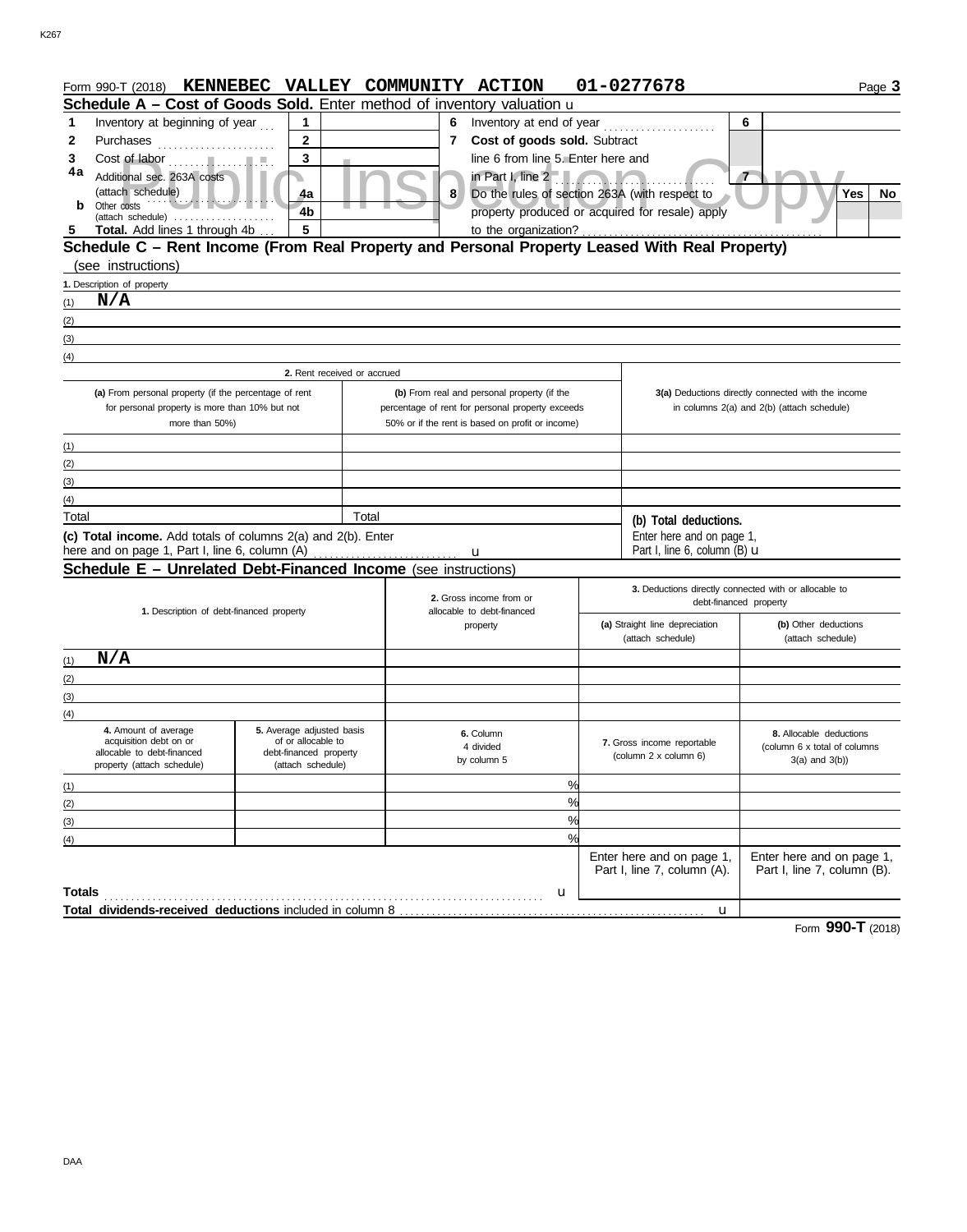|                   | Form 990-T (2018)                                                                                                    |                                                 |       | KENNEBEC VALLEY COMMUNITY ACTION                 |                                                       |               | 01-0277678                                               |                                                          | Page 3 |
|-------------------|----------------------------------------------------------------------------------------------------------------------|-------------------------------------------------|-------|--------------------------------------------------|-------------------------------------------------------|---------------|----------------------------------------------------------|----------------------------------------------------------|--------|
|                   | Schedule A - Cost of Goods Sold. Enter method of inventory valuation u                                               |                                                 |       |                                                  |                                                       |               |                                                          |                                                          |        |
| 1                 | Inventory at beginning of year                                                                                       | $\mathbf 1$                                     |       | 6                                                | Inventory at end of year                              |               | .                                                        | 6                                                        |        |
| 2                 | Purchases                                                                                                            | $\mathbf{2}$                                    |       |                                                  | 7 Cost of goods sold. Subtract                        |               |                                                          |                                                          |        |
| 3                 | Cost of labor                                                                                                        | 3                                               |       |                                                  | line 6 from line 5. Enter here and                    |               |                                                          |                                                          |        |
| 4a                | Additional sec. 263A costs                                                                                           |                                                 |       |                                                  | in Part I, line 2                                     |               |                                                          | $\mathbf{7}$                                             |        |
|                   | (attach schedule)                                                                                                    | 4a                                              |       | 8                                                | Do the rules of section 263A (with respect to         |               |                                                          | Yes                                                      | No     |
|                   | Other costs<br>$(attack \ schedule) \dots \dots \dots \dots \dots$                                                   | 4 <sub>b</sub>                                  |       |                                                  |                                                       |               | property produced or acquired for resale) apply          |                                                          |        |
|                   | Total. Add lines 1 through 4b                                                                                        | $5\phantom{a}$                                  |       |                                                  | to the organization?                                  |               |                                                          |                                                          |        |
|                   | Schedule C - Rent Income (From Real Property and Personal Property Leased With Real Property)                        |                                                 |       |                                                  |                                                       |               |                                                          |                                                          |        |
|                   | (see instructions)                                                                                                   |                                                 |       |                                                  |                                                       |               |                                                          |                                                          |        |
|                   | 1. Description of property                                                                                           |                                                 |       |                                                  |                                                       |               |                                                          |                                                          |        |
| (1)               | N/A                                                                                                                  |                                                 |       |                                                  |                                                       |               |                                                          |                                                          |        |
| (2)               | <u> 1989 - Johann Barbara, martxa alemaniar argumento de la contrada de la contrada de la contrada de la contrad</u> |                                                 |       |                                                  |                                                       |               |                                                          |                                                          |        |
| (3)               |                                                                                                                      |                                                 |       |                                                  |                                                       |               |                                                          |                                                          |        |
| (4)               |                                                                                                                      |                                                 |       |                                                  |                                                       |               |                                                          |                                                          |        |
|                   |                                                                                                                      | 2. Rent received or accrued                     |       |                                                  |                                                       |               |                                                          |                                                          |        |
|                   | (a) From personal property (if the percentage of rent                                                                |                                                 |       |                                                  | (b) From real and personal property (if the           |               |                                                          | 3(a) Deductions directly connected with the income       |        |
|                   | for personal property is more than 10% but not<br>more than 50%)                                                     |                                                 |       | percentage of rent for personal property exceeds | 50% or if the rent is based on profit or income)      |               |                                                          | in columns 2(a) and 2(b) (attach schedule)               |        |
|                   |                                                                                                                      |                                                 |       |                                                  |                                                       |               |                                                          |                                                          |        |
| (1)<br>(2)        | <u> 1980 - John Barnett, fransk politiker (d. 1980)</u>                                                              |                                                 |       |                                                  |                                                       |               |                                                          |                                                          |        |
| (3)               | the control of the control of the control of the control of the control of the control of                            |                                                 |       |                                                  |                                                       |               |                                                          |                                                          |        |
| (4)               | the control of the control of the control of the control of the control of the control of                            |                                                 |       |                                                  |                                                       |               |                                                          |                                                          |        |
| Total             |                                                                                                                      |                                                 | Total |                                                  |                                                       |               |                                                          |                                                          |        |
|                   | (c) Total income. Add totals of columns 2(a) and 2(b). Enter                                                         |                                                 |       |                                                  |                                                       |               | (b) Total deductions.<br>Enter here and on page 1,       |                                                          |        |
|                   | here and on page 1, Part I, line 6, column (A)                                                                       |                                                 |       |                                                  | u                                                     |               | Part I, line 6, column $(B)$ $\mathbf u$                 |                                                          |        |
|                   | Schedule E - Unrelated Debt-Financed Income (see instructions)                                                       |                                                 |       |                                                  |                                                       |               |                                                          |                                                          |        |
|                   |                                                                                                                      |                                                 |       |                                                  |                                                       |               |                                                          | 3. Deductions directly connected with or allocable to    |        |
|                   | 1. Description of debt-financed property                                                                             |                                                 |       |                                                  | 2. Gross income from or<br>allocable to debt-financed |               |                                                          | debt-financed property                                   |        |
|                   |                                                                                                                      |                                                 |       |                                                  | property                                              |               | (a) Straight line depreciation                           | (b) Other deductions                                     |        |
|                   |                                                                                                                      |                                                 |       |                                                  |                                                       |               | (attach schedule)                                        | (attach schedule)                                        |        |
| (1)               | N/A                                                                                                                  |                                                 |       |                                                  |                                                       |               |                                                          |                                                          |        |
| (2)               |                                                                                                                      |                                                 |       |                                                  |                                                       |               |                                                          |                                                          |        |
| (3)               |                                                                                                                      |                                                 |       |                                                  |                                                       |               |                                                          |                                                          |        |
| (4)               |                                                                                                                      |                                                 |       |                                                  |                                                       |               |                                                          |                                                          |        |
|                   | 4. Amount of average<br>acquisition debt on or                                                                       | 5. Average adjusted basis<br>of or allocable to |       |                                                  | 6. Column                                             |               | 7. Gross income reportable                               | 8. Allocable deductions                                  |        |
|                   | allocable to debt-financed                                                                                           | debt-financed property                          |       |                                                  | 4 divided<br>by column 5                              |               | (column 2 x column 6)                                    | (column 6 x total of columns<br>$3(a)$ and $3(b)$ )      |        |
|                   | property (attach schedule)                                                                                           | (attach schedule)                               |       |                                                  |                                                       |               |                                                          |                                                          |        |
| (1)               |                                                                                                                      |                                                 |       |                                                  |                                                       | %             |                                                          |                                                          |        |
| (2)               |                                                                                                                      |                                                 |       |                                                  |                                                       | %             |                                                          |                                                          |        |
| (3)               |                                                                                                                      |                                                 |       |                                                  |                                                       | %             |                                                          |                                                          |        |
| $\left( 4\right)$ |                                                                                                                      |                                                 |       |                                                  |                                                       | $\frac{0}{c}$ |                                                          |                                                          |        |
|                   |                                                                                                                      |                                                 |       |                                                  |                                                       |               | Enter here and on page 1,<br>Part I, line 7, column (A). | Enter here and on page 1,<br>Part I, line 7, column (B). |        |
|                   |                                                                                                                      |                                                 |       |                                                  |                                                       |               |                                                          |                                                          |        |
| Totals            |                                                                                                                      |                                                 |       |                                                  |                                                       | u             |                                                          |                                                          |        |
|                   |                                                                                                                      |                                                 |       |                                                  |                                                       |               | u                                                        |                                                          |        |

Form **990-T** (2018)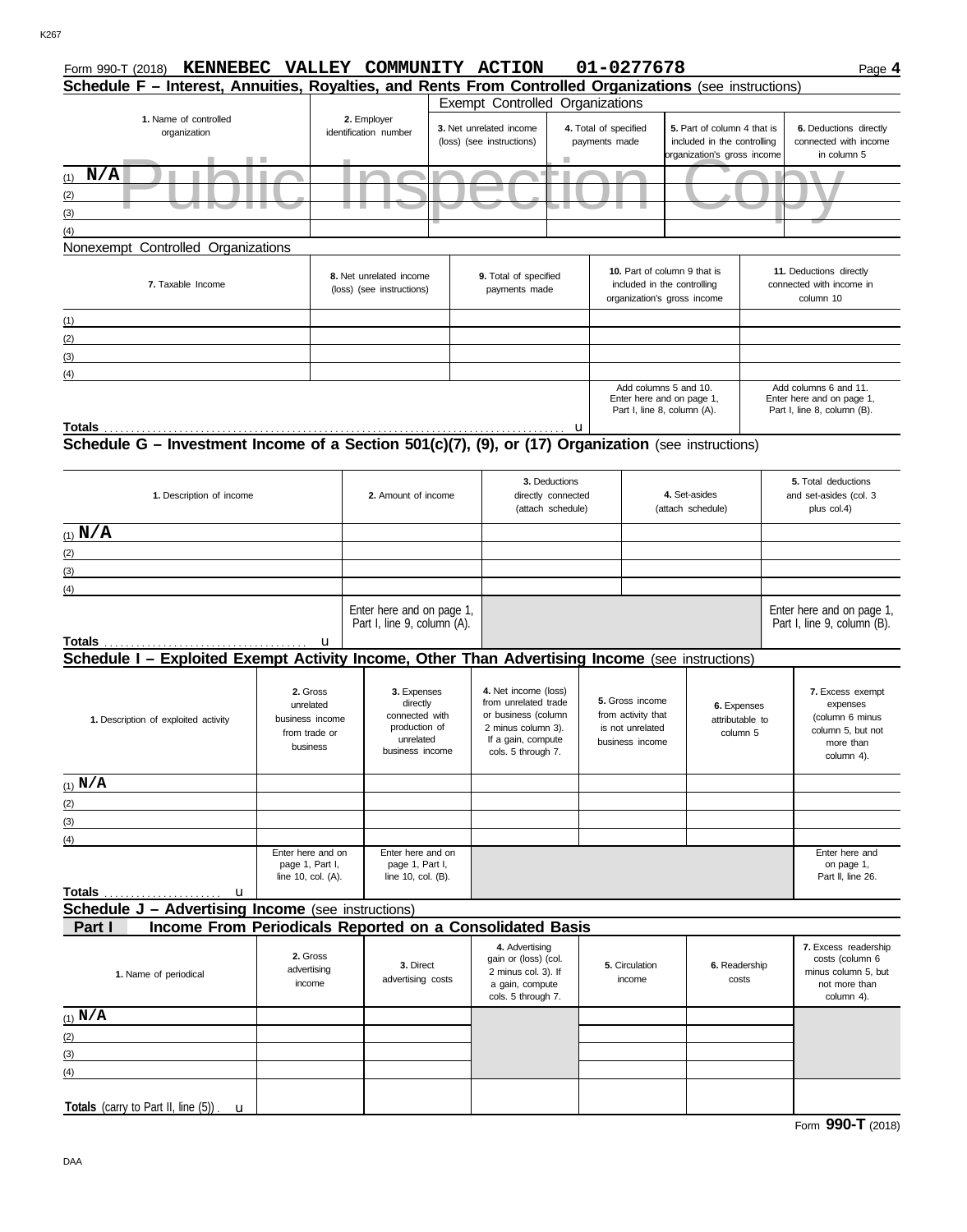| Form 990-T (2018)                                                                                       |                                                                       | KENNEBEC VALLEY COMMUNITY ACTION                                                           |                                                                                              |                                                                                                                                       |  | 01-0277678                                                                                                                          |                        |                                            | Page 4                                                                                                                                                                                                                                                               |  |  |
|---------------------------------------------------------------------------------------------------------|-----------------------------------------------------------------------|--------------------------------------------------------------------------------------------|----------------------------------------------------------------------------------------------|---------------------------------------------------------------------------------------------------------------------------------------|--|-------------------------------------------------------------------------------------------------------------------------------------|------------------------|--------------------------------------------|----------------------------------------------------------------------------------------------------------------------------------------------------------------------------------------------------------------------------------------------------------------------|--|--|
| Schedule F - Interest, Annuities, Royalties, and Rents From Controlled Organizations (see instructions) |                                                                       |                                                                                            |                                                                                              |                                                                                                                                       |  |                                                                                                                                     |                        |                                            |                                                                                                                                                                                                                                                                      |  |  |
| 1. Name of controlled<br>organization                                                                   | 2. Employer<br>identification number<br>T.                            |                                                                                            | Exempt Controlled Organizations<br>3. Net unrelated income<br>(loss) (see instructions)<br>ш |                                                                                                                                       |  | 4. Total of specified<br>5. Part of column 4 that is<br>payments made<br>included in the controlling<br>organization's gross income |                        |                                            | 6. Deductions directly<br>connected with income<br>in column 5                                                                                                                                                                                                       |  |  |
| N/A<br>(1)                                                                                              |                                                                       |                                                                                            |                                                                                              |                                                                                                                                       |  |                                                                                                                                     |                        |                                            |                                                                                                                                                                                                                                                                      |  |  |
| (2)                                                                                                     |                                                                       |                                                                                            |                                                                                              |                                                                                                                                       |  |                                                                                                                                     |                        |                                            |                                                                                                                                                                                                                                                                      |  |  |
| (3)                                                                                                     |                                                                       |                                                                                            |                                                                                              |                                                                                                                                       |  |                                                                                                                                     |                        |                                            |                                                                                                                                                                                                                                                                      |  |  |
| (4)                                                                                                     |                                                                       |                                                                                            |                                                                                              |                                                                                                                                       |  |                                                                                                                                     |                        |                                            |                                                                                                                                                                                                                                                                      |  |  |
| Nonexempt Controlled Organizations                                                                      |                                                                       |                                                                                            |                                                                                              |                                                                                                                                       |  |                                                                                                                                     |                        |                                            |                                                                                                                                                                                                                                                                      |  |  |
| 7. Taxable Income                                                                                       |                                                                       | 8. Net unrelated income<br>(loss) (see instructions)                                       |                                                                                              | 9. Total of specified<br>payments made                                                                                                |  | 10. Part of column 9 that is<br>included in the controlling<br>organization's gross income                                          |                        |                                            | 11. Deductions directly<br>connected with income in<br>column 10                                                                                                                                                                                                     |  |  |
| (1)                                                                                                     |                                                                       |                                                                                            |                                                                                              |                                                                                                                                       |  |                                                                                                                                     |                        |                                            |                                                                                                                                                                                                                                                                      |  |  |
| (2)                                                                                                     |                                                                       |                                                                                            |                                                                                              |                                                                                                                                       |  |                                                                                                                                     |                        |                                            |                                                                                                                                                                                                                                                                      |  |  |
| (3)                                                                                                     |                                                                       |                                                                                            |                                                                                              |                                                                                                                                       |  |                                                                                                                                     |                        |                                            |                                                                                                                                                                                                                                                                      |  |  |
| (4)                                                                                                     |                                                                       |                                                                                            |                                                                                              |                                                                                                                                       |  |                                                                                                                                     |                        |                                            |                                                                                                                                                                                                                                                                      |  |  |
|                                                                                                         |                                                                       |                                                                                            |                                                                                              |                                                                                                                                       |  | Add columns 5 and 10.<br>Enter here and on page 1,<br>Part I, line 8, column (A).                                                   |                        |                                            | Add columns 6 and 11.<br>Enter here and on page 1,<br>Part I, line 8, column (B).                                                                                                                                                                                    |  |  |
|                                                                                                         |                                                                       |                                                                                            |                                                                                              |                                                                                                                                       |  |                                                                                                                                     |                        |                                            |                                                                                                                                                                                                                                                                      |  |  |
|                                                                                                         |                                                                       |                                                                                            |                                                                                              | 3. Deductions                                                                                                                         |  |                                                                                                                                     |                        |                                            | 5. Total deductions                                                                                                                                                                                                                                                  |  |  |
| 1. Description of income                                                                                |                                                                       | 2. Amount of income                                                                        |                                                                                              | 4. Set-asides<br>directly connected                                                                                                   |  |                                                                                                                                     |                        |                                            | and set-asides (col. 3                                                                                                                                                                                                                                               |  |  |
|                                                                                                         |                                                                       |                                                                                            |                                                                                              | (attach schedule)                                                                                                                     |  |                                                                                                                                     | (attach schedule)      |                                            | plus col.4)<br>7. Excess exempt<br>expenses<br>(column 6 minus<br>column 5, but not<br>more than<br>column 4).<br>Enter here and<br>on page 1,<br>Part II, line 26.<br>7. Excess readership<br>costs (column 6<br>minus column 5, but<br>not more than<br>column 4). |  |  |
| (1) $N/A$                                                                                               |                                                                       |                                                                                            |                                                                                              |                                                                                                                                       |  |                                                                                                                                     |                        |                                            |                                                                                                                                                                                                                                                                      |  |  |
| (2)                                                                                                     |                                                                       |                                                                                            |                                                                                              |                                                                                                                                       |  |                                                                                                                                     |                        |                                            |                                                                                                                                                                                                                                                                      |  |  |
| (3)                                                                                                     |                                                                       |                                                                                            |                                                                                              |                                                                                                                                       |  |                                                                                                                                     |                        |                                            |                                                                                                                                                                                                                                                                      |  |  |
| (4)                                                                                                     |                                                                       |                                                                                            |                                                                                              |                                                                                                                                       |  |                                                                                                                                     |                        |                                            |                                                                                                                                                                                                                                                                      |  |  |
|                                                                                                         | u                                                                     | Enter here and on page 1,<br>Part I, line 9, column (A).                                   |                                                                                              |                                                                                                                                       |  |                                                                                                                                     |                        |                                            | Enter here and on page 1,<br>Part I, line 9, column (B).                                                                                                                                                                                                             |  |  |
| Schedule I - Exploited Exempt Activity Income, Other Than Advertising Income (see instructions)         |                                                                       |                                                                                            |                                                                                              |                                                                                                                                       |  |                                                                                                                                     |                        |                                            |                                                                                                                                                                                                                                                                      |  |  |
| 1. Description of exploited activity                                                                    | 2. Gross<br>unrelated<br>business income<br>from trade or<br>business | 3. Expenses<br>directly<br>connected with<br>production of<br>unrelated<br>business income |                                                                                              | 4. Net income (loss)<br>from unrelated trade<br>or business (column<br>2 minus column 3).<br>If a gain, compute<br>cols. 5 through 7. |  | 5. Gross income<br>from activity that<br>is not unrelated<br>business income                                                        |                        | 6. Expenses<br>attributable to<br>column 5 |                                                                                                                                                                                                                                                                      |  |  |
| $(1)$ N/A                                                                                               |                                                                       |                                                                                            |                                                                                              |                                                                                                                                       |  |                                                                                                                                     |                        |                                            |                                                                                                                                                                                                                                                                      |  |  |
| (2)                                                                                                     |                                                                       |                                                                                            |                                                                                              |                                                                                                                                       |  |                                                                                                                                     |                        |                                            |                                                                                                                                                                                                                                                                      |  |  |
| (3)                                                                                                     |                                                                       |                                                                                            |                                                                                              |                                                                                                                                       |  |                                                                                                                                     |                        |                                            |                                                                                                                                                                                                                                                                      |  |  |
| (4)                                                                                                     |                                                                       |                                                                                            |                                                                                              |                                                                                                                                       |  |                                                                                                                                     |                        |                                            |                                                                                                                                                                                                                                                                      |  |  |
|                                                                                                         | Enter here and on<br>page 1, Part I,<br>line 10, col. $(A)$ .         | Enter here and on<br>page 1, Part I,<br>line 10, col. (B).                                 |                                                                                              |                                                                                                                                       |  |                                                                                                                                     |                        |                                            |                                                                                                                                                                                                                                                                      |  |  |
| <b>Totals</b><br>u<br><b>Schedule J - Advertising Income</b> (see instructions)                         |                                                                       |                                                                                            |                                                                                              |                                                                                                                                       |  |                                                                                                                                     |                        |                                            |                                                                                                                                                                                                                                                                      |  |  |
| Income From Periodicals Reported on a Consolidated Basis<br>Part I                                      |                                                                       |                                                                                            |                                                                                              |                                                                                                                                       |  |                                                                                                                                     |                        |                                            |                                                                                                                                                                                                                                                                      |  |  |
| 1. Name of periodical                                                                                   | 2. Gross<br>advertising<br>income                                     | 3. Direct<br>advertising costs                                                             |                                                                                              | 4. Advertising<br>gain or (loss) (col.<br>2 minus col. 3). If<br>a gain, compute<br>cols. 5 through 7.                                |  | 5. Circulation<br>income                                                                                                            | 6. Readership<br>costs |                                            |                                                                                                                                                                                                                                                                      |  |  |
| $(1)$ N/A                                                                                               |                                                                       |                                                                                            |                                                                                              |                                                                                                                                       |  |                                                                                                                                     |                        |                                            |                                                                                                                                                                                                                                                                      |  |  |
| (2)                                                                                                     |                                                                       |                                                                                            |                                                                                              |                                                                                                                                       |  |                                                                                                                                     |                        |                                            |                                                                                                                                                                                                                                                                      |  |  |
| (3)                                                                                                     |                                                                       |                                                                                            |                                                                                              |                                                                                                                                       |  |                                                                                                                                     |                        |                                            |                                                                                                                                                                                                                                                                      |  |  |
| (4)                                                                                                     |                                                                       |                                                                                            |                                                                                              |                                                                                                                                       |  |                                                                                                                                     |                        |                                            |                                                                                                                                                                                                                                                                      |  |  |
|                                                                                                         |                                                                       |                                                                                            |                                                                                              |                                                                                                                                       |  |                                                                                                                                     |                        |                                            |                                                                                                                                                                                                                                                                      |  |  |
| Totals (carry to Part II, line (5))<br>$\mathbf{u}$                                                     |                                                                       |                                                                                            |                                                                                              |                                                                                                                                       |  |                                                                                                                                     |                        |                                            |                                                                                                                                                                                                                                                                      |  |  |